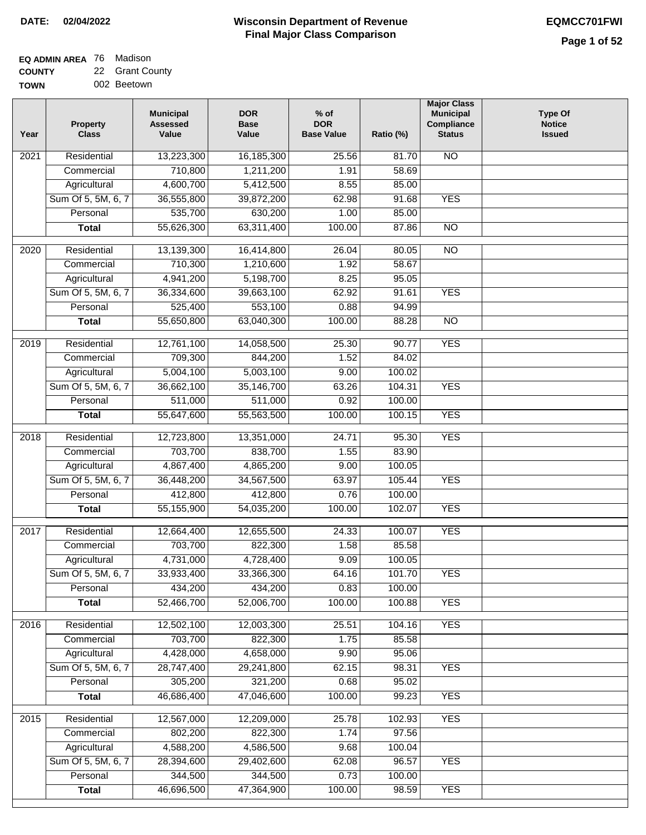| <b>EQ ADMIN AREA 76 Madison</b> |                 |
|---------------------------------|-----------------|
| <b>COUNTY</b>                   | 22 Grant County |

**TOWN** 002 Beetown

| Year              | <b>Property</b><br><b>Class</b> | <b>Municipal</b><br><b>Assessed</b><br>Value | <b>DOR</b><br><b>Base</b><br>Value | $%$ of<br><b>DOR</b><br><b>Base Value</b> | Ratio (%) | <b>Major Class</b><br><b>Municipal</b><br>Compliance<br><b>Status</b> | <b>Type Of</b><br><b>Notice</b><br><b>Issued</b> |
|-------------------|---------------------------------|----------------------------------------------|------------------------------------|-------------------------------------------|-----------|-----------------------------------------------------------------------|--------------------------------------------------|
| $\overline{202}1$ | Residential                     | 13,223,300                                   | 16,185,300                         | 25.56                                     | 81.70     | $\overline{NO}$                                                       |                                                  |
|                   | Commercial                      | 710,800                                      | 1,211,200                          | 1.91                                      | 58.69     |                                                                       |                                                  |
|                   | Agricultural                    | 4,600,700                                    | 5,412,500                          | 8.55                                      | 85.00     |                                                                       |                                                  |
|                   | Sum Of 5, 5M, 6, 7              | 36,555,800                                   | 39,872,200                         | 62.98                                     | 91.68     | <b>YES</b>                                                            |                                                  |
|                   | Personal                        | 535,700                                      | 630,200                            | 1.00                                      | 85.00     |                                                                       |                                                  |
|                   | <b>Total</b>                    | 55,626,300                                   | 63,311,400                         | 100.00                                    | 87.86     | $\overline{NO}$                                                       |                                                  |
| 2020              | Residential                     | 13,139,300                                   | 16,414,800                         | 26.04                                     | 80.05     | $\overline{10}$                                                       |                                                  |
|                   | Commercial                      | 710,300                                      | 1,210,600                          | 1.92                                      | 58.67     |                                                                       |                                                  |
|                   | Agricultural                    | 4,941,200                                    | 5,198,700                          | 8.25                                      | 95.05     |                                                                       |                                                  |
|                   | Sum Of 5, 5M, 6, 7              | 36,334,600                                   | 39,663,100                         | 62.92                                     | 91.61     | <b>YES</b>                                                            |                                                  |
|                   | Personal                        | 525,400                                      | 553,100                            | 0.88                                      | 94.99     |                                                                       |                                                  |
|                   | <b>Total</b>                    | 55,650,800                                   | 63,040,300                         | 100.00                                    | 88.28     | $\overline{NO}$                                                       |                                                  |
|                   |                                 |                                              |                                    |                                           |           |                                                                       |                                                  |
| 2019              | Residential                     | 12,761,100                                   | 14,058,500                         | 25.30                                     | 90.77     | <b>YES</b>                                                            |                                                  |
|                   | Commercial                      | 709,300                                      | 844,200                            | 1.52                                      | 84.02     |                                                                       |                                                  |
|                   | Agricultural                    | 5,004,100                                    | 5,003,100                          | 9.00                                      | 100.02    |                                                                       |                                                  |
|                   | Sum Of 5, 5M, 6, 7              | 36,662,100                                   | 35,146,700                         | 63.26                                     | 104.31    | <b>YES</b>                                                            |                                                  |
|                   | Personal                        | 511,000                                      | 511,000                            | 0.92                                      | 100.00    |                                                                       |                                                  |
|                   | <b>Total</b>                    | 55,647,600                                   | 55,563,500                         | 100.00                                    | 100.15    | <b>YES</b>                                                            |                                                  |
| $\overline{2018}$ | Residential                     | 12,723,800                                   | 13,351,000                         | 24.71                                     | 95.30     | <b>YES</b>                                                            |                                                  |
|                   | Commercial                      | 703,700                                      | 838,700                            | 1.55                                      | 83.90     |                                                                       |                                                  |
|                   | Agricultural                    | 4,867,400                                    | 4,865,200                          | 9.00                                      | 100.05    |                                                                       |                                                  |
|                   | Sum Of 5, 5M, 6, 7              | 36,448,200                                   | 34,567,500                         | 63.97                                     | 105.44    | <b>YES</b>                                                            |                                                  |
|                   | Personal                        | 412,800                                      | 412,800                            | 0.76                                      | 100.00    |                                                                       |                                                  |
|                   | <b>Total</b>                    | 55,155,900                                   | 54,035,200                         | 100.00                                    | 102.07    | <b>YES</b>                                                            |                                                  |
| 2017              | Residential                     | 12,664,400                                   | 12,655,500                         | 24.33                                     | 100.07    | <b>YES</b>                                                            |                                                  |
|                   | Commercial                      | 703,700                                      | 822,300                            | 1.58                                      | 85.58     |                                                                       |                                                  |
|                   | Agricultural                    | 4,731,000                                    | 4,728,400                          | 9.09                                      | 100.05    |                                                                       |                                                  |
|                   | Sum Of 5, 5M, 6, 7              | 33,933,400                                   | 33,366,300                         | 64.16                                     | 101.70    | <b>YES</b>                                                            |                                                  |
|                   | Personal                        | 434,200                                      | 434,200                            | 0.83                                      | 100.00    |                                                                       |                                                  |
|                   | <b>Total</b>                    | 52,466,700                                   | 52,006,700                         | 100.00                                    | 100.88    | <b>YES</b>                                                            |                                                  |
| 2016              | Residential                     | 12,502,100                                   | 12,003,300                         | 25.51                                     | 104.16    | <b>YES</b>                                                            |                                                  |
|                   | Commercial                      | 703,700                                      | 822,300                            | 1.75                                      | 85.58     |                                                                       |                                                  |
|                   | Agricultural                    | 4,428,000                                    | 4,658,000                          | 9.90                                      | 95.06     |                                                                       |                                                  |
|                   | Sum Of 5, 5M, 6, 7              | 28,747,400                                   | 29,241,800                         | 62.15                                     | 98.31     | <b>YES</b>                                                            |                                                  |
|                   | Personal                        | 305,200                                      | 321,200                            | 0.68                                      | 95.02     |                                                                       |                                                  |
|                   | <b>Total</b>                    | 46,686,400                                   | 47,046,600                         | 100.00                                    | 99.23     | <b>YES</b>                                                            |                                                  |
|                   |                                 |                                              |                                    |                                           |           |                                                                       |                                                  |
| 2015              | Residential                     | 12,567,000                                   | 12,209,000                         | 25.78                                     | 102.93    | <b>YES</b>                                                            |                                                  |
|                   | Commercial                      | 802,200                                      | 822,300                            | 1.74                                      | 97.56     |                                                                       |                                                  |
|                   | Agricultural                    | 4,588,200                                    | 4,586,500                          | 9.68                                      | 100.04    |                                                                       |                                                  |
|                   | Sum Of 5, 5M, 6, 7              | 28,394,600                                   | 29,402,600                         | 62.08                                     | 96.57     | <b>YES</b>                                                            |                                                  |
|                   | Personal                        | 344,500                                      | 344,500                            | 0.73                                      | 100.00    |                                                                       |                                                  |
|                   | <b>Total</b>                    | 46,696,500                                   | 47,364,900                         | 100.00                                    | 98.59     | <b>YES</b>                                                            |                                                  |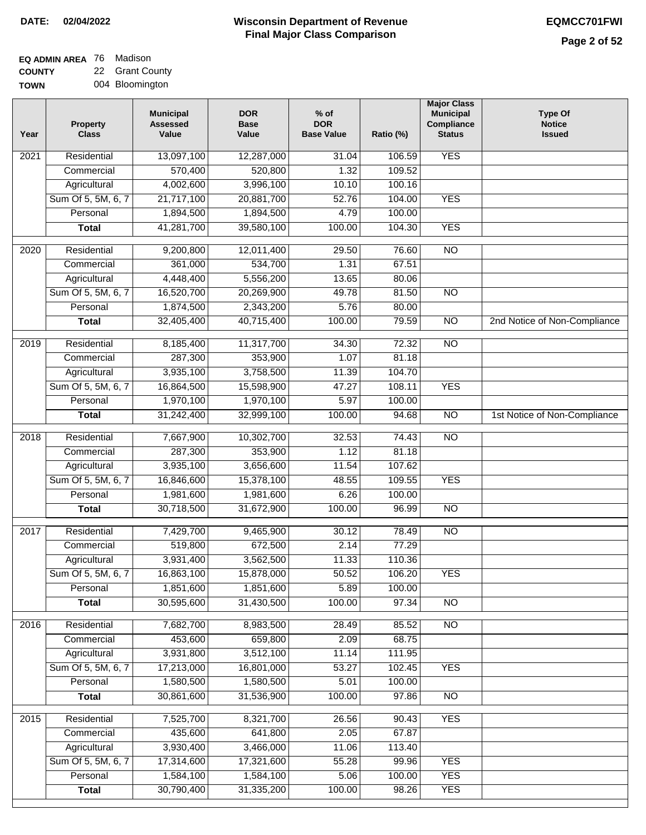| <b>EQ ADMIN AREA 76 Madison</b> |                 |
|---------------------------------|-----------------|
| <b>COUNTY</b>                   | 22 Grant County |

**TOWN** 004 Bloomington

| Year              | <b>Property</b><br><b>Class</b> | <b>Municipal</b><br><b>Assessed</b><br>Value | <b>DOR</b><br><b>Base</b><br>Value | $%$ of<br><b>DOR</b><br><b>Base Value</b> | Ratio (%) | <b>Major Class</b><br><b>Municipal</b><br>Compliance<br><b>Status</b> | <b>Type Of</b><br><b>Notice</b><br><b>Issued</b> |
|-------------------|---------------------------------|----------------------------------------------|------------------------------------|-------------------------------------------|-----------|-----------------------------------------------------------------------|--------------------------------------------------|
| 2021              | Residential                     | 13,097,100                                   | 12,287,000                         | 31.04                                     | 106.59    | <b>YES</b>                                                            |                                                  |
|                   | Commercial                      | 570,400                                      | 520,800                            | 1.32                                      | 109.52    |                                                                       |                                                  |
|                   | Agricultural                    | 4,002,600                                    | 3,996,100                          | 10.10                                     | 100.16    |                                                                       |                                                  |
|                   | Sum Of 5, 5M, 6, 7              | 21,717,100                                   | 20,881,700                         | 52.76                                     | 104.00    | <b>YES</b>                                                            |                                                  |
|                   | Personal                        | 1,894,500                                    | 1,894,500                          | 4.79                                      | 100.00    |                                                                       |                                                  |
|                   | <b>Total</b>                    | 41,281,700                                   | 39,580,100                         | 100.00                                    | 104.30    | <b>YES</b>                                                            |                                                  |
| 2020              | Residential                     | 9,200,800                                    | 12,011,400                         | 29.50                                     | 76.60     | $\overline{NO}$                                                       |                                                  |
|                   | Commercial                      | 361,000                                      | 534,700                            | 1.31                                      | 67.51     |                                                                       |                                                  |
|                   | Agricultural                    | 4,448,400                                    | 5,556,200                          | 13.65                                     | 80.06     |                                                                       |                                                  |
|                   | Sum Of 5, 5M, 6, 7              | 16,520,700                                   | 20,269,900                         | 49.78                                     | 81.50     | $\overline{NO}$                                                       |                                                  |
|                   | Personal                        | 1,874,500                                    | 2,343,200                          | 5.76                                      | 80.00     |                                                                       |                                                  |
|                   | <b>Total</b>                    | 32,405,400                                   | 40,715,400                         | 100.00                                    | 79.59     | $\overline{NO}$                                                       | 2nd Notice of Non-Compliance                     |
|                   |                                 |                                              |                                    |                                           |           |                                                                       |                                                  |
| 2019              | Residential                     | 8,185,400                                    | 11,317,700                         | 34.30                                     | 72.32     | <b>NO</b>                                                             |                                                  |
|                   | Commercial                      | 287,300                                      | 353,900                            | 1.07                                      | 81.18     |                                                                       |                                                  |
|                   | Agricultural                    | 3,935,100                                    | 3,758,500                          | 11.39                                     | 104.70    |                                                                       |                                                  |
|                   | Sum Of 5, 5M, 6, 7              | 16,864,500                                   | 15,598,900                         | 47.27                                     | 108.11    | <b>YES</b>                                                            |                                                  |
|                   | Personal                        | 1,970,100                                    | 1,970,100                          | 5.97                                      | 100.00    |                                                                       |                                                  |
|                   | <b>Total</b>                    | 31,242,400                                   | 32,999,100                         | 100.00                                    | 94.68     | $\overline{NO}$                                                       | 1st Notice of Non-Compliance                     |
| $\overline{2018}$ | Residential                     | 7,667,900                                    | 10,302,700                         | 32.53                                     | 74.43     | $\overline{NO}$                                                       |                                                  |
|                   | Commercial                      | 287,300                                      | 353,900                            | 1.12                                      | 81.18     |                                                                       |                                                  |
|                   | Agricultural                    | 3,935,100                                    | 3,656,600                          | 11.54                                     | 107.62    |                                                                       |                                                  |
|                   | Sum Of 5, 5M, 6, 7              | 16,846,600                                   | 15,378,100                         | 48.55                                     | 109.55    | <b>YES</b>                                                            |                                                  |
|                   | Personal                        | 1,981,600                                    | 1,981,600                          | 6.26                                      | 100.00    |                                                                       |                                                  |
|                   | <b>Total</b>                    | 30,718,500                                   | 31,672,900                         | 100.00                                    | 96.99     | <b>NO</b>                                                             |                                                  |
| 2017              | Residential                     | 7,429,700                                    | 9,465,900                          | 30.12                                     | 78.49     | N <sub>O</sub>                                                        |                                                  |
|                   | Commercial                      | 519,800                                      | 672,500                            | 2.14                                      | 77.29     |                                                                       |                                                  |
|                   | Agricultural                    | 3,931,400                                    | 3,562,500                          | 11.33                                     | 110.36    |                                                                       |                                                  |
|                   | Sum Of 5, 5M, 6, 7              | 16,863,100                                   | 15,878,000                         | 50.52                                     | 106.20    | YES                                                                   |                                                  |
|                   | Personal                        | 1,851,600                                    | 1,851,600                          | 5.89                                      | 100.00    |                                                                       |                                                  |
|                   | <b>Total</b>                    | 30,595,600                                   | 31,430,500                         | 100.00                                    | 97.34     | $\overline{N}$                                                        |                                                  |
| 2016              | Residential                     | 7,682,700                                    | 8,983,500                          | 28.49                                     | 85.52     | N <sub>O</sub>                                                        |                                                  |
|                   | Commercial                      | 453,600                                      | 659,800                            | 2.09                                      | 68.75     |                                                                       |                                                  |
|                   | Agricultural                    | 3,931,800                                    | 3,512,100                          | 11.14                                     | 111.95    |                                                                       |                                                  |
|                   | Sum Of 5, 5M, 6, 7              | 17,213,000                                   | 16,801,000                         | 53.27                                     | 102.45    | <b>YES</b>                                                            |                                                  |
|                   | Personal                        | 1,580,500                                    | 1,580,500                          | 5.01                                      | 100.00    |                                                                       |                                                  |
|                   | <b>Total</b>                    | 30,861,600                                   | 31,536,900                         | 100.00                                    | 97.86     | N <sub>O</sub>                                                        |                                                  |
| $\overline{2015}$ | Residential                     | 7,525,700                                    | 8,321,700                          | 26.56                                     | 90.43     | <b>YES</b>                                                            |                                                  |
|                   | Commercial                      | 435,600                                      | 641,800                            | 2.05                                      | 67.87     |                                                                       |                                                  |
|                   | Agricultural                    | 3,930,400                                    | 3,466,000                          | 11.06                                     | 113.40    |                                                                       |                                                  |
|                   | Sum Of 5, 5M, 6, 7              | 17,314,600                                   | 17,321,600                         | 55.28                                     | 99.96     | <b>YES</b>                                                            |                                                  |
|                   | Personal                        | 1,584,100                                    | 1,584,100                          | 5.06                                      | 100.00    | <b>YES</b>                                                            |                                                  |
|                   | <b>Total</b>                    | 30,790,400                                   | 31,335,200                         | 100.00                                    | 98.26     | <b>YES</b>                                                            |                                                  |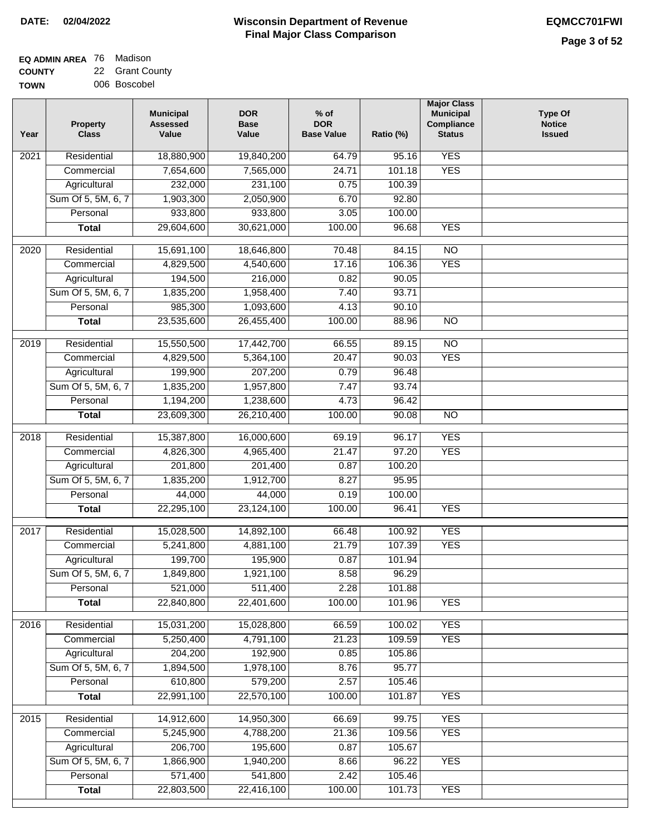| <b>EQ ADMIN AREA</b> 76 Madison |                 |
|---------------------------------|-----------------|
| <b>COUNTY</b>                   | 22 Grant County |

**TOWN** 006 Boscobel

| Year              | <b>Property</b><br><b>Class</b> | <b>Municipal</b><br><b>Assessed</b><br>Value | <b>DOR</b><br><b>Base</b><br>Value | $%$ of<br><b>DOR</b><br><b>Base Value</b> | Ratio (%) | <b>Major Class</b><br><b>Municipal</b><br>Compliance<br><b>Status</b> | <b>Type Of</b><br><b>Notice</b><br><b>Issued</b> |
|-------------------|---------------------------------|----------------------------------------------|------------------------------------|-------------------------------------------|-----------|-----------------------------------------------------------------------|--------------------------------------------------|
| 2021              | Residential                     | 18,880,900                                   | 19,840,200                         | 64.79                                     | 95.16     | <b>YES</b>                                                            |                                                  |
|                   | Commercial                      | 7,654,600                                    | 7,565,000                          | 24.71                                     | 101.18    | <b>YES</b>                                                            |                                                  |
|                   | Agricultural                    | 232,000                                      | 231,100                            | 0.75                                      | 100.39    |                                                                       |                                                  |
|                   | Sum Of 5, 5M, 6, 7              | 1,903,300                                    | 2,050,900                          | 6.70                                      | 92.80     |                                                                       |                                                  |
|                   | Personal                        | 933,800                                      | 933,800                            | 3.05                                      | 100.00    |                                                                       |                                                  |
|                   | <b>Total</b>                    | 29,604,600                                   | 30,621,000                         | 100.00                                    | 96.68     | <b>YES</b>                                                            |                                                  |
| 2020              | Residential                     | 15,691,100                                   | 18,646,800                         | 70.48                                     | 84.15     | $\overline{NO}$                                                       |                                                  |
|                   | Commercial                      | 4,829,500                                    | 4,540,600                          | 17.16                                     | 106.36    | <b>YES</b>                                                            |                                                  |
|                   | Agricultural                    | 194,500                                      | 216,000                            | 0.82                                      | 90.05     |                                                                       |                                                  |
|                   | Sum Of 5, 5M, 6, 7              | 1,835,200                                    | 1,958,400                          | 7.40                                      | 93.71     |                                                                       |                                                  |
|                   | Personal                        | 985,300                                      | 1,093,600                          | 4.13                                      | 90.10     |                                                                       |                                                  |
|                   | <b>Total</b>                    | 23,535,600                                   | 26,455,400                         | 100.00                                    | 88.96     | $\overline{NO}$                                                       |                                                  |
| 2019              | Residential                     | 15,550,500                                   | 17,442,700                         | 66.55                                     | 89.15     | $\overline{NO}$                                                       |                                                  |
|                   | Commercial                      | 4,829,500                                    | 5,364,100                          | 20.47                                     | 90.03     | <b>YES</b>                                                            |                                                  |
|                   | Agricultural                    | 199,900                                      | 207,200                            | 0.79                                      | 96.48     |                                                                       |                                                  |
|                   | Sum Of 5, 5M, 6, 7              | 1,835,200                                    | 1,957,800                          | 7.47                                      | 93.74     |                                                                       |                                                  |
|                   | Personal                        | 1,194,200                                    | 1,238,600                          | 4.73                                      | 96.42     |                                                                       |                                                  |
|                   | <b>Total</b>                    | 23,609,300                                   | 26,210,400                         | 100.00                                    | 90.08     | $\overline{NO}$                                                       |                                                  |
| $\overline{2018}$ | Residential                     | 15,387,800                                   | 16,000,600                         | 69.19                                     | 96.17     | <b>YES</b>                                                            |                                                  |
|                   | Commercial                      | 4,826,300                                    | 4,965,400                          | 21.47                                     | 97.20     | <b>YES</b>                                                            |                                                  |
|                   | Agricultural                    | 201,800                                      | 201,400                            | 0.87                                      | 100.20    |                                                                       |                                                  |
|                   | Sum Of 5, 5M, 6, 7              | 1,835,200                                    | 1,912,700                          | 8.27                                      | 95.95     |                                                                       |                                                  |
|                   | Personal                        | 44,000                                       | 44,000                             | 0.19                                      | 100.00    |                                                                       |                                                  |
|                   | <b>Total</b>                    | 22,295,100                                   | 23,124,100                         | 100.00                                    | 96.41     | <b>YES</b>                                                            |                                                  |
| 2017              | Residential                     | 15,028,500                                   | 14,892,100                         | 66.48                                     | 100.92    | <b>YES</b>                                                            |                                                  |
|                   | Commercial                      | 5,241,800                                    | 4,881,100                          | 21.79                                     | 107.39    | <b>YES</b>                                                            |                                                  |
|                   | Agricultural                    | 199,700                                      | 195,900                            | 0.87                                      | 101.94    |                                                                       |                                                  |
|                   | Sum Of 5, 5M, 6, 7              | 1,849,800                                    | 1,921,100                          | 8.58                                      | 96.29     |                                                                       |                                                  |
|                   | Personal                        | 521,000                                      | 511,400                            | 2.28                                      | 101.88    |                                                                       |                                                  |
|                   | <b>Total</b>                    | 22,840,800                                   | 22,401,600                         | 100.00                                    | 101.96    | <b>YES</b>                                                            |                                                  |
| 2016              | Residential                     | 15,031,200                                   | 15,028,800                         | 66.59                                     | 100.02    | <b>YES</b>                                                            |                                                  |
|                   | Commercial                      | 5,250,400                                    | 4,791,100                          | 21.23                                     | 109.59    | <b>YES</b>                                                            |                                                  |
|                   | Agricultural                    | 204,200                                      | 192,900                            | 0.85                                      | 105.86    |                                                                       |                                                  |
|                   | Sum Of 5, 5M, 6, 7              | 1,894,500                                    | 1,978,100                          | 8.76                                      | 95.77     |                                                                       |                                                  |
|                   | Personal                        | 610,800                                      | 579,200                            | 2.57                                      | 105.46    |                                                                       |                                                  |
|                   | <b>Total</b>                    | 22,991,100                                   | 22,570,100                         | 100.00                                    | 101.87    | <b>YES</b>                                                            |                                                  |
| 2015              | Residential                     | 14,912,600                                   | 14,950,300                         | 66.69                                     | 99.75     | <b>YES</b>                                                            |                                                  |
|                   | Commercial                      | 5,245,900                                    | 4,788,200                          | 21.36                                     | 109.56    | <b>YES</b>                                                            |                                                  |
|                   | Agricultural                    | 206,700                                      | 195,600                            | 0.87                                      | 105.67    |                                                                       |                                                  |
|                   | Sum Of 5, 5M, 6, 7              | 1,866,900                                    | 1,940,200                          | 8.66                                      | 96.22     | <b>YES</b>                                                            |                                                  |
|                   | Personal                        | 571,400                                      | 541,800                            | 2.42                                      | 105.46    |                                                                       |                                                  |
|                   | <b>Total</b>                    | 22,803,500                                   | 22,416,100                         | 100.00                                    | 101.73    | <b>YES</b>                                                            |                                                  |
|                   |                                 |                                              |                                    |                                           |           |                                                                       |                                                  |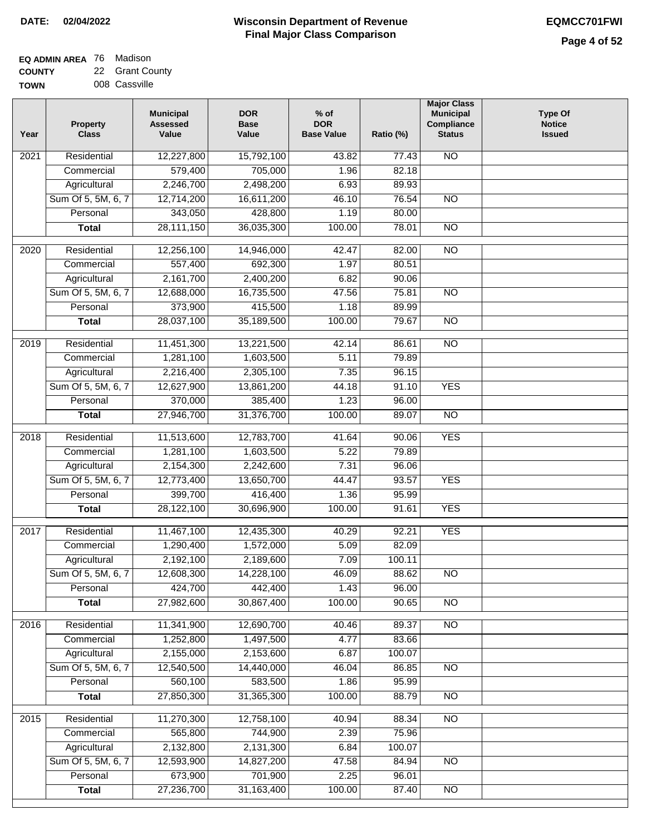# **Wisconsin Department of Revenue DATE: 02/04/2022 EQMCC701FWI Final Major Class Comparison**

| EQ ADMIN AREA 76 Madison |                 |
|--------------------------|-----------------|
| <b>COUNTY</b>            | 22 Grant County |

**TOWN** 008 Cassville

| Year              | <b>Property</b><br><b>Class</b> | <b>Municipal</b><br><b>Assessed</b><br>Value | <b>DOR</b><br><b>Base</b><br>Value | $%$ of<br><b>DOR</b><br><b>Base Value</b> | Ratio (%)          | <b>Major Class</b><br><b>Municipal</b><br>Compliance<br><b>Status</b> | <b>Type Of</b><br><b>Notice</b><br><b>Issued</b> |
|-------------------|---------------------------------|----------------------------------------------|------------------------------------|-------------------------------------------|--------------------|-----------------------------------------------------------------------|--------------------------------------------------|
| 2021              | Residential                     | 12,227,800                                   | 15,792,100                         | 43.82                                     | $\overline{77.43}$ | <b>NO</b>                                                             |                                                  |
|                   | Commercial                      | 579,400                                      | 705,000                            | 1.96                                      | 82.18              |                                                                       |                                                  |
|                   | Agricultural                    | 2,246,700                                    | 2,498,200                          | 6.93                                      | 89.93              |                                                                       |                                                  |
|                   | Sum Of 5, 5M, 6, 7              | 12,714,200                                   | 16,611,200                         | 46.10                                     | 76.54              | $\overline{NO}$                                                       |                                                  |
|                   | Personal                        | 343,050                                      | 428,800                            | 1.19                                      | 80.00              |                                                                       |                                                  |
|                   | <b>Total</b>                    | 28, 111, 150                                 | 36,035,300                         | 100.00                                    | 78.01              | $\overline{NO}$                                                       |                                                  |
| $\overline{2020}$ | Residential                     | 12,256,100                                   | 14,946,000                         | 42.47                                     | 82.00              | $\overline{NO}$                                                       |                                                  |
|                   | Commercial                      | 557,400                                      | 692,300                            | 1.97                                      | 80.51              |                                                                       |                                                  |
|                   | Agricultural                    | 2,161,700                                    | 2,400,200                          | 6.82                                      | 90.06              |                                                                       |                                                  |
|                   | Sum Of 5, 5M, 6, 7              | 12,688,000                                   | 16,735,500                         | 47.56                                     | 75.81              | <b>NO</b>                                                             |                                                  |
|                   | Personal                        | 373,900                                      | 415,500                            | 1.18                                      | 89.99              |                                                                       |                                                  |
|                   | <b>Total</b>                    | 28,037,100                                   | 35,189,500                         | 100.00                                    | 79.67              | <b>NO</b>                                                             |                                                  |
|                   |                                 |                                              |                                    |                                           |                    |                                                                       |                                                  |
| $\frac{1}{2019}$  | Residential                     | 11,451,300                                   | 13,221,500                         | 42.14                                     | 86.61              | $\overline{NO}$                                                       |                                                  |
|                   | Commercial                      | 1,281,100                                    | 1,603,500                          | 5.11                                      | 79.89              |                                                                       |                                                  |
|                   | Agricultural                    | 2,216,400                                    | 2,305,100                          | 7.35                                      | 96.15              |                                                                       |                                                  |
|                   | Sum Of 5, 5M, 6, 7              | 12,627,900                                   | 13,861,200                         | 44.18                                     | 91.10              | <b>YES</b>                                                            |                                                  |
|                   | Personal                        | 370,000                                      | 385,400                            | 1.23                                      | 96.00              |                                                                       |                                                  |
|                   | <b>Total</b>                    | 27,946,700                                   | 31,376,700                         | 100.00                                    | 89.07              | $\overline{NO}$                                                       |                                                  |
| 2018              | Residential                     | 11,513,600                                   | 12,783,700                         | 41.64                                     | 90.06              | <b>YES</b>                                                            |                                                  |
|                   | Commercial                      | 1,281,100                                    | 1,603,500                          | 5.22                                      | 79.89              |                                                                       |                                                  |
|                   | Agricultural                    | 2,154,300                                    | 2,242,600                          | 7.31                                      | 96.06              |                                                                       |                                                  |
|                   | Sum Of 5, 5M, 6, 7              | 12,773,400                                   | 13,650,700                         | 44.47                                     | 93.57              | <b>YES</b>                                                            |                                                  |
|                   | Personal                        | 399,700                                      | 416,400                            | 1.36                                      | 95.99              |                                                                       |                                                  |
|                   | <b>Total</b>                    | 28,122,100                                   | 30,696,900                         | 100.00                                    | 91.61              | <b>YES</b>                                                            |                                                  |
| 2017              | Residential                     | 11,467,100                                   | 12,435,300                         | 40.29                                     | 92.21              | <b>YES</b>                                                            |                                                  |
|                   | Commercial                      | 1,290,400                                    | 1,572,000                          | 5.09                                      | 82.09              |                                                                       |                                                  |
|                   | Agricultural                    | 2,192,100                                    | 2,189,600                          | 7.09                                      | 100.11             |                                                                       |                                                  |
|                   | Sum Of 5, 5M, 6, 7              | 12,608,300                                   | 14,228,100                         | 46.09                                     | 88.62              | $\overline{NO}$                                                       |                                                  |
|                   | Personal                        | 424,700                                      | 442,400                            | 1.43                                      | 96.00              |                                                                       |                                                  |
|                   | <b>Total</b>                    | 27,982,600                                   | 30,867,400                         | 100.00                                    | 90.65              | $\overline{NO}$                                                       |                                                  |
| 2016              | Residential                     | 11,341,900                                   | 12,690,700                         | 40.46                                     | 89.37              | N <sub>O</sub>                                                        |                                                  |
|                   | Commercial                      | 1,252,800                                    | 1,497,500                          | 4.77                                      | 83.66              |                                                                       |                                                  |
|                   | Agricultural                    | 2,155,000                                    | 2,153,600                          | 6.87                                      | 100.07             |                                                                       |                                                  |
|                   | Sum Of 5, 5M, 6, 7              | 12,540,500                                   | 14,440,000                         | 46.04                                     | 86.85              | <b>NO</b>                                                             |                                                  |
|                   | Personal                        | 560,100                                      | 583,500                            | 1.86                                      | 95.99              |                                                                       |                                                  |
|                   | <b>Total</b>                    | 27,850,300                                   | 31,365,300                         | 100.00                                    | 88.79              | N <sub>O</sub>                                                        |                                                  |
|                   |                                 | 11,270,300                                   | 12,758,100                         |                                           |                    | $\overline{NO}$                                                       |                                                  |
| 2015              | Residential<br>Commercial       | 565,800                                      | 744,900                            | 40.94<br>2.39                             | 88.34<br>75.96     |                                                                       |                                                  |
|                   |                                 |                                              |                                    |                                           |                    |                                                                       |                                                  |
|                   | Agricultural                    | 2,132,800                                    | 2,131,300                          | 6.84                                      | 100.07             |                                                                       |                                                  |
|                   | Sum Of 5, 5M, 6, 7              | 12,593,900                                   | 14,827,200                         | 47.58<br>2.25                             | 84.94              | <b>NO</b>                                                             |                                                  |
|                   | Personal                        | 673,900<br>27,236,700                        | 701,900<br>31,163,400              | 100.00                                    | 96.01<br>87.40     | $\overline{NO}$                                                       |                                                  |
|                   | <b>Total</b>                    |                                              |                                    |                                           |                    |                                                                       |                                                  |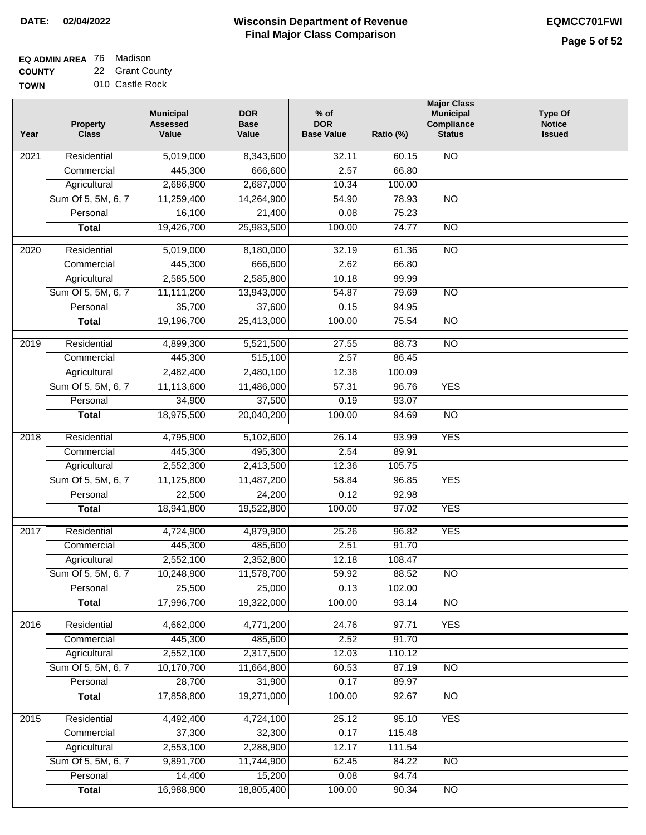**EQ ADMIN AREA** 76 Madison **COUNTY** 22 Grant County

**TOWN** 010 Castle Rock

| Year              | <b>Property</b><br><b>Class</b> | <b>Municipal</b><br><b>Assessed</b><br>Value | <b>DOR</b><br><b>Base</b><br>Value | $%$ of<br><b>DOR</b><br><b>Base Value</b> | Ratio (%) | <b>Major Class</b><br><b>Municipal</b><br>Compliance<br><b>Status</b> | <b>Type Of</b><br><b>Notice</b><br><b>Issued</b> |
|-------------------|---------------------------------|----------------------------------------------|------------------------------------|-------------------------------------------|-----------|-----------------------------------------------------------------------|--------------------------------------------------|
| 2021              | Residential                     | 5,019,000                                    | 8,343,600                          | 32.11                                     | 60.15     | <b>NO</b>                                                             |                                                  |
|                   | Commercial                      | 445,300                                      | 666,600                            | 2.57                                      | 66.80     |                                                                       |                                                  |
|                   | Agricultural                    | 2,686,900                                    | 2,687,000                          | 10.34                                     | 100.00    |                                                                       |                                                  |
|                   | Sum Of 5, 5M, 6, 7              | 11,259,400                                   | 14,264,900                         | 54.90                                     | 78.93     | $\overline{NO}$                                                       |                                                  |
|                   | Personal                        | 16,100                                       | 21,400                             | 0.08                                      | 75.23     |                                                                       |                                                  |
|                   | <b>Total</b>                    | 19,426,700                                   | 25,983,500                         | 100.00                                    | 74.77     | $\overline{NO}$                                                       |                                                  |
| $\overline{2020}$ | Residential                     | 5,019,000                                    | 8,180,000                          | 32.19                                     | 61.36     | $\overline{NO}$                                                       |                                                  |
|                   | Commercial                      | 445,300                                      | 666,600                            | 2.62                                      | 66.80     |                                                                       |                                                  |
|                   | Agricultural                    | 2,585,500                                    | 2,585,800                          | 10.18                                     | 99.99     |                                                                       |                                                  |
|                   | Sum Of 5, 5M, 6, 7              | 11,111,200                                   | 13,943,000                         | 54.87                                     | 79.69     | $\overline{NO}$                                                       |                                                  |
|                   | Personal                        | 35,700                                       | 37,600                             | 0.15                                      | 94.95     |                                                                       |                                                  |
|                   | <b>Total</b>                    | 19,196,700                                   | 25,413,000                         | 100.00                                    | 75.54     | <b>NO</b>                                                             |                                                  |
| $\frac{1}{2019}$  | Residential                     | 4,899,300                                    | 5,521,500                          | 27.55                                     | 88.73     | $\overline{NO}$                                                       |                                                  |
|                   | Commercial                      | 445,300                                      | 515,100                            | 2.57                                      | 86.45     |                                                                       |                                                  |
|                   | Agricultural                    | 2,482,400                                    | 2,480,100                          | 12.38                                     | 100.09    |                                                                       |                                                  |
|                   | Sum Of 5, 5M, 6, 7              | 11,113,600                                   | 11,486,000                         | 57.31                                     | 96.76     | <b>YES</b>                                                            |                                                  |
|                   | Personal                        | 34,900                                       | 37,500                             | 0.19                                      | 93.07     |                                                                       |                                                  |
|                   | <b>Total</b>                    | 18,975,500                                   | 20,040,200                         | 100.00                                    | 94.69     | $\overline{NO}$                                                       |                                                  |
|                   |                                 |                                              |                                    |                                           |           |                                                                       |                                                  |
| 2018              | Residential                     | 4,795,900                                    | 5,102,600                          | 26.14                                     | 93.99     | <b>YES</b>                                                            |                                                  |
|                   | Commercial                      | 445,300                                      | 495,300                            | 2.54                                      | 89.91     |                                                                       |                                                  |
|                   | Agricultural                    | 2,552,300                                    | 2,413,500                          | 12.36                                     | 105.75    |                                                                       |                                                  |
|                   | Sum Of 5, 5M, 6, 7              | 11,125,800                                   | 11,487,200                         | 58.84                                     | 96.85     | <b>YES</b>                                                            |                                                  |
|                   | Personal                        | 22,500                                       | 24,200                             | 0.12                                      | 92.98     |                                                                       |                                                  |
|                   | <b>Total</b>                    | 18,941,800                                   | 19,522,800                         | 100.00                                    | 97.02     | <b>YES</b>                                                            |                                                  |
| 2017              | Residential                     | 4,724,900                                    | 4,879,900                          | 25.26                                     | 96.82     | <b>YES</b>                                                            |                                                  |
|                   | Commercial                      | 445,300                                      | 485,600                            | 2.51                                      | 91.70     |                                                                       |                                                  |
|                   | Agricultural                    | 2,552,100                                    | 2,352,800                          | 12.18                                     | 108.47    |                                                                       |                                                  |
|                   | Sum Of 5, 5M, 6, 7              | 10,248,900                                   | 11,578,700                         | 59.92                                     | 88.52     | $\overline{NO}$                                                       |                                                  |
|                   | Personal                        | 25,500                                       | 25,000                             | 0.13                                      | 102.00    |                                                                       |                                                  |
|                   | <b>Total</b>                    | 17,996,700                                   | 19,322,000                         | 100.00                                    | 93.14     | NO                                                                    |                                                  |
|                   |                                 |                                              |                                    |                                           |           |                                                                       |                                                  |
| 2016              | Residential                     | 4,662,000                                    | 4,771,200                          | 24.76                                     | 97.71     | <b>YES</b>                                                            |                                                  |
|                   | Commercial                      | 445,300                                      | 485,600                            | 2.52                                      | 91.70     |                                                                       |                                                  |
|                   | Agricultural                    | 2,552,100                                    | 2,317,500                          | 12.03                                     | 110.12    |                                                                       |                                                  |
|                   | Sum Of 5, 5M, 6, 7              | 10,170,700                                   | 11,664,800                         | 60.53                                     | 87.19     | <b>NO</b>                                                             |                                                  |
|                   | Personal                        | 28,700                                       | 31,900                             | 0.17                                      | 89.97     |                                                                       |                                                  |
|                   | <b>Total</b>                    | 17,858,800                                   | 19,271,000                         | 100.00                                    | 92.67     | N <sub>O</sub>                                                        |                                                  |
| 2015              | Residential                     | 4,492,400                                    | 4,724,100                          | 25.12                                     | 95.10     | <b>YES</b>                                                            |                                                  |
|                   | Commercial                      | 37,300                                       | 32,300                             | 0.17                                      | 115.48    |                                                                       |                                                  |
|                   | Agricultural                    | 2,553,100                                    | 2,288,900                          | 12.17                                     | 111.54    |                                                                       |                                                  |
|                   | Sum Of 5, 5M, 6, 7              | 9,891,700                                    | 11,744,900                         | 62.45                                     | 84.22     | <b>NO</b>                                                             |                                                  |
|                   | Personal                        | 14,400                                       | 15,200                             | 0.08                                      | 94.74     |                                                                       |                                                  |
|                   | <b>Total</b>                    | 16,988,900                                   | 18,805,400                         | 100.00                                    | 90.34     | $\overline{NO}$                                                       |                                                  |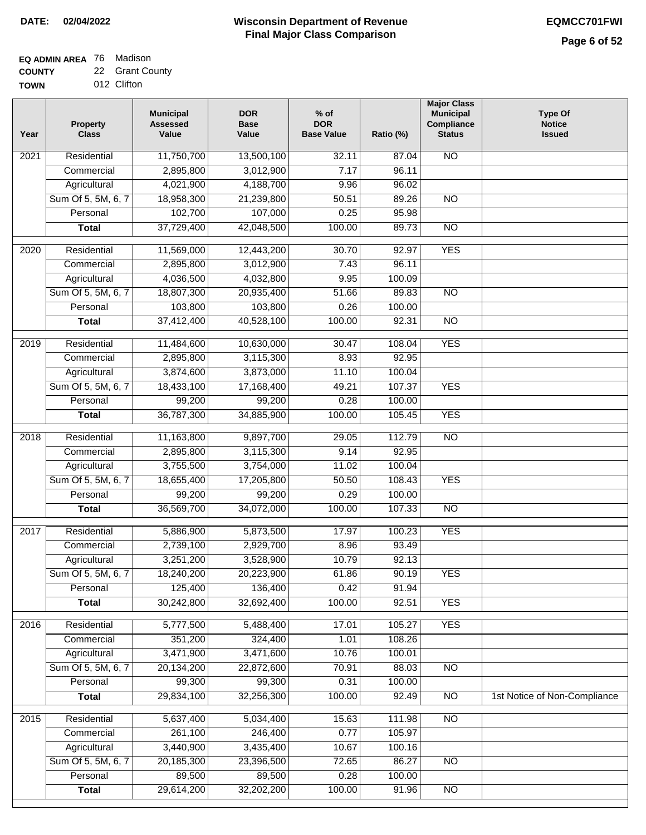#### **Wisconsin Department of Revenue Final Major Class Comparison DATE: 02/04/2022 EQMCC701FWI**

### **EQ ADMIN AREA** 76 Madison **COUNTY**

**TOWN** 22 Grant County 012 Clifton

| Year             | <b>Property</b><br><b>Class</b> | <b>Municipal</b><br><b>Assessed</b><br>Value | <b>DOR</b><br><b>Base</b><br>Value | $%$ of<br><b>DOR</b><br><b>Base Value</b> | Ratio (%) | <b>Major Class</b><br><b>Municipal</b><br>Compliance<br><b>Status</b> | <b>Type Of</b><br><b>Notice</b><br><b>Issued</b> |
|------------------|---------------------------------|----------------------------------------------|------------------------------------|-------------------------------------------|-----------|-----------------------------------------------------------------------|--------------------------------------------------|
| 2021             | Residential                     | 11,750,700                                   | 13,500,100                         | 32.11                                     | 87.04     | <b>NO</b>                                                             |                                                  |
|                  | Commercial                      | 2,895,800                                    | 3,012,900                          | 7.17                                      | 96.11     |                                                                       |                                                  |
|                  | Agricultural                    | 4,021,900                                    | 4,188,700                          | 9.96                                      | 96.02     |                                                                       |                                                  |
|                  | Sum Of 5, 5M, 6, 7              | 18,958,300                                   | 21,239,800                         | 50.51                                     | 89.26     | $\overline{NO}$                                                       |                                                  |
|                  | Personal                        | 102,700                                      | 107,000                            | 0.25                                      | 95.98     |                                                                       |                                                  |
|                  | <b>Total</b>                    | 37,729,400                                   | 42,048,500                         | 100.00                                    | 89.73     | $\overline{NO}$                                                       |                                                  |
| 2020             | Residential                     | 11,569,000                                   | 12,443,200                         | 30.70                                     | 92.97     | <b>YES</b>                                                            |                                                  |
|                  | Commercial                      | 2,895,800                                    | 3,012,900                          | 7.43                                      | 96.11     |                                                                       |                                                  |
|                  | Agricultural                    | 4,036,500                                    | 4,032,800                          | 9.95                                      | 100.09    |                                                                       |                                                  |
|                  | Sum Of 5, 5M, 6, 7              | 18,807,300                                   | 20,935,400                         | 51.66                                     | 89.83     | $\overline{NO}$                                                       |                                                  |
|                  | Personal                        | 103,800                                      | 103,800                            | 0.26                                      | 100.00    |                                                                       |                                                  |
|                  | <b>Total</b>                    | 37,412,400                                   | 40,528,100                         | 100.00                                    | 92.31     | <b>NO</b>                                                             |                                                  |
| $\frac{1}{2019}$ | Residential                     | 11,484,600                                   | 10,630,000                         | 30.47                                     | 108.04    | <b>YES</b>                                                            |                                                  |
|                  | Commercial                      | 2,895,800                                    | 3,115,300                          | 8.93                                      | 92.95     |                                                                       |                                                  |
|                  | Agricultural                    | 3,874,600                                    | 3,873,000                          | 11.10                                     | 100.04    |                                                                       |                                                  |
|                  | Sum Of 5, 5M, 6, 7              | 18,433,100                                   | 17,168,400                         | 49.21                                     | 107.37    | <b>YES</b>                                                            |                                                  |
|                  | Personal                        | 99,200                                       | 99,200                             | 0.28                                      | 100.00    |                                                                       |                                                  |
|                  | <b>Total</b>                    | 36,787,300                                   | 34,885,900                         | 100.00                                    | 105.45    | <b>YES</b>                                                            |                                                  |
| 2018             | Residential                     | 11,163,800                                   | 9,897,700                          | 29.05                                     | 112.79    | $\overline{NO}$                                                       |                                                  |
|                  | Commercial                      | 2,895,800                                    | 3,115,300                          | 9.14                                      | 92.95     |                                                                       |                                                  |
|                  | Agricultural                    | 3,755,500                                    | 3,754,000                          | 11.02                                     | 100.04    |                                                                       |                                                  |
|                  | Sum Of 5, 5M, 6, 7              | 18,655,400                                   | 17,205,800                         | 50.50                                     | 108.43    | <b>YES</b>                                                            |                                                  |
|                  | Personal                        | 99,200                                       | 99,200                             | 0.29                                      | 100.00    |                                                                       |                                                  |
|                  | <b>Total</b>                    | 36,569,700                                   | 34,072,000                         | 100.00                                    | 107.33    | <b>NO</b>                                                             |                                                  |
| 2017             | Residential                     | 5,886,900                                    | 5,873,500                          | 17.97                                     | 100.23    | <b>YES</b>                                                            |                                                  |
|                  | Commercial                      | 2,739,100                                    | 2,929,700                          | 8.96                                      | 93.49     |                                                                       |                                                  |
|                  | Agricultural                    | 3,251,200                                    | 3,528,900                          | 10.79                                     | 92.13     |                                                                       |                                                  |
|                  | Sum Of 5, 5M, 6, 7              | 18,240,200                                   | 20,223,900                         | 61.86                                     | 90.19     | <b>YES</b>                                                            |                                                  |
|                  | Personal                        | 125,400                                      | 136,400                            | 0.42                                      | 91.94     |                                                                       |                                                  |
|                  | <b>Total</b>                    | 30,242,800                                   | 32,692,400                         | 100.00                                    | 92.51     | <b>YES</b>                                                            |                                                  |
| 2016             | Residential                     | 5,777,500                                    | 5,488,400                          | 17.01                                     | 105.27    | <b>YES</b>                                                            |                                                  |
|                  | Commercial                      | 351,200                                      | 324,400                            | 1.01                                      | 108.26    |                                                                       |                                                  |
|                  | Agricultural                    | 3,471,900                                    | 3,471,600                          | 10.76                                     | 100.01    |                                                                       |                                                  |
|                  | Sum Of 5, 5M, 6, 7              | 20,134,200                                   | 22,872,600                         | 70.91                                     | 88.03     | $\overline{NO}$                                                       |                                                  |
|                  | Personal                        | 99,300                                       | 99,300                             | 0.31                                      | 100.00    |                                                                       |                                                  |
|                  | <b>Total</b>                    | 29,834,100                                   | 32,256,300                         | 100.00                                    | 92.49     | N <sub>O</sub>                                                        | 1st Notice of Non-Compliance                     |
| 2015             | Residential                     | 5,637,400                                    | 5,034,400                          | 15.63                                     | 111.98    | N <sub>O</sub>                                                        |                                                  |
|                  | Commercial                      | 261,100                                      | 246,400                            | 0.77                                      | 105.97    |                                                                       |                                                  |
|                  | Agricultural                    | 3,440,900                                    | 3,435,400                          | 10.67                                     | 100.16    |                                                                       |                                                  |
|                  | Sum Of 5, 5M, 6, 7              | 20,185,300                                   | 23,396,500                         | 72.65                                     | 86.27     | NO                                                                    |                                                  |
|                  | Personal                        | 89,500                                       | 89,500                             | 0.28                                      | 100.00    |                                                                       |                                                  |
|                  | <b>Total</b>                    | 29,614,200                                   | 32,202,200                         | 100.00                                    | 91.96     | $\overline{NO}$                                                       |                                                  |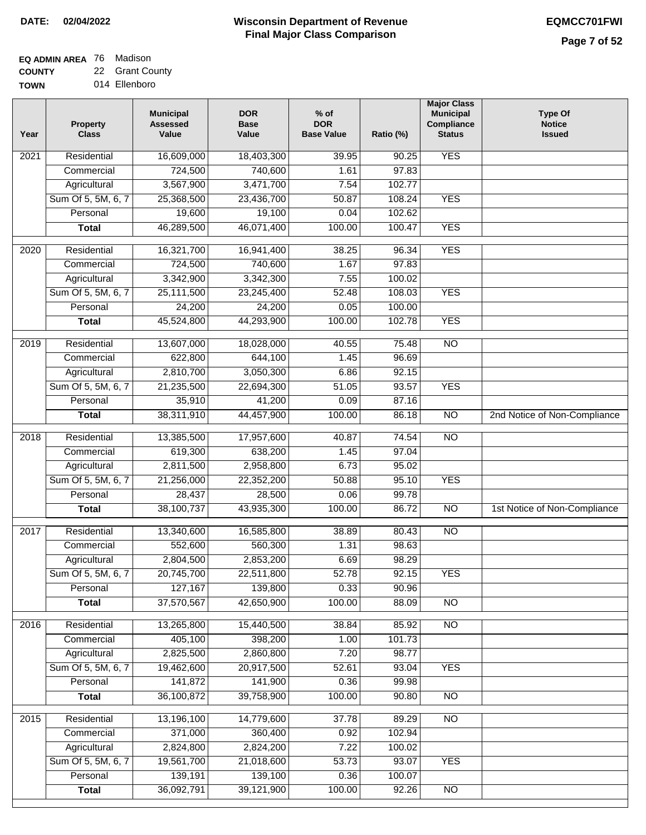# **EQ ADMIN AREA** 76 Madison

**COUNTY TOWN** 22 Grant County 014 Ellenboro

| Year | <b>Property</b><br><b>Class</b> | <b>Municipal</b><br><b>Assessed</b><br>Value | <b>DOR</b><br><b>Base</b><br>Value | $%$ of<br><b>DOR</b><br><b>Base Value</b> | Ratio (%) | <b>Major Class</b><br><b>Municipal</b><br>Compliance<br><b>Status</b> | <b>Type Of</b><br><b>Notice</b><br><b>Issued</b> |
|------|---------------------------------|----------------------------------------------|------------------------------------|-------------------------------------------|-----------|-----------------------------------------------------------------------|--------------------------------------------------|
| 2021 | Residential                     | 16,609,000                                   | 18,403,300                         | 39.95                                     | 90.25     | <b>YES</b>                                                            |                                                  |
|      | Commercial                      | 724,500                                      | 740,600                            | 1.61                                      | 97.83     |                                                                       |                                                  |
|      | Agricultural                    | 3,567,900                                    | 3,471,700                          | 7.54                                      | 102.77    |                                                                       |                                                  |
|      | Sum Of 5, 5M, 6, 7              | 25,368,500                                   | 23,436,700                         | 50.87                                     | 108.24    | <b>YES</b>                                                            |                                                  |
|      | Personal                        | 19,600                                       | 19,100                             | 0.04                                      | 102.62    |                                                                       |                                                  |
|      | <b>Total</b>                    | 46,289,500                                   | 46,071,400                         | 100.00                                    | 100.47    | <b>YES</b>                                                            |                                                  |
| 2020 | Residential                     | 16,321,700                                   | 16,941,400                         | 38.25                                     | 96.34     | <b>YES</b>                                                            |                                                  |
|      | Commercial                      | 724,500                                      | 740,600                            | 1.67                                      | 97.83     |                                                                       |                                                  |
|      | Agricultural                    | 3,342,900                                    | 3,342,300                          | 7.55                                      | 100.02    |                                                                       |                                                  |
|      | Sum Of 5, 5M, 6, 7              | 25,111,500                                   | 23,245,400                         | 52.48                                     | 108.03    | <b>YES</b>                                                            |                                                  |
|      | Personal                        | 24,200                                       | 24,200                             | 0.05                                      | 100.00    |                                                                       |                                                  |
|      | <b>Total</b>                    | 45,524,800                                   | 44,293,900                         | 100.00                                    | 102.78    | <b>YES</b>                                                            |                                                  |
| 2019 | Residential                     | 13,607,000                                   | 18,028,000                         | 40.55                                     | 75.48     | $\overline{NO}$                                                       |                                                  |
|      | Commercial                      | 622,800                                      | 644,100                            | 1.45                                      | 96.69     |                                                                       |                                                  |
|      | Agricultural                    | 2,810,700                                    | 3,050,300                          | 6.86                                      | 92.15     |                                                                       |                                                  |
|      | Sum Of 5, 5M, 6, 7              | 21,235,500                                   | 22,694,300                         | 51.05                                     | 93.57     | <b>YES</b>                                                            |                                                  |
|      | Personal                        | 35,910                                       | 41,200                             | 0.09                                      | 87.16     |                                                                       |                                                  |
|      | <b>Total</b>                    | 38,311,910                                   | 44,457,900                         | 100.00                                    | 86.18     | $\overline{NO}$                                                       | 2nd Notice of Non-Compliance                     |
| 2018 | Residential                     | 13,385,500                                   | 17,957,600                         | 40.87                                     | 74.54     | $\overline{NO}$                                                       |                                                  |
|      | Commercial                      | 619,300                                      | 638,200                            | 1.45                                      | 97.04     |                                                                       |                                                  |
|      | Agricultural                    | 2,811,500                                    | 2,958,800                          | 6.73                                      | 95.02     |                                                                       |                                                  |
|      | Sum Of 5, 5M, 6, 7              | 21,256,000                                   | 22,352,200                         | 50.88                                     | 95.10     | <b>YES</b>                                                            |                                                  |
|      | Personal                        | 28,437                                       | 28,500                             | 0.06                                      | 99.78     |                                                                       |                                                  |
|      | <b>Total</b>                    | 38,100,737                                   | 43,935,300                         | 100.00                                    | 86.72     | <b>NO</b>                                                             | 1st Notice of Non-Compliance                     |
| 2017 | Residential                     | 13,340,600                                   | 16,585,800                         | 38.89                                     | 80.43     | $\overline{NO}$                                                       |                                                  |
|      | Commercial                      | 552,600                                      | 560,300                            | 1.31                                      | 98.63     |                                                                       |                                                  |
|      | Agricultural                    | 2,804,500                                    | 2,853,200                          | 6.69                                      | 98.29     |                                                                       |                                                  |
|      | Sum Of 5, 5M, 6, 7              | 20,745,700                                   | 22,511,800                         | 52.78                                     | 92.15     | YES                                                                   |                                                  |
|      | Personal                        | 127,167                                      | 139,800                            | 0.33                                      | 90.96     |                                                                       |                                                  |
|      | <b>Total</b>                    | 37,570,567                                   | 42,650,900                         | 100.00                                    | 88.09     | <b>NO</b>                                                             |                                                  |
| 2016 | Residential                     | 13,265,800                                   | 15,440,500                         | 38.84                                     | 85.92     | N <sub>O</sub>                                                        |                                                  |
|      | Commercial                      | 405,100                                      | 398,200                            | 1.00                                      | 101.73    |                                                                       |                                                  |
|      | Agricultural                    | 2,825,500                                    | 2,860,800                          | 7.20                                      | 98.77     |                                                                       |                                                  |
|      | Sum Of 5, 5M, 6, 7              | 19,462,600                                   | 20,917,500                         | 52.61                                     | 93.04     | <b>YES</b>                                                            |                                                  |
|      | Personal                        | 141,872                                      | 141,900                            | 0.36                                      | 99.98     |                                                                       |                                                  |
|      | <b>Total</b>                    | 36,100,872                                   | 39,758,900                         | 100.00                                    | 90.80     | N <sub>O</sub>                                                        |                                                  |
| 2015 | Residential                     | 13,196,100                                   | 14,779,600                         | 37.78                                     | 89.29     | N <sub>O</sub>                                                        |                                                  |
|      | Commercial                      | 371,000                                      | 360,400                            | 0.92                                      | 102.94    |                                                                       |                                                  |
|      | Agricultural                    | 2,824,800                                    | 2,824,200                          | 7.22                                      | 100.02    |                                                                       |                                                  |
|      | Sum Of 5, 5M, 6, 7              | 19,561,700                                   | 21,018,600                         | 53.73                                     | 93.07     | <b>YES</b>                                                            |                                                  |
|      | Personal                        | 139,191                                      | 139,100                            | 0.36                                      | 100.07    |                                                                       |                                                  |
|      | <b>Total</b>                    | 36,092,791                                   | 39,121,900                         | 100.00                                    | 92.26     | NO                                                                    |                                                  |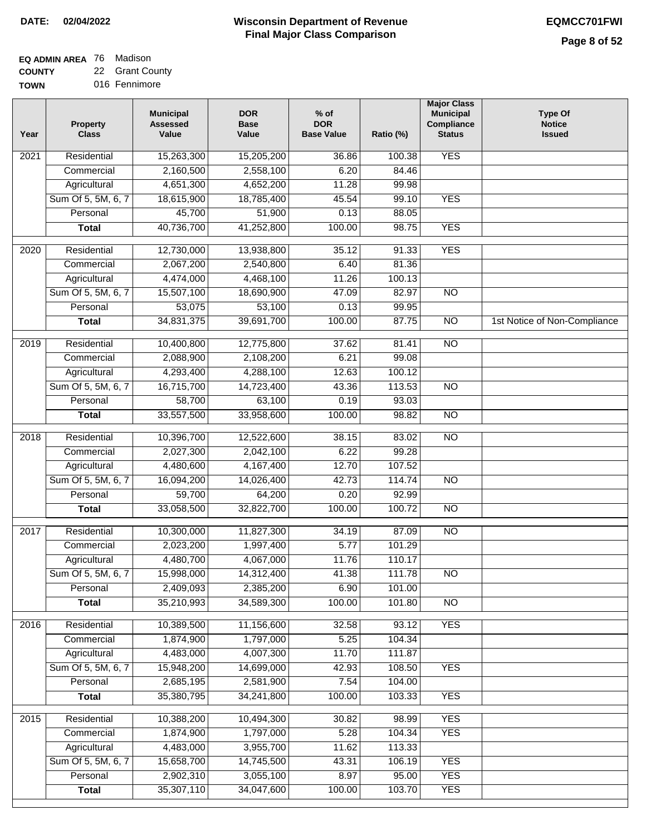٦

# **EQ ADMIN AREA** 76 Madison

**COUNTY TOW** 22 Grant County

| ---- |               |  |
|------|---------------|--|
| ٧Ν   | 016 Fennimore |  |

| Year              | <b>Property</b><br><b>Class</b> | <b>Municipal</b><br><b>Assessed</b><br>Value | <b>DOR</b><br><b>Base</b><br>Value | $%$ of<br><b>DOR</b><br><b>Base Value</b> | Ratio (%) | <b>Major Class</b><br><b>Municipal</b><br>Compliance<br><b>Status</b> | <b>Type Of</b><br><b>Notice</b><br><b>Issued</b> |
|-------------------|---------------------------------|----------------------------------------------|------------------------------------|-------------------------------------------|-----------|-----------------------------------------------------------------------|--------------------------------------------------|
| 2021              | Residential                     | 15,263,300                                   | 15,205,200                         | 36.86                                     | 100.38    | <b>YES</b>                                                            |                                                  |
|                   | Commercial                      | 2,160,500                                    | 2,558,100                          | 6.20                                      | 84.46     |                                                                       |                                                  |
|                   | Agricultural                    | 4,651,300                                    | 4,652,200                          | 11.28                                     | 99.98     |                                                                       |                                                  |
|                   | Sum Of 5, 5M, 6, 7              | 18,615,900                                   | 18,785,400                         | 45.54                                     | 99.10     | <b>YES</b>                                                            |                                                  |
|                   | Personal                        | 45,700                                       | 51,900                             | 0.13                                      | 88.05     |                                                                       |                                                  |
|                   | <b>Total</b>                    | 40,736,700                                   | 41,252,800                         | 100.00                                    | 98.75     | <b>YES</b>                                                            |                                                  |
| $\overline{2020}$ | Residential                     | 12,730,000                                   | 13,938,800                         | 35.12                                     | 91.33     | <b>YES</b>                                                            |                                                  |
|                   | Commercial                      | 2,067,200                                    | 2,540,800                          | 6.40                                      | 81.36     |                                                                       |                                                  |
|                   | Agricultural                    | 4,474,000                                    | 4,468,100                          | 11.26                                     | 100.13    |                                                                       |                                                  |
|                   | Sum Of 5, 5M, 6, 7              | 15,507,100                                   | 18,690,900                         | 47.09                                     | 82.97     | <b>NO</b>                                                             |                                                  |
|                   | Personal                        | 53,075                                       | 53,100                             | 0.13                                      | 99.95     |                                                                       |                                                  |
|                   | <b>Total</b>                    | 34,831,375                                   | 39,691,700                         | 100.00                                    | 87.75     | $\overline{NO}$                                                       | 1st Notice of Non-Compliance                     |
| 2019              | Residential                     | 10,400,800                                   | 12,775,800                         | 37.62                                     | 81.41     | $\overline{NO}$                                                       |                                                  |
|                   | Commercial                      | 2,088,900                                    | 2,108,200                          | 6.21                                      | 99.08     |                                                                       |                                                  |
|                   | Agricultural                    | 4,293,400                                    | 4,288,100                          | 12.63                                     | 100.12    |                                                                       |                                                  |
|                   | Sum Of 5, 5M, 6, 7              | 16,715,700                                   | 14,723,400                         | 43.36                                     | 113.53    | $\overline{NO}$                                                       |                                                  |
|                   | Personal                        | 58,700                                       | 63,100                             | 0.19                                      | 93.03     |                                                                       |                                                  |
|                   | <b>Total</b>                    | 33,557,500                                   | 33,958,600                         | 100.00                                    | 98.82     | $\overline{NO}$                                                       |                                                  |
| 2018              | Residential                     | 10,396,700                                   | 12,522,600                         | 38.15                                     | 83.02     | $\overline{NO}$                                                       |                                                  |
|                   | Commercial                      | 2,027,300                                    | 2,042,100                          | 6.22                                      | 99.28     |                                                                       |                                                  |
|                   | Agricultural                    | 4,480,600                                    | 4,167,400                          | 12.70                                     | 107.52    |                                                                       |                                                  |
|                   | Sum Of 5, 5M, 6, 7              | 16,094,200                                   | 14,026,400                         | 42.73                                     | 114.74    | <b>NO</b>                                                             |                                                  |
|                   | Personal                        | 59,700                                       | 64,200                             | 0.20                                      | 92.99     |                                                                       |                                                  |
|                   | <b>Total</b>                    | 33,058,500                                   | 32,822,700                         | 100.00                                    | 100.72    | $\overline{NO}$                                                       |                                                  |
| 2017              | Residential                     | 10,300,000                                   | 11,827,300                         | 34.19                                     | 87.09     | <b>NO</b>                                                             |                                                  |
|                   | Commercial                      | 2,023,200                                    | 1,997,400                          | 5.77                                      | 101.29    |                                                                       |                                                  |
|                   | Agricultural                    | 4,480,700                                    | 4,067,000                          | 11.76                                     | 110.17    |                                                                       |                                                  |
|                   | Sum Of 5, 5M, 6, 7              | 15,998,000                                   | 14,312,400                         | 41.38                                     | 111.78    | $\overline{NO}$                                                       |                                                  |
|                   | Personal                        | 2,409,093                                    | 2,385,200                          | 6.90                                      | 101.00    |                                                                       |                                                  |
|                   | <b>Total</b>                    | 35,210,993                                   | 34,589,300                         | 100.00                                    | 101.80    | $\overline{N}$                                                        |                                                  |
| 2016              | Residential                     | 10,389,500                                   | 11,156,600                         | 32.58                                     | 93.12     | <b>YES</b>                                                            |                                                  |
|                   | Commercial                      | 1,874,900                                    | 1,797,000                          | 5.25                                      | 104.34    |                                                                       |                                                  |
|                   | Agricultural                    | 4,483,000                                    | 4,007,300                          | 11.70                                     | 111.87    |                                                                       |                                                  |
|                   | Sum Of 5, 5M, 6, 7              | 15,948,200                                   | 14,699,000                         | 42.93                                     | 108.50    | <b>YES</b>                                                            |                                                  |
|                   | Personal                        | 2,685,195                                    | 2,581,900                          | 7.54                                      | 104.00    |                                                                       |                                                  |
|                   | <b>Total</b>                    | 35,380,795                                   | 34,241,800                         | 100.00                                    | 103.33    | <b>YES</b>                                                            |                                                  |
| 2015              | Residential                     | 10,388,200                                   | 10,494,300                         | 30.82                                     | 98.99     | <b>YES</b>                                                            |                                                  |
|                   | Commercial                      | 1,874,900                                    | 1,797,000                          | 5.28                                      | 104.34    | <b>YES</b>                                                            |                                                  |
|                   | Agricultural                    | 4,483,000                                    | 3,955,700                          | 11.62                                     | 113.33    |                                                                       |                                                  |
|                   | Sum Of 5, 5M, 6, 7              | 15,658,700                                   | 14,745,500                         | 43.31                                     | 106.19    | <b>YES</b>                                                            |                                                  |
|                   | Personal                        | 2,902,310                                    | 3,055,100                          | 8.97                                      | 95.00     | <b>YES</b>                                                            |                                                  |
|                   | <b>Total</b>                    | 35,307,110                                   | 34,047,600                         | 100.00                                    | 103.70    | <b>YES</b>                                                            |                                                  |
|                   |                                 |                                              |                                    |                                           |           |                                                                       |                                                  |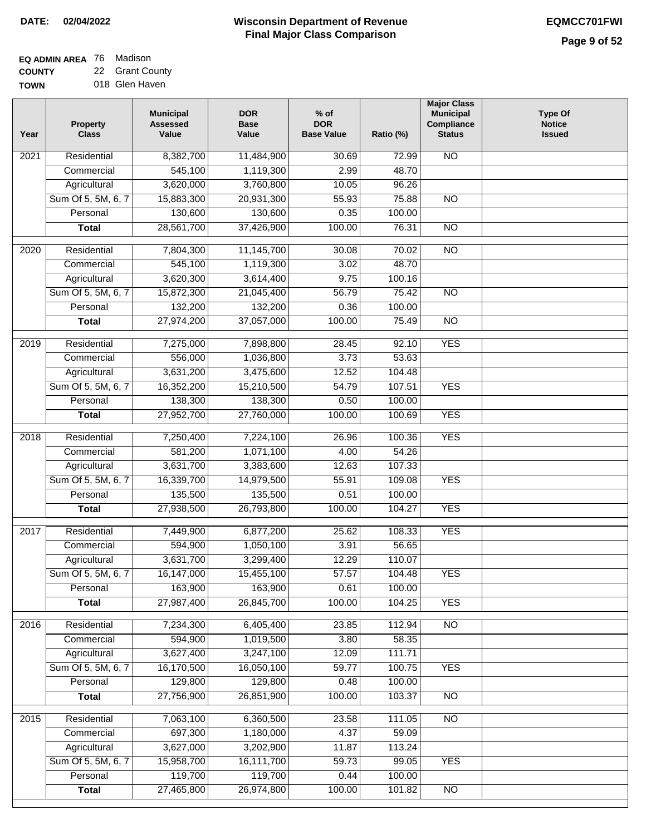#### **Wisconsin Department of Revenue Final Major Class Comparison DATE: 02/04/2022 EQMCC701FWI**

**EQ ADMIN AREA** 76 Madison **COUNTY** 22 Grant County

**TOWN** 018 Glen Haven

| Year             | <b>Property</b><br><b>Class</b> | <b>Municipal</b><br><b>Assessed</b><br>Value | <b>DOR</b><br><b>Base</b><br>Value | $%$ of<br><b>DOR</b><br><b>Base Value</b> | Ratio (%) | <b>Major Class</b><br><b>Municipal</b><br>Compliance<br><b>Status</b> | <b>Type Of</b><br><b>Notice</b><br><b>Issued</b> |
|------------------|---------------------------------|----------------------------------------------|------------------------------------|-------------------------------------------|-----------|-----------------------------------------------------------------------|--------------------------------------------------|
| 2021             | Residential                     | 8,382,700                                    | 11,484,900                         | 30.69                                     | 72.99     | <b>NO</b>                                                             |                                                  |
|                  | Commercial                      | 545,100                                      | 1,119,300                          | 2.99                                      | 48.70     |                                                                       |                                                  |
|                  | Agricultural                    | 3,620,000                                    | 3,760,800                          | 10.05                                     | 96.26     |                                                                       |                                                  |
|                  | Sum Of 5, 5M, 6, 7              | 15,883,300                                   | 20,931,300                         | 55.93                                     | 75.88     | $\overline{NO}$                                                       |                                                  |
|                  | Personal                        | 130,600                                      | 130,600                            | 0.35                                      | 100.00    |                                                                       |                                                  |
|                  | <b>Total</b>                    | 28,561,700                                   | 37,426,900                         | 100.00                                    | 76.31     | $\overline{NO}$                                                       |                                                  |
| $\frac{1}{2020}$ | Residential                     | 7,804,300                                    | 11,145,700                         | 30.08                                     | 70.02     | $\overline{NO}$                                                       |                                                  |
|                  | Commercial                      | 545,100                                      | 1,119,300                          | 3.02                                      | 48.70     |                                                                       |                                                  |
|                  | Agricultural                    | 3,620,300                                    | 3,614,400                          | 9.75                                      | 100.16    |                                                                       |                                                  |
|                  | Sum Of 5, 5M, 6, 7              | 15,872,300                                   | 21,045,400                         | 56.79                                     | 75.42     | $\overline{NO}$                                                       |                                                  |
|                  | Personal                        | 132,200                                      | 132,200                            | 0.36                                      | 100.00    |                                                                       |                                                  |
|                  | <b>Total</b>                    | 27,974,200                                   | 37,057,000                         | 100.00                                    | 75.49     | $\overline{NO}$                                                       |                                                  |
|                  |                                 |                                              |                                    |                                           |           |                                                                       |                                                  |
| $\frac{1}{2019}$ | Residential                     | 7,275,000                                    | 7,898,800                          | 28.45                                     | 92.10     | <b>YES</b>                                                            |                                                  |
|                  | Commercial                      | 556,000                                      | 1,036,800                          | 3.73                                      | 53.63     |                                                                       |                                                  |
|                  | Agricultural                    | 3,631,200                                    | 3,475,600                          | 12.52                                     | 104.48    |                                                                       |                                                  |
|                  | Sum Of 5, 5M, 6, 7              | 16,352,200                                   | 15,210,500                         | 54.79                                     | 107.51    | <b>YES</b>                                                            |                                                  |
|                  | Personal                        | 138,300                                      | 138,300                            | 0.50                                      | 100.00    |                                                                       |                                                  |
|                  | <b>Total</b>                    | 27,952,700                                   | 27,760,000                         | 100.00                                    | 100.69    | <b>YES</b>                                                            |                                                  |
| 2018             | Residential                     | 7,250,400                                    | 7,224,100                          | 26.96                                     | 100.36    | <b>YES</b>                                                            |                                                  |
|                  | Commercial                      | 581,200                                      | 1,071,100                          | 4.00                                      | 54.26     |                                                                       |                                                  |
|                  | Agricultural                    | 3,631,700                                    | 3,383,600                          | 12.63                                     | 107.33    |                                                                       |                                                  |
|                  | Sum Of 5, 5M, 6, 7              | 16,339,700                                   | 14,979,500                         | 55.91                                     | 109.08    | <b>YES</b>                                                            |                                                  |
|                  | Personal                        | 135,500                                      | 135,500                            | 0.51                                      | 100.00    |                                                                       |                                                  |
|                  | <b>Total</b>                    | 27,938,500                                   | 26,793,800                         | 100.00                                    | 104.27    | <b>YES</b>                                                            |                                                  |
| 2017             | Residential                     | 7,449,900                                    | 6,877,200                          | 25.62                                     | 108.33    | <b>YES</b>                                                            |                                                  |
|                  | Commercial                      | 594,900                                      | 1,050,100                          | 3.91                                      | 56.65     |                                                                       |                                                  |
|                  | Agricultural                    | 3,631,700                                    | 3,299,400                          | 12.29                                     | 110.07    |                                                                       |                                                  |
|                  | Sum Of 5, 5M, 6, 7              | 16,147,000                                   | 15,455,100                         | 57.57                                     | 104.48    | <b>YES</b>                                                            |                                                  |
|                  | Personal                        | 163,900                                      | 163,900                            | 0.61                                      | 100.00    |                                                                       |                                                  |
|                  | <b>Total</b>                    | 27,987,400                                   | 26,845,700                         | 100.00                                    | 104.25    | <b>YES</b>                                                            |                                                  |
| 2016             | Residential                     | 7,234,300                                    | 6,405,400                          | 23.85                                     | 112.94    | N <sub>O</sub>                                                        |                                                  |
|                  | Commercial                      | 594,900                                      | 1,019,500                          | 3.80                                      | 58.35     |                                                                       |                                                  |
|                  | Agricultural                    | 3,627,400                                    | 3,247,100                          | 12.09                                     | 111.71    |                                                                       |                                                  |
|                  | Sum Of 5, 5M, 6, 7              | 16,170,500                                   | 16,050,100                         | 59.77                                     | 100.75    | <b>YES</b>                                                            |                                                  |
|                  | Personal                        | 129,800                                      | 129,800                            | 0.48                                      | 100.00    |                                                                       |                                                  |
|                  | <b>Total</b>                    | 27,756,900                                   | 26,851,900                         | 100.00                                    | 103.37    | $\overline{NO}$                                                       |                                                  |
| 2015             | Residential                     | 7,063,100                                    | 6,360,500                          | 23.58                                     | 111.05    | N <sub>O</sub>                                                        |                                                  |
|                  | Commercial                      | 697,300                                      | 1,180,000                          | 4.37                                      | 59.09     |                                                                       |                                                  |
|                  | Agricultural                    | 3,627,000                                    | 3,202,900                          | 11.87                                     | 113.24    |                                                                       |                                                  |
|                  | Sum Of 5, 5M, 6, 7              | 15,958,700                                   | 16,111,700                         | 59.73                                     | 99.05     | <b>YES</b>                                                            |                                                  |
|                  | Personal                        | 119,700                                      | 119,700                            | 0.44                                      | 100.00    |                                                                       |                                                  |
|                  | <b>Total</b>                    | 27,465,800                                   | 26,974,800                         | 100.00                                    | 101.82    | $\overline{NO}$                                                       |                                                  |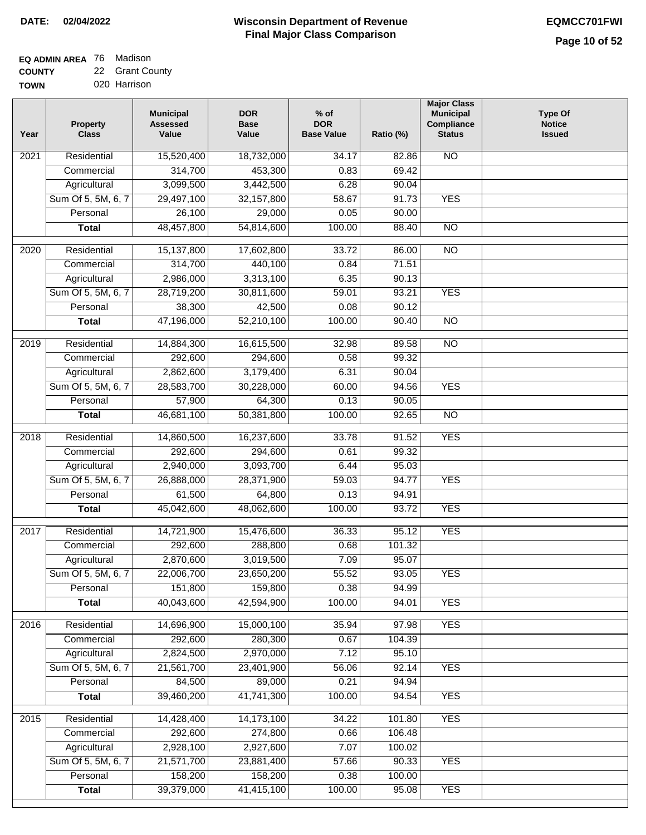#### **Wisconsin Department of Revenue Final Major Class Comparison DATE: 02/04/2022 EQMCC701FWI**

#### **EQ ADMIN AREA** 76 Madison **COUNTY** 22 Grant County

**TOWN** 020 Harrison

| Year             | <b>Property</b><br><b>Class</b> | <b>Municipal</b><br><b>Assessed</b><br>Value | <b>DOR</b><br><b>Base</b><br>Value | $%$ of<br><b>DOR</b><br><b>Base Value</b> | Ratio (%) | <b>Major Class</b><br><b>Municipal</b><br>Compliance<br><b>Status</b> | <b>Type Of</b><br><b>Notice</b><br><b>Issued</b> |
|------------------|---------------------------------|----------------------------------------------|------------------------------------|-------------------------------------------|-----------|-----------------------------------------------------------------------|--------------------------------------------------|
| 2021             | Residential                     | 15,520,400                                   | 18,732,000                         | 34.17                                     | 82.86     | <b>NO</b>                                                             |                                                  |
|                  | Commercial                      | 314,700                                      | 453,300                            | 0.83                                      | 69.42     |                                                                       |                                                  |
|                  | Agricultural                    | 3,099,500                                    | 3,442,500                          | 6.28                                      | 90.04     |                                                                       |                                                  |
|                  | Sum Of 5, 5M, 6, 7              | 29,497,100                                   | 32, 157, 800                       | 58.67                                     | 91.73     | <b>YES</b>                                                            |                                                  |
|                  | Personal                        | 26,100                                       | 29,000                             | 0.05                                      | 90.00     |                                                                       |                                                  |
|                  | <b>Total</b>                    | 48,457,800                                   | 54,814,600                         | 100.00                                    | 88.40     | $\overline{NO}$                                                       |                                                  |
| $\frac{1}{2020}$ | Residential                     | 15,137,800                                   | 17,602,800                         | 33.72                                     | 86.00     | $\overline{NO}$                                                       |                                                  |
|                  | Commercial                      | 314,700                                      | 440,100                            | 0.84                                      | 71.51     |                                                                       |                                                  |
|                  | Agricultural                    | 2,986,000                                    | 3,313,100                          | 6.35                                      | 90.13     |                                                                       |                                                  |
|                  | Sum Of 5, 5M, 6, 7              | 28,719,200                                   | 30,811,600                         | 59.01                                     | 93.21     | <b>YES</b>                                                            |                                                  |
|                  | Personal                        | 38,300                                       | 42,500                             | 0.08                                      | 90.12     |                                                                       |                                                  |
|                  | <b>Total</b>                    | 47,196,000                                   | 52,210,100                         | 100.00                                    | 90.40     | <b>NO</b>                                                             |                                                  |
|                  |                                 |                                              |                                    |                                           |           |                                                                       |                                                  |
| $\frac{2019}{ }$ | Residential                     | 14,884,300                                   | 16,615,500                         | 32.98                                     | 89.58     | $\overline{NO}$                                                       |                                                  |
|                  | Commercial                      | 292,600                                      | 294,600                            | 0.58                                      | 99.32     |                                                                       |                                                  |
|                  | Agricultural                    | 2,862,600                                    | 3,179,400                          | 6.31                                      | 90.04     |                                                                       |                                                  |
|                  | Sum Of 5, 5M, 6, 7              | 28,583,700                                   | 30,228,000                         | 60.00                                     | 94.56     | <b>YES</b>                                                            |                                                  |
|                  | Personal                        | 57,900                                       | 64,300                             | 0.13                                      | 90.05     |                                                                       |                                                  |
|                  | <b>Total</b>                    | 46,681,100                                   | 50,381,800                         | 100.00                                    | 92.65     | $\overline{NO}$                                                       |                                                  |
| 2018             | Residential                     | 14,860,500                                   | 16,237,600                         | 33.78                                     | 91.52     | <b>YES</b>                                                            |                                                  |
|                  | Commercial                      | 292,600                                      | 294,600                            | 0.61                                      | 99.32     |                                                                       |                                                  |
|                  | Agricultural                    | 2,940,000                                    | 3,093,700                          | 6.44                                      | 95.03     |                                                                       |                                                  |
|                  | Sum Of 5, 5M, 6, 7              | 26,888,000                                   | 28,371,900                         | 59.03                                     | 94.77     | <b>YES</b>                                                            |                                                  |
|                  | Personal                        | 61,500                                       | 64,800                             | 0.13                                      | 94.91     |                                                                       |                                                  |
|                  | <b>Total</b>                    | 45,042,600                                   | 48,062,600                         | 100.00                                    | 93.72     | <b>YES</b>                                                            |                                                  |
| 2017             | Residential                     | 14,721,900                                   | 15,476,600                         | 36.33                                     | 95.12     | <b>YES</b>                                                            |                                                  |
|                  | Commercial                      | 292,600                                      | 288,800                            | 0.68                                      | 101.32    |                                                                       |                                                  |
|                  | Agricultural                    | 2,870,600                                    | 3,019,500                          | 7.09                                      | 95.07     |                                                                       |                                                  |
|                  | Sum Of 5, 5M, 6, 7              | 22,006,700                                   | 23,650,200                         | 55.52                                     | 93.05     | <b>YES</b>                                                            |                                                  |
|                  | Personal                        | 151,800                                      | 159,800                            | 0.38                                      | 94.99     |                                                                       |                                                  |
|                  | <b>Total</b>                    | 40,043,600                                   | 42,594,900                         | 100.00                                    | 94.01     | <b>YES</b>                                                            |                                                  |
|                  |                                 |                                              |                                    |                                           |           |                                                                       |                                                  |
| 2016             | Residential                     | 14,696,900                                   | 15,000,100                         | 35.94                                     | 97.98     | <b>YES</b>                                                            |                                                  |
|                  | Commercial                      | 292,600                                      | 280,300                            | 0.67                                      | 104.39    |                                                                       |                                                  |
|                  | Agricultural                    | 2,824,500                                    | 2,970,000                          | 7.12                                      | 95.10     |                                                                       |                                                  |
|                  | Sum Of 5, 5M, 6, 7              | 21,561,700                                   | 23,401,900<br>89,000               | 56.06                                     | 92.14     | <b>YES</b>                                                            |                                                  |
|                  | Personal                        | 84,500                                       |                                    | 0.21                                      | 94.94     |                                                                       |                                                  |
|                  | <b>Total</b>                    | 39,460,200                                   | 41,741,300                         | 100.00                                    | 94.54     | <b>YES</b>                                                            |                                                  |
| 2015             | Residential                     | 14,428,400                                   | 14,173,100                         | 34.22                                     | 101.80    | <b>YES</b>                                                            |                                                  |
|                  | Commercial                      | 292,600                                      | 274,800                            | 0.66                                      | 106.48    |                                                                       |                                                  |
|                  | Agricultural                    | 2,928,100                                    | 2,927,600                          | 7.07                                      | 100.02    |                                                                       |                                                  |
|                  | Sum Of 5, 5M, 6, 7              | 21,571,700                                   | 23,881,400                         | 57.66                                     | 90.33     | <b>YES</b>                                                            |                                                  |
|                  | Personal                        | 158,200                                      | 158,200                            | 0.38                                      | 100.00    |                                                                       |                                                  |
|                  | <b>Total</b>                    | 39,379,000                                   | 41,415,100                         | 100.00                                    | 95.08     | <b>YES</b>                                                            |                                                  |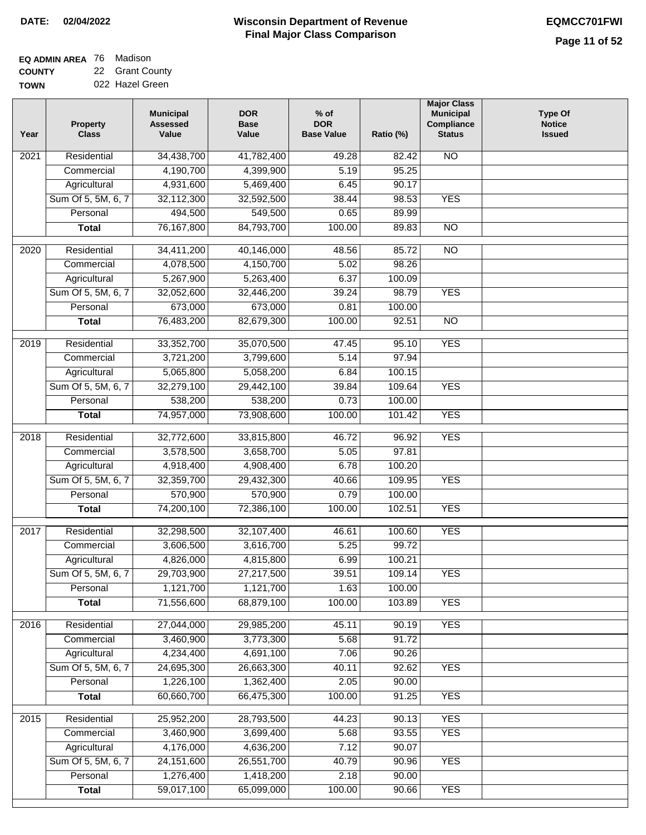| <b>EQ ADMIN AREA 76 Madison</b> |                 |
|---------------------------------|-----------------|
| <b>COUNTY</b>                   | 22 Grant County |

**TOWN** 022 Hazel Green

| Year              | <b>Property</b><br><b>Class</b> | <b>Municipal</b><br><b>Assessed</b><br>Value | <b>DOR</b><br><b>Base</b><br>Value | $%$ of<br><b>DOR</b><br><b>Base Value</b> | Ratio (%) | <b>Major Class</b><br><b>Municipal</b><br>Compliance<br><b>Status</b> | <b>Type Of</b><br><b>Notice</b><br><b>Issued</b> |
|-------------------|---------------------------------|----------------------------------------------|------------------------------------|-------------------------------------------|-----------|-----------------------------------------------------------------------|--------------------------------------------------|
| $\overline{202}1$ | Residential                     | 34,438,700                                   | 41,782,400                         | 49.28                                     | 82.42     | N <sub>O</sub>                                                        |                                                  |
|                   | Commercial                      | 4,190,700                                    | 4,399,900                          | 5.19                                      | 95.25     |                                                                       |                                                  |
|                   | Agricultural                    | 4,931,600                                    | 5,469,400                          | 6.45                                      | 90.17     |                                                                       |                                                  |
|                   | Sum Of 5, 5M, 6, 7              | 32,112,300                                   | 32,592,500                         | 38.44                                     | 98.53     | <b>YES</b>                                                            |                                                  |
|                   | Personal                        | 494,500                                      | 549,500                            | 0.65                                      | 89.99     |                                                                       |                                                  |
|                   | <b>Total</b>                    | 76, 167, 800                                 | 84,793,700                         | 100.00                                    | 89.83     | $\overline{NO}$                                                       |                                                  |
| $\overline{2020}$ | Residential                     | 34,411,200                                   | 40,146,000                         | 48.56                                     | 85.72     | $\overline{10}$                                                       |                                                  |
|                   | Commercial                      | 4,078,500                                    | 4,150,700                          | 5.02                                      | 98.26     |                                                                       |                                                  |
|                   | Agricultural                    | 5,267,900                                    | 5,263,400                          | 6.37                                      | 100.09    |                                                                       |                                                  |
|                   | Sum Of 5, 5M, 6, 7              | 32,052,600                                   | 32,446,200                         | 39.24                                     | 98.79     | <b>YES</b>                                                            |                                                  |
|                   | Personal                        | 673,000                                      | 673,000                            | 0.81                                      | 100.00    |                                                                       |                                                  |
|                   | <b>Total</b>                    | 76,483,200                                   | 82,679,300                         | 100.00                                    | 92.51     | $\overline{NO}$                                                       |                                                  |
| 2019              | Residential                     | 33,352,700                                   | 35,070,500                         | 47.45                                     | 95.10     | <b>YES</b>                                                            |                                                  |
|                   | Commercial                      | 3,721,200                                    | 3,799,600                          | 5.14                                      | 97.94     |                                                                       |                                                  |
|                   | Agricultural                    | 5,065,800                                    | 5,058,200                          | 6.84                                      | 100.15    |                                                                       |                                                  |
|                   | Sum Of 5, 5M, 6, 7              | 32,279,100                                   | 29,442,100                         | 39.84                                     | 109.64    | <b>YES</b>                                                            |                                                  |
|                   | Personal                        | 538,200                                      | 538,200                            | 0.73                                      | 100.00    |                                                                       |                                                  |
|                   | <b>Total</b>                    | 74,957,000                                   | 73,908,600                         | 100.00                                    | 101.42    | <b>YES</b>                                                            |                                                  |
|                   |                                 |                                              |                                    |                                           |           |                                                                       |                                                  |
| 2018              | Residential                     | 32,772,600                                   | 33,815,800                         | 46.72                                     | 96.92     | <b>YES</b>                                                            |                                                  |
|                   | Commercial                      | 3,578,500                                    | 3,658,700                          | 5.05                                      | 97.81     |                                                                       |                                                  |
|                   | Agricultural                    | 4,918,400                                    | 4,908,400                          | 6.78                                      | 100.20    |                                                                       |                                                  |
|                   | Sum Of 5, 5M, 6, 7              | 32,359,700                                   | 29,432,300                         | 40.66                                     | 109.95    | <b>YES</b>                                                            |                                                  |
|                   | Personal                        | 570,900                                      | 570,900                            | 0.79                                      | 100.00    |                                                                       |                                                  |
|                   | <b>Total</b>                    | 74,200,100                                   | 72,386,100                         | 100.00                                    | 102.51    | <b>YES</b>                                                            |                                                  |
| $\overline{2017}$ | Residential                     | 32,298,500                                   | 32,107,400                         | 46.61                                     | 100.60    | <b>YES</b>                                                            |                                                  |
|                   | Commercial                      | 3,606,500                                    | 3,616,700                          | 5.25                                      | 99.72     |                                                                       |                                                  |
|                   | Agricultural                    | 4,826,000                                    | 4,815,800                          | 6.99                                      | 100.21    |                                                                       |                                                  |
|                   | Sum Of 5, 5M, 6, 7              | 29,703,900                                   | 27,217,500                         | 39.51                                     | 109.14    | <b>YES</b>                                                            |                                                  |
|                   | Personal                        | 1,121,700                                    | 1,121,700                          | 1.63                                      | 100.00    |                                                                       |                                                  |
|                   | <b>Total</b>                    | 71,556,600                                   | 68,879,100                         | 100.00                                    | 103.89    | <b>YES</b>                                                            |                                                  |
| 2016              | Residential                     | 27,044,000                                   | 29,985,200                         | 45.11                                     | 90.19     | <b>YES</b>                                                            |                                                  |
|                   | Commercial                      | 3,460,900                                    | 3,773,300                          | 5.68                                      | 91.72     |                                                                       |                                                  |
|                   | Agricultural                    | 4,234,400                                    | 4,691,100                          | 7.06                                      | 90.26     |                                                                       |                                                  |
|                   | Sum Of 5, 5M, 6, 7              | 24,695,300                                   | 26,663,300                         | 40.11                                     | 92.62     | <b>YES</b>                                                            |                                                  |
|                   | Personal                        | 1,226,100                                    | 1,362,400                          | 2.05                                      | 90.00     |                                                                       |                                                  |
|                   | <b>Total</b>                    | 60,660,700                                   | 66,475,300                         | 100.00                                    | 91.25     | <b>YES</b>                                                            |                                                  |
| 2015              | Residential                     | 25,952,200                                   | 28,793,500                         | 44.23                                     | 90.13     | <b>YES</b>                                                            |                                                  |
|                   | Commercial                      | 3,460,900                                    | 3,699,400                          | 5.68                                      | 93.55     | <b>YES</b>                                                            |                                                  |
|                   | Agricultural                    | 4,176,000                                    | 4,636,200                          | 7.12                                      | 90.07     |                                                                       |                                                  |
|                   | Sum Of 5, 5M, 6, 7              | 24, 151, 600                                 | 26,551,700                         | 40.79                                     | 90.96     | <b>YES</b>                                                            |                                                  |
|                   | Personal                        | 1,276,400                                    | 1,418,200                          | 2.18                                      | 90.00     |                                                                       |                                                  |
|                   | <b>Total</b>                    | 59,017,100                                   | 65,099,000                         | 100.00                                    | 90.66     | <b>YES</b>                                                            |                                                  |
|                   |                                 |                                              |                                    |                                           |           |                                                                       |                                                  |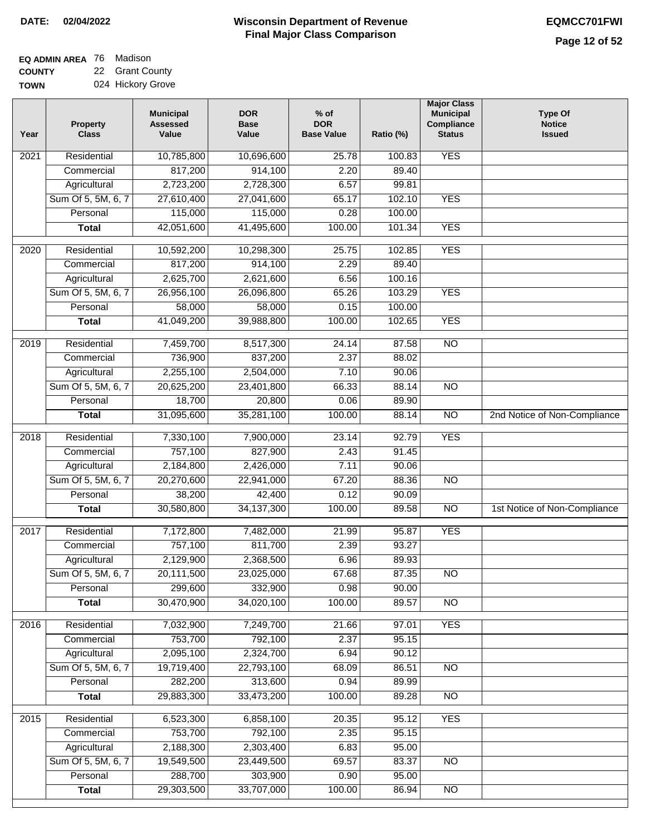| <b>EQ ADMIN AREA</b> 76 Madison |                   |
|---------------------------------|-------------------|
| <b>COUNTY</b>                   | 22 Grant County   |
| <b>TOWN</b>                     | 024 Hickory Grove |

| N |  | 024 Hickory Grove |  |
|---|--|-------------------|--|
|---|--|-------------------|--|

| Year              | <b>Property</b><br><b>Class</b> | <b>Municipal</b><br><b>Assessed</b><br>Value | <b>DOR</b><br><b>Base</b><br>Value | % of<br><b>DOR</b><br><b>Base Value</b> | Ratio (%) | <b>Major Class</b><br><b>Municipal</b><br>Compliance<br><b>Status</b> | <b>Type Of</b><br><b>Notice</b><br><b>Issued</b> |
|-------------------|---------------------------------|----------------------------------------------|------------------------------------|-----------------------------------------|-----------|-----------------------------------------------------------------------|--------------------------------------------------|
| $\overline{202}1$ | Residential                     | 10,785,800                                   | 10,696,600                         | 25.78                                   | 100.83    | <b>YES</b>                                                            |                                                  |
|                   | Commercial                      | 817,200                                      | 914,100                            | 2.20                                    | 89.40     |                                                                       |                                                  |
|                   | Agricultural                    | 2,723,200                                    | 2,728,300                          | 6.57                                    | 99.81     |                                                                       |                                                  |
|                   | Sum Of 5, 5M, 6, 7              | 27,610,400                                   | 27,041,600                         | 65.17                                   | 102.10    | <b>YES</b>                                                            |                                                  |
|                   | Personal                        | 115,000                                      | 115,000                            | 0.28                                    | 100.00    |                                                                       |                                                  |
|                   | <b>Total</b>                    | 42,051,600                                   | 41,495,600                         | 100.00                                  | 101.34    | <b>YES</b>                                                            |                                                  |
| $\overline{2020}$ | Residential                     | 10,592,200                                   | 10,298,300                         | 25.75                                   | 102.85    | <b>YES</b>                                                            |                                                  |
|                   | Commercial                      | 817,200                                      | 914,100                            | 2.29                                    | 89.40     |                                                                       |                                                  |
|                   | Agricultural                    | 2,625,700                                    | 2,621,600                          | 6.56                                    | 100.16    |                                                                       |                                                  |
|                   | Sum Of 5, 5M, 6, 7              | 26,956,100                                   | 26,096,800                         | 65.26                                   | 103.29    | <b>YES</b>                                                            |                                                  |
|                   | Personal                        | 58,000                                       | 58,000                             | 0.15                                    | 100.00    |                                                                       |                                                  |
|                   | <b>Total</b>                    | 41,049,200                                   | 39,988,800                         | 100.00                                  | 102.65    | <b>YES</b>                                                            |                                                  |
| 2019              | Residential                     | 7,459,700                                    | 8,517,300                          | 24.14                                   | 87.58     | $\overline{3}$                                                        |                                                  |
|                   | Commercial                      | 736,900                                      | 837,200                            | 2.37                                    | 88.02     |                                                                       |                                                  |
|                   | Agricultural                    | 2,255,100                                    | 2,504,000                          | 7.10                                    | 90.06     |                                                                       |                                                  |
|                   | Sum Of 5, 5M, 6, 7              | 20,625,200                                   | 23,401,800                         | 66.33                                   | 88.14     | $\overline{NO}$                                                       |                                                  |
|                   | Personal                        | 18,700                                       | 20,800                             | 0.06                                    | 89.90     |                                                                       |                                                  |
|                   | <b>Total</b>                    | 31,095,600                                   | 35,281,100                         | 100.00                                  | 88.14     | $\overline{NO}$                                                       | 2nd Notice of Non-Compliance                     |
| 2018              | Residential                     | 7,330,100                                    | 7,900,000                          | 23.14                                   | 92.79     | <b>YES</b>                                                            |                                                  |
|                   | Commercial                      | 757,100                                      | 827,900                            | 2.43                                    | 91.45     |                                                                       |                                                  |
|                   | Agricultural                    | 2,184,800                                    | 2,426,000                          | 7.11                                    | 90.06     |                                                                       |                                                  |
|                   | Sum Of 5, 5M, 6, 7              | 20,270,600                                   | 22,941,000                         | 67.20                                   | 88.36     | $\overline{3}$                                                        |                                                  |
|                   | Personal                        | 38,200                                       | 42,400                             | 0.12                                    | 90.09     |                                                                       |                                                  |
|                   | <b>Total</b>                    | 30,580,800                                   | 34, 137, 300                       | 100.00                                  | 89.58     | $\overline{10}$                                                       | 1st Notice of Non-Compliance                     |
| $\overline{20}17$ | Residential                     | 7,172,800                                    | 7,482,000                          | 21.99                                   | 95.87     | <b>YES</b>                                                            |                                                  |
|                   | Commercial                      | 757,100                                      | 811,700                            | 2.39                                    | 93.27     |                                                                       |                                                  |
|                   | Agricultural                    | 2,129,900                                    | 2,368,500                          | 6.96                                    | 89.93     |                                                                       |                                                  |
|                   | Sum Of 5, 5M, 6, 7              | 20,111,500                                   | 23,025,000                         | 67.68                                   | 87.35     | <b>NO</b>                                                             |                                                  |
|                   | Personal                        | 299,600                                      | 332,900                            | 0.98                                    | 90.00     |                                                                       |                                                  |
|                   | <b>Total</b>                    | 30,470,900                                   | 34,020,100                         | 100.00                                  | 89.57     | <b>NO</b>                                                             |                                                  |
| 2016              | Residential                     | 7,032,900                                    | 7,249,700                          | 21.66                                   | 97.01     | <b>YES</b>                                                            |                                                  |
|                   | Commercial                      | 753,700                                      | 792,100                            | 2.37                                    | 95.15     |                                                                       |                                                  |
|                   | Agricultural                    | 2,095,100                                    | 2,324,700                          | 6.94                                    | 90.12     |                                                                       |                                                  |
|                   | Sum Of 5, 5M, 6, 7              | 19,719,400                                   | 22,793,100                         | 68.09                                   | 86.51     | $\overline{NO}$                                                       |                                                  |
|                   | Personal                        | 282,200                                      | 313,600                            | 0.94                                    | 89.99     |                                                                       |                                                  |
|                   | <b>Total</b>                    | 29,883,300                                   | 33,473,200                         | 100.00                                  | 89.28     | $\overline{NO}$                                                       |                                                  |
| 2015              | Residential                     | 6,523,300                                    | 6,858,100                          | 20.35                                   | 95.12     | <b>YES</b>                                                            |                                                  |
|                   | Commercial                      | 753,700                                      | 792,100                            | 2.35                                    | 95.15     |                                                                       |                                                  |
|                   | Agricultural                    | 2,188,300                                    | 2,303,400                          | 6.83                                    | 95.00     |                                                                       |                                                  |
|                   | Sum Of 5, 5M, 6, 7              | 19,549,500                                   | 23,449,500                         | 69.57                                   | 83.37     | <b>NO</b>                                                             |                                                  |
|                   | Personal                        | 288,700                                      | 303,900                            | 0.90                                    | 95.00     |                                                                       |                                                  |
|                   | <b>Total</b>                    | 29,303,500                                   | 33,707,000                         | 100.00                                  | 86.94     | N <sub>O</sub>                                                        |                                                  |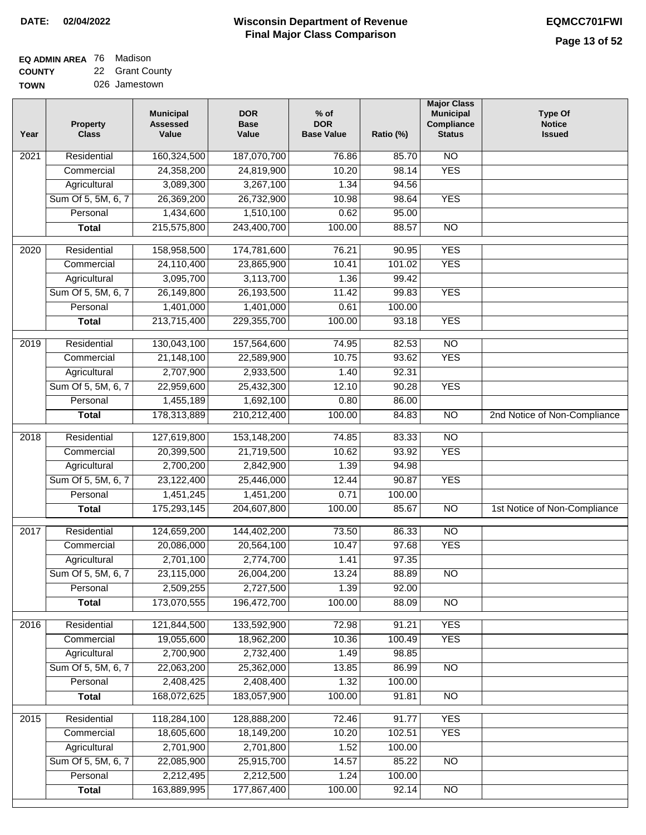# **Wisconsin Department of Revenue DATE: 02/04/2022 EQMCC701FWI Final Major Class Comparison**

| <b>EQ ADMIN AREA</b> 76 Madison |                 |
|---------------------------------|-----------------|
| <b>COUNTY</b>                   | 22 Grant County |

**COUNTY TOWN** 026 Jamestown

| Year             | <b>Property</b><br><b>Class</b> | <b>Municipal</b><br><b>Assessed</b><br>Value | <b>DOR</b><br><b>Base</b><br>Value | $%$ of<br><b>DOR</b><br><b>Base Value</b> | Ratio (%)      | <b>Major Class</b><br><b>Municipal</b><br>Compliance<br><b>Status</b> | <b>Type Of</b><br><b>Notice</b><br><b>Issued</b> |
|------------------|---------------------------------|----------------------------------------------|------------------------------------|-------------------------------------------|----------------|-----------------------------------------------------------------------|--------------------------------------------------|
| 2021             | Residential                     | 160,324,500                                  | 187,070,700                        | 76.86                                     | 85.70          | <b>NO</b>                                                             |                                                  |
|                  | Commercial                      | 24,358,200                                   | 24,819,900                         | 10.20                                     | 98.14          | <b>YES</b>                                                            |                                                  |
|                  | Agricultural                    | 3,089,300                                    | 3,267,100                          | 1.34                                      | 94.56          |                                                                       |                                                  |
|                  | Sum Of 5, 5M, 6, 7              | 26,369,200                                   | 26,732,900                         | 10.98                                     | 98.64          | <b>YES</b>                                                            |                                                  |
|                  | Personal                        | 1,434,600                                    | 1,510,100                          | 0.62                                      | 95.00          |                                                                       |                                                  |
|                  | <b>Total</b>                    | 215,575,800                                  | 243,400,700                        | 100.00                                    | 88.57          | $\overline{NO}$                                                       |                                                  |
| $\frac{1}{2020}$ | Residential                     | 158,958,500                                  | 174,781,600                        | 76.21                                     | 90.95          | <b>YES</b>                                                            |                                                  |
|                  | Commercial                      | 24,110,400                                   | 23,865,900                         | 10.41                                     | 101.02         | <b>YES</b>                                                            |                                                  |
|                  | Agricultural                    | 3,095,700                                    | 3,113,700                          | 1.36                                      | 99.42          |                                                                       |                                                  |
|                  | Sum Of 5, 5M, 6, 7              | 26,149,800                                   | 26,193,500                         | 11.42                                     | 99.83          | <b>YES</b>                                                            |                                                  |
|                  | Personal                        | 1,401,000                                    | 1,401,000                          | 0.61                                      | 100.00         |                                                                       |                                                  |
|                  | <b>Total</b>                    | 213,715,400                                  | 229,355,700                        | 100.00                                    | 93.18          | <b>YES</b>                                                            |                                                  |
|                  |                                 | 130,043,100                                  |                                    |                                           |                | $\overline{NO}$                                                       |                                                  |
| $\frac{1}{2019}$ | Residential<br>Commercial       |                                              | 157,564,600                        | 74.95<br>10.75                            | 82.53          | <b>YES</b>                                                            |                                                  |
|                  |                                 | 21,148,100                                   | 22,589,900                         |                                           | 93.62<br>92.31 |                                                                       |                                                  |
|                  | Agricultural                    | 2,707,900                                    | 2,933,500                          | 1.40                                      |                | <b>YES</b>                                                            |                                                  |
|                  | Sum Of 5, 5M, 6, 7              | 22,959,600                                   | 25,432,300                         | 12.10                                     | 90.28          |                                                                       |                                                  |
|                  | Personal                        | 1,455,189                                    | 1,692,100                          | 0.80                                      | 86.00          | $\overline{NO}$                                                       |                                                  |
|                  | <b>Total</b>                    | 178,313,889                                  | 210,212,400                        | 100.00                                    | 84.83          |                                                                       | 2nd Notice of Non-Compliance                     |
| 2018             | Residential                     | 127,619,800                                  | 153,148,200                        | 74.85                                     | 83.33          | $\overline{NO}$                                                       |                                                  |
|                  | Commercial                      | 20,399,500                                   | 21,719,500                         | 10.62                                     | 93.92          | <b>YES</b>                                                            |                                                  |
|                  | Agricultural                    | 2,700,200                                    | 2,842,900                          | 1.39                                      | 94.98          |                                                                       |                                                  |
|                  | Sum Of 5, 5M, 6, 7              | 23,122,400                                   | 25,446,000                         | 12.44                                     | 90.87          | <b>YES</b>                                                            |                                                  |
|                  | Personal                        | 1,451,245                                    | 1,451,200                          | 0.71                                      | 100.00         |                                                                       |                                                  |
|                  | <b>Total</b>                    | 175,293,145                                  | 204,607,800                        | 100.00                                    | 85.67          | <b>NO</b>                                                             | 1st Notice of Non-Compliance                     |
| 2017             | Residential                     | 124,659,200                                  | 144,402,200                        | 73.50                                     | 86.33          | $\overline{NO}$                                                       |                                                  |
|                  | Commercial                      | 20,086,000                                   | 20,564,100                         | 10.47                                     | 97.68          | <b>YES</b>                                                            |                                                  |
|                  | Agricultural                    | 2,701,100                                    | 2,774,700                          | 1.41                                      | 97.35          |                                                                       |                                                  |
|                  | Sum Of 5, 5M, 6, 7              | 23,115,000                                   | 26,004,200                         | 13.24                                     | 88.89          | $\overline{NO}$                                                       |                                                  |
|                  | Personal                        | 2,509,255                                    | 2,727,500                          | 1.39                                      | 92.00          |                                                                       |                                                  |
|                  | <b>Total</b>                    | 173,070,555                                  | 196,472,700                        | 100.00                                    | 88.09          | NO                                                                    |                                                  |
| 2016             | Residential                     | 121,844,500                                  | 133,592,900                        | 72.98                                     | 91.21          | <b>YES</b>                                                            |                                                  |
|                  | Commercial                      | 19,055,600                                   | 18,962,200                         | 10.36                                     | 100.49         | <b>YES</b>                                                            |                                                  |
|                  | Agricultural                    | 2,700,900                                    | 2,732,400                          | 1.49                                      | 98.85          |                                                                       |                                                  |
|                  | Sum Of 5, 5M, 6, 7              | 22,063,200                                   | 25,362,000                         | 13.85                                     | 86.99          | N <sub>O</sub>                                                        |                                                  |
|                  | Personal                        | 2,408,425                                    | 2,408,400                          | 1.32                                      | 100.00         |                                                                       |                                                  |
|                  | <b>Total</b>                    | 168,072,625                                  | 183,057,900                        | 100.00                                    | 91.81          | $\overline{NO}$                                                       |                                                  |
|                  |                                 |                                              |                                    |                                           |                |                                                                       |                                                  |
| 2015             | Residential                     | 118,284,100                                  | 128,888,200                        | 72.46                                     | 91.77          | <b>YES</b>                                                            |                                                  |
|                  | Commercial                      | 18,605,600                                   | 18,149,200                         | 10.20                                     | 102.51         | <b>YES</b>                                                            |                                                  |
|                  | Agricultural                    | 2,701,900                                    | 2,701,800                          | 1.52                                      | 100.00         |                                                                       |                                                  |
|                  | Sum Of 5, 5M, 6, 7              | 22,085,900                                   | 25,915,700                         | 14.57                                     | 85.22          | $\overline{NO}$                                                       |                                                  |
|                  | Personal                        | 2,212,495                                    | 2,212,500                          | 1.24                                      | 100.00         |                                                                       |                                                  |
|                  | <b>Total</b>                    | 163,889,995                                  | 177,867,400                        | 100.00                                    | 92.14          | $\overline{NO}$                                                       |                                                  |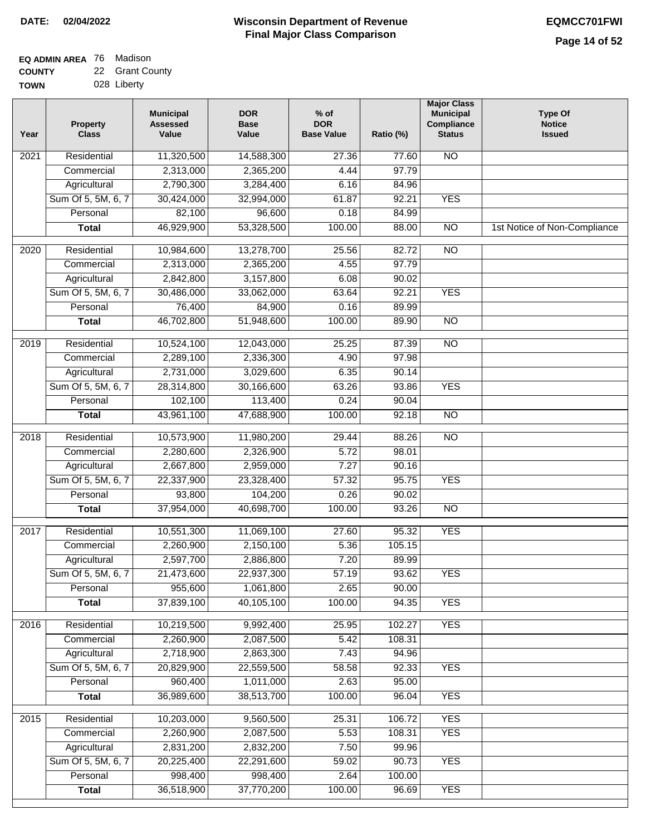#### **EQ ADMIN AREA** 76 Madison **COUNTY** 22 Grant County

**TOWN** 028 Liberty

| Year              | <b>Property</b><br><b>Class</b> | <b>Municipal</b><br><b>Assessed</b><br>Value | <b>DOR</b><br><b>Base</b><br>Value | $%$ of<br><b>DOR</b><br><b>Base Value</b> | Ratio (%) | <b>Major Class</b><br><b>Municipal</b><br>Compliance<br><b>Status</b> | <b>Type Of</b><br><b>Notice</b><br><b>Issued</b> |
|-------------------|---------------------------------|----------------------------------------------|------------------------------------|-------------------------------------------|-----------|-----------------------------------------------------------------------|--------------------------------------------------|
| $\overline{202}1$ | Residential                     | 11,320,500                                   | 14,588,300                         | 27.36                                     | 77.60     | <b>NO</b>                                                             |                                                  |
|                   | Commercial                      | 2,313,000                                    | 2,365,200                          | 4.44                                      | 97.79     |                                                                       |                                                  |
|                   | Agricultural                    | 2,790,300                                    | 3,284,400                          | 6.16                                      | 84.96     |                                                                       |                                                  |
|                   | Sum Of 5, 5M, 6, 7              | 30,424,000                                   | 32,994,000                         | 61.87                                     | 92.21     | <b>YES</b>                                                            |                                                  |
|                   | Personal                        | 82,100                                       | 96,600                             | 0.18                                      | 84.99     |                                                                       |                                                  |
|                   | <b>Total</b>                    | 46,929,900                                   | 53,328,500                         | 100.00                                    | 88.00     | $\overline{NO}$                                                       | 1st Notice of Non-Compliance                     |
| $\overline{2020}$ | Residential                     | 10,984,600                                   | 13,278,700                         | 25.56                                     | 82.72     | $\overline{10}$                                                       |                                                  |
|                   | Commercial                      | 2,313,000                                    | 2,365,200                          | 4.55                                      | 97.79     |                                                                       |                                                  |
|                   | Agricultural                    | 2,842,800                                    | 3,157,800                          | 6.08                                      | 90.02     |                                                                       |                                                  |
|                   | Sum Of 5, 5M, 6, 7              | 30,486,000                                   | 33,062,000                         | 63.64                                     | 92.21     | <b>YES</b>                                                            |                                                  |
|                   | Personal                        | 76,400                                       | 84,900                             | 0.16                                      | 89.99     |                                                                       |                                                  |
|                   | <b>Total</b>                    | 46,702,800                                   | 51,948,600                         | 100.00                                    | 89.90     | $\overline{NO}$                                                       |                                                  |
| 2019              | Residential                     | 10,524,100                                   | 12,043,000                         | 25.25                                     | 87.39     | $\overline{10}$                                                       |                                                  |
|                   | Commercial                      | 2,289,100                                    | 2,336,300                          | 4.90                                      | 97.98     |                                                                       |                                                  |
|                   | Agricultural                    | 2,731,000                                    | 3,029,600                          | 6.35                                      | 90.14     |                                                                       |                                                  |
|                   | Sum Of 5, 5M, 6, 7              | 28,314,800                                   | 30,166,600                         | 63.26                                     | 93.86     | <b>YES</b>                                                            |                                                  |
|                   | Personal                        | 102,100                                      | 113,400                            | 0.24                                      | 90.04     |                                                                       |                                                  |
|                   | <b>Total</b>                    | 43,961,100                                   | 47,688,900                         | 100.00                                    | 92.18     | $\overline{NO}$                                                       |                                                  |
| 2018              | Residential                     | 10,573,900                                   | 11,980,200                         | 29.44                                     | 88.26     | $\overline{10}$                                                       |                                                  |
|                   | Commercial                      | 2,280,600                                    | 2,326,900                          | 5.72                                      | 98.01     |                                                                       |                                                  |
|                   | Agricultural                    | 2,667,800                                    | 2,959,000                          | 7.27                                      | 90.16     |                                                                       |                                                  |
|                   | Sum Of 5, 5M, 6, 7              | 22,337,900                                   | 23,328,400                         | 57.32                                     | 95.75     | <b>YES</b>                                                            |                                                  |
|                   | Personal                        | 93,800                                       | 104,200                            | 0.26                                      | 90.02     |                                                                       |                                                  |
|                   | <b>Total</b>                    | 37,954,000                                   | 40,698,700                         | 100.00                                    | 93.26     | <b>NO</b>                                                             |                                                  |
| 2017              | Residential                     | 10,551,300                                   | 11,069,100                         | 27.60                                     | 95.32     | <b>YES</b>                                                            |                                                  |
|                   | Commercial                      | 2,260,900                                    | 2,150,100                          | 5.36                                      | 105.15    |                                                                       |                                                  |
|                   | Agricultural                    | 2,597,700                                    | 2,886,800                          | 7.20                                      | 89.99     |                                                                       |                                                  |
|                   | Sum Of 5, 5M, 6, 7              | 21,473,600                                   | 22,937,300                         | 57.19                                     | 93.62     | <b>YES</b>                                                            |                                                  |
|                   | Personal                        | 955,600                                      | 1,061,800                          | 2.65                                      | 90.00     |                                                                       |                                                  |
|                   | <b>Total</b>                    | 37,839,100                                   | 40,105,100                         | 100.00                                    | 94.35     | <b>YES</b>                                                            |                                                  |
| 2016              | Residential                     | 10,219,500                                   | 9,992,400                          | 25.95                                     | 102.27    | <b>YES</b>                                                            |                                                  |
|                   | Commercial                      | 2,260,900                                    | 2,087,500                          | 5.42                                      | 108.31    |                                                                       |                                                  |
|                   | Agricultural                    | 2,718,900                                    | 2,863,300                          | 7.43                                      | 94.96     |                                                                       |                                                  |
|                   | Sum Of 5, 5M, 6, 7              | 20,829,900                                   | 22,559,500                         | 58.58                                     | 92.33     | <b>YES</b>                                                            |                                                  |
|                   | Personal                        | 960,400                                      | 1,011,000                          | 2.63                                      | 95.00     |                                                                       |                                                  |
|                   | <b>Total</b>                    | 36,989,600                                   | 38,513,700                         | 100.00                                    | 96.04     | <b>YES</b>                                                            |                                                  |
| 2015              | Residential                     | 10,203,000                                   | 9,560,500                          | 25.31                                     | 106.72    | <b>YES</b>                                                            |                                                  |
|                   | Commercial                      | 2,260,900                                    | 2,087,500                          | 5.53                                      | 108.31    | <b>YES</b>                                                            |                                                  |
|                   | Agricultural                    | 2,831,200                                    | 2,832,200                          | 7.50                                      | 99.96     |                                                                       |                                                  |
|                   | Sum Of 5, 5M, 6, 7              | 20,225,400                                   | 22,291,600                         | 59.02                                     | 90.73     | <b>YES</b>                                                            |                                                  |
|                   | Personal                        | 998,400                                      | 998,400                            | 2.64                                      | 100.00    |                                                                       |                                                  |
|                   | <b>Total</b>                    | 36,518,900                                   | 37,770,200                         | 100.00                                    | 96.69     | <b>YES</b>                                                            |                                                  |
|                   |                                 |                                              |                                    |                                           |           |                                                                       |                                                  |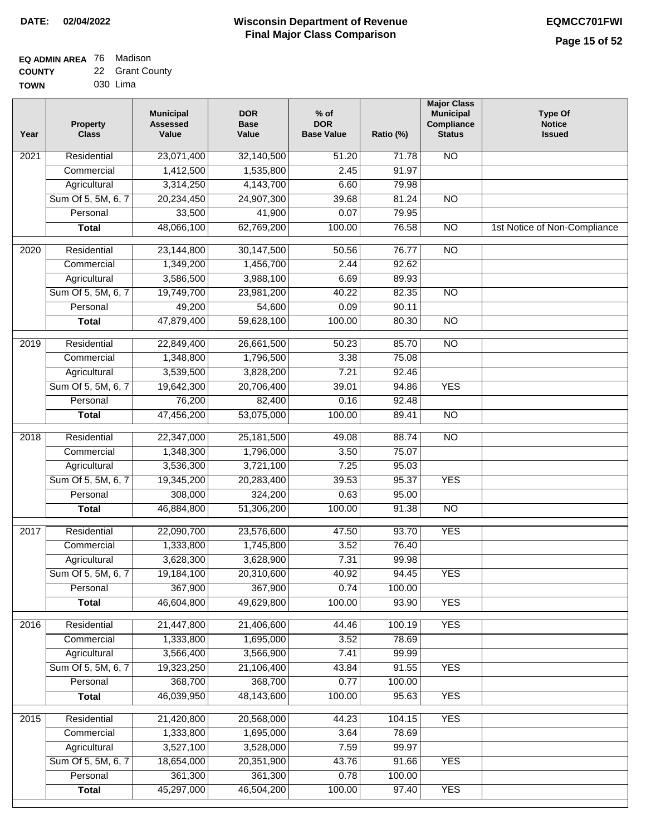| EQ ADMIN AREA 76 Madison |                 |
|--------------------------|-----------------|
| <b>COUNTY</b>            | 22 Grant County |

**TOWN** 030 Lima

| Year              | <b>Property</b><br><b>Class</b> | <b>Municipal</b><br><b>Assessed</b><br>Value | <b>DOR</b><br><b>Base</b><br>Value | $%$ of<br><b>DOR</b><br><b>Base Value</b> | Ratio (%) | <b>Major Class</b><br><b>Municipal</b><br>Compliance<br><b>Status</b> | <b>Type Of</b><br><b>Notice</b><br><b>Issued</b> |
|-------------------|---------------------------------|----------------------------------------------|------------------------------------|-------------------------------------------|-----------|-----------------------------------------------------------------------|--------------------------------------------------|
| $\overline{202}1$ | Residential                     | 23,071,400                                   | 32,140,500                         | 51.20                                     | 71.78     | <b>NO</b>                                                             |                                                  |
|                   | Commercial                      | 1,412,500                                    | 1,535,800                          | 2.45                                      | 91.97     |                                                                       |                                                  |
|                   | Agricultural                    | 3,314,250                                    | 4,143,700                          | 6.60                                      | 79.98     |                                                                       |                                                  |
|                   | Sum Of 5, 5M, 6, 7              | 20,234,450                                   | 24,907,300                         | 39.68                                     | 81.24     | $\overline{NO}$                                                       |                                                  |
|                   | Personal                        | 33,500                                       | 41,900                             | 0.07                                      | 79.95     |                                                                       |                                                  |
|                   | <b>Total</b>                    | 48,066,100                                   | 62,769,200                         | 100.00                                    | 76.58     | $\overline{NO}$                                                       | 1st Notice of Non-Compliance                     |
| $\overline{2020}$ | Residential                     | 23,144,800                                   | 30,147,500                         | 50.56                                     | 76.77     | $\overline{10}$                                                       |                                                  |
|                   | Commercial                      | 1,349,200                                    | 1,456,700                          | 2.44                                      | 92.62     |                                                                       |                                                  |
|                   | Agricultural                    | 3,586,500                                    | 3,988,100                          | 6.69                                      | 89.93     |                                                                       |                                                  |
|                   | Sum Of 5, 5M, 6, 7              | 19,749,700                                   | 23,981,200                         | 40.22                                     | 82.35     | $\overline{NO}$                                                       |                                                  |
|                   | Personal                        | 49,200                                       | 54,600                             | 0.09                                      | 90.11     |                                                                       |                                                  |
|                   | <b>Total</b>                    | 47,879,400                                   | 59,628,100                         | 100.00                                    | 80.30     | $\overline{NO}$                                                       |                                                  |
| 2019              | Residential                     | 22,849,400                                   | 26,661,500                         | 50.23                                     | 85.70     | $\overline{10}$                                                       |                                                  |
|                   | Commercial                      | 1,348,800                                    | 1,796,500                          | 3.38                                      | 75.08     |                                                                       |                                                  |
|                   | Agricultural                    | 3,539,500                                    | 3,828,200                          | 7.21                                      | 92.46     |                                                                       |                                                  |
|                   | Sum Of 5, 5M, 6, 7              | 19,642,300                                   | 20,706,400                         | 39.01                                     | 94.86     | <b>YES</b>                                                            |                                                  |
|                   | Personal                        | 76,200                                       | 82,400                             | 0.16                                      | 92.48     |                                                                       |                                                  |
|                   | <b>Total</b>                    | 47,456,200                                   | 53,075,000                         | 100.00                                    | 89.41     | $\overline{NO}$                                                       |                                                  |
| 2018              | Residential                     | 22,347,000                                   | 25, 181, 500                       | 49.08                                     | 88.74     | $\overline{10}$                                                       |                                                  |
|                   | Commercial                      | 1,348,300                                    | 1,796,000                          | 3.50                                      | 75.07     |                                                                       |                                                  |
|                   | Agricultural                    | 3,536,300                                    | 3,721,100                          | 7.25                                      | 95.03     |                                                                       |                                                  |
|                   | Sum Of 5, 5M, 6, 7              | 19,345,200                                   | 20,283,400                         | 39.53                                     | 95.37     | <b>YES</b>                                                            |                                                  |
|                   | Personal                        | 308,000                                      | 324,200                            | 0.63                                      | 95.00     |                                                                       |                                                  |
|                   | <b>Total</b>                    | 46,884,800                                   | 51,306,200                         | 100.00                                    | 91.38     | <b>NO</b>                                                             |                                                  |
| 2017              | Residential                     | 22,090,700                                   | 23,576,600                         | 47.50                                     | 93.70     | <b>YES</b>                                                            |                                                  |
|                   | Commercial                      | 1,333,800                                    | 1,745,800                          | 3.52                                      | 76.40     |                                                                       |                                                  |
|                   | Agricultural                    | 3,628,300                                    | 3,628,900                          | 7.31                                      | 99.98     |                                                                       |                                                  |
|                   | Sum Of 5, 5M, 6, 7              | 19,184,100                                   | 20,310,600                         | 40.92                                     | 94.45     | <b>YES</b>                                                            |                                                  |
|                   | Personal                        | 367,900                                      | 367,900                            | 0.74                                      | 100.00    |                                                                       |                                                  |
|                   | <b>Total</b>                    | 46,604,800                                   | 49,629,800                         | 100.00                                    | 93.90     | <b>YES</b>                                                            |                                                  |
| 2016              | Residential                     | 21,447,800                                   | 21,406,600                         | 44.46                                     | 100.19    | <b>YES</b>                                                            |                                                  |
|                   | Commercial                      | 1,333,800                                    | 1,695,000                          | 3.52                                      | 78.69     |                                                                       |                                                  |
|                   | Agricultural                    | 3,566,400                                    | 3,566,900                          | 7.41                                      | 99.99     |                                                                       |                                                  |
|                   | Sum Of 5, 5M, 6, 7              | 19,323,250                                   | 21,106,400                         | 43.84                                     | 91.55     | <b>YES</b>                                                            |                                                  |
|                   | Personal                        | 368,700                                      | 368,700                            | 0.77                                      | 100.00    |                                                                       |                                                  |
|                   | <b>Total</b>                    | 46,039,950                                   | 48,143,600                         | 100.00                                    | 95.63     | <b>YES</b>                                                            |                                                  |
| 2015              | Residential                     | 21,420,800                                   | 20,568,000                         | 44.23                                     | 104.15    | <b>YES</b>                                                            |                                                  |
|                   | Commercial                      | 1,333,800                                    | 1,695,000                          | 3.64                                      | 78.69     |                                                                       |                                                  |
|                   | Agricultural                    | 3,527,100                                    | 3,528,000                          | 7.59                                      | 99.97     |                                                                       |                                                  |
|                   | Sum Of 5, 5M, 6, 7              | 18,654,000                                   | 20,351,900                         | 43.76                                     | 91.66     | <b>YES</b>                                                            |                                                  |
|                   | Personal                        | 361,300                                      | 361,300                            | 0.78                                      | 100.00    |                                                                       |                                                  |
|                   | <b>Total</b>                    | 45,297,000                                   | 46,504,200                         | 100.00                                    | 97.40     | <b>YES</b>                                                            |                                                  |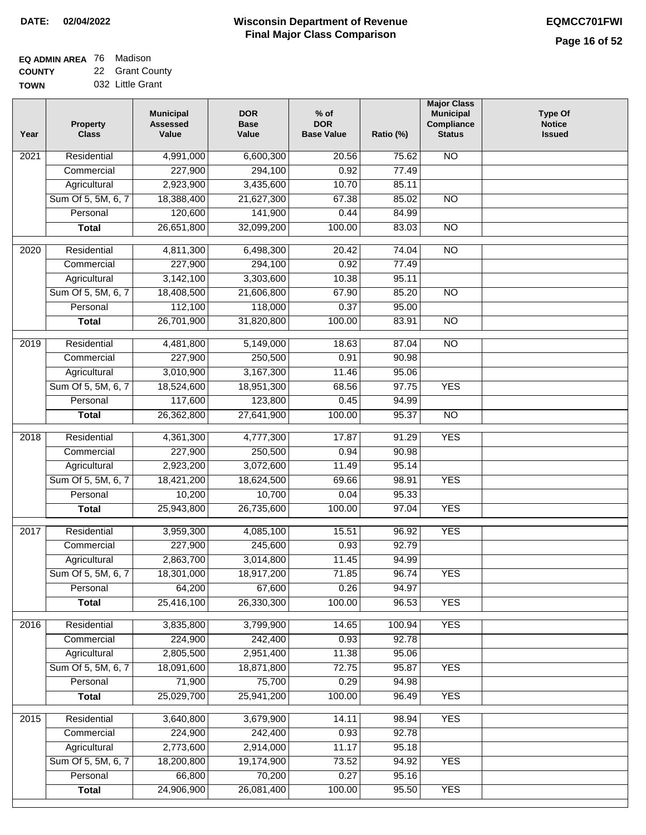# **Wisconsin Department of Revenue DATE: 02/04/2022 EQMCC701FWI Final Major Class Comparison**

٦

| <b>EQ ADMIN AREA</b> 76 Madison |                 |
|---------------------------------|-----------------|
| <b>COUNTY</b>                   | 22 Grant County |

**TOWN** 032 Little Grant

| Year              | <b>Property</b><br><b>Class</b> | <b>Municipal</b><br><b>Assessed</b><br>Value | <b>DOR</b><br><b>Base</b><br>Value | $%$ of<br><b>DOR</b><br><b>Base Value</b> | Ratio (%) | <b>Major Class</b><br><b>Municipal</b><br>Compliance<br><b>Status</b> | <b>Type Of</b><br><b>Notice</b><br><b>Issued</b> |
|-------------------|---------------------------------|----------------------------------------------|------------------------------------|-------------------------------------------|-----------|-----------------------------------------------------------------------|--------------------------------------------------|
| 2021              | Residential                     | 4,991,000                                    | 6,600,300                          | 20.56                                     | 75.62     | <b>NO</b>                                                             |                                                  |
|                   | Commercial                      | 227,900                                      | 294,100                            | 0.92                                      | 77.49     |                                                                       |                                                  |
|                   | Agricultural                    | 2,923,900                                    | 3,435,600                          | 10.70                                     | 85.11     |                                                                       |                                                  |
|                   | Sum Of 5, 5M, 6, 7              | 18,388,400                                   | 21,627,300                         | 67.38                                     | 85.02     | $\overline{NO}$                                                       |                                                  |
|                   | Personal                        | 120,600                                      | 141,900                            | 0.44                                      | 84.99     |                                                                       |                                                  |
|                   | <b>Total</b>                    | 26,651,800                                   | 32,099,200                         | 100.00                                    | 83.03     | $\overline{NO}$                                                       |                                                  |
| $\overline{2020}$ | Residential                     | 4,811,300                                    | 6,498,300                          | 20.42                                     | 74.04     | $\overline{NO}$                                                       |                                                  |
|                   | Commercial                      | 227,900                                      | 294,100                            | 0.92                                      | 77.49     |                                                                       |                                                  |
|                   | Agricultural                    | 3,142,100                                    | 3,303,600                          | 10.38                                     | 95.11     |                                                                       |                                                  |
|                   | Sum Of 5, 5M, 6, 7              | 18,408,500                                   | 21,606,800                         | 67.90                                     | 85.20     | <b>NO</b>                                                             |                                                  |
|                   | Personal                        | 112,100                                      | 118,000                            | 0.37                                      | 95.00     |                                                                       |                                                  |
|                   | <b>Total</b>                    | 26,701,900                                   | 31,820,800                         | 100.00                                    | 83.91     | <b>NO</b>                                                             |                                                  |
|                   |                                 |                                              |                                    |                                           |           |                                                                       |                                                  |
| $\frac{1}{2019}$  | Residential                     | 4,481,800                                    | 5,149,000                          | 18.63                                     | 87.04     | $\overline{NO}$                                                       |                                                  |
|                   | Commercial                      | 227,900                                      | 250,500                            | 0.91                                      | 90.98     |                                                                       |                                                  |
|                   | Agricultural                    | 3,010,900                                    | 3,167,300                          | 11.46                                     | 95.06     |                                                                       |                                                  |
|                   | Sum Of 5, 5M, 6, 7              | 18,524,600                                   | 18,951,300                         | 68.56                                     | 97.75     | <b>YES</b>                                                            |                                                  |
|                   | Personal                        | 117,600                                      | 123,800                            | 0.45                                      | 94.99     |                                                                       |                                                  |
|                   | <b>Total</b>                    | 26,362,800                                   | 27,641,900                         | 100.00                                    | 95.37     | $\overline{NO}$                                                       |                                                  |
| 2018              | Residential                     | 4,361,300                                    | 4,777,300                          | 17.87                                     | 91.29     | <b>YES</b>                                                            |                                                  |
|                   | Commercial                      | 227,900                                      | 250,500                            | 0.94                                      | 90.98     |                                                                       |                                                  |
|                   | Agricultural                    | 2,923,200                                    | 3,072,600                          | 11.49                                     | 95.14     |                                                                       |                                                  |
|                   | Sum Of 5, 5M, 6, 7              | 18,421,200                                   | 18,624,500                         | 69.66                                     | 98.91     | <b>YES</b>                                                            |                                                  |
|                   | Personal                        | 10,200                                       | 10,700                             | 0.04                                      | 95.33     |                                                                       |                                                  |
|                   | <b>Total</b>                    | 25,943,800                                   | 26,735,600                         | 100.00                                    | 97.04     | <b>YES</b>                                                            |                                                  |
| 2017              | Residential                     | 3,959,300                                    | 4,085,100                          | 15.51                                     | 96.92     | <b>YES</b>                                                            |                                                  |
|                   | Commercial                      | 227,900                                      | 245,600                            | 0.93                                      | 92.79     |                                                                       |                                                  |
|                   | Agricultural                    | 2,863,700                                    | 3,014,800                          | 11.45                                     | 94.99     |                                                                       |                                                  |
|                   | Sum Of 5, 5M, 6, 7              | 18,301,000                                   | 18,917,200                         | 71.85                                     | 96.74     | <b>YES</b>                                                            |                                                  |
|                   | Personal                        | 64,200                                       | 67,600                             | 0.26                                      | 94.97     |                                                                       |                                                  |
|                   | <b>Total</b>                    | 25,416,100                                   | 26,330,300                         | 100.00                                    | 96.53     | <b>YES</b>                                                            |                                                  |
| 2016              | Residential                     | 3,835,800                                    | 3,799,900                          | 14.65                                     | 100.94    | <b>YES</b>                                                            |                                                  |
|                   | Commercial                      | 224,900                                      | 242,400                            | 0.93                                      | 92.78     |                                                                       |                                                  |
|                   | Agricultural                    | 2,805,500                                    | 2,951,400                          | 11.38                                     | 95.06     |                                                                       |                                                  |
|                   | Sum Of 5, 5M, 6, 7              | 18,091,600                                   | 18,871,800                         | 72.75                                     | 95.87     | <b>YES</b>                                                            |                                                  |
|                   | Personal                        | 71,900                                       | 75,700                             | 0.29                                      | 94.98     |                                                                       |                                                  |
|                   | <b>Total</b>                    | 25,029,700                                   | 25,941,200                         | 100.00                                    | 96.49     | <b>YES</b>                                                            |                                                  |
|                   |                                 |                                              |                                    |                                           |           |                                                                       |                                                  |
| 2015              | Residential                     | 3,640,800                                    | 3,679,900                          | 14.11                                     | 98.94     | <b>YES</b>                                                            |                                                  |
|                   | Commercial                      | 224,900                                      | 242,400                            | 0.93                                      | 92.78     |                                                                       |                                                  |
|                   | Agricultural                    | 2,773,600                                    | 2,914,000                          | 11.17                                     | 95.18     |                                                                       |                                                  |
|                   | Sum Of 5, 5M, 6, 7              | 18,200,800                                   | 19,174,900                         | 73.52                                     | 94.92     | <b>YES</b>                                                            |                                                  |
|                   | Personal                        | 66,800                                       | 70,200                             | 0.27                                      | 95.16     |                                                                       |                                                  |
|                   | <b>Total</b>                    | 24,906,900                                   | 26,081,400                         | 100.00                                    | 95.50     | <b>YES</b>                                                            |                                                  |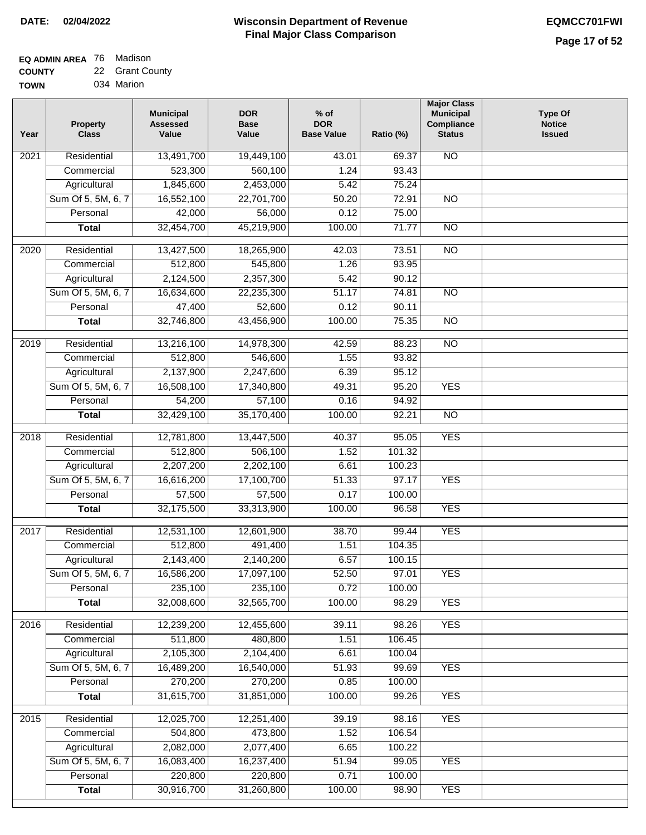| <b>EQ ADMIN AREA</b> 76 Madison |                 |
|---------------------------------|-----------------|
| <b>COUNTY</b>                   | 22 Grant County |
| <b>TOWN</b>                     | 034 Marion      |

034 Marion

| Year              | <b>Property</b><br><b>Class</b> | <b>Municipal</b><br><b>Assessed</b><br>Value | <b>DOR</b><br><b>Base</b><br>Value | $%$ of<br><b>DOR</b><br><b>Base Value</b> | Ratio (%) | <b>Major Class</b><br><b>Municipal</b><br>Compliance<br><b>Status</b> | <b>Type Of</b><br><b>Notice</b><br><b>Issued</b> |
|-------------------|---------------------------------|----------------------------------------------|------------------------------------|-------------------------------------------|-----------|-----------------------------------------------------------------------|--------------------------------------------------|
| $\overline{202}1$ | Residential                     | 13,491,700                                   | 19,449,100                         | 43.01                                     | 69.37     | N <sub>O</sub>                                                        |                                                  |
|                   | Commercial                      | 523,300                                      | 560,100                            | 1.24                                      | 93.43     |                                                                       |                                                  |
|                   | Agricultural                    | 1,845,600                                    | 2,453,000                          | 5.42                                      | 75.24     |                                                                       |                                                  |
|                   | Sum Of 5, 5M, 6, 7              | 16,552,100                                   | 22,701,700                         | 50.20                                     | 72.91     | $\overline{NO}$                                                       |                                                  |
|                   | Personal                        | 42,000                                       | 56,000                             | 0.12                                      | 75.00     |                                                                       |                                                  |
|                   | <b>Total</b>                    | 32,454,700                                   | 45,219,900                         | 100.00                                    | 71.77     | $\overline{NO}$                                                       |                                                  |
| 2020              | Residential                     | 13,427,500                                   | 18,265,900                         | 42.03                                     | 73.51     | $\overline{10}$                                                       |                                                  |
|                   | Commercial                      | 512,800                                      | 545,800                            | 1.26                                      | 93.95     |                                                                       |                                                  |
|                   | Agricultural                    | 2,124,500                                    | 2,357,300                          | 5.42                                      | 90.12     |                                                                       |                                                  |
|                   | Sum Of 5, 5M, 6, 7              | 16,634,600                                   | 22,235,300                         | 51.17                                     | 74.81     | $\overline{NO}$                                                       |                                                  |
|                   | Personal                        | 47,400                                       | 52,600                             | 0.12                                      | 90.11     |                                                                       |                                                  |
|                   | <b>Total</b>                    | 32,746,800                                   | 43,456,900                         | 100.00                                    | 75.35     | $\overline{NO}$                                                       |                                                  |
| 2019              | Residential                     | 13,216,100                                   | 14,978,300                         | 42.59                                     | 88.23     | $\overline{10}$                                                       |                                                  |
|                   | Commercial                      | 512,800                                      | 546,600                            | 1.55                                      | 93.82     |                                                                       |                                                  |
|                   | Agricultural                    | 2,137,900                                    | 2,247,600                          | 6.39                                      | 95.12     |                                                                       |                                                  |
|                   | Sum Of 5, 5M, 6, 7              | 16,508,100                                   | 17,340,800                         | 49.31                                     | 95.20     | <b>YES</b>                                                            |                                                  |
|                   | Personal                        | 54,200                                       | 57,100                             | 0.16                                      | 94.92     |                                                                       |                                                  |
|                   | <b>Total</b>                    | 32,429,100                                   | 35,170,400                         | 100.00                                    | 92.21     | $\overline{NO}$                                                       |                                                  |
|                   |                                 |                                              |                                    |                                           |           |                                                                       |                                                  |
| 2018              | Residential                     | 12,781,800                                   | 13,447,500                         | 40.37                                     | 95.05     | <b>YES</b>                                                            |                                                  |
|                   | Commercial                      | 512,800                                      | 506,100                            | 1.52                                      | 101.32    |                                                                       |                                                  |
|                   | Agricultural                    | 2,207,200                                    | 2,202,100                          | 6.61                                      | 100.23    |                                                                       |                                                  |
|                   | Sum Of 5, 5M, 6, 7              | 16,616,200                                   | 17,100,700                         | 51.33                                     | 97.17     | <b>YES</b>                                                            |                                                  |
|                   | Personal                        | 57,500                                       | 57,500                             | 0.17                                      | 100.00    |                                                                       |                                                  |
|                   | <b>Total</b>                    | 32,175,500                                   | 33,313,900                         | 100.00                                    | 96.58     | <b>YES</b>                                                            |                                                  |
| $\overline{20}17$ | Residential                     | 12,531,100                                   | 12,601,900                         | 38.70                                     | 99.44     | <b>YES</b>                                                            |                                                  |
|                   | Commercial                      | 512,800                                      | 491,400                            | 1.51                                      | 104.35    |                                                                       |                                                  |
|                   | Agricultural                    | 2,143,400                                    | 2,140,200                          | 6.57                                      | 100.15    |                                                                       |                                                  |
|                   | Sum Of 5, 5M, 6, 7              | 16,586,200                                   | 17,097,100                         | 52.50                                     | 97.01     | <b>YES</b>                                                            |                                                  |
|                   | Personal                        | 235,100                                      | 235,100                            | 0.72                                      | 100.00    |                                                                       |                                                  |
|                   | <b>Total</b>                    | 32,008,600                                   | 32,565,700                         | 100.00                                    | 98.29     | <b>YES</b>                                                            |                                                  |
| 2016              | Residential                     | 12,239,200                                   | 12,455,600                         | 39.11                                     | 98.26     | <b>YES</b>                                                            |                                                  |
|                   | Commercial                      | 511,800                                      | 480,800                            | 1.51                                      | 106.45    |                                                                       |                                                  |
|                   | Agricultural                    | 2,105,300                                    | 2,104,400                          | 6.61                                      | 100.04    |                                                                       |                                                  |
|                   | Sum Of 5, 5M, 6, 7              | 16,489,200                                   | 16,540,000                         | 51.93                                     | 99.69     | <b>YES</b>                                                            |                                                  |
|                   | Personal                        | 270,200                                      | 270,200                            | 0.85                                      | 100.00    |                                                                       |                                                  |
|                   | <b>Total</b>                    | 31,615,700                                   | 31,851,000                         | 100.00                                    | 99.26     | <b>YES</b>                                                            |                                                  |
| 2015              | Residential                     | 12,025,700                                   | 12,251,400                         | 39.19                                     | 98.16     | <b>YES</b>                                                            |                                                  |
|                   | Commercial                      | 504,800                                      | 473,800                            | 1.52                                      | 106.54    |                                                                       |                                                  |
|                   | Agricultural                    | 2,082,000                                    | 2,077,400                          | 6.65                                      | 100.22    |                                                                       |                                                  |
|                   | Sum Of 5, 5M, 6, 7              | 16,083,400                                   | 16,237,400                         | 51.94                                     | 99.05     | <b>YES</b>                                                            |                                                  |
|                   | Personal                        | 220,800                                      | 220,800                            | 0.71                                      | 100.00    |                                                                       |                                                  |
|                   | <b>Total</b>                    | 30,916,700                                   | 31,260,800                         | 100.00                                    | 98.90     | <b>YES</b>                                                            |                                                  |
|                   |                                 |                                              |                                    |                                           |           |                                                                       |                                                  |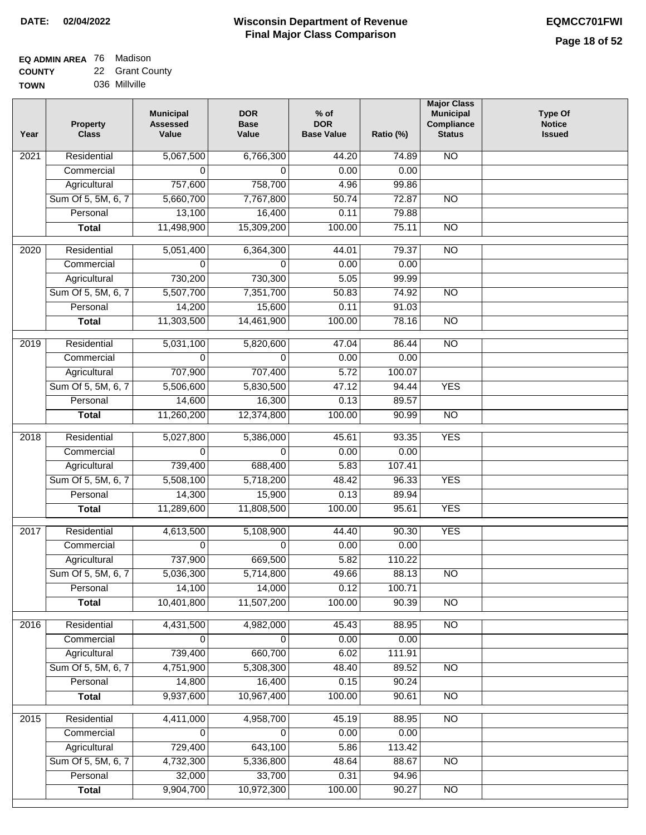**Major Class**

| <b>EQ ADMIN AREA</b> 76 Madison |                 |
|---------------------------------|-----------------|
| <b>COUNTY</b>                   | 22 Grant County |
| <b>TOWN</b>                     | 036 Millville   |

Sum Of 5, 5M, 6, 7 **Personal Total**

 4,732,300 32,000 9,904,700

 5,336,800 33,700 10,972,300

 48.64 0.31 100.00

 88.67 94.96 90.27

NO

NO

| Year              | Property<br><b>Class</b> | <b>Municipal</b><br><b>Assessed</b><br>Value | <b>DOR</b><br><b>Base</b><br>Value | $%$ of<br><b>DOR</b><br><b>Base Value</b> | Ratio (%) | <b>Municipal</b><br>Compliance<br><b>Status</b> | <b>Type Of</b><br><b>Notice</b><br><b>Issued</b> |
|-------------------|--------------------------|----------------------------------------------|------------------------------------|-------------------------------------------|-----------|-------------------------------------------------|--------------------------------------------------|
| 2021              | Residential              | 5,067,500                                    | 6,766,300                          | 44.20                                     | 74.89     | $\overline{NO}$                                 |                                                  |
|                   | Commercial               | 0                                            | 0                                  | 0.00                                      | 0.00      |                                                 |                                                  |
|                   | Agricultural             | 757,600                                      | 758,700                            | 4.96                                      | 99.86     |                                                 |                                                  |
|                   | Sum Of 5, 5M, 6, 7       | 5,660,700                                    | 7,767,800                          | 50.74                                     | 72.87     | <b>NO</b>                                       |                                                  |
|                   | Personal                 | 13,100                                       | 16,400                             | 0.11                                      | 79.88     |                                                 |                                                  |
|                   | <b>Total</b>             | 11,498,900                                   | 15,309,200                         | 100.00                                    | 75.11     | N <sub>O</sub>                                  |                                                  |
| $\overline{2020}$ | Residential              | 5,051,400                                    | 6,364,300                          | 44.01                                     | 79.37     | $\overline{NO}$                                 |                                                  |
|                   | Commercial               | 0                                            | 0                                  | 0.00                                      | 0.00      |                                                 |                                                  |
|                   | Agricultural             | 730,200                                      | 730,300                            | 5.05                                      | 99.99     |                                                 |                                                  |
|                   | Sum Of 5, 5M, 6, 7       | 5,507,700                                    | 7,351,700                          | 50.83                                     | 74.92     | $\overline{NO}$                                 |                                                  |
|                   | Personal                 | 14,200                                       | 15,600                             | 0.11                                      | 91.03     |                                                 |                                                  |
|                   | <b>Total</b>             | 11,303,500                                   | 14,461,900                         | 100.00                                    | 78.16     | $\overline{NO}$                                 |                                                  |
| $\frac{1}{2019}$  | Residential              | 5,031,100                                    | 5,820,600                          | 47.04                                     | 86.44     | $\overline{NO}$                                 |                                                  |
|                   | Commercial               | $\mathbf 0$                                  | $\Omega$                           | 0.00                                      | 0.00      |                                                 |                                                  |
|                   | Agricultural             | 707,900                                      | 707,400                            | 5.72                                      | 100.07    |                                                 |                                                  |
|                   | Sum Of 5, 5M, 6, 7       | 5,506,600                                    | 5,830,500                          | 47.12                                     | 94.44     | <b>YES</b>                                      |                                                  |
|                   | Personal                 | 14,600                                       | 16,300                             | 0.13                                      | 89.57     |                                                 |                                                  |
|                   | <b>Total</b>             | 11,260,200                                   | 12,374,800                         | 100.00                                    | 90.99     | $\overline{NO}$                                 |                                                  |
| $\overline{2018}$ | Residential              | 5,027,800                                    | 5,386,000                          | 45.61                                     | 93.35     | <b>YES</b>                                      |                                                  |
|                   | Commercial               | 0                                            | 0                                  | 0.00                                      | 0.00      |                                                 |                                                  |
|                   | Agricultural             | 739,400                                      | 688,400                            | 5.83                                      | 107.41    |                                                 |                                                  |
|                   | Sum Of 5, 5M, 6, 7       | 5,508,100                                    | 5,718,200                          | 48.42                                     | 96.33     | <b>YES</b>                                      |                                                  |
|                   | Personal                 | 14,300                                       | 15,900                             | 0.13                                      | 89.94     |                                                 |                                                  |
|                   | <b>Total</b>             | 11,289,600                                   | 11,808,500                         | 100.00                                    | 95.61     | <b>YES</b>                                      |                                                  |
| 2017              | Residential              | 4,613,500                                    | 5,108,900                          | 44.40                                     | 90.30     | <b>YES</b>                                      |                                                  |
|                   | Commercial               | 0                                            | 0                                  | 0.00                                      | 0.00      |                                                 |                                                  |
|                   | Agricultural             | 737,900                                      | 669,500                            | 5.82                                      | 110.22    |                                                 |                                                  |
|                   | Sum Of 5, 5M, 6, 7       | 5,036,300                                    | 5,714,800                          | 49.66                                     | 88.13     | $\overline{NO}$                                 |                                                  |
|                   | Personal                 | 14,100                                       | 14,000                             | 0.12                                      | 100.71    |                                                 |                                                  |
|                   | <b>Total</b>             | 10,401,800                                   | 11,507,200                         | 100.00                                    | 90.39     | $\overline{NO}$                                 |                                                  |
| 2016              | Residential              | 4,431,500                                    | 4,982,000                          | 45.43                                     | 88.95     | $\overline{NO}$                                 |                                                  |
|                   | Commercial               | $\mathbf 0$                                  | $\mathbf 0$                        | 0.00                                      | 0.00      |                                                 |                                                  |
|                   | Agricultural             | 739,400                                      | 660,700                            | 6.02                                      | 111.91    |                                                 |                                                  |
|                   | Sum Of 5, 5M, 6, 7       | 4,751,900                                    | 5,308,300                          | 48.40                                     | 89.52     | $\overline{NO}$                                 |                                                  |
|                   | Personal                 | 14,800                                       | 16,400                             | 0.15                                      | 90.24     |                                                 |                                                  |
|                   | <b>Total</b>             | 9,937,600                                    | 10,967,400                         | 100.00                                    | 90.61     | $\overline{NO}$                                 |                                                  |
| 2015              | Residential              | 4,411,000                                    | 4,958,700                          | 45.19                                     | 88.95     | <b>NO</b>                                       |                                                  |
|                   | Commercial               | $\overline{0}$                               | 0                                  | 0.00                                      | 0.00      |                                                 |                                                  |
|                   | Agricultural             | 729,400                                      | 643,100                            | 5.86                                      | 113.42    |                                                 |                                                  |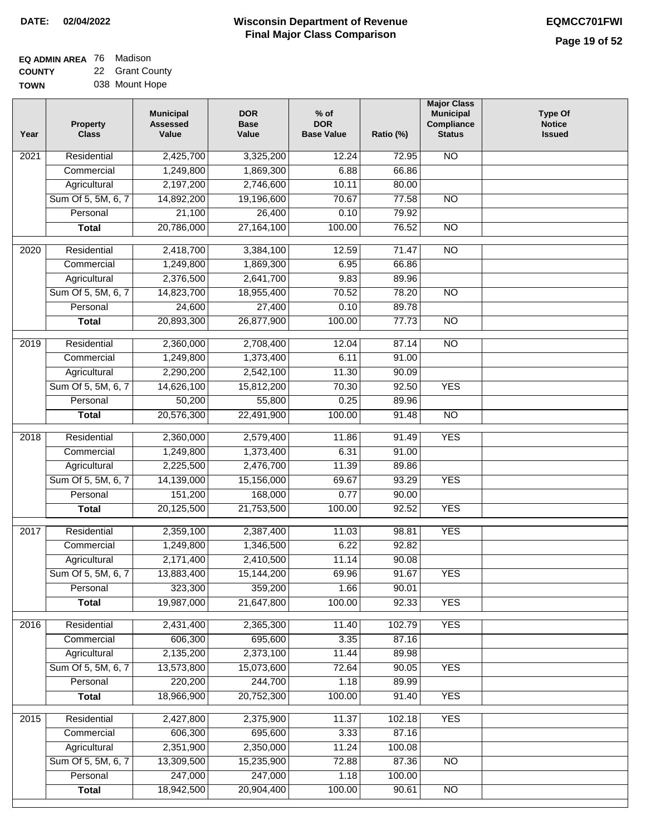| <b>EQ ADMIN AREA 76 Madison</b> |                 |
|---------------------------------|-----------------|
| <b>COUNTY</b>                   | 22 Grant County |
|                                 |                 |

**TOWN** 038 Mount Hope

| Year              | <b>Property</b><br><b>Class</b> | <b>Municipal</b><br><b>Assessed</b><br>Value | <b>DOR</b><br><b>Base</b><br>Value | $%$ of<br><b>DOR</b><br><b>Base Value</b> | Ratio (%)      | <b>Major Class</b><br><b>Municipal</b><br>Compliance<br><b>Status</b> | <b>Type Of</b><br><b>Notice</b><br><b>Issued</b> |
|-------------------|---------------------------------|----------------------------------------------|------------------------------------|-------------------------------------------|----------------|-----------------------------------------------------------------------|--------------------------------------------------|
| $\overline{202}1$ | Residential                     | 2,425,700                                    | 3,325,200                          | 12.24                                     | 72.95          | <b>NO</b>                                                             |                                                  |
|                   | Commercial                      | 1,249,800                                    | 1,869,300                          | 6.88                                      | 66.86          |                                                                       |                                                  |
|                   | Agricultural                    | 2,197,200                                    | 2,746,600                          | 10.11                                     | 80.00          |                                                                       |                                                  |
|                   | Sum Of 5, 5M, 6, 7              | 14,892,200                                   | 19,196,600                         | 70.67                                     | 77.58          | $\overline{NO}$                                                       |                                                  |
|                   | Personal                        | 21,100                                       | 26,400                             | 0.10                                      | 79.92          |                                                                       |                                                  |
|                   | <b>Total</b>                    | 20,786,000                                   | 27, 164, 100                       | 100.00                                    | 76.52          | $\overline{NO}$                                                       |                                                  |
| $\overline{2020}$ | Residential                     | 2,418,700                                    | 3,384,100                          | 12.59                                     | 71.47          | $\overline{10}$                                                       |                                                  |
|                   | Commercial                      | 1,249,800                                    | 1,869,300                          | 6.95                                      | 66.86          |                                                                       |                                                  |
|                   | Agricultural                    | 2,376,500                                    | 2,641,700                          | 9.83                                      | 89.96          |                                                                       |                                                  |
|                   | Sum Of 5, 5M, 6, 7              | 14,823,700                                   | 18,955,400                         | 70.52                                     | 78.20          | $\overline{NO}$                                                       |                                                  |
|                   | Personal                        | 24,600                                       | 27,400                             | 0.10                                      | 89.78          |                                                                       |                                                  |
|                   | <b>Total</b>                    | 20,893,300                                   | 26,877,900                         | 100.00                                    | 77.73          | $\overline{NO}$                                                       |                                                  |
|                   |                                 |                                              |                                    |                                           |                |                                                                       |                                                  |
| 2019              | Residential                     | 2,360,000                                    | 2,708,400                          | 12.04                                     | 87.14          | $\overline{NO}$                                                       |                                                  |
|                   | Commercial                      | 1,249,800                                    | 1,373,400                          | 6.11<br>11.30                             | 91.00          |                                                                       |                                                  |
|                   | Agricultural                    | 2,290,200<br>14,626,100                      | 2,542,100                          | 70.30                                     | 90.09<br>92.50 | <b>YES</b>                                                            |                                                  |
|                   | Sum Of 5, 5M, 6, 7<br>Personal  | 50,200                                       | 15,812,200<br>55,800               | 0.25                                      | 89.96          |                                                                       |                                                  |
|                   | <b>Total</b>                    | 20,576,300                                   | 22,491,900                         | 100.00                                    | 91.48          | $\overline{NO}$                                                       |                                                  |
|                   |                                 |                                              |                                    |                                           |                |                                                                       |                                                  |
| 2018              | Residential                     | 2,360,000                                    | 2,579,400                          | 11.86                                     | 91.49          | <b>YES</b>                                                            |                                                  |
|                   | Commercial                      | 1,249,800                                    | 1,373,400                          | 6.31                                      | 91.00          |                                                                       |                                                  |
|                   | Agricultural                    | 2,225,500                                    | 2,476,700                          | 11.39                                     | 89.86          |                                                                       |                                                  |
|                   | Sum Of 5, 5M, 6, 7              | 14,139,000                                   | 15,156,000                         | 69.67                                     | 93.29          | <b>YES</b>                                                            |                                                  |
|                   | Personal                        | 151,200                                      | 168,000                            | 0.77                                      | 90.00          |                                                                       |                                                  |
|                   | <b>Total</b>                    | 20,125,500                                   | 21,753,500                         | 100.00                                    | 92.52          | <b>YES</b>                                                            |                                                  |
| 2017              | Residential                     | 2,359,100                                    | 2,387,400                          | 11.03                                     | 98.81          | <b>YES</b>                                                            |                                                  |
|                   | Commercial                      | 1,249,800                                    | 1,346,500                          | 6.22                                      | 92.82          |                                                                       |                                                  |
|                   | Agricultural                    | 2,171,400                                    | 2,410,500                          | 11.14                                     | 90.08          |                                                                       |                                                  |
|                   | Sum Of 5, 5M, 6, 7              | 13,883,400                                   | 15,144,200                         | 69.96                                     | 91.67          | <b>YES</b>                                                            |                                                  |
|                   | Personal                        | 323,300                                      | 359,200                            | 1.66                                      | 90.01          |                                                                       |                                                  |
|                   | <b>Total</b>                    | 19,987,000                                   | 21,647,800                         | 100.00                                    | 92.33          | <b>YES</b>                                                            |                                                  |
| 2016              | Residential                     | 2,431,400                                    | 2,365,300                          | 11.40                                     | 102.79         | <b>YES</b>                                                            |                                                  |
|                   | Commercial                      | 606,300                                      | 695,600                            | 3.35                                      | 87.16          |                                                                       |                                                  |
|                   | Agricultural                    | 2,135,200                                    | 2,373,100                          | 11.44                                     | 89.98          |                                                                       |                                                  |
|                   | Sum Of 5, 5M, 6, 7              | 13,573,800                                   | 15,073,600                         | 72.64                                     | 90.05          | <b>YES</b>                                                            |                                                  |
|                   | Personal                        | 220,200                                      | 244,700                            | 1.18                                      | 89.99          |                                                                       |                                                  |
|                   | <b>Total</b>                    | 18,966,900                                   | 20,752,300                         | 100.00                                    | 91.40          | <b>YES</b>                                                            |                                                  |
|                   |                                 |                                              |                                    |                                           |                |                                                                       |                                                  |
| 2015              | Residential                     | 2,427,800                                    | 2,375,900                          | 11.37                                     | 102.18         | <b>YES</b>                                                            |                                                  |
|                   | Commercial                      | 606,300                                      | 695,600                            | 3.33                                      | 87.16          |                                                                       |                                                  |
|                   | Agricultural                    | 2,351,900                                    | 2,350,000                          | 11.24                                     | 100.08         |                                                                       |                                                  |
|                   | Sum Of 5, 5M, 6, 7              | 13,309,500                                   | 15,235,900                         | 72.88                                     | 87.36          | <b>NO</b>                                                             |                                                  |
|                   | Personal                        | 247,000                                      | 247,000                            | 1.18                                      | 100.00         |                                                                       |                                                  |
|                   | <b>Total</b>                    | 18,942,500                                   | 20,904,400                         | 100.00                                    | 90.61          | NO                                                                    |                                                  |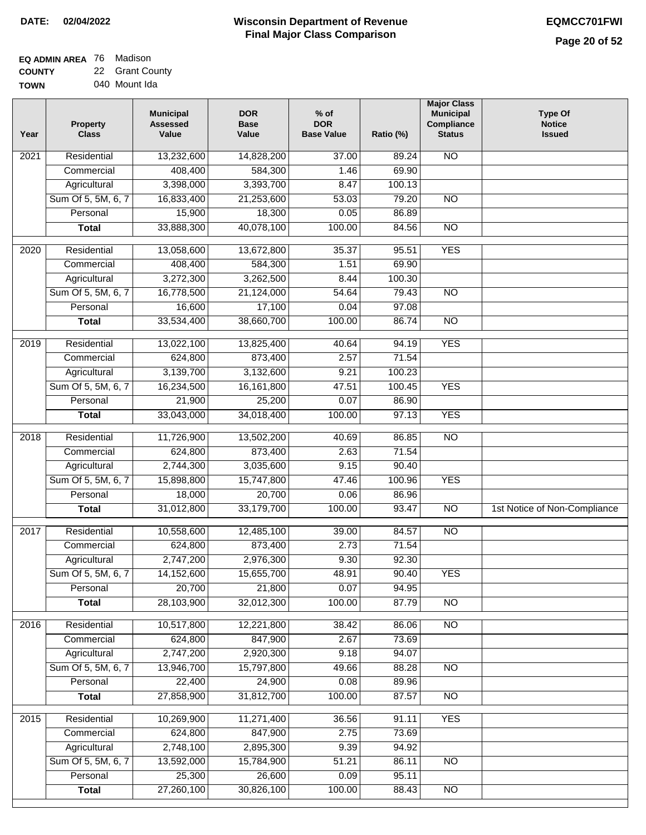| EQ ADMIN AREA 76 Madison |                 |
|--------------------------|-----------------|
| <b>COUNTY</b>            | 22 Grant County |

**TOWN** 040 Mount Ida

| Year              | <b>Property</b><br><b>Class</b> | <b>Municipal</b><br><b>Assessed</b><br>Value | <b>DOR</b><br><b>Base</b><br>Value | $%$ of<br><b>DOR</b><br><b>Base Value</b> | Ratio (%) | <b>Major Class</b><br><b>Municipal</b><br>Compliance<br><b>Status</b> | <b>Type Of</b><br><b>Notice</b><br><b>Issued</b> |
|-------------------|---------------------------------|----------------------------------------------|------------------------------------|-------------------------------------------|-----------|-----------------------------------------------------------------------|--------------------------------------------------|
| 2021              | Residential                     | 13,232,600                                   | 14,828,200                         | 37.00                                     | 89.24     | N <sub>O</sub>                                                        |                                                  |
|                   | Commercial                      | 408,400                                      | 584,300                            | 1.46                                      | 69.90     |                                                                       |                                                  |
|                   | Agricultural                    | 3,398,000                                    | 3,393,700                          | 8.47                                      | 100.13    |                                                                       |                                                  |
|                   | Sum Of 5, 5M, 6, 7              | 16,833,400                                   | 21,253,600                         | 53.03                                     | 79.20     | $\overline{NO}$                                                       |                                                  |
|                   | Personal                        | 15,900                                       | 18,300                             | 0.05                                      | 86.89     |                                                                       |                                                  |
|                   | <b>Total</b>                    | 33,888,300                                   | 40,078,100                         | 100.00                                    | 84.56     | $\overline{NO}$                                                       |                                                  |
| 2020              | Residential                     | 13,058,600                                   | 13,672,800                         | 35.37                                     | 95.51     | <b>YES</b>                                                            |                                                  |
|                   | Commercial                      | 408,400                                      | 584,300                            | 1.51                                      | 69.90     |                                                                       |                                                  |
|                   | Agricultural                    | 3,272,300                                    | 3,262,500                          | 8.44                                      | 100.30    |                                                                       |                                                  |
|                   | Sum Of 5, 5M, 6, 7              | 16,778,500                                   | 21,124,000                         | 54.64                                     | 79.43     | $\overline{NO}$                                                       |                                                  |
|                   | Personal                        | 16,600                                       | 17,100                             | 0.04                                      | 97.08     |                                                                       |                                                  |
|                   | <b>Total</b>                    | 33,534,400                                   | 38,660,700                         | 100.00                                    | 86.74     | $\overline{NO}$                                                       |                                                  |
|                   |                                 |                                              |                                    |                                           |           |                                                                       |                                                  |
| 2019              | Residential                     | 13,022,100                                   | 13,825,400                         | 40.64                                     | 94.19     | <b>YES</b>                                                            |                                                  |
|                   | Commercial                      | 624,800                                      | 873,400                            | 2.57                                      | 71.54     |                                                                       |                                                  |
|                   | Agricultural                    | 3,139,700                                    | 3,132,600                          | 9.21                                      | 100.23    |                                                                       |                                                  |
|                   | Sum Of 5, 5M, 6, 7              | 16,234,500                                   | 16, 161, 800                       | 47.51                                     | 100.45    | <b>YES</b>                                                            |                                                  |
|                   | Personal                        | 21,900                                       | 25,200                             | 0.07                                      | 86.90     |                                                                       |                                                  |
|                   | <b>Total</b>                    | 33,043,000                                   | 34,018,400                         | 100.00                                    | 97.13     | <b>YES</b>                                                            |                                                  |
| $\overline{2018}$ | Residential                     | 11,726,900                                   | 13,502,200                         | 40.69                                     | 86.85     | $\overline{NO}$                                                       |                                                  |
|                   | Commercial                      | 624,800                                      | 873,400                            | 2.63                                      | 71.54     |                                                                       |                                                  |
|                   | Agricultural                    | 2,744,300                                    | 3,035,600                          | 9.15                                      | 90.40     |                                                                       |                                                  |
|                   | Sum Of 5, 5M, 6, 7              | 15,898,800                                   | 15,747,800                         | 47.46                                     | 100.96    | <b>YES</b>                                                            |                                                  |
|                   | Personal                        | 18,000                                       | 20,700                             | 0.06                                      | 86.96     |                                                                       |                                                  |
|                   | <b>Total</b>                    | 31,012,800                                   | 33,179,700                         | 100.00                                    | 93.47     | <b>NO</b>                                                             | 1st Notice of Non-Compliance                     |
| 2017              | Residential                     | 10,558,600                                   | 12,485,100                         | 39.00                                     | 84.57     | N <sub>O</sub>                                                        |                                                  |
|                   | Commercial                      | 624,800                                      | 873,400                            | 2.73                                      | 71.54     |                                                                       |                                                  |
|                   | Agricultural                    | 2,747,200                                    | 2,976,300                          | 9.30                                      | 92.30     |                                                                       |                                                  |
|                   | Sum Of 5, 5M, 6, 7              | 14,152,600                                   | 15,655,700                         | 48.91                                     | 90.40     | <b>YES</b>                                                            |                                                  |
|                   | Personal                        | 20,700                                       | 21,800                             | 0.07                                      | 94.95     |                                                                       |                                                  |
|                   | <b>Total</b>                    | 28,103,900                                   | 32,012,300                         | 100.00                                    | 87.79     | $\overline{30}$                                                       |                                                  |
| 2016              | Residential                     | 10,517,800                                   | 12,221,800                         | 38.42                                     | 86.06     | N <sub>O</sub>                                                        |                                                  |
|                   | Commercial                      | 624,800                                      | 847,900                            | 2.67                                      | 73.69     |                                                                       |                                                  |
|                   | Agricultural                    | 2,747,200                                    | 2,920,300                          | 9.18                                      | 94.07     |                                                                       |                                                  |
|                   | Sum Of 5, 5M, 6, 7              | 13,946,700                                   | 15,797,800                         | 49.66                                     | 88.28     | $\overline{NO}$                                                       |                                                  |
|                   | Personal                        | 22,400                                       | 24,900                             | 0.08                                      | 89.96     |                                                                       |                                                  |
|                   | <b>Total</b>                    | 27,858,900                                   | 31,812,700                         | 100.00                                    | 87.57     | $\overline{NO}$                                                       |                                                  |
|                   |                                 |                                              |                                    |                                           |           |                                                                       |                                                  |
| $\frac{2015}{ }$  | Residential                     | 10,269,900                                   | 11,271,400                         | 36.56                                     | 91.11     | <b>YES</b>                                                            |                                                  |
|                   | Commercial                      | 624,800                                      | 847,900                            | 2.75                                      | 73.69     |                                                                       |                                                  |
|                   | Agricultural                    | 2,748,100                                    | 2,895,300                          | 9.39                                      | 94.92     |                                                                       |                                                  |
|                   | Sum Of 5, 5M, 6, 7              | 13,592,000                                   | 15,784,900                         | 51.21                                     | 86.11     | N <sub>O</sub>                                                        |                                                  |
|                   | Personal                        | 25,300                                       | 26,600                             | 0.09                                      | 95.11     |                                                                       |                                                  |
|                   | <b>Total</b>                    | 27,260,100                                   | 30,826,100                         | 100.00                                    | 88.43     | N <sub>O</sub>                                                        |                                                  |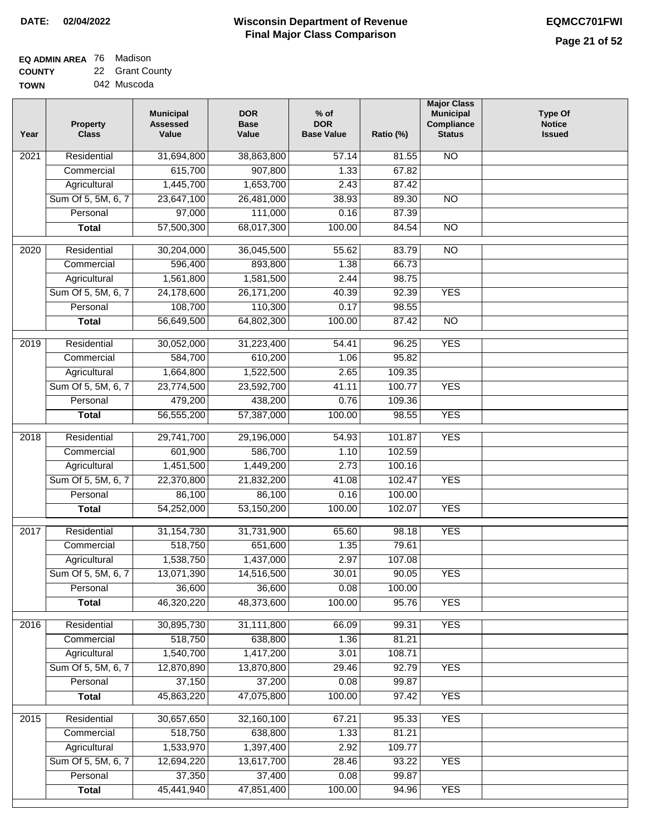| EQ ADMIN AREA 76 Madison |                 |
|--------------------------|-----------------|
| <b>COUNTY</b>            | 22 Grant County |

**TOWN** 042 Muscoda

| Year              | <b>Property</b><br><b>Class</b> | <b>Municipal</b><br><b>Assessed</b><br>Value | <b>DOR</b><br><b>Base</b><br>Value | $%$ of<br><b>DOR</b><br><b>Base Value</b> | Ratio (%) | <b>Major Class</b><br><b>Municipal</b><br>Compliance<br><b>Status</b> | <b>Type Of</b><br><b>Notice</b><br><b>Issued</b> |
|-------------------|---------------------------------|----------------------------------------------|------------------------------------|-------------------------------------------|-----------|-----------------------------------------------------------------------|--------------------------------------------------|
| 2021              | Residential                     | 31,694,800                                   | 38,863,800                         | 57.14                                     | 81.55     | <b>NO</b>                                                             |                                                  |
|                   | Commercial                      | 615,700                                      | 907,800                            | 1.33                                      | 67.82     |                                                                       |                                                  |
|                   | Agricultural                    | 1,445,700                                    | 1,653,700                          | 2.43                                      | 87.42     |                                                                       |                                                  |
|                   | Sum Of 5, 5M, 6, 7              | 23,647,100                                   | 26,481,000                         | 38.93                                     | 89.30     | $\overline{NO}$                                                       |                                                  |
|                   | Personal                        | 97,000                                       | 111,000                            | 0.16                                      | 87.39     |                                                                       |                                                  |
|                   | <b>Total</b>                    | 57,500,300                                   | 68,017,300                         | 100.00                                    | 84.54     | $\overline{NO}$                                                       |                                                  |
| $\overline{2020}$ | Residential                     | 30,204,000                                   | 36,045,500                         | 55.62                                     | 83.79     | $\overline{10}$                                                       |                                                  |
|                   | Commercial                      | 596,400                                      | 893,800                            | 1.38                                      | 66.73     |                                                                       |                                                  |
|                   | Agricultural                    | 1,561,800                                    | 1,581,500                          | 2.44                                      | 98.75     |                                                                       |                                                  |
|                   | Sum Of 5, 5M, 6, 7              | 24,178,600                                   | 26, 171, 200                       | 40.39                                     | 92.39     | <b>YES</b>                                                            |                                                  |
|                   | Personal                        | 108,700                                      | 110,300                            | 0.17                                      | 98.55     |                                                                       |                                                  |
|                   | <b>Total</b>                    | 56,649,500                                   | 64,802,300                         | 100.00                                    | 87.42     | <b>NO</b>                                                             |                                                  |
|                   |                                 |                                              |                                    |                                           |           |                                                                       |                                                  |
| $\frac{2019}{ }$  | Residential                     | 30,052,000                                   | 31,223,400                         | 54.41                                     | 96.25     | <b>YES</b>                                                            |                                                  |
|                   | Commercial                      | 584,700                                      | 610,200                            | 1.06                                      | 95.82     |                                                                       |                                                  |
|                   | Agricultural                    | 1,664,800                                    | 1,522,500                          | 2.65                                      | 109.35    |                                                                       |                                                  |
|                   | Sum Of 5, 5M, 6, 7              | 23,774,500                                   | 23,592,700                         | 41.11                                     | 100.77    | <b>YES</b>                                                            |                                                  |
|                   | Personal                        | 479,200                                      | 438,200                            | 0.76                                      | 109.36    |                                                                       |                                                  |
|                   | <b>Total</b>                    | 56,555,200                                   | 57,387,000                         | 100.00                                    | 98.55     | <b>YES</b>                                                            |                                                  |
| $\overline{2018}$ | Residential                     | 29,741,700                                   | 29,196,000                         | 54.93                                     | 101.87    | <b>YES</b>                                                            |                                                  |
|                   | Commercial                      | 601,900                                      | 586,700                            | 1.10                                      | 102.59    |                                                                       |                                                  |
|                   | Agricultural                    | 1,451,500                                    | 1,449,200                          | 2.73                                      | 100.16    |                                                                       |                                                  |
|                   | Sum Of 5, 5M, 6, 7              | 22,370,800                                   | 21,832,200                         | 41.08                                     | 102.47    | <b>YES</b>                                                            |                                                  |
|                   | Personal                        | 86,100                                       | 86,100                             | 0.16                                      | 100.00    |                                                                       |                                                  |
|                   | <b>Total</b>                    | 54,252,000                                   | 53,150,200                         | 100.00                                    | 102.07    | <b>YES</b>                                                            |                                                  |
| 2017              | Residential                     | 31, 154, 730                                 | 31,731,900                         | 65.60                                     | 98.18     | <b>YES</b>                                                            |                                                  |
|                   | Commercial                      | 518,750                                      | 651,600                            | 1.35                                      | 79.61     |                                                                       |                                                  |
|                   | Agricultural                    | 1,538,750                                    | 1,437,000                          | 2.97                                      | 107.08    |                                                                       |                                                  |
|                   | Sum Of 5, 5M, 6, 7              | 13,071,390                                   | 14,516,500                         | 30.01                                     | 90.05     | <b>YES</b>                                                            |                                                  |
|                   | Personal                        | 36,600                                       | 36,600                             | 0.08                                      | 100.00    |                                                                       |                                                  |
|                   | <b>Total</b>                    | 46,320,220                                   | 48,373,600                         | 100.00                                    | 95.76     | <b>YES</b>                                                            |                                                  |
| 2016              | Residential                     | 30,895,730                                   | 31,111,800                         | 66.09                                     | 99.31     | <b>YES</b>                                                            |                                                  |
|                   | Commercial                      | 518,750                                      | 638,800                            | 1.36                                      | 81.21     |                                                                       |                                                  |
|                   | Agricultural                    | 1,540,700                                    | 1,417,200                          | 3.01                                      | 108.71    |                                                                       |                                                  |
|                   | Sum Of 5, 5M, 6, 7              | 12,870,890                                   | 13,870,800                         | 29.46                                     | 92.79     | <b>YES</b>                                                            |                                                  |
|                   | Personal                        | 37,150                                       | 37,200                             | 0.08                                      | 99.87     |                                                                       |                                                  |
|                   | <b>Total</b>                    | 45,863,220                                   | 47,075,800                         | 100.00                                    | 97.42     | <b>YES</b>                                                            |                                                  |
| 2015              | Residential                     | 30,657,650                                   | 32,160,100                         | 67.21                                     | 95.33     | <b>YES</b>                                                            |                                                  |
|                   | Commercial                      | 518,750                                      | 638,800                            | 1.33                                      | 81.21     |                                                                       |                                                  |
|                   | Agricultural                    | 1,533,970                                    | 1,397,400                          | 2.92                                      | 109.77    |                                                                       |                                                  |
|                   | Sum Of 5, 5M, 6, 7              | 12,694,220                                   | 13,617,700                         | 28.46                                     | 93.22     | <b>YES</b>                                                            |                                                  |
|                   | Personal                        | 37,350                                       | 37,400                             | 0.08                                      | 99.87     |                                                                       |                                                  |
|                   | <b>Total</b>                    | 45,441,940                                   | 47,851,400                         | 100.00                                    | 94.96     | <b>YES</b>                                                            |                                                  |
|                   |                                 |                                              |                                    |                                           |           |                                                                       |                                                  |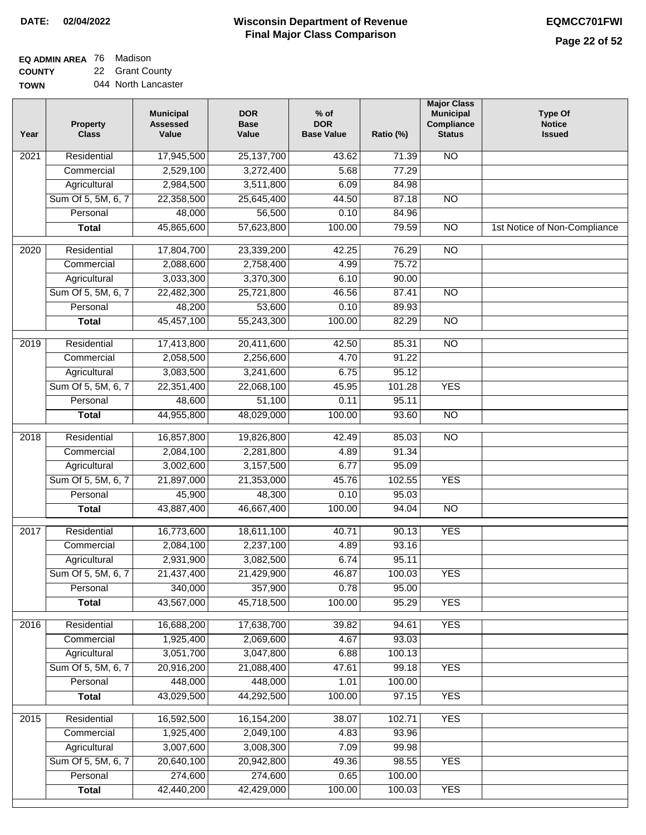#### **EQ ADMIN AREA** 76 Madison **COUNTY** 22 Grant County

**TOWN** 044 North Lancaster

| Year              | <b>Property</b><br><b>Class</b> | <b>Municipal</b><br><b>Assessed</b><br>Value | <b>DOR</b><br><b>Base</b><br>Value | $%$ of<br><b>DOR</b><br><b>Base Value</b> | Ratio (%) | <b>Major Class</b><br><b>Municipal</b><br>Compliance<br><b>Status</b> | <b>Type Of</b><br><b>Notice</b><br><b>Issued</b> |
|-------------------|---------------------------------|----------------------------------------------|------------------------------------|-------------------------------------------|-----------|-----------------------------------------------------------------------|--------------------------------------------------|
| 2021              | Residential                     | 17,945,500                                   | 25,137,700                         | 43.62                                     | 71.39     | N <sub>O</sub>                                                        |                                                  |
|                   | Commercial                      | 2,529,100                                    | 3,272,400                          | 5.68                                      | 77.29     |                                                                       |                                                  |
|                   | Agricultural                    | 2,984,500                                    | 3,511,800                          | 6.09                                      | 84.98     |                                                                       |                                                  |
|                   | Sum Of 5, 5M, 6, 7              | 22,358,500                                   | 25,645,400                         | 44.50                                     | 87.18     | $\overline{NO}$                                                       |                                                  |
|                   | Personal                        | 48,000                                       | 56,500                             | 0.10                                      | 84.96     |                                                                       |                                                  |
|                   | <b>Total</b>                    | 45,865,600                                   | 57,623,800                         | 100.00                                    | 79.59     | $\overline{NO}$                                                       | 1st Notice of Non-Compliance                     |
| $\overline{2020}$ | Residential                     | 17,804,700                                   | 23,339,200                         | 42.25                                     | 76.29     | $\overline{NO}$                                                       |                                                  |
|                   | Commercial                      | 2,088,600                                    | 2,758,400                          | 4.99                                      | 75.72     |                                                                       |                                                  |
|                   | Agricultural                    | 3,033,300                                    | 3,370,300                          | 6.10                                      | 90.00     |                                                                       |                                                  |
|                   | Sum Of 5, 5M, 6, 7              | 22,482,300                                   | 25,721,800                         | 46.56                                     | 87.41     | $\overline{NO}$                                                       |                                                  |
|                   | Personal                        | 48,200                                       | 53,600                             | 0.10                                      | 89.93     |                                                                       |                                                  |
|                   | <b>Total</b>                    | 45,457,100                                   | 55,243,300                         | 100.00                                    | 82.29     | $\overline{NO}$                                                       |                                                  |
| $\frac{1}{2019}$  | Residential                     | 17,413,800                                   | 20,411,600                         | 42.50                                     | 85.31     | $\overline{NO}$                                                       |                                                  |
|                   | Commercial                      | 2,058,500                                    | 2,256,600                          | 4.70                                      | 91.22     |                                                                       |                                                  |
|                   | Agricultural                    | 3,083,500                                    | 3,241,600                          | 6.75                                      | 95.12     |                                                                       |                                                  |
|                   | Sum Of 5, 5M, 6, 7              | 22,351,400                                   | 22,068,100                         | 45.95                                     | 101.28    | <b>YES</b>                                                            |                                                  |
|                   | Personal                        | 48,600                                       | 51,100                             | 0.11                                      | 95.11     |                                                                       |                                                  |
|                   | <b>Total</b>                    | 44,955,800                                   | 48,029,000                         | 100.00                                    | 93.60     | $\overline{N}$                                                        |                                                  |
| 2018              | Residential                     | 16,857,800                                   | 19,826,800                         | 42.49                                     | 85.03     | $\overline{NO}$                                                       |                                                  |
|                   | Commercial                      | 2,084,100                                    | 2,281,800                          | 4.89                                      | 91.34     |                                                                       |                                                  |
|                   | Agricultural                    | 3,002,600                                    | 3,157,500                          | 6.77                                      | 95.09     |                                                                       |                                                  |
|                   | Sum Of 5, 5M, 6, 7              | 21,897,000                                   | 21,353,000                         | 45.76                                     | 102.55    | <b>YES</b>                                                            |                                                  |
|                   | Personal                        | 45,900                                       | 48,300                             | 0.10                                      | 95.03     |                                                                       |                                                  |
|                   | <b>Total</b>                    | 43,887,400                                   | 46,667,400                         | 100.00                                    | 94.04     | <b>NO</b>                                                             |                                                  |
| 2017              | Residential                     | 16,773,600                                   | 18,611,100                         | 40.71                                     | 90.13     | <b>YES</b>                                                            |                                                  |
|                   | Commercial                      | 2,084,100                                    | 2,237,100                          | 4.89                                      | 93.16     |                                                                       |                                                  |
|                   | Agricultural                    | 2,931,900                                    | 3,082,500                          | 6.74                                      | 95.11     |                                                                       |                                                  |
|                   | Sum Of 5, 5M, 6, 7              | 21,437,400                                   | 21,429,900                         | 46.87                                     | 100.03    | YES                                                                   |                                                  |
|                   | Personal                        | 340,000                                      | 357,900                            | 0.78                                      | 95.00     |                                                                       |                                                  |
|                   | <b>Total</b>                    | 43,567,000                                   | 45,718,500                         | 100.00                                    | 95.29     | <b>YES</b>                                                            |                                                  |
|                   |                                 |                                              |                                    |                                           |           |                                                                       |                                                  |
| 2016              | Residential                     | 16,688,200                                   | 17,638,700                         | 39.82                                     | 94.61     | <b>YES</b>                                                            |                                                  |
|                   | Commercial                      | 1,925,400                                    | 2,069,600                          | 4.67                                      | 93.03     |                                                                       |                                                  |
|                   | Agricultural                    | 3,051,700                                    | 3,047,800                          | 6.88                                      | 100.13    |                                                                       |                                                  |
|                   | Sum Of 5, 5M, 6, 7              | 20,916,200                                   | 21,088,400                         | 47.61                                     | 99.18     | <b>YES</b>                                                            |                                                  |
|                   | Personal                        | 448,000                                      | 448,000                            | 1.01                                      | 100.00    |                                                                       |                                                  |
|                   | <b>Total</b>                    | 43,029,500                                   | 44,292,500                         | 100.00                                    | 97.15     | <b>YES</b>                                                            |                                                  |
| 2015              | Residential                     | 16,592,500                                   | 16, 154, 200                       | 38.07                                     | 102.71    | <b>YES</b>                                                            |                                                  |
|                   | Commercial                      | 1,925,400                                    | 2,049,100                          | 4.83                                      | 93.96     |                                                                       |                                                  |
|                   | Agricultural                    | 3,007,600                                    | 3,008,300                          | 7.09                                      | 99.98     |                                                                       |                                                  |
|                   | Sum Of 5, 5M, 6, 7              | 20,640,100                                   | 20,942,800                         | 49.36                                     | 98.55     | <b>YES</b>                                                            |                                                  |
|                   | Personal                        | 274,600                                      | 274,600                            | 0.65                                      | 100.00    |                                                                       |                                                  |
|                   | <b>Total</b>                    | 42,440,200                                   | 42,429,000                         | 100.00                                    | 100.03    | <b>YES</b>                                                            |                                                  |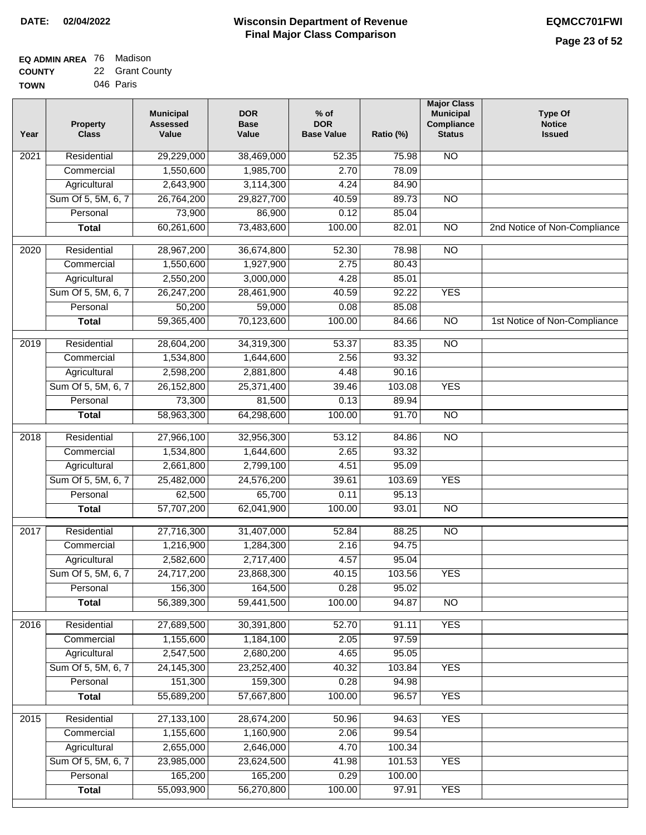| <b>EQ ADMIN AREA 76 Madison</b> |                 |
|---------------------------------|-----------------|
| <b>COUNTY</b>                   | 22 Grant County |

**TOWN** 046 Paris

| Year              | <b>Property</b><br><b>Class</b> | <b>Municipal</b><br><b>Assessed</b><br>Value | <b>DOR</b><br><b>Base</b><br>Value | $%$ of<br><b>DOR</b><br><b>Base Value</b> | Ratio (%) | <b>Major Class</b><br><b>Municipal</b><br>Compliance<br><b>Status</b> | <b>Type Of</b><br><b>Notice</b><br><b>Issued</b> |
|-------------------|---------------------------------|----------------------------------------------|------------------------------------|-------------------------------------------|-----------|-----------------------------------------------------------------------|--------------------------------------------------|
| $\overline{202}1$ | Residential                     | 29,229,000                                   | 38,469,000                         | 52.35                                     | 75.98     | N <sub>O</sub>                                                        |                                                  |
|                   | Commercial                      | 1,550,600                                    | 1,985,700                          | 2.70                                      | 78.09     |                                                                       |                                                  |
|                   | Agricultural                    | 2,643,900                                    | 3,114,300                          | 4.24                                      | 84.90     |                                                                       |                                                  |
|                   | Sum Of 5, 5M, 6, 7              | 26,764,200                                   | 29,827,700                         | 40.59                                     | 89.73     | $\overline{NO}$                                                       |                                                  |
|                   | Personal                        | 73,900                                       | 86,900                             | 0.12                                      | 85.04     |                                                                       |                                                  |
|                   | <b>Total</b>                    | 60,261,600                                   | 73,483,600                         | 100.00                                    | 82.01     | $\overline{NO}$                                                       | 2nd Notice of Non-Compliance                     |
| $\overline{2020}$ | Residential                     | 28,967,200                                   | 36,674,800                         | 52.30                                     | 78.98     | $\overline{NO}$                                                       |                                                  |
|                   | Commercial                      | 1,550,600                                    | 1,927,900                          | 2.75                                      | 80.43     |                                                                       |                                                  |
|                   | Agricultural                    | 2,550,200                                    | 3,000,000                          | 4.28                                      | 85.01     |                                                                       |                                                  |
|                   | Sum Of 5, 5M, 6, 7              | 26,247,200                                   | 28,461,900                         | 40.59                                     | 92.22     | <b>YES</b>                                                            |                                                  |
|                   | Personal                        | 50,200                                       | 59,000                             | 0.08                                      | 85.08     |                                                                       |                                                  |
|                   | <b>Total</b>                    | 59,365,400                                   | 70,123,600                         | 100.00                                    | 84.66     | $\overline{NO}$                                                       | 1st Notice of Non-Compliance                     |
| 2019              | Residential                     | 28,604,200                                   | 34,319,300                         | 53.37                                     | 83.35     | $\overline{NO}$                                                       |                                                  |
|                   | Commercial                      | 1,534,800                                    | 1,644,600                          | 2.56                                      | 93.32     |                                                                       |                                                  |
|                   | Agricultural                    | 2,598,200                                    | 2,881,800                          | 4.48                                      | 90.16     |                                                                       |                                                  |
|                   | Sum Of 5, 5M, 6, 7              | 26,152,800                                   | 25,371,400                         | 39.46                                     | 103.08    | <b>YES</b>                                                            |                                                  |
|                   | Personal                        | 73,300                                       | 81,500                             | 0.13                                      | 89.94     |                                                                       |                                                  |
|                   | <b>Total</b>                    | 58,963,300                                   | 64,298,600                         | 100.00                                    | 91.70     | $\overline{NO}$                                                       |                                                  |
| 2018              | Residential                     | 27,966,100                                   | 32,956,300                         | 53.12                                     | 84.86     | N <sub>O</sub>                                                        |                                                  |
|                   | Commercial                      | 1,534,800                                    | 1,644,600                          | 2.65                                      | 93.32     |                                                                       |                                                  |
|                   | Agricultural                    | 2,661,800                                    | 2,799,100                          | 4.51                                      | 95.09     |                                                                       |                                                  |
|                   | Sum Of 5, 5M, 6, 7              | 25,482,000                                   | 24,576,200                         | 39.61                                     | 103.69    | <b>YES</b>                                                            |                                                  |
|                   | Personal                        | 62,500                                       | 65,700                             | 0.11                                      | 95.13     |                                                                       |                                                  |
|                   | <b>Total</b>                    | 57,707,200                                   | 62,041,900                         | 100.00                                    | 93.01     | <b>NO</b>                                                             |                                                  |
|                   |                                 |                                              |                                    |                                           |           |                                                                       |                                                  |
| $\overline{2017}$ | Residential                     | 27,716,300                                   | 31,407,000                         | 52.84                                     | 88.25     | $\overline{NO}$                                                       |                                                  |
|                   | Commercial                      | 1,216,900                                    | 1,284,300                          | 2.16                                      | 94.75     |                                                                       |                                                  |
|                   | Agricultural                    | 2,582,600                                    | 2,717,400                          | 4.57                                      | 95.04     |                                                                       |                                                  |
|                   | Sum Of 5, 5M, 6, 7              | 24,717,200                                   | 23,868,300                         | 40.15                                     | 103.56    | <b>YES</b>                                                            |                                                  |
|                   | Personal                        | 156,300                                      | 164,500                            | 0.28                                      | 95.02     |                                                                       |                                                  |
|                   | <b>Total</b>                    | 56,389,300                                   | 59,441,500                         | 100.00                                    | 94.87     | <b>NO</b>                                                             |                                                  |
| 2016              | Residential                     | 27,689,500                                   | 30,391,800                         | 52.70                                     | 91.11     | <b>YES</b>                                                            |                                                  |
|                   | Commercial                      | 1,155,600                                    | 1,184,100                          | 2.05                                      | 97.59     |                                                                       |                                                  |
|                   | Agricultural                    | 2,547,500                                    | 2,680,200                          | 4.65                                      | 95.05     |                                                                       |                                                  |
|                   | Sum Of 5, 5M, 6, 7              | 24, 145, 300                                 | 23,252,400                         | 40.32                                     | 103.84    | <b>YES</b>                                                            |                                                  |
|                   | Personal                        | 151,300                                      | 159,300                            | 0.28                                      | 94.98     |                                                                       |                                                  |
|                   | <b>Total</b>                    | 55,689,200                                   | 57,667,800                         | 100.00                                    | 96.57     | <b>YES</b>                                                            |                                                  |
| 2015              | Residential                     | 27,133,100                                   | 28,674,200                         | 50.96                                     | 94.63     | <b>YES</b>                                                            |                                                  |
|                   | Commercial                      | 1,155,600                                    | 1,160,900                          | 2.06                                      | 99.54     |                                                                       |                                                  |
|                   | Agricultural                    | 2,655,000                                    | 2,646,000                          | 4.70                                      | 100.34    |                                                                       |                                                  |
|                   | Sum Of 5, 5M, 6, 7              | 23,985,000                                   | 23,624,500                         | 41.98                                     | 101.53    | <b>YES</b>                                                            |                                                  |
|                   | Personal                        | 165,200                                      | 165,200                            | 0.29                                      | 100.00    |                                                                       |                                                  |
|                   | <b>Total</b>                    | 55,093,900                                   | 56,270,800                         | 100.00                                    | 97.91     | <b>YES</b>                                                            |                                                  |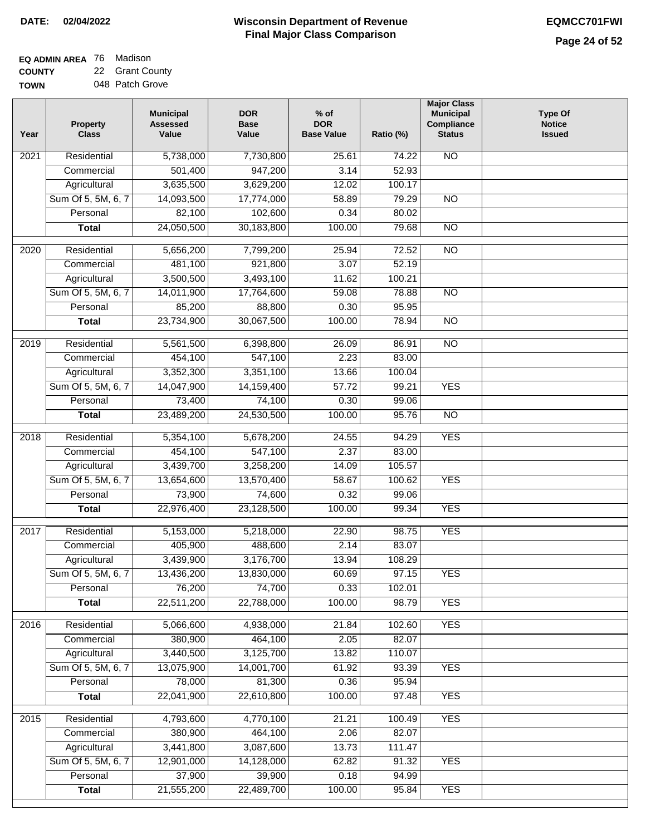$\Box$ 

#### **Wisconsin Department of Revenue Final Major Class Comparison DATE: 02/04/2022 EQMCC701FWI**

| EQ ADMIN AREA 76 | Madison         |
|------------------|-----------------|
| <b>COUNTY</b>    | 22 Grant County |
| <b>TOWN</b>      | 048 Patch Grove |

| Year | <b>Property</b><br><b>Class</b> | <b>Municipal</b><br><b>Assessed</b><br>Value | <b>DOR</b><br><b>Base</b><br>Value | $%$ of<br><b>DOR</b><br><b>Base Value</b> | Ratio (%) | <b>Municipal</b><br>Compliance<br><b>Status</b> | <b>Type Of</b><br><b>Notice</b><br><b>Issued</b> |
|------|---------------------------------|----------------------------------------------|------------------------------------|-------------------------------------------|-----------|-------------------------------------------------|--------------------------------------------------|
| 2021 | Residential                     | 5,738,000                                    | 7,730,800                          | 25.61                                     | 74.22     | $\overline{NO}$                                 |                                                  |
|      | Commercial                      | 501,400                                      | 947,200                            | 3.14                                      | 52.93     |                                                 |                                                  |
|      | Agricultural                    | 3,635,500                                    | 3,629,200                          | 12.02                                     | 100.17    |                                                 |                                                  |
|      | Sum Of 5, 5M, 6, 7              | 14,093,500                                   | 17,774,000                         | 58.89                                     | 79.29     | $\overline{NO}$                                 |                                                  |
|      | Personal                        | 82,100                                       | 102,600                            | 0.34                                      | 80.02     |                                                 |                                                  |
|      | <b>Total</b>                    | 24,050,500                                   | 30,183,800                         | 100.00                                    | 79.68     | $\overline{NO}$                                 |                                                  |
| 2020 | Residential                     | 5,656,200                                    | 7,799,200                          | 25.94                                     | 72.52     | $\overline{NO}$                                 |                                                  |
|      | Commercial                      | 481,100                                      | 921,800                            | 3.07                                      | 52.19     |                                                 |                                                  |
|      | Agricultural                    | 3,500,500                                    | 3,493,100                          | 11.62                                     | 100.21    |                                                 |                                                  |
|      | Sum Of 5, 5M, 6, 7              | 14,011,900                                   | 17,764,600                         | 59.08                                     | 78.88     | $\overline{NO}$                                 |                                                  |
|      | Personal                        | 85,200                                       | 88,800                             | 0.30                                      | 95.95     |                                                 |                                                  |
|      | <b>Total</b>                    | 23,734,900                                   | 30,067,500                         | 100.00                                    | 78.94     | $\overline{NO}$                                 |                                                  |
|      |                                 |                                              |                                    |                                           |           |                                                 |                                                  |
| 2019 | Residential                     | 5,561,500                                    | 6,398,800                          | 26.09                                     | 86.91     | <b>NO</b>                                       |                                                  |
|      | Commercial                      | 454,100                                      | 547,100                            | 2.23                                      | 83.00     |                                                 |                                                  |
|      | Agricultural                    | 3,352,300                                    | 3,351,100                          | 13.66                                     | 100.04    |                                                 |                                                  |
|      | Sum Of 5, 5M, 6, 7              | 14,047,900                                   | 14,159,400                         | 57.72                                     | 99.21     | <b>YES</b>                                      |                                                  |
|      | Personal                        | 73,400                                       | 74,100                             | 0.30                                      | 99.06     |                                                 |                                                  |
|      | <b>Total</b>                    | 23,489,200                                   | 24,530,500                         | 100.00                                    | 95.76     | <b>NO</b>                                       |                                                  |
| 2018 | Residential                     | 5,354,100                                    | 5,678,200                          | 24.55                                     | 94.29     | <b>YES</b>                                      |                                                  |
|      | Commercial                      | 454,100                                      | 547,100                            | 2.37                                      | 83.00     |                                                 |                                                  |
|      | Agricultural                    | 3,439,700                                    | 3,258,200                          | 14.09                                     | 105.57    |                                                 |                                                  |
|      | Sum Of 5, 5M, 6, 7              | 13,654,600                                   | 13,570,400                         | 58.67                                     | 100.62    | <b>YES</b>                                      |                                                  |
|      | Personal                        | 73,900                                       | 74,600                             | 0.32                                      | 99.06     |                                                 |                                                  |
|      | <b>Total</b>                    | 22,976,400                                   | 23,128,500                         | 100.00                                    | 99.34     | <b>YES</b>                                      |                                                  |
| 2017 | Residential                     | 5,153,000                                    | 5,218,000                          | 22.90                                     | 98.75     | <b>YES</b>                                      |                                                  |
|      | Commercial                      | 405,900                                      | 488,600                            | 2.14                                      | 83.07     |                                                 |                                                  |
|      | Agricultural                    | 3,439,900                                    | 3,176,700                          | 13.94                                     | 108.29    |                                                 |                                                  |
|      | Sum Of 5, 5M, 6, 7              | 13,436,200                                   | 13,830,000                         | 60.69                                     | 97.15     | <b>YES</b>                                      |                                                  |
|      | Personal                        | 76,200                                       | 74,700                             | 0.33                                      | 102.01    |                                                 |                                                  |
|      | <b>Total</b>                    | 22,511,200                                   | 22,788,000                         | 100.00                                    | 98.79     | <b>YES</b>                                      |                                                  |
| 2016 | Residential                     | 5,066,600                                    | 4,938,000                          | 21.84                                     | 102.60    | <b>YES</b>                                      |                                                  |
|      | Commercial                      | 380,900                                      | 464,100                            | 2.05                                      | 82.07     |                                                 |                                                  |
|      | Agricultural                    | 3,440,500                                    | 3,125,700                          | 13.82                                     | 110.07    |                                                 |                                                  |
|      | Sum Of 5, 5M, 6, 7              | 13,075,900                                   | 14,001,700                         | 61.92                                     | 93.39     | <b>YES</b>                                      |                                                  |
|      | Personal                        | 78,000                                       | 81,300                             | 0.36                                      | 95.94     |                                                 |                                                  |
|      | <b>Total</b>                    | 22,041,900                                   | 22,610,800                         | 100.00                                    | 97.48     | <b>YES</b>                                      |                                                  |
|      |                                 |                                              |                                    |                                           |           |                                                 |                                                  |
| 2015 | Residential                     | 4,793,600                                    | 4,770,100                          | 21.21                                     | 100.49    | <b>YES</b>                                      |                                                  |
|      | Commercial                      | 380,900                                      | 464,100                            | 2.06                                      | 82.07     |                                                 |                                                  |
|      | Agricultural                    | 3,441,800                                    | 3,087,600                          | 13.73                                     | 111.47    |                                                 |                                                  |
|      | Sum Of 5, 5M, 6, 7              | 12,901,000                                   | 14,128,000                         | 62.82                                     | 91.32     | <b>YES</b>                                      |                                                  |
|      | Personal                        | 37,900                                       | 39,900                             | 0.18                                      | 94.99     |                                                 |                                                  |
|      | <b>Total</b>                    | 21,555,200                                   | 22,489,700                         | 100.00                                    | 95.84     | <b>YES</b>                                      |                                                  |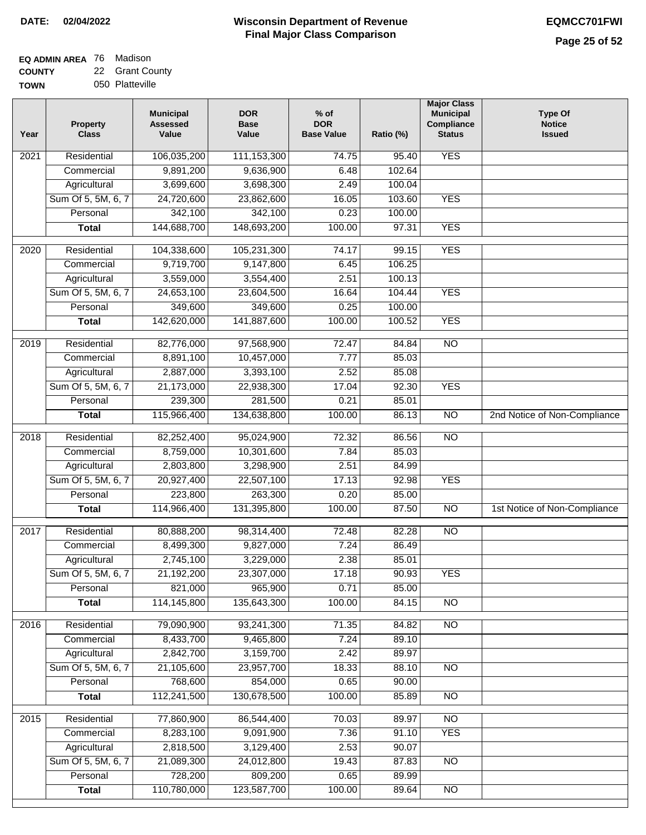| EQ ADMIN AREA 76 Madison |                 |
|--------------------------|-----------------|
| <b>COUNTY</b>            | 22 Grant County |

**TOWN** 050 Platteville

| Year              | <b>Property</b><br><b>Class</b> | <b>Municipal</b><br><b>Assessed</b><br>Value | <b>DOR</b><br><b>Base</b><br>Value | $%$ of<br><b>DOR</b><br><b>Base Value</b> | Ratio (%) | <b>Major Class</b><br><b>Municipal</b><br>Compliance<br><b>Status</b> | <b>Type Of</b><br><b>Notice</b><br><b>Issued</b> |
|-------------------|---------------------------------|----------------------------------------------|------------------------------------|-------------------------------------------|-----------|-----------------------------------------------------------------------|--------------------------------------------------|
| 2021              | Residential                     | 106,035,200                                  | 111, 153, 300                      | 74.75                                     | 95.40     | <b>YES</b>                                                            |                                                  |
|                   | Commercial                      | 9,891,200                                    | 9,636,900                          | 6.48                                      | 102.64    |                                                                       |                                                  |
|                   | Agricultural                    | 3,699,600                                    | 3,698,300                          | 2.49                                      | 100.04    |                                                                       |                                                  |
|                   | Sum Of 5, 5M, 6, 7              | 24,720,600                                   | 23,862,600                         | 16.05                                     | 103.60    | <b>YES</b>                                                            |                                                  |
|                   | Personal                        | 342,100                                      | 342,100                            | 0.23                                      | 100.00    |                                                                       |                                                  |
|                   | <b>Total</b>                    | 144,688,700                                  | 148,693,200                        | 100.00                                    | 97.31     | <b>YES</b>                                                            |                                                  |
| 2020              | Residential                     | 104,338,600                                  | 105,231,300                        | 74.17                                     | 99.15     | <b>YES</b>                                                            |                                                  |
|                   | Commercial                      | 9,719,700                                    | 9,147,800                          | 6.45                                      | 106.25    |                                                                       |                                                  |
|                   | Agricultural                    | 3,559,000                                    | 3,554,400                          | 2.51                                      | 100.13    |                                                                       |                                                  |
|                   | Sum Of 5, 5M, 6, 7              | 24,653,100                                   | 23,604,500                         | 16.64                                     | 104.44    | <b>YES</b>                                                            |                                                  |
|                   | Personal                        | 349,600                                      | 349,600                            | 0.25                                      | 100.00    |                                                                       |                                                  |
|                   | <b>Total</b>                    | 142,620,000                                  | 141,887,600                        | 100.00                                    | 100.52    | <b>YES</b>                                                            |                                                  |
|                   |                                 |                                              |                                    |                                           |           |                                                                       |                                                  |
| 2019              | Residential                     | 82,776,000                                   | 97,568,900                         | 72.47                                     | 84.84     | $\overline{10}$                                                       |                                                  |
|                   | Commercial                      | 8,891,100                                    | 10,457,000                         | 7.77                                      | 85.03     |                                                                       |                                                  |
|                   | Agricultural                    | 2,887,000                                    | 3,393,100                          | 2.52                                      | 85.08     |                                                                       |                                                  |
|                   | Sum Of 5, 5M, 6, 7              | 21,173,000                                   | 22,938,300                         | 17.04                                     | 92.30     | <b>YES</b>                                                            |                                                  |
|                   | Personal                        | 239,300                                      | 281,500                            | 0.21                                      | 85.01     |                                                                       |                                                  |
|                   | <b>Total</b>                    | 115,966,400                                  | 134,638,800                        | 100.00                                    | 86.13     | $\overline{NO}$                                                       | 2nd Notice of Non-Compliance                     |
| $\overline{2018}$ | Residential                     | 82,252,400                                   | 95,024,900                         | 72.32                                     | 86.56     | $\overline{NO}$                                                       |                                                  |
|                   | Commercial                      | 8,759,000                                    | 10,301,600                         | 7.84                                      | 85.03     |                                                                       |                                                  |
|                   | Agricultural                    | 2,803,800                                    | 3,298,900                          | 2.51                                      | 84.99     |                                                                       |                                                  |
|                   | Sum Of 5, 5M, 6, 7              | 20,927,400                                   | 22,507,100                         | 17.13                                     | 92.98     | <b>YES</b>                                                            |                                                  |
|                   | Personal                        | 223,800                                      | 263,300                            | 0.20                                      | 85.00     |                                                                       |                                                  |
|                   | <b>Total</b>                    | 114,966,400                                  | 131,395,800                        | 100.00                                    | 87.50     | $\overline{10}$                                                       | 1st Notice of Non-Compliance                     |
| 2017              | Residential                     | 80,888,200                                   | 98,314,400                         | 72.48                                     | 82.28     | N <sub>O</sub>                                                        |                                                  |
|                   | Commercial                      | 8,499,300                                    | 9,827,000                          | 7.24                                      | 86.49     |                                                                       |                                                  |
|                   | Agricultural                    | 2,745,100                                    | 3,229,000                          | 2.38                                      | 85.01     |                                                                       |                                                  |
|                   | Sum Of 5, 5M, 6, 7              | 21,192,200                                   | 23,307,000                         | 17.18                                     | 90.93     | <b>YES</b>                                                            |                                                  |
|                   | Personal                        | 821,000                                      | 965,900                            | 0.71                                      | 85.00     |                                                                       |                                                  |
|                   | <b>Total</b>                    | 114,145,800                                  | 135,643,300                        | 100.00                                    | 84.15     | $\overline{30}$                                                       |                                                  |
| 2016              | Residential                     | 79,090,900                                   | 93,241,300                         | 71.35                                     | 84.82     | $\overline{NO}$                                                       |                                                  |
|                   | Commercial                      | 8,433,700                                    | 9,465,800                          | 7.24                                      | 89.10     |                                                                       |                                                  |
|                   | Agricultural                    | 2,842,700                                    | 3,159,700                          | 2.42                                      | 89.97     |                                                                       |                                                  |
|                   | Sum Of 5, 5M, 6, 7              | 21,105,600                                   | 23,957,700                         | 18.33                                     | 88.10     | N <sub>O</sub>                                                        |                                                  |
|                   | Personal                        | 768,600                                      | 854,000                            | 0.65                                      | 90.00     |                                                                       |                                                  |
|                   | <b>Total</b>                    | 112,241,500                                  | 130,678,500                        | 100.00                                    | 85.89     | N <sub>O</sub>                                                        |                                                  |
| 2015              | Residential                     | 77,860,900                                   | 86,544,400                         | 70.03                                     | 89.97     | $\overline{NO}$                                                       |                                                  |
|                   | Commercial                      | 8,283,100                                    | 9,091,900                          | 7.36                                      | 91.10     | <b>YES</b>                                                            |                                                  |
|                   | Agricultural                    | 2,818,500                                    | 3,129,400                          | 2.53                                      | 90.07     |                                                                       |                                                  |
|                   | Sum Of 5, 5M, 6, 7              | 21,089,300                                   | 24,012,800                         | 19.43                                     | 87.83     | <b>NO</b>                                                             |                                                  |
|                   | Personal                        | 728,200                                      | 809,200                            | 0.65                                      | 89.99     |                                                                       |                                                  |
|                   | <b>Total</b>                    | 110,780,000                                  | 123,587,700                        | 100.00                                    | 89.64     | N <sub>O</sub>                                                        |                                                  |
|                   |                                 |                                              |                                    |                                           |           |                                                                       |                                                  |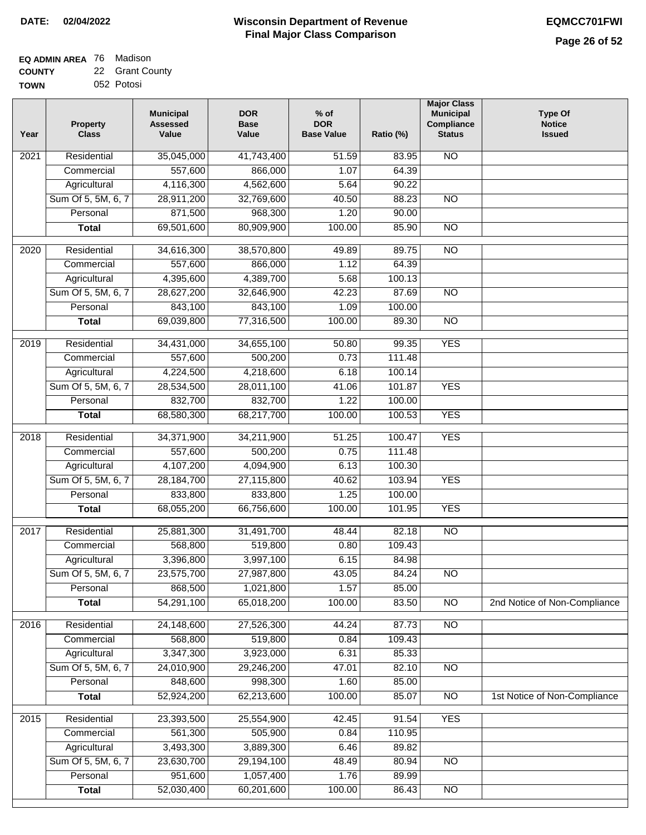$\overline{\phantom{a}}$ 

#### **EQ ADMIN AREA** 76 Madison **COUNTY** 22 Grant County

| <b>TOWN</b> | 052 Potosi |  |
|-------------|------------|--|
|             |            |  |

| Year              | <b>Property</b><br><b>Class</b> | <b>Municipal</b><br><b>Assessed</b><br>Value | <b>DOR</b><br><b>Base</b><br>Value | $%$ of<br><b>DOR</b><br><b>Base Value</b> | Ratio (%) | <b>Major Class</b><br><b>Municipal</b><br>Compliance<br><b>Status</b> | <b>Type Of</b><br><b>Notice</b><br><b>Issued</b> |
|-------------------|---------------------------------|----------------------------------------------|------------------------------------|-------------------------------------------|-----------|-----------------------------------------------------------------------|--------------------------------------------------|
| 2021              | Residential                     | 35,045,000                                   | 41,743,400                         | 51.59                                     | 83.95     | N <sub>O</sub>                                                        |                                                  |
|                   | Commercial                      | 557,600                                      | 866,000                            | 1.07                                      | 64.39     |                                                                       |                                                  |
|                   | Agricultural                    | 4,116,300                                    | 4,562,600                          | 5.64                                      | 90.22     |                                                                       |                                                  |
|                   | Sum Of 5, 5M, 6, 7              | 28,911,200                                   | 32,769,600                         | 40.50                                     | 88.23     | $\overline{NO}$                                                       |                                                  |
|                   | Personal                        | 871,500                                      | 968,300                            | 1.20                                      | 90.00     |                                                                       |                                                  |
|                   | <b>Total</b>                    | 69,501,600                                   | 80,909,900                         | 100.00                                    | 85.90     | $\overline{NO}$                                                       |                                                  |
| 2020              | Residential                     | 34,616,300                                   | 38,570,800                         | 49.89                                     | 89.75     | $\overline{3}$                                                        |                                                  |
|                   | Commercial                      | 557,600                                      | 866,000                            | 1.12                                      | 64.39     |                                                                       |                                                  |
|                   | Agricultural                    | 4,395,600                                    | 4,389,700                          | 5.68                                      | 100.13    |                                                                       |                                                  |
|                   | Sum Of 5, 5M, 6, 7              | 28,627,200                                   | 32,646,900                         | 42.23                                     | 87.69     | $\overline{NO}$                                                       |                                                  |
|                   | Personal                        | 843,100                                      | 843,100                            | 1.09                                      | 100.00    |                                                                       |                                                  |
|                   | <b>Total</b>                    | 69,039,800                                   | 77,316,500                         | 100.00                                    | 89.30     | $\overline{NO}$                                                       |                                                  |
|                   |                                 |                                              |                                    |                                           |           |                                                                       |                                                  |
| 2019              | Residential                     | 34,431,000                                   | 34,655,100                         | 50.80                                     | 99.35     | <b>YES</b>                                                            |                                                  |
|                   | Commercial                      | 557,600                                      | 500,200                            | 0.73                                      | 111.48    |                                                                       |                                                  |
|                   | Agricultural                    | 4,224,500                                    | 4,218,600                          | 6.18                                      | 100.14    |                                                                       |                                                  |
|                   | Sum Of 5, 5M, 6, 7              | 28,534,500                                   | 28,011,100                         | 41.06                                     | 101.87    | <b>YES</b>                                                            |                                                  |
|                   | Personal                        | 832,700                                      | 832,700                            | 1.22                                      | 100.00    |                                                                       |                                                  |
|                   | <b>Total</b>                    | 68,580,300                                   | 68,217,700                         | 100.00                                    | 100.53    | <b>YES</b>                                                            |                                                  |
| $\overline{2018}$ | Residential                     | 34,371,900                                   | 34,211,900                         | 51.25                                     | 100.47    | <b>YES</b>                                                            |                                                  |
|                   | Commercial                      | 557,600                                      | 500,200                            | 0.75                                      | 111.48    |                                                                       |                                                  |
|                   | Agricultural                    | 4,107,200                                    | 4,094,900                          | 6.13                                      | 100.30    |                                                                       |                                                  |
|                   | Sum Of 5, 5M, 6, 7              | 28, 184, 700                                 | 27,115,800                         | 40.62                                     | 103.94    | <b>YES</b>                                                            |                                                  |
|                   | Personal                        | 833,800                                      | 833,800                            | 1.25                                      | 100.00    |                                                                       |                                                  |
|                   | <b>Total</b>                    | 68,055,200                                   | 66,756,600                         | 100.00                                    | 101.95    | <b>YES</b>                                                            |                                                  |
| 2017              | Residential                     | 25,881,300                                   | 31,491,700                         | 48.44                                     | 82.18     | N <sub>O</sub>                                                        |                                                  |
|                   | Commercial                      | 568,800                                      | 519,800                            | 0.80                                      | 109.43    |                                                                       |                                                  |
|                   | Agricultural                    | 3,396,800                                    | 3,997,100                          | 6.15                                      | 84.98     |                                                                       |                                                  |
|                   | Sum Of 5, 5M, 6, 7              | 23,575,700                                   | 27,987,800                         | 43.05                                     | 84.24     | $\overline{NO}$                                                       |                                                  |
|                   | Personal                        | 868,500                                      | 1,021,800                          | 1.57                                      | 85.00     |                                                                       |                                                  |
|                   | <b>Total</b>                    | 54,291,100                                   | 65,018,200                         | 100.00                                    | 83.50     | $\overline{3}$                                                        | 2nd Notice of Non-Compliance                     |
| 2016              | Residential                     | 24,148,600                                   | 27,526,300                         | 44.24                                     | 87.73     | $\overline{NO}$                                                       |                                                  |
|                   | Commercial                      | 568,800                                      | 519,800                            | 0.84                                      | 109.43    |                                                                       |                                                  |
|                   | Agricultural                    | 3,347,300                                    | 3,923,000                          | 6.31                                      | 85.33     |                                                                       |                                                  |
|                   | Sum Of 5, 5M, 6, 7              | 24,010,900                                   | 29,246,200                         | 47.01                                     | 82.10     | N <sub>O</sub>                                                        |                                                  |
|                   | Personal                        | 848,600                                      | 998,300                            | 1.60                                      | 85.00     |                                                                       |                                                  |
|                   | <b>Total</b>                    | 52,924,200                                   | 62,213,600                         | 100.00                                    | 85.07     | $\overline{NO}$                                                       | 1st Notice of Non-Compliance                     |
| 2015              | Residential                     | 23,393,500                                   | 25,554,900                         | 42.45                                     | 91.54     | <b>YES</b>                                                            |                                                  |
|                   | Commercial                      | 561,300                                      | 505,900                            | 0.84                                      | 110.95    |                                                                       |                                                  |
|                   | Agricultural                    | 3,493,300                                    | 3,889,300                          | 6.46                                      | 89.82     |                                                                       |                                                  |
|                   | Sum Of 5, 5M, 6, 7              | 23,630,700                                   | 29,194,100                         | 48.49                                     | 80.94     | <b>NO</b>                                                             |                                                  |
|                   | Personal                        | 951,600                                      | 1,057,400                          | 1.76                                      | 89.99     |                                                                       |                                                  |
|                   | <b>Total</b>                    | 52,030,400                                   | 60,201,600                         | 100.00                                    | 86.43     | N <sub>O</sub>                                                        |                                                  |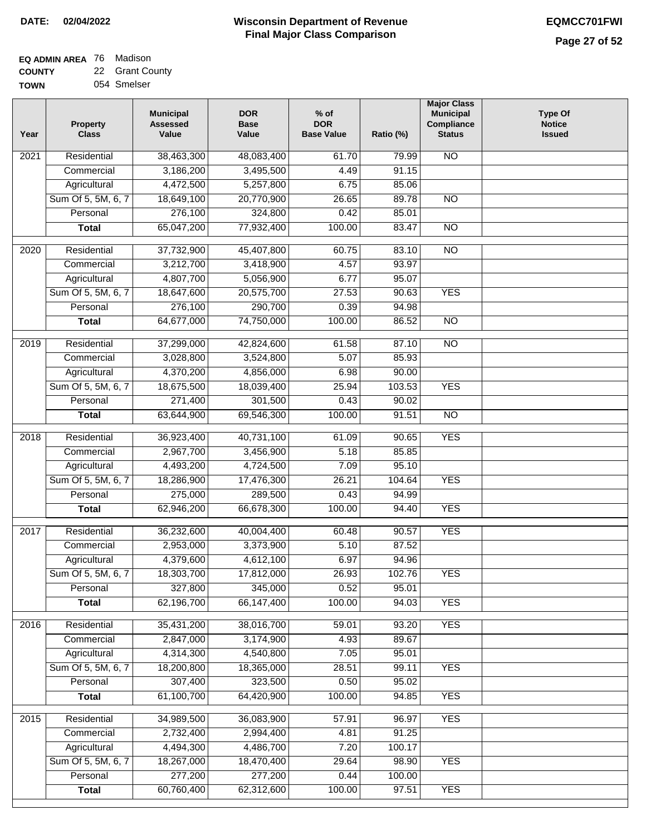| <b>EQ ADMIN AREA</b> 76 Madison |                 |
|---------------------------------|-----------------|
| <b>COUNTY</b>                   | 22 Grant County |
| <b>TOWN</b>                     | 054 Smelser     |

054 Smelser

| Year              | <b>Property</b><br><b>Class</b> | <b>Municipal</b><br><b>Assessed</b><br>Value | <b>DOR</b><br><b>Base</b><br>Value | % of<br><b>DOR</b><br><b>Base Value</b> | Ratio (%)       | <b>Major Class</b><br><b>Municipal</b><br>Compliance<br><b>Status</b> | <b>Type Of</b><br><b>Notice</b><br><b>Issued</b> |
|-------------------|---------------------------------|----------------------------------------------|------------------------------------|-----------------------------------------|-----------------|-----------------------------------------------------------------------|--------------------------------------------------|
| $\overline{202}1$ | Residential                     | 38,463,300                                   | 48,083,400                         | 61.70                                   | 79.99           | <b>NO</b>                                                             |                                                  |
|                   | Commercial                      | 3,186,200                                    | 3,495,500                          | 4.49                                    | 91.15           |                                                                       |                                                  |
|                   | Agricultural                    | 4,472,500                                    | 5,257,800                          | 6.75                                    | 85.06           |                                                                       |                                                  |
|                   | Sum Of 5, 5M, 6, 7              | 18,649,100                                   | 20,770,900                         | 26.65                                   | 89.78           | $\overline{NO}$                                                       |                                                  |
|                   | Personal                        | 276,100                                      | 324,800                            | 0.42                                    | 85.01           |                                                                       |                                                  |
|                   | <b>Total</b>                    | 65,047,200                                   | 77,932,400                         | 100.00                                  | 83.47           | $\overline{NO}$                                                       |                                                  |
| $\overline{2020}$ | Residential                     | 37,732,900                                   | 45,407,800                         | 60.75                                   | 83.10           | $\overline{NO}$                                                       |                                                  |
|                   | Commercial                      | 3,212,700                                    | 3,418,900                          | 4.57                                    | 93.97           |                                                                       |                                                  |
|                   | Agricultural                    | 4,807,700                                    | 5,056,900                          | 6.77                                    | 95.07           |                                                                       |                                                  |
|                   | Sum Of 5, 5M, 6, 7              | 18,647,600                                   | 20,575,700                         | 27.53                                   | 90.63           | <b>YES</b>                                                            |                                                  |
|                   | Personal                        | 276,100                                      | 290,700                            | 0.39                                    | 94.98           |                                                                       |                                                  |
|                   | <b>Total</b>                    | 64,677,000                                   | 74,750,000                         | 100.00                                  | 86.52           | $\overline{NO}$                                                       |                                                  |
| $\frac{1}{2019}$  | Residential                     | 37,299,000                                   | 42,824,600                         | 61.58                                   | 87.10           | $\overline{3}$                                                        |                                                  |
|                   | Commercial                      | 3,028,800                                    | 3,524,800                          | 5.07                                    | 85.93           |                                                                       |                                                  |
|                   | Agricultural                    | 4,370,200                                    | 4,856,000                          | 6.98                                    | 90.00           |                                                                       |                                                  |
|                   | Sum Of 5, 5M, 6, 7              | 18,675,500                                   | 18,039,400                         | 25.94                                   | 103.53          | <b>YES</b>                                                            |                                                  |
|                   | Personal                        | 271,400                                      | 301,500                            | 0.43                                    | 90.02           |                                                                       |                                                  |
|                   | <b>Total</b>                    | 63,644,900                                   | 69,546,300                         | 100.00                                  | 91.51           | $\overline{NO}$                                                       |                                                  |
| 2018              | Residential                     | 36,923,400                                   | 40,731,100                         | 61.09                                   | 90.65           | <b>YES</b>                                                            |                                                  |
|                   | Commercial                      | 2,967,700                                    | 3,456,900                          | 5.18                                    | 85.85           |                                                                       |                                                  |
|                   | Agricultural                    | 4,493,200                                    | 4,724,500                          | 7.09                                    | 95.10           |                                                                       |                                                  |
|                   | Sum Of 5, 5M, 6, 7              | 18,286,900                                   | 17,476,300                         | 26.21                                   | 104.64          | <b>YES</b>                                                            |                                                  |
|                   | Personal                        | 275,000                                      | 289,500                            | 0.43                                    | 94.99           |                                                                       |                                                  |
|                   | <b>Total</b>                    | 62,946,200                                   | 66,678,300                         | 100.00                                  | 94.40           | <b>YES</b>                                                            |                                                  |
| 2017              | Residential                     | 36,232,600                                   | 40,004,400                         | 60.48                                   | 90.57           | <b>YES</b>                                                            |                                                  |
|                   | Commercial                      | 2,953,000                                    | 3,373,900                          | 5.10                                    | 87.52           |                                                                       |                                                  |
|                   | Agricultural                    | 4,379,600                                    | 4,612,100                          | 6.97                                    | 94.96           |                                                                       |                                                  |
|                   | Sum Of 5, 5M, 6, 7              | 18,303,700                                   | 17,812,000                         | 26.93                                   | 102.76          | <b>YES</b>                                                            |                                                  |
|                   | Personal                        | 327,800                                      | 345,000                            | 0.52                                    | 95.01           |                                                                       |                                                  |
|                   | <b>Total</b>                    | 62,196,700                                   | 66, 147, 400                       | 100.00                                  | 94.03           | <b>YES</b>                                                            |                                                  |
| 2016              | Residential                     | 35,431,200                                   | 38,016,700                         | 59.01                                   | 93.20           | <b>YES</b>                                                            |                                                  |
|                   | Commercial                      | 2,847,000                                    | 3,174,900                          | 4.93                                    | 89.67           |                                                                       |                                                  |
|                   | Agricultural                    | 4,314,300                                    | 4,540,800                          | 7.05                                    | 95.01           |                                                                       |                                                  |
|                   | Sum Of 5, 5M, 6, 7              | 18,200,800                                   | 18,365,000                         | 28.51                                   | 99.11           | <b>YES</b>                                                            |                                                  |
|                   | Personal                        | 307,400                                      | 323,500                            | 0.50                                    | 95.02           |                                                                       |                                                  |
|                   | <b>Total</b>                    | 61,100,700                                   | 64,420,900                         | 100.00                                  | 94.85           | <b>YES</b>                                                            |                                                  |
|                   |                                 |                                              |                                    |                                         |                 |                                                                       |                                                  |
| 2015              | Residential                     | 34,989,500                                   | 36,083,900                         | 57.91                                   | 96.97           | <b>YES</b>                                                            |                                                  |
|                   | Commercial<br>Agricultural      | 2,732,400<br>4,494,300                       | 2,994,400<br>4,486,700             | 4.81<br>7.20                            | 91.25<br>100.17 |                                                                       |                                                  |
|                   | Sum Of 5, 5M, 6, 7              | 18,267,000                                   | 18,470,400                         | 29.64                                   | 98.90           | <b>YES</b>                                                            |                                                  |
|                   | Personal                        | 277,200                                      | 277,200                            | 0.44                                    | 100.00          |                                                                       |                                                  |
|                   | <b>Total</b>                    | 60,760,400                                   | 62,312,600                         | 100.00                                  | 97.51           | <b>YES</b>                                                            |                                                  |
|                   |                                 |                                              |                                    |                                         |                 |                                                                       |                                                  |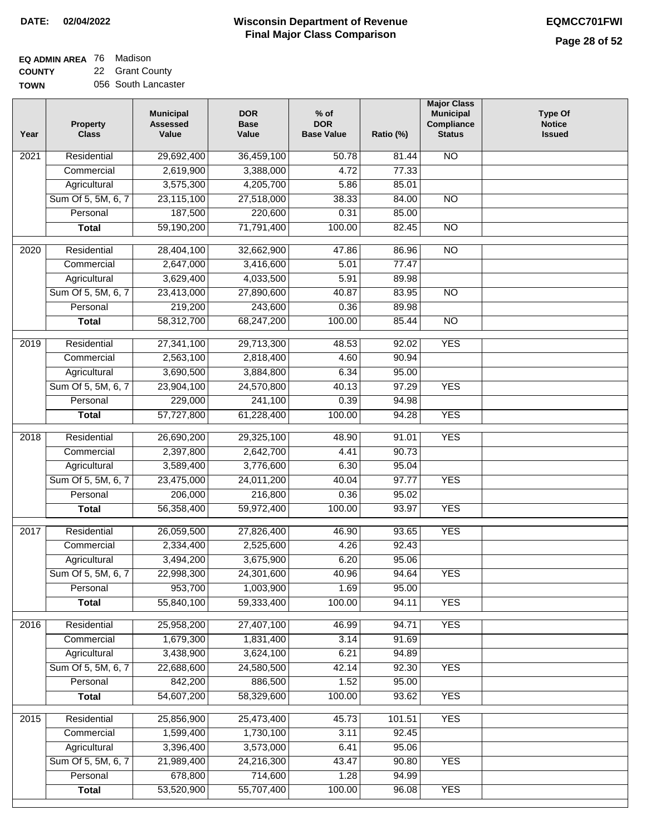#### **EQ ADMIN AREA** 76 Madison **COUNTY** 22 Grant County

**TOWN** 056 South Lancaster

| Year              | <b>Property</b><br><b>Class</b>    | <b>Municipal</b><br><b>Assessed</b><br>Value | <b>DOR</b><br>Base<br>Value | $%$ of<br><b>DOR</b><br><b>Base Value</b> | Ratio (%)      | <b>Major Class</b><br><b>Municipal</b><br>Compliance<br><b>Status</b> | <b>Type Of</b><br><b>Notice</b><br><b>Issued</b> |
|-------------------|------------------------------------|----------------------------------------------|-----------------------------|-------------------------------------------|----------------|-----------------------------------------------------------------------|--------------------------------------------------|
| $\overline{202}1$ | Residential                        | 29,692,400                                   | 36,459,100                  | 50.78                                     | 81.44          | N <sub>O</sub>                                                        |                                                  |
|                   | Commercial                         | 2,619,900                                    | 3,388,000                   | 4.72                                      | 77.33          |                                                                       |                                                  |
|                   | Agricultural                       | 3,575,300                                    | 4,205,700                   | 5.86                                      | 85.01          |                                                                       |                                                  |
|                   | Sum Of 5, 5M, 6, 7                 | 23,115,100                                   | 27,518,000                  | 38.33                                     | 84.00          | $\overline{NO}$                                                       |                                                  |
|                   | Personal                           | 187,500                                      | 220,600                     | 0.31                                      | 85.00          |                                                                       |                                                  |
|                   | <b>Total</b>                       | 59,190,200                                   | 71,791,400                  | 100.00                                    | 82.45          | <b>NO</b>                                                             |                                                  |
| $\overline{2020}$ | Residential                        | 28,404,100                                   | 32,662,900                  | 47.86                                     | 86.96          | $\overline{10}$                                                       |                                                  |
|                   | Commercial                         | 2,647,000                                    | 3,416,600                   | 5.01                                      | 77.47          |                                                                       |                                                  |
|                   | Agricultural                       | 3,629,400                                    | 4,033,500                   | 5.91                                      | 89.98          |                                                                       |                                                  |
|                   | Sum Of 5, 5M, 6, 7                 | 23,413,000                                   | 27,890,600                  | 40.87                                     | 83.95          | $\overline{NO}$                                                       |                                                  |
|                   | Personal                           | 219,200                                      | 243,600                     | 0.36                                      | 89.98          |                                                                       |                                                  |
|                   | <b>Total</b>                       | 58,312,700                                   | 68,247,200                  | 100.00                                    | 85.44          | $\overline{NO}$                                                       |                                                  |
| 2019              | Residential                        | 27,341,100                                   | 29,713,300                  | 48.53                                     | 92.02          | <b>YES</b>                                                            |                                                  |
|                   | Commercial                         | 2,563,100                                    | 2,818,400                   | 4.60                                      | 90.94          |                                                                       |                                                  |
|                   | Agricultural                       | 3,690,500                                    | 3,884,800                   | 6.34                                      | 95.00          |                                                                       |                                                  |
|                   | Sum Of 5, 5M, 6, 7                 | 23,904,100                                   | 24,570,800                  | 40.13                                     | 97.29          | <b>YES</b>                                                            |                                                  |
|                   | Personal                           | 229,000                                      | 241,100                     | 0.39                                      | 94.98          |                                                                       |                                                  |
|                   | <b>Total</b>                       | 57,727,800                                   | 61,228,400                  | 100.00                                    | 94.28          | <b>YES</b>                                                            |                                                  |
|                   |                                    |                                              |                             |                                           |                |                                                                       |                                                  |
| 2018              | Residential                        | 26,690,200                                   | 29,325,100                  | 48.90                                     | 91.01          | <b>YES</b>                                                            |                                                  |
|                   | Commercial                         | 2,397,800                                    | 2,642,700                   | 4.41                                      | 90.73          |                                                                       |                                                  |
|                   | Agricultural<br>Sum Of 5, 5M, 6, 7 | 3,589,400<br>23,475,000                      | 3,776,600<br>24,011,200     | 6.30<br>40.04                             | 95.04<br>97.77 | <b>YES</b>                                                            |                                                  |
|                   | Personal                           | 206,000                                      | 216,800                     | 0.36                                      | 95.02          |                                                                       |                                                  |
|                   | <b>Total</b>                       | 56,358,400                                   | 59,972,400                  | 100.00                                    | 93.97          | <b>YES</b>                                                            |                                                  |
|                   |                                    |                                              |                             |                                           |                |                                                                       |                                                  |
| 2017              | Residential                        | 26,059,500                                   | 27,826,400                  | 46.90                                     | 93.65          | <b>YES</b>                                                            |                                                  |
|                   | Commercial                         | 2,334,400                                    | 2,525,600                   | 4.26                                      | 92.43          |                                                                       |                                                  |
|                   | Agricultural                       | 3,494,200                                    | 3,675,900                   | 6.20                                      | 95.06          |                                                                       |                                                  |
|                   | Sum Of 5, 5M, 6, 7                 | 22,998,300                                   | 24,301,600                  | 40.96                                     | 94.64          | <b>YES</b>                                                            |                                                  |
|                   | Personal                           | 953,700                                      | 1,003,900                   | 1.69                                      | 95.00          |                                                                       |                                                  |
|                   | <b>Total</b>                       | 55,840,100                                   | 59,333,400                  | 100.00                                    | 94.11          | <b>YES</b>                                                            |                                                  |
| 2016              | Residential                        | 25,958,200                                   | 27,407,100                  | 46.99                                     | 94.71          | <b>YES</b>                                                            |                                                  |
|                   | Commercial                         | 1,679,300                                    | 1,831,400                   | 3.14                                      | 91.69          |                                                                       |                                                  |
|                   | Agricultural                       | 3,438,900                                    | 3,624,100                   | 6.21                                      | 94.89          |                                                                       |                                                  |
|                   | Sum Of 5, 5M, 6, 7                 | 22,688,600                                   | 24,580,500                  | 42.14                                     | 92.30          | <b>YES</b>                                                            |                                                  |
|                   | Personal                           | 842,200                                      | 886,500                     | 1.52                                      | 95.00          |                                                                       |                                                  |
|                   | <b>Total</b>                       | 54,607,200                                   | 58,329,600                  | 100.00                                    | 93.62          | <b>YES</b>                                                            |                                                  |
| 2015              | Residential                        | 25,856,900                                   | 25,473,400                  | 45.73                                     | 101.51         | <b>YES</b>                                                            |                                                  |
|                   | Commercial                         | 1,599,400                                    | 1,730,100                   | 3.11                                      | 92.45          |                                                                       |                                                  |
|                   | Agricultural                       | 3,396,400                                    | 3,573,000                   | 6.41                                      | 95.06          |                                                                       |                                                  |
|                   | Sum Of 5, 5M, 6, 7                 | 21,989,400                                   | 24,216,300                  | 43.47                                     | 90.80          | <b>YES</b>                                                            |                                                  |
|                   | Personal                           | 678,800                                      | 714,600                     | 1.28                                      | 94.99          |                                                                       |                                                  |
|                   | <b>Total</b>                       | 53,520,900                                   | 55,707,400                  | 100.00                                    | 96.08          | <b>YES</b>                                                            |                                                  |
|                   |                                    |                                              |                             |                                           |                |                                                                       |                                                  |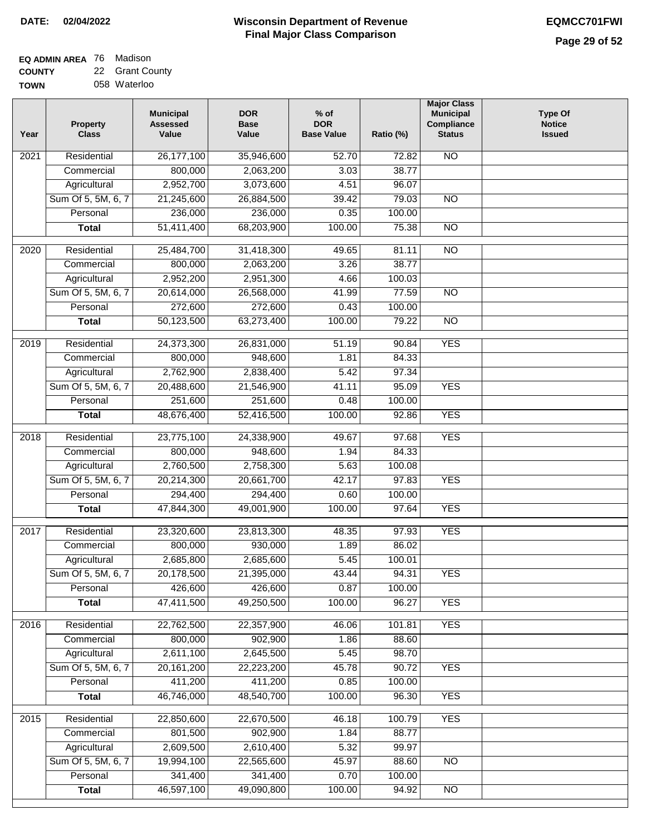| EQ ADMIN AREA 76 | Madison         |
|------------------|-----------------|
| <b>COUNTY</b>    | 22 Grant County |
| <b>TOWN</b>      | 058 Waterloo    |

058 Waterloo

| Year              | <b>Property</b><br><b>Class</b> | <b>Municipal</b><br><b>Assessed</b><br>Value | <b>DOR</b><br><b>Base</b><br>Value | $%$ of<br><b>DOR</b><br><b>Base Value</b> | Ratio (%) | <b>Major Class</b><br><b>Municipal</b><br>Compliance<br><b>Status</b> | <b>Type Of</b><br><b>Notice</b><br><b>Issued</b> |
|-------------------|---------------------------------|----------------------------------------------|------------------------------------|-------------------------------------------|-----------|-----------------------------------------------------------------------|--------------------------------------------------|
| 2021              | Residential                     | 26,177,100                                   | 35,946,600                         | 52.70                                     | 72.82     | N <sub>O</sub>                                                        |                                                  |
|                   | Commercial                      | 800,000                                      | 2,063,200                          | 3.03                                      | 38.77     |                                                                       |                                                  |
|                   | Agricultural                    | 2,952,700                                    | 3,073,600                          | 4.51                                      | 96.07     |                                                                       |                                                  |
|                   | Sum Of 5, 5M, 6, 7              | 21,245,600                                   | 26,884,500                         | 39.42                                     | 79.03     | $\overline{NO}$                                                       |                                                  |
|                   | Personal                        | 236,000                                      | 236,000                            | 0.35                                      | 100.00    |                                                                       |                                                  |
|                   | <b>Total</b>                    | 51,411,400                                   | 68,203,900                         | 100.00                                    | 75.38     | $\overline{NO}$                                                       |                                                  |
| 2020              | Residential                     | 25,484,700                                   | 31,418,300                         | 49.65                                     | 81.11     | $\overline{NO}$                                                       |                                                  |
|                   | Commercial                      | 800,000                                      | 2,063,200                          | 3.26                                      | 38.77     |                                                                       |                                                  |
|                   | Agricultural                    | 2,952,200                                    | 2,951,300                          | 4.66                                      | 100.03    |                                                                       |                                                  |
|                   | Sum Of 5, 5M, 6, 7              | 20,614,000                                   | 26,568,000                         | 41.99                                     | 77.59     | $\overline{NO}$                                                       |                                                  |
|                   | Personal                        | 272,600                                      | 272,600                            | 0.43                                      | 100.00    |                                                                       |                                                  |
|                   | <b>Total</b>                    | 50,123,500                                   | 63,273,400                         | 100.00                                    | 79.22     | $\overline{NO}$                                                       |                                                  |
|                   |                                 |                                              |                                    |                                           |           |                                                                       |                                                  |
| 2019              | Residential                     | 24,373,300                                   | 26,831,000                         | 51.19                                     | 90.84     | <b>YES</b>                                                            |                                                  |
|                   | Commercial                      | 800,000                                      | 948,600                            | 1.81                                      | 84.33     |                                                                       |                                                  |
|                   | Agricultural                    | 2,762,900                                    | 2,838,400                          | 5.42                                      | 97.34     |                                                                       |                                                  |
|                   | Sum Of 5, 5M, 6, 7              | 20,488,600                                   | 21,546,900                         | 41.11                                     | 95.09     | <b>YES</b>                                                            |                                                  |
|                   | Personal                        | 251,600                                      | 251,600                            | 0.48                                      | 100.00    |                                                                       |                                                  |
|                   | <b>Total</b>                    | 48,676,400                                   | 52,416,500                         | 100.00                                    | 92.86     | <b>YES</b>                                                            |                                                  |
| $\overline{2018}$ | Residential                     | 23,775,100                                   | 24,338,900                         | 49.67                                     | 97.68     | <b>YES</b>                                                            |                                                  |
|                   | Commercial                      | 800,000                                      | 948,600                            | 1.94                                      | 84.33     |                                                                       |                                                  |
|                   | Agricultural                    | 2,760,500                                    | 2,758,300                          | 5.63                                      | 100.08    |                                                                       |                                                  |
|                   | Sum Of 5, 5M, 6, 7              | 20,214,300                                   | 20,661,700                         | 42.17                                     | 97.83     | <b>YES</b>                                                            |                                                  |
|                   | Personal                        | 294,400                                      | 294,400                            | 0.60                                      | 100.00    |                                                                       |                                                  |
|                   | <b>Total</b>                    | 47,844,300                                   | 49,001,900                         | 100.00                                    | 97.64     | <b>YES</b>                                                            |                                                  |
| 2017              | Residential                     | 23,320,600                                   | 23,813,300                         | 48.35                                     | 97.93     | <b>YES</b>                                                            |                                                  |
|                   | Commercial                      | 800,000                                      | 930,000                            | 1.89                                      | 86.02     |                                                                       |                                                  |
|                   | Agricultural                    | 2,685,800                                    | 2,685,600                          | 5.45                                      | 100.01    |                                                                       |                                                  |
|                   | Sum Of 5, 5M, 6, 7              | 20,178,500                                   | 21,395,000                         | 43.44                                     | 94.31     | YES                                                                   |                                                  |
|                   | Personal                        | 426,600                                      | 426,600                            | 0.87                                      | 100.00    |                                                                       |                                                  |
|                   | <b>Total</b>                    | 47,411,500                                   | 49,250,500                         | 100.00                                    | 96.27     | <b>YES</b>                                                            |                                                  |
|                   |                                 |                                              |                                    |                                           |           |                                                                       |                                                  |
| 2016              | Residential                     | 22,762,500                                   | 22,357,900                         | 46.06                                     | 101.81    | <b>YES</b>                                                            |                                                  |
|                   | Commercial                      | 800,000                                      | 902,900                            | 1.86                                      | 88.60     |                                                                       |                                                  |
|                   | Agricultural                    | 2,611,100                                    | 2,645,500                          | 5.45                                      | 98.70     |                                                                       |                                                  |
|                   | Sum Of 5, 5M, 6, 7              | 20, 161, 200                                 | 22,223,200                         | 45.78                                     | 90.72     | <b>YES</b>                                                            |                                                  |
|                   | Personal                        | 411,200                                      | 411,200                            | 0.85                                      | 100.00    |                                                                       |                                                  |
|                   | <b>Total</b>                    | 46,746,000                                   | 48,540,700                         | 100.00                                    | 96.30     | <b>YES</b>                                                            |                                                  |
| $\overline{2015}$ | Residential                     | 22,850,600                                   | 22,670,500                         | 46.18                                     | 100.79    | <b>YES</b>                                                            |                                                  |
|                   | Commercial                      | 801,500                                      | 902,900                            | 1.84                                      | 88.77     |                                                                       |                                                  |
|                   | Agricultural                    | 2,609,500                                    | 2,610,400                          | 5.32                                      | 99.97     |                                                                       |                                                  |
|                   | Sum Of 5, 5M, 6, 7              | 19,994,100                                   | 22,565,600                         | 45.97                                     | 88.60     | <b>NO</b>                                                             |                                                  |
|                   | Personal                        | 341,400                                      | 341,400                            | 0.70                                      | 100.00    |                                                                       |                                                  |
|                   | <b>Total</b>                    | 46,597,100                                   | 49,090,800                         | 100.00                                    | 94.92     | $\overline{NO}$                                                       |                                                  |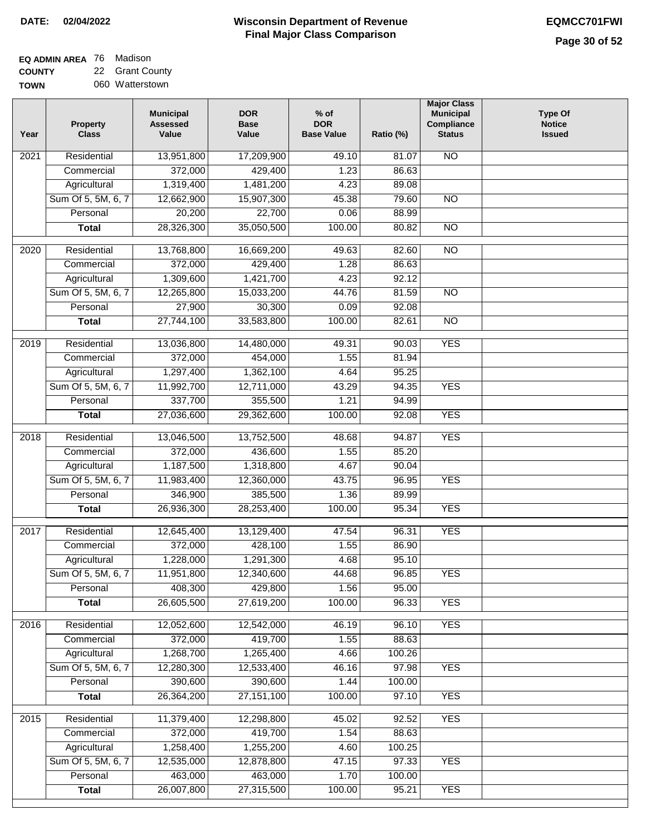٦

| <b>EQ ADMIN AREA 76 Madison</b> |                 |
|---------------------------------|-----------------|
| <b>COUNTY</b>                   | 22 Grant Count  |
| <b>TOWN</b>                     | 060 Watterstown |

| 22 Grant County |
|-----------------|
| 060 Watterstown |

| Year              | <b>Property</b><br><b>Class</b> | <b>Municipal</b><br><b>Assessed</b><br>Value | <b>DOR</b><br><b>Base</b><br>Value | $%$ of<br><b>DOR</b><br><b>Base Value</b> | Ratio (%) | <b>Major Class</b><br><b>Municipal</b><br>Compliance<br><b>Status</b> | <b>Type Of</b><br><b>Notice</b><br><b>Issued</b> |
|-------------------|---------------------------------|----------------------------------------------|------------------------------------|-------------------------------------------|-----------|-----------------------------------------------------------------------|--------------------------------------------------|
| 2021              | Residential                     | 13,951,800                                   | 17,209,900                         | 49.10                                     | 81.07     | $\overline{NO}$                                                       |                                                  |
|                   | Commercial                      | 372,000                                      | 429,400                            | 1.23                                      | 86.63     |                                                                       |                                                  |
|                   | Agricultural                    | 1,319,400                                    | 1,481,200                          | 4.23                                      | 89.08     |                                                                       |                                                  |
|                   | Sum Of 5, 5M, 6, 7              | 12,662,900                                   | 15,907,300                         | 45.38                                     | 79.60     | $\overline{NO}$                                                       |                                                  |
|                   | Personal                        | 20,200                                       | 22,700                             | 0.06                                      | 88.99     |                                                                       |                                                  |
|                   | <b>Total</b>                    | 28,326,300                                   | 35,050,500                         | 100.00                                    | 80.82     | $\overline{NO}$                                                       |                                                  |
| 2020              | Residential                     | 13,768,800                                   | 16,669,200                         | 49.63                                     | 82.60     | $\overline{NO}$                                                       |                                                  |
|                   | Commercial                      | 372,000                                      | 429,400                            | 1.28                                      | 86.63     |                                                                       |                                                  |
|                   | Agricultural                    | 1,309,600                                    | 1,421,700                          | 4.23                                      | 92.12     |                                                                       |                                                  |
|                   | Sum Of 5, 5M, 6, 7              | 12,265,800                                   | 15,033,200                         | 44.76                                     | 81.59     | $\overline{NO}$                                                       |                                                  |
|                   | Personal                        | 27,900                                       | 30,300                             | 0.09                                      | 92.08     |                                                                       |                                                  |
|                   | <b>Total</b>                    | 27,744,100                                   | 33,583,800                         | 100.00                                    | 82.61     | $\overline{NO}$                                                       |                                                  |
|                   |                                 |                                              |                                    |                                           |           |                                                                       |                                                  |
| 2019              | Residential                     | 13,036,800                                   | 14,480,000                         | 49.31                                     | 90.03     | <b>YES</b>                                                            |                                                  |
|                   | Commercial                      | 372,000                                      | 454,000                            | 1.55                                      | 81.94     |                                                                       |                                                  |
|                   | Agricultural                    | 1,297,400                                    | 1,362,100                          | 4.64                                      | 95.25     |                                                                       |                                                  |
|                   | Sum Of 5, 5M, 6, 7              | 11,992,700                                   | 12,711,000                         | 43.29                                     | 94.35     | <b>YES</b>                                                            |                                                  |
|                   | Personal                        | 337,700                                      | 355,500                            | 1.21                                      | 94.99     |                                                                       |                                                  |
|                   | <b>Total</b>                    | 27,036,600                                   | 29,362,600                         | 100.00                                    | 92.08     | <b>YES</b>                                                            |                                                  |
| $\overline{2018}$ | Residential                     | 13,046,500                                   | 13,752,500                         | 48.68                                     | 94.87     | <b>YES</b>                                                            |                                                  |
|                   | Commercial                      | 372,000                                      | 436,600                            | 1.55                                      | 85.20     |                                                                       |                                                  |
|                   | Agricultural                    | 1,187,500                                    | 1,318,800                          | 4.67                                      | 90.04     |                                                                       |                                                  |
|                   | Sum Of 5, 5M, 6, 7              | 11,983,400                                   | 12,360,000                         | 43.75                                     | 96.95     | <b>YES</b>                                                            |                                                  |
|                   | Personal                        | 346,900                                      | 385,500                            | 1.36                                      | 89.99     |                                                                       |                                                  |
|                   | <b>Total</b>                    | 26,936,300                                   | 28,253,400                         | 100.00                                    | 95.34     | <b>YES</b>                                                            |                                                  |
|                   |                                 |                                              | 13,129,400                         |                                           |           | <b>YES</b>                                                            |                                                  |
| 2017              | Residential                     | 12,645,400                                   |                                    | 47.54                                     | 96.31     |                                                                       |                                                  |
|                   | Commercial                      | 372,000<br>1,228,000                         | 428,100                            | 1.55                                      | 86.90     |                                                                       |                                                  |
|                   | Agricultural                    |                                              | 1,291,300                          | 4.68                                      | 95.10     |                                                                       |                                                  |
|                   | Sum Of 5, 5M, 6, 7              | 11,951,800                                   | 12,340,600                         | 44.68                                     | 96.85     | <b>YES</b>                                                            |                                                  |
|                   | Personal                        | 408,300                                      | 429,800                            | 1.56                                      | 95.00     |                                                                       |                                                  |
|                   | <b>Total</b>                    | 26,605,500                                   | 27,619,200                         | 100.00                                    | 96.33     | <b>YES</b>                                                            |                                                  |
| 2016              | Residential                     | 12,052,600                                   | 12,542,000                         | 46.19                                     | 96.10     | <b>YES</b>                                                            |                                                  |
|                   | Commercial                      | 372,000                                      | 419,700                            | 1.55                                      | 88.63     |                                                                       |                                                  |
|                   | Agricultural                    | 1,268,700                                    | 1,265,400                          | 4.66                                      | 100.26    |                                                                       |                                                  |
|                   | Sum Of 5, 5M, 6, 7              | 12,280,300                                   | 12,533,400                         | 46.16                                     | 97.98     | <b>YES</b>                                                            |                                                  |
|                   | Personal                        | 390,600                                      | 390,600                            | 1.44                                      | 100.00    |                                                                       |                                                  |
|                   | <b>Total</b>                    | 26,364,200                                   | 27, 151, 100                       | 100.00                                    | 97.10     | <b>YES</b>                                                            |                                                  |
| 2015              | Residential                     | 11,379,400                                   | 12,298,800                         | 45.02                                     | 92.52     | <b>YES</b>                                                            |                                                  |
|                   | Commercial                      | 372,000                                      | 419,700                            | 1.54                                      | 88.63     |                                                                       |                                                  |
|                   | Agricultural                    | 1,258,400                                    | 1,255,200                          | 4.60                                      | 100.25    |                                                                       |                                                  |
|                   | Sum Of 5, 5M, 6, 7              | 12,535,000                                   | 12,878,800                         | 47.15                                     | 97.33     | <b>YES</b>                                                            |                                                  |
|                   | Personal                        | 463,000                                      | 463,000                            | 1.70                                      | 100.00    |                                                                       |                                                  |
|                   | <b>Total</b>                    | 26,007,800                                   | 27,315,500                         | 100.00                                    | 95.21     | <b>YES</b>                                                            |                                                  |
|                   |                                 |                                              |                                    |                                           |           |                                                                       |                                                  |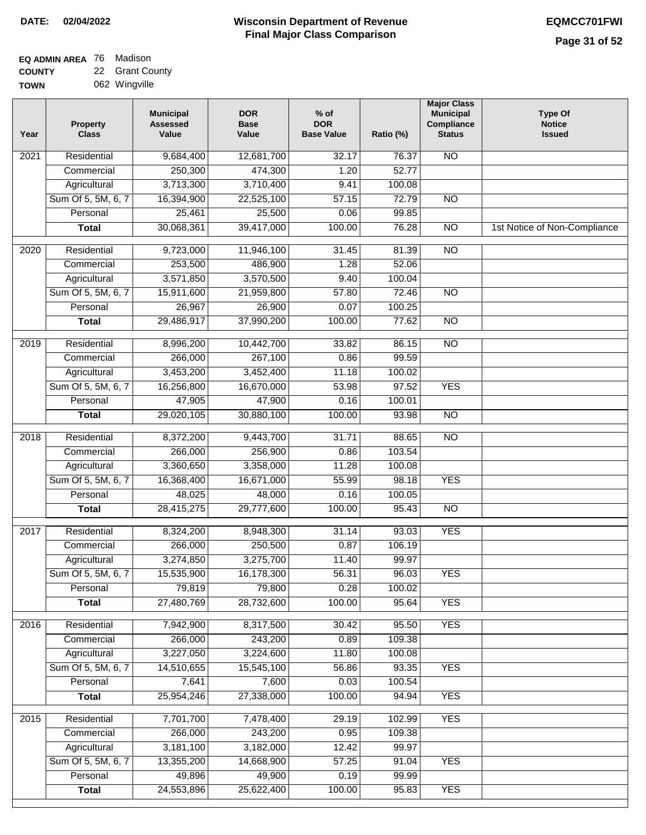#### **Wisconsin Department of Revenue Final Major Class Comparison DATE: 02/04/2022 EQMCC701FWI**

#### **EQ ADMIN AREA** 76 Madison **COUNTY** 22 Grant County

**TOWN** 062 Wingville

| Year             | <b>Property</b><br><b>Class</b> | <b>Municipal</b><br><b>Assessed</b><br>Value | <b>DOR</b><br><b>Base</b><br>Value | $%$ of<br><b>DOR</b><br><b>Base Value</b> | Ratio (%) | <b>Major Class</b><br><b>Municipal</b><br>Compliance<br><b>Status</b> | <b>Type Of</b><br><b>Notice</b><br><b>Issued</b> |
|------------------|---------------------------------|----------------------------------------------|------------------------------------|-------------------------------------------|-----------|-----------------------------------------------------------------------|--------------------------------------------------|
| 2021             | Residential                     | 9,684,400                                    | 12,681,700                         | 32.17                                     | 76.37     | $\overline{NO}$                                                       |                                                  |
|                  | Commercial                      | 250,300                                      | 474,300                            | 1.20                                      | 52.77     |                                                                       |                                                  |
|                  | Agricultural                    | 3,713,300                                    | 3,710,400                          | 9.41                                      | 100.08    |                                                                       |                                                  |
|                  | Sum Of 5, 5M, 6, 7              | 16,394,900                                   | 22,525,100                         | 57.15                                     | 72.79     | $\overline{NO}$                                                       |                                                  |
|                  | Personal                        | 25,461                                       | 25,500                             | 0.06                                      | 99.85     |                                                                       |                                                  |
|                  | <b>Total</b>                    | 30,068,361                                   | 39,417,000                         | 100.00                                    | 76.28     | $\overline{NO}$                                                       | 1st Notice of Non-Compliance                     |
| $\frac{1}{2020}$ | Residential                     | 9,723,000                                    | 11,946,100                         | 31.45                                     | 81.39     | $\overline{NO}$                                                       |                                                  |
|                  | Commercial                      | 253,500                                      | 486,900                            | 1.28                                      | 52.06     |                                                                       |                                                  |
|                  | Agricultural                    | 3,571,850                                    | 3,570,500                          | 9.40                                      | 100.04    |                                                                       |                                                  |
|                  | Sum Of 5, 5M, 6, 7              | 15,911,600                                   | 21,959,800                         | 57.80                                     | 72.46     | <b>NO</b>                                                             |                                                  |
|                  | Personal                        | 26,967                                       | 26,900                             | 0.07                                      | 100.25    |                                                                       |                                                  |
|                  | <b>Total</b>                    | 29,486,917                                   | 37,990,200                         | 100.00                                    | 77.62     | $\overline{NO}$                                                       |                                                  |
|                  |                                 |                                              |                                    |                                           |           |                                                                       |                                                  |
| $\frac{1}{2019}$ | Residential                     | 8,996,200                                    | 10,442,700                         | 33.82                                     | 86.15     | $\overline{NO}$                                                       |                                                  |
|                  | Commercial                      | 266,000                                      | 267,100                            | 0.86                                      | 99.59     |                                                                       |                                                  |
|                  | Agricultural                    | 3,453,200                                    | 3,452,400                          | 11.18                                     | 100.02    |                                                                       |                                                  |
|                  | Sum Of 5, 5M, 6, 7              | 16,256,800                                   | 16,670,000                         | 53.98                                     | 97.52     | <b>YES</b>                                                            |                                                  |
|                  | Personal                        | 47,905                                       | 47,900                             | 0.16                                      | 100.01    |                                                                       |                                                  |
|                  | <b>Total</b>                    | 29,020,105                                   | 30,880,100                         | 100.00                                    | 93.98     | $\overline{NO}$                                                       |                                                  |
| 2018             | Residential                     | 8,372,200                                    | 9,443,700                          | 31.71                                     | 88.65     | $\overline{NO}$                                                       |                                                  |
|                  | Commercial                      | 266,000                                      | 256,900                            | 0.86                                      | 103.54    |                                                                       |                                                  |
|                  | Agricultural                    | 3,360,650                                    | 3,358,000                          | 11.28                                     | 100.08    |                                                                       |                                                  |
|                  | Sum Of 5, 5M, 6, 7              | 16,368,400                                   | 16,671,000                         | 55.99                                     | 98.18     | <b>YES</b>                                                            |                                                  |
|                  | Personal                        | 48,025                                       | 48,000                             | 0.16                                      | 100.05    |                                                                       |                                                  |
|                  | <b>Total</b>                    | 28,415,275                                   | 29,777,600                         | 100.00                                    | 95.43     | <b>NO</b>                                                             |                                                  |
| 2017             | Residential                     | 8,324,200                                    | 8,948,300                          | 31.14                                     | 93.03     | <b>YES</b>                                                            |                                                  |
|                  | Commercial                      | 266,000                                      | 250,500                            | 0.87                                      | 106.19    |                                                                       |                                                  |
|                  | Agricultural                    | 3,274,850                                    | 3,275,700                          | 11.40                                     | 99.97     |                                                                       |                                                  |
|                  | Sum Of 5, 5M, 6, 7              | 15,535,900                                   | 16,178,300                         | 56.31                                     | 96.03     | <b>YES</b>                                                            |                                                  |
|                  | Personal                        | 79,819                                       | 79,800                             | 0.28                                      | 100.02    |                                                                       |                                                  |
|                  | <b>Total</b>                    | 27,480,769                                   | 28,732,600                         | 100.00                                    | 95.64     | <b>YES</b>                                                            |                                                  |
| 2016             | Residential                     | 7,942,900                                    | 8,317,500                          | 30.42                                     | 95.50     | <b>YES</b>                                                            |                                                  |
|                  | Commercial                      | 266,000                                      | 243,200                            | 0.89                                      | 109.38    |                                                                       |                                                  |
|                  | Agricultural                    | 3,227,050                                    | 3,224,600                          | 11.80                                     | 100.08    |                                                                       |                                                  |
|                  | Sum Of 5, 5M, 6, 7              | 14,510,655                                   | 15,545,100                         | 56.86                                     | 93.35     | <b>YES</b>                                                            |                                                  |
|                  | Personal                        | 7,641                                        | 7,600                              | 0.03                                      | 100.54    |                                                                       |                                                  |
|                  | <b>Total</b>                    | 25,954,246                                   | 27,338,000                         | 100.00                                    | 94.94     | <b>YES</b>                                                            |                                                  |
|                  |                                 |                                              |                                    |                                           |           |                                                                       |                                                  |
| 2015             | Residential                     | 7,701,700                                    | 7,478,400                          | 29.19                                     | 102.99    | <b>YES</b>                                                            |                                                  |
|                  | Commercial                      | 266,000                                      | 243,200                            | 0.95                                      | 109.38    |                                                                       |                                                  |
|                  | Agricultural                    | 3,181,100                                    | 3,182,000                          | 12.42                                     | 99.97     |                                                                       |                                                  |
|                  | Sum Of 5, 5M, 6, 7              | 13,355,200                                   | 14,668,900                         | 57.25                                     | 91.04     | <b>YES</b>                                                            |                                                  |
|                  | Personal                        | 49,896                                       | 49,900                             | 0.19                                      | 99.99     |                                                                       |                                                  |
|                  | <b>Total</b>                    | 24,553,896                                   | 25,622,400                         | 100.00                                    | 95.83     | <b>YES</b>                                                            |                                                  |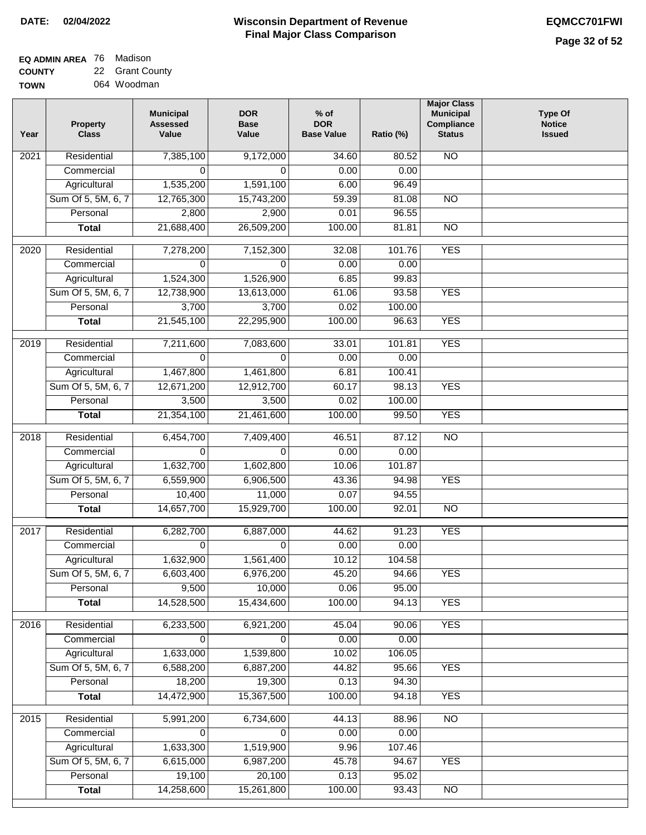| <b>EQ ADMIN AREA</b> 76 Madison |                 |
|---------------------------------|-----------------|
| <b>COUNTY</b>                   | 22 Grant County |

**TOWN** 064 Woodman

| Residential<br>7,385,100<br>9,172,000<br>$\overline{NO}$<br>2021<br>34.60<br>80.52<br>Commercial<br>0<br>$\Omega$<br>0.00<br>0.00<br>1,535,200<br>Agricultural<br>1,591,100<br>6.00<br>96.49<br>Sum Of 5, 5M, 6, 7<br>12,765,300<br>59.39<br>81.08<br>$\overline{NO}$<br>15,743,200<br>Personal<br>2,800<br>2,900<br>0.01<br>96.55<br>21,688,400<br>26,509,200<br>100.00<br>81.81<br>$\overline{NO}$<br><b>Total</b><br><b>YES</b><br>Residential<br>7,278,200<br>7,152,300<br>32.08<br>101.76<br>2020<br>Commercial<br>$\mathbf 0$<br>0.00<br>0.00<br>$\Omega$<br>1,526,900<br>Agricultural<br>1,524,300<br>6.85<br>99.83<br><b>YES</b><br>Sum Of 5, 5M, 6, 7<br>12,738,900<br>13,613,000<br>61.06<br>93.58<br>3,700<br>3,700<br>0.02<br>Personal<br>100.00<br>21,545,100<br><b>YES</b><br>22,295,900<br>100.00<br>96.63<br><b>Total</b><br>Residential<br><b>YES</b><br>2019<br>7,211,600<br>7,083,600<br>33.01<br>101.81<br>Commercial<br>0.00<br>0.00<br>0<br>$\Omega$<br>1,467,800<br>Agricultural<br>1,461,800<br>6.81<br>100.41<br>Sum Of 5, 5M, 6, 7<br>12,671,200<br>12,912,700<br>98.13<br><b>YES</b><br>60.17<br>Personal<br>3,500<br>3,500<br>0.02<br>100.00<br>21,354,100<br>100.00<br>99.50<br><b>YES</b><br><b>Total</b><br>21,461,600<br>$\overline{NO}$<br>2018<br>Residential<br>6,454,700<br>7,409,400<br>46.51<br>87.12<br>$\mathbf 0$<br>$\Omega$<br>0.00<br>Commercial<br>0.00<br>1,632,700<br>10.06<br>101.87<br>Agricultural<br>1,602,800<br>Sum Of 5, 5M, 6, 7<br>6,559,900<br>6,906,500<br>43.36<br>94.98<br><b>YES</b><br>10,400<br>11,000<br>0.07<br>94.55<br>Personal<br>14,657,700<br>15,929,700<br>100.00<br>92.01<br><b>NO</b><br><b>Total</b><br><b>YES</b><br>2017<br>Residential<br>6,282,700<br>6,887,000<br>44.62<br>91.23<br>0.00<br>Commercial<br>$\Omega$<br>$\Omega$<br>0.00<br>1,632,900<br>1,561,400<br>10.12<br>104.58<br>Agricultural<br>Sum Of 5, 5M, 6, 7<br>6,603,400<br>6,976,200<br>45.20<br>94.66<br>YES<br>10,000<br>0.06<br>95.00<br>Personal<br>9,500<br>14,528,500<br>15,434,600<br>100.00<br><b>YES</b><br><b>Total</b><br>94.13<br><b>YES</b><br>Residential<br>6,233,500<br>6,921,200<br>45.04<br>90.06<br>2016<br>0.00<br>Commercial<br>0<br>$\Omega$<br>0.00<br>1,633,000<br>1,539,800<br>10.02<br>106.05<br>Agricultural<br>Sum Of 5, 5M, 6, 7<br>6,588,200<br>6,887,200<br>44.82<br>95.66<br><b>YES</b><br>18,200<br>Personal<br>19,300<br>0.13<br>94.30<br>14,472,900<br>15,367,500<br>100.00<br><b>YES</b><br>94.18<br><b>Total</b><br>N <sub>O</sub><br>$\overline{2015}$<br>Residential<br>5,991,200<br>6,734,600<br>44.13<br>88.96<br>Commercial<br>0<br>$\Omega$<br>0.00<br>0.00<br>Agricultural<br>1,633,300<br>1,519,900<br>9.96<br>107.46<br>Sum Of 5, 5M, 6, 7<br>6,615,000<br>6,987,200<br>45.78<br>94.67<br><b>YES</b><br>Personal<br>19,100<br>20,100<br>0.13<br>95.02<br>14,258,600<br>15,261,800<br>100.00<br><b>Total</b><br>93.43<br><b>NO</b> | Year | <b>Property</b><br><b>Class</b> | <b>Municipal</b><br><b>Assessed</b><br>Value | <b>DOR</b><br><b>Base</b><br>Value | $%$ of<br><b>DOR</b><br><b>Base Value</b> | Ratio (%) | <b>Major Class</b><br><b>Municipal</b><br>Compliance<br><b>Status</b> | <b>Type Of</b><br><b>Notice</b><br><b>Issued</b> |
|-------------------------------------------------------------------------------------------------------------------------------------------------------------------------------------------------------------------------------------------------------------------------------------------------------------------------------------------------------------------------------------------------------------------------------------------------------------------------------------------------------------------------------------------------------------------------------------------------------------------------------------------------------------------------------------------------------------------------------------------------------------------------------------------------------------------------------------------------------------------------------------------------------------------------------------------------------------------------------------------------------------------------------------------------------------------------------------------------------------------------------------------------------------------------------------------------------------------------------------------------------------------------------------------------------------------------------------------------------------------------------------------------------------------------------------------------------------------------------------------------------------------------------------------------------------------------------------------------------------------------------------------------------------------------------------------------------------------------------------------------------------------------------------------------------------------------------------------------------------------------------------------------------------------------------------------------------------------------------------------------------------------------------------------------------------------------------------------------------------------------------------------------------------------------------------------------------------------------------------------------------------------------------------------------------------------------------------------------------------------------------------------------------------------------------------------------------------------------------------------------------------------------------------------------------------------------------------------------------------------------------------------------------------------------------------------------------------------------------------------------------------------------------------------------------------------------------------------------------------------------------------------------------------------------------|------|---------------------------------|----------------------------------------------|------------------------------------|-------------------------------------------|-----------|-----------------------------------------------------------------------|--------------------------------------------------|
|                                                                                                                                                                                                                                                                                                                                                                                                                                                                                                                                                                                                                                                                                                                                                                                                                                                                                                                                                                                                                                                                                                                                                                                                                                                                                                                                                                                                                                                                                                                                                                                                                                                                                                                                                                                                                                                                                                                                                                                                                                                                                                                                                                                                                                                                                                                                                                                                                                                                                                                                                                                                                                                                                                                                                                                                                                                                                                                               |      |                                 |                                              |                                    |                                           |           |                                                                       |                                                  |
|                                                                                                                                                                                                                                                                                                                                                                                                                                                                                                                                                                                                                                                                                                                                                                                                                                                                                                                                                                                                                                                                                                                                                                                                                                                                                                                                                                                                                                                                                                                                                                                                                                                                                                                                                                                                                                                                                                                                                                                                                                                                                                                                                                                                                                                                                                                                                                                                                                                                                                                                                                                                                                                                                                                                                                                                                                                                                                                               |      |                                 |                                              |                                    |                                           |           |                                                                       |                                                  |
|                                                                                                                                                                                                                                                                                                                                                                                                                                                                                                                                                                                                                                                                                                                                                                                                                                                                                                                                                                                                                                                                                                                                                                                                                                                                                                                                                                                                                                                                                                                                                                                                                                                                                                                                                                                                                                                                                                                                                                                                                                                                                                                                                                                                                                                                                                                                                                                                                                                                                                                                                                                                                                                                                                                                                                                                                                                                                                                               |      |                                 |                                              |                                    |                                           |           |                                                                       |                                                  |
|                                                                                                                                                                                                                                                                                                                                                                                                                                                                                                                                                                                                                                                                                                                                                                                                                                                                                                                                                                                                                                                                                                                                                                                                                                                                                                                                                                                                                                                                                                                                                                                                                                                                                                                                                                                                                                                                                                                                                                                                                                                                                                                                                                                                                                                                                                                                                                                                                                                                                                                                                                                                                                                                                                                                                                                                                                                                                                                               |      |                                 |                                              |                                    |                                           |           |                                                                       |                                                  |
|                                                                                                                                                                                                                                                                                                                                                                                                                                                                                                                                                                                                                                                                                                                                                                                                                                                                                                                                                                                                                                                                                                                                                                                                                                                                                                                                                                                                                                                                                                                                                                                                                                                                                                                                                                                                                                                                                                                                                                                                                                                                                                                                                                                                                                                                                                                                                                                                                                                                                                                                                                                                                                                                                                                                                                                                                                                                                                                               |      |                                 |                                              |                                    |                                           |           |                                                                       |                                                  |
|                                                                                                                                                                                                                                                                                                                                                                                                                                                                                                                                                                                                                                                                                                                                                                                                                                                                                                                                                                                                                                                                                                                                                                                                                                                                                                                                                                                                                                                                                                                                                                                                                                                                                                                                                                                                                                                                                                                                                                                                                                                                                                                                                                                                                                                                                                                                                                                                                                                                                                                                                                                                                                                                                                                                                                                                                                                                                                                               |      |                                 |                                              |                                    |                                           |           |                                                                       |                                                  |
|                                                                                                                                                                                                                                                                                                                                                                                                                                                                                                                                                                                                                                                                                                                                                                                                                                                                                                                                                                                                                                                                                                                                                                                                                                                                                                                                                                                                                                                                                                                                                                                                                                                                                                                                                                                                                                                                                                                                                                                                                                                                                                                                                                                                                                                                                                                                                                                                                                                                                                                                                                                                                                                                                                                                                                                                                                                                                                                               |      |                                 |                                              |                                    |                                           |           |                                                                       |                                                  |
|                                                                                                                                                                                                                                                                                                                                                                                                                                                                                                                                                                                                                                                                                                                                                                                                                                                                                                                                                                                                                                                                                                                                                                                                                                                                                                                                                                                                                                                                                                                                                                                                                                                                                                                                                                                                                                                                                                                                                                                                                                                                                                                                                                                                                                                                                                                                                                                                                                                                                                                                                                                                                                                                                                                                                                                                                                                                                                                               |      |                                 |                                              |                                    |                                           |           |                                                                       |                                                  |
|                                                                                                                                                                                                                                                                                                                                                                                                                                                                                                                                                                                                                                                                                                                                                                                                                                                                                                                                                                                                                                                                                                                                                                                                                                                                                                                                                                                                                                                                                                                                                                                                                                                                                                                                                                                                                                                                                                                                                                                                                                                                                                                                                                                                                                                                                                                                                                                                                                                                                                                                                                                                                                                                                                                                                                                                                                                                                                                               |      |                                 |                                              |                                    |                                           |           |                                                                       |                                                  |
|                                                                                                                                                                                                                                                                                                                                                                                                                                                                                                                                                                                                                                                                                                                                                                                                                                                                                                                                                                                                                                                                                                                                                                                                                                                                                                                                                                                                                                                                                                                                                                                                                                                                                                                                                                                                                                                                                                                                                                                                                                                                                                                                                                                                                                                                                                                                                                                                                                                                                                                                                                                                                                                                                                                                                                                                                                                                                                                               |      |                                 |                                              |                                    |                                           |           |                                                                       |                                                  |
|                                                                                                                                                                                                                                                                                                                                                                                                                                                                                                                                                                                                                                                                                                                                                                                                                                                                                                                                                                                                                                                                                                                                                                                                                                                                                                                                                                                                                                                                                                                                                                                                                                                                                                                                                                                                                                                                                                                                                                                                                                                                                                                                                                                                                                                                                                                                                                                                                                                                                                                                                                                                                                                                                                                                                                                                                                                                                                                               |      |                                 |                                              |                                    |                                           |           |                                                                       |                                                  |
|                                                                                                                                                                                                                                                                                                                                                                                                                                                                                                                                                                                                                                                                                                                                                                                                                                                                                                                                                                                                                                                                                                                                                                                                                                                                                                                                                                                                                                                                                                                                                                                                                                                                                                                                                                                                                                                                                                                                                                                                                                                                                                                                                                                                                                                                                                                                                                                                                                                                                                                                                                                                                                                                                                                                                                                                                                                                                                                               |      |                                 |                                              |                                    |                                           |           |                                                                       |                                                  |
|                                                                                                                                                                                                                                                                                                                                                                                                                                                                                                                                                                                                                                                                                                                                                                                                                                                                                                                                                                                                                                                                                                                                                                                                                                                                                                                                                                                                                                                                                                                                                                                                                                                                                                                                                                                                                                                                                                                                                                                                                                                                                                                                                                                                                                                                                                                                                                                                                                                                                                                                                                                                                                                                                                                                                                                                                                                                                                                               |      |                                 |                                              |                                    |                                           |           |                                                                       |                                                  |
|                                                                                                                                                                                                                                                                                                                                                                                                                                                                                                                                                                                                                                                                                                                                                                                                                                                                                                                                                                                                                                                                                                                                                                                                                                                                                                                                                                                                                                                                                                                                                                                                                                                                                                                                                                                                                                                                                                                                                                                                                                                                                                                                                                                                                                                                                                                                                                                                                                                                                                                                                                                                                                                                                                                                                                                                                                                                                                                               |      |                                 |                                              |                                    |                                           |           |                                                                       |                                                  |
|                                                                                                                                                                                                                                                                                                                                                                                                                                                                                                                                                                                                                                                                                                                                                                                                                                                                                                                                                                                                                                                                                                                                                                                                                                                                                                                                                                                                                                                                                                                                                                                                                                                                                                                                                                                                                                                                                                                                                                                                                                                                                                                                                                                                                                                                                                                                                                                                                                                                                                                                                                                                                                                                                                                                                                                                                                                                                                                               |      |                                 |                                              |                                    |                                           |           |                                                                       |                                                  |
|                                                                                                                                                                                                                                                                                                                                                                                                                                                                                                                                                                                                                                                                                                                                                                                                                                                                                                                                                                                                                                                                                                                                                                                                                                                                                                                                                                                                                                                                                                                                                                                                                                                                                                                                                                                                                                                                                                                                                                                                                                                                                                                                                                                                                                                                                                                                                                                                                                                                                                                                                                                                                                                                                                                                                                                                                                                                                                                               |      |                                 |                                              |                                    |                                           |           |                                                                       |                                                  |
|                                                                                                                                                                                                                                                                                                                                                                                                                                                                                                                                                                                                                                                                                                                                                                                                                                                                                                                                                                                                                                                                                                                                                                                                                                                                                                                                                                                                                                                                                                                                                                                                                                                                                                                                                                                                                                                                                                                                                                                                                                                                                                                                                                                                                                                                                                                                                                                                                                                                                                                                                                                                                                                                                                                                                                                                                                                                                                                               |      |                                 |                                              |                                    |                                           |           |                                                                       |                                                  |
|                                                                                                                                                                                                                                                                                                                                                                                                                                                                                                                                                                                                                                                                                                                                                                                                                                                                                                                                                                                                                                                                                                                                                                                                                                                                                                                                                                                                                                                                                                                                                                                                                                                                                                                                                                                                                                                                                                                                                                                                                                                                                                                                                                                                                                                                                                                                                                                                                                                                                                                                                                                                                                                                                                                                                                                                                                                                                                                               |      |                                 |                                              |                                    |                                           |           |                                                                       |                                                  |
|                                                                                                                                                                                                                                                                                                                                                                                                                                                                                                                                                                                                                                                                                                                                                                                                                                                                                                                                                                                                                                                                                                                                                                                                                                                                                                                                                                                                                                                                                                                                                                                                                                                                                                                                                                                                                                                                                                                                                                                                                                                                                                                                                                                                                                                                                                                                                                                                                                                                                                                                                                                                                                                                                                                                                                                                                                                                                                                               |      |                                 |                                              |                                    |                                           |           |                                                                       |                                                  |
|                                                                                                                                                                                                                                                                                                                                                                                                                                                                                                                                                                                                                                                                                                                                                                                                                                                                                                                                                                                                                                                                                                                                                                                                                                                                                                                                                                                                                                                                                                                                                                                                                                                                                                                                                                                                                                                                                                                                                                                                                                                                                                                                                                                                                                                                                                                                                                                                                                                                                                                                                                                                                                                                                                                                                                                                                                                                                                                               |      |                                 |                                              |                                    |                                           |           |                                                                       |                                                  |
|                                                                                                                                                                                                                                                                                                                                                                                                                                                                                                                                                                                                                                                                                                                                                                                                                                                                                                                                                                                                                                                                                                                                                                                                                                                                                                                                                                                                                                                                                                                                                                                                                                                                                                                                                                                                                                                                                                                                                                                                                                                                                                                                                                                                                                                                                                                                                                                                                                                                                                                                                                                                                                                                                                                                                                                                                                                                                                                               |      |                                 |                                              |                                    |                                           |           |                                                                       |                                                  |
|                                                                                                                                                                                                                                                                                                                                                                                                                                                                                                                                                                                                                                                                                                                                                                                                                                                                                                                                                                                                                                                                                                                                                                                                                                                                                                                                                                                                                                                                                                                                                                                                                                                                                                                                                                                                                                                                                                                                                                                                                                                                                                                                                                                                                                                                                                                                                                                                                                                                                                                                                                                                                                                                                                                                                                                                                                                                                                                               |      |                                 |                                              |                                    |                                           |           |                                                                       |                                                  |
|                                                                                                                                                                                                                                                                                                                                                                                                                                                                                                                                                                                                                                                                                                                                                                                                                                                                                                                                                                                                                                                                                                                                                                                                                                                                                                                                                                                                                                                                                                                                                                                                                                                                                                                                                                                                                                                                                                                                                                                                                                                                                                                                                                                                                                                                                                                                                                                                                                                                                                                                                                                                                                                                                                                                                                                                                                                                                                                               |      |                                 |                                              |                                    |                                           |           |                                                                       |                                                  |
|                                                                                                                                                                                                                                                                                                                                                                                                                                                                                                                                                                                                                                                                                                                                                                                                                                                                                                                                                                                                                                                                                                                                                                                                                                                                                                                                                                                                                                                                                                                                                                                                                                                                                                                                                                                                                                                                                                                                                                                                                                                                                                                                                                                                                                                                                                                                                                                                                                                                                                                                                                                                                                                                                                                                                                                                                                                                                                                               |      |                                 |                                              |                                    |                                           |           |                                                                       |                                                  |
|                                                                                                                                                                                                                                                                                                                                                                                                                                                                                                                                                                                                                                                                                                                                                                                                                                                                                                                                                                                                                                                                                                                                                                                                                                                                                                                                                                                                                                                                                                                                                                                                                                                                                                                                                                                                                                                                                                                                                                                                                                                                                                                                                                                                                                                                                                                                                                                                                                                                                                                                                                                                                                                                                                                                                                                                                                                                                                                               |      |                                 |                                              |                                    |                                           |           |                                                                       |                                                  |
|                                                                                                                                                                                                                                                                                                                                                                                                                                                                                                                                                                                                                                                                                                                                                                                                                                                                                                                                                                                                                                                                                                                                                                                                                                                                                                                                                                                                                                                                                                                                                                                                                                                                                                                                                                                                                                                                                                                                                                                                                                                                                                                                                                                                                                                                                                                                                                                                                                                                                                                                                                                                                                                                                                                                                                                                                                                                                                                               |      |                                 |                                              |                                    |                                           |           |                                                                       |                                                  |
|                                                                                                                                                                                                                                                                                                                                                                                                                                                                                                                                                                                                                                                                                                                                                                                                                                                                                                                                                                                                                                                                                                                                                                                                                                                                                                                                                                                                                                                                                                                                                                                                                                                                                                                                                                                                                                                                                                                                                                                                                                                                                                                                                                                                                                                                                                                                                                                                                                                                                                                                                                                                                                                                                                                                                                                                                                                                                                                               |      |                                 |                                              |                                    |                                           |           |                                                                       |                                                  |
|                                                                                                                                                                                                                                                                                                                                                                                                                                                                                                                                                                                                                                                                                                                                                                                                                                                                                                                                                                                                                                                                                                                                                                                                                                                                                                                                                                                                                                                                                                                                                                                                                                                                                                                                                                                                                                                                                                                                                                                                                                                                                                                                                                                                                                                                                                                                                                                                                                                                                                                                                                                                                                                                                                                                                                                                                                                                                                                               |      |                                 |                                              |                                    |                                           |           |                                                                       |                                                  |
|                                                                                                                                                                                                                                                                                                                                                                                                                                                                                                                                                                                                                                                                                                                                                                                                                                                                                                                                                                                                                                                                                                                                                                                                                                                                                                                                                                                                                                                                                                                                                                                                                                                                                                                                                                                                                                                                                                                                                                                                                                                                                                                                                                                                                                                                                                                                                                                                                                                                                                                                                                                                                                                                                                                                                                                                                                                                                                                               |      |                                 |                                              |                                    |                                           |           |                                                                       |                                                  |
|                                                                                                                                                                                                                                                                                                                                                                                                                                                                                                                                                                                                                                                                                                                                                                                                                                                                                                                                                                                                                                                                                                                                                                                                                                                                                                                                                                                                                                                                                                                                                                                                                                                                                                                                                                                                                                                                                                                                                                                                                                                                                                                                                                                                                                                                                                                                                                                                                                                                                                                                                                                                                                                                                                                                                                                                                                                                                                                               |      |                                 |                                              |                                    |                                           |           |                                                                       |                                                  |
|                                                                                                                                                                                                                                                                                                                                                                                                                                                                                                                                                                                                                                                                                                                                                                                                                                                                                                                                                                                                                                                                                                                                                                                                                                                                                                                                                                                                                                                                                                                                                                                                                                                                                                                                                                                                                                                                                                                                                                                                                                                                                                                                                                                                                                                                                                                                                                                                                                                                                                                                                                                                                                                                                                                                                                                                                                                                                                                               |      |                                 |                                              |                                    |                                           |           |                                                                       |                                                  |
|                                                                                                                                                                                                                                                                                                                                                                                                                                                                                                                                                                                                                                                                                                                                                                                                                                                                                                                                                                                                                                                                                                                                                                                                                                                                                                                                                                                                                                                                                                                                                                                                                                                                                                                                                                                                                                                                                                                                                                                                                                                                                                                                                                                                                                                                                                                                                                                                                                                                                                                                                                                                                                                                                                                                                                                                                                                                                                                               |      |                                 |                                              |                                    |                                           |           |                                                                       |                                                  |
|                                                                                                                                                                                                                                                                                                                                                                                                                                                                                                                                                                                                                                                                                                                                                                                                                                                                                                                                                                                                                                                                                                                                                                                                                                                                                                                                                                                                                                                                                                                                                                                                                                                                                                                                                                                                                                                                                                                                                                                                                                                                                                                                                                                                                                                                                                                                                                                                                                                                                                                                                                                                                                                                                                                                                                                                                                                                                                                               |      |                                 |                                              |                                    |                                           |           |                                                                       |                                                  |
|                                                                                                                                                                                                                                                                                                                                                                                                                                                                                                                                                                                                                                                                                                                                                                                                                                                                                                                                                                                                                                                                                                                                                                                                                                                                                                                                                                                                                                                                                                                                                                                                                                                                                                                                                                                                                                                                                                                                                                                                                                                                                                                                                                                                                                                                                                                                                                                                                                                                                                                                                                                                                                                                                                                                                                                                                                                                                                                               |      |                                 |                                              |                                    |                                           |           |                                                                       |                                                  |
|                                                                                                                                                                                                                                                                                                                                                                                                                                                                                                                                                                                                                                                                                                                                                                                                                                                                                                                                                                                                                                                                                                                                                                                                                                                                                                                                                                                                                                                                                                                                                                                                                                                                                                                                                                                                                                                                                                                                                                                                                                                                                                                                                                                                                                                                                                                                                                                                                                                                                                                                                                                                                                                                                                                                                                                                                                                                                                                               |      |                                 |                                              |                                    |                                           |           |                                                                       |                                                  |
|                                                                                                                                                                                                                                                                                                                                                                                                                                                                                                                                                                                                                                                                                                                                                                                                                                                                                                                                                                                                                                                                                                                                                                                                                                                                                                                                                                                                                                                                                                                                                                                                                                                                                                                                                                                                                                                                                                                                                                                                                                                                                                                                                                                                                                                                                                                                                                                                                                                                                                                                                                                                                                                                                                                                                                                                                                                                                                                               |      |                                 |                                              |                                    |                                           |           |                                                                       |                                                  |
|                                                                                                                                                                                                                                                                                                                                                                                                                                                                                                                                                                                                                                                                                                                                                                                                                                                                                                                                                                                                                                                                                                                                                                                                                                                                                                                                                                                                                                                                                                                                                                                                                                                                                                                                                                                                                                                                                                                                                                                                                                                                                                                                                                                                                                                                                                                                                                                                                                                                                                                                                                                                                                                                                                                                                                                                                                                                                                                               |      |                                 |                                              |                                    |                                           |           |                                                                       |                                                  |
|                                                                                                                                                                                                                                                                                                                                                                                                                                                                                                                                                                                                                                                                                                                                                                                                                                                                                                                                                                                                                                                                                                                                                                                                                                                                                                                                                                                                                                                                                                                                                                                                                                                                                                                                                                                                                                                                                                                                                                                                                                                                                                                                                                                                                                                                                                                                                                                                                                                                                                                                                                                                                                                                                                                                                                                                                                                                                                                               |      |                                 |                                              |                                    |                                           |           |                                                                       |                                                  |
|                                                                                                                                                                                                                                                                                                                                                                                                                                                                                                                                                                                                                                                                                                                                                                                                                                                                                                                                                                                                                                                                                                                                                                                                                                                                                                                                                                                                                                                                                                                                                                                                                                                                                                                                                                                                                                                                                                                                                                                                                                                                                                                                                                                                                                                                                                                                                                                                                                                                                                                                                                                                                                                                                                                                                                                                                                                                                                                               |      |                                 |                                              |                                    |                                           |           |                                                                       |                                                  |
|                                                                                                                                                                                                                                                                                                                                                                                                                                                                                                                                                                                                                                                                                                                                                                                                                                                                                                                                                                                                                                                                                                                                                                                                                                                                                                                                                                                                                                                                                                                                                                                                                                                                                                                                                                                                                                                                                                                                                                                                                                                                                                                                                                                                                                                                                                                                                                                                                                                                                                                                                                                                                                                                                                                                                                                                                                                                                                                               |      |                                 |                                              |                                    |                                           |           |                                                                       |                                                  |
|                                                                                                                                                                                                                                                                                                                                                                                                                                                                                                                                                                                                                                                                                                                                                                                                                                                                                                                                                                                                                                                                                                                                                                                                                                                                                                                                                                                                                                                                                                                                                                                                                                                                                                                                                                                                                                                                                                                                                                                                                                                                                                                                                                                                                                                                                                                                                                                                                                                                                                                                                                                                                                                                                                                                                                                                                                                                                                                               |      |                                 |                                              |                                    |                                           |           |                                                                       |                                                  |
|                                                                                                                                                                                                                                                                                                                                                                                                                                                                                                                                                                                                                                                                                                                                                                                                                                                                                                                                                                                                                                                                                                                                                                                                                                                                                                                                                                                                                                                                                                                                                                                                                                                                                                                                                                                                                                                                                                                                                                                                                                                                                                                                                                                                                                                                                                                                                                                                                                                                                                                                                                                                                                                                                                                                                                                                                                                                                                                               |      |                                 |                                              |                                    |                                           |           |                                                                       |                                                  |
|                                                                                                                                                                                                                                                                                                                                                                                                                                                                                                                                                                                                                                                                                                                                                                                                                                                                                                                                                                                                                                                                                                                                                                                                                                                                                                                                                                                                                                                                                                                                                                                                                                                                                                                                                                                                                                                                                                                                                                                                                                                                                                                                                                                                                                                                                                                                                                                                                                                                                                                                                                                                                                                                                                                                                                                                                                                                                                                               |      |                                 |                                              |                                    |                                           |           |                                                                       |                                                  |
|                                                                                                                                                                                                                                                                                                                                                                                                                                                                                                                                                                                                                                                                                                                                                                                                                                                                                                                                                                                                                                                                                                                                                                                                                                                                                                                                                                                                                                                                                                                                                                                                                                                                                                                                                                                                                                                                                                                                                                                                                                                                                                                                                                                                                                                                                                                                                                                                                                                                                                                                                                                                                                                                                                                                                                                                                                                                                                                               |      |                                 |                                              |                                    |                                           |           |                                                                       |                                                  |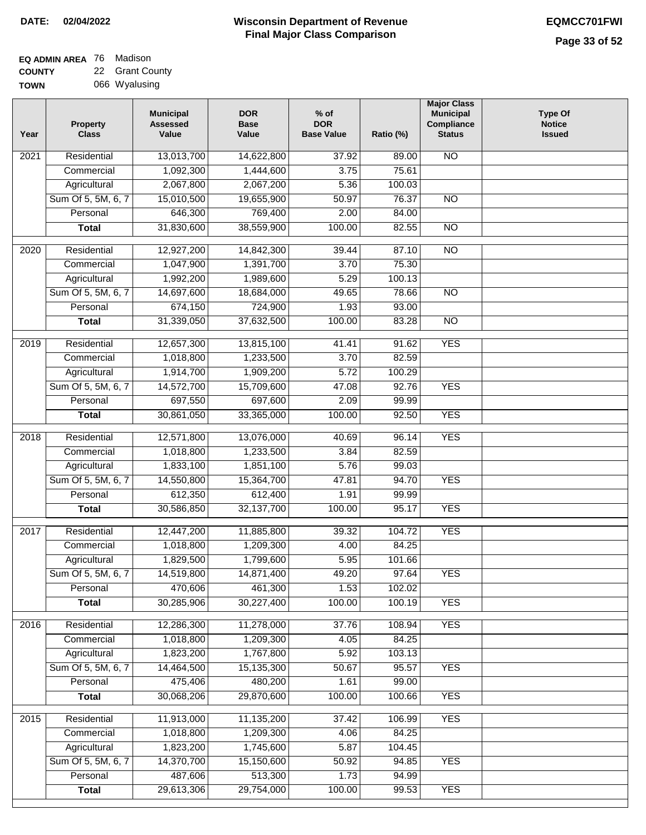#### **EQ ADMIN AREA** 76 Madison **COUNTY** 22 Grant County

**TOWN** 066 Wyalusing

| Year              | <b>Property</b><br><b>Class</b> | <b>Municipal</b><br><b>Assessed</b><br>Value | <b>DOR</b><br><b>Base</b><br>Value | $%$ of<br><b>DOR</b><br><b>Base Value</b> | Ratio (%) | <b>Major Class</b><br><b>Municipal</b><br>Compliance<br><b>Status</b> | <b>Type Of</b><br><b>Notice</b><br><b>Issued</b> |
|-------------------|---------------------------------|----------------------------------------------|------------------------------------|-------------------------------------------|-----------|-----------------------------------------------------------------------|--------------------------------------------------|
| 2021              | Residential                     | 13,013,700                                   | 14,622,800                         | 37.92                                     | 89.00     | <b>NO</b>                                                             |                                                  |
|                   | Commercial                      | 1,092,300                                    | 1,444,600                          | 3.75                                      | 75.61     |                                                                       |                                                  |
|                   | Agricultural                    | 2,067,800                                    | 2,067,200                          | 5.36                                      | 100.03    |                                                                       |                                                  |
|                   | Sum Of 5, 5M, 6, 7              | 15,010,500                                   | 19,655,900                         | 50.97                                     | 76.37     | $\overline{NO}$                                                       |                                                  |
|                   | Personal                        | 646,300                                      | 769,400                            | 2.00                                      | 84.00     |                                                                       |                                                  |
|                   | <b>Total</b>                    | 31,830,600                                   | 38,559,900                         | 100.00                                    | 82.55     | $\overline{NO}$                                                       |                                                  |
| $\overline{2020}$ | Residential                     | 12,927,200                                   | 14,842,300                         | 39.44                                     | 87.10     | $\overline{NO}$                                                       |                                                  |
|                   | Commercial                      | 1,047,900                                    | 1,391,700                          | 3.70                                      | 75.30     |                                                                       |                                                  |
|                   | Agricultural                    | 1,992,200                                    | 1,989,600                          | 5.29                                      | 100.13    |                                                                       |                                                  |
|                   | Sum Of 5, 5M, 6, 7              | 14,697,600                                   | 18,684,000                         | 49.65                                     | 78.66     | <b>NO</b>                                                             |                                                  |
|                   | Personal                        | 674,150                                      | 724,900                            | 1.93                                      | 93.00     |                                                                       |                                                  |
|                   | <b>Total</b>                    | 31,339,050                                   | 37,632,500                         | 100.00                                    | 83.28     | $\overline{NO}$                                                       |                                                  |
|                   |                                 |                                              |                                    |                                           |           |                                                                       |                                                  |
| $\frac{1}{2019}$  | Residential                     | 12,657,300                                   | 13,815,100                         | 41.41                                     | 91.62     | <b>YES</b>                                                            |                                                  |
|                   | Commercial                      | 1,018,800                                    | 1,233,500                          | 3.70                                      | 82.59     |                                                                       |                                                  |
|                   | Agricultural                    | 1,914,700                                    | 1,909,200                          | 5.72                                      | 100.29    |                                                                       |                                                  |
|                   | Sum Of 5, 5M, 6, 7              | 14,572,700                                   | 15,709,600                         | 47.08                                     | 92.76     | <b>YES</b>                                                            |                                                  |
|                   | Personal                        | 697,550                                      | 697,600                            | 2.09                                      | 99.99     |                                                                       |                                                  |
|                   | <b>Total</b>                    | 30,861,050                                   | 33,365,000                         | 100.00                                    | 92.50     | <b>YES</b>                                                            |                                                  |
| 2018              | Residential                     | 12,571,800                                   | 13,076,000                         | 40.69                                     | 96.14     | <b>YES</b>                                                            |                                                  |
|                   | Commercial                      | 1,018,800                                    | 1,233,500                          | 3.84                                      | 82.59     |                                                                       |                                                  |
|                   | Agricultural                    | 1,833,100                                    | 1,851,100                          | 5.76                                      | 99.03     |                                                                       |                                                  |
|                   | Sum Of 5, 5M, 6, 7              | 14,550,800                                   | 15,364,700                         | 47.81                                     | 94.70     | <b>YES</b>                                                            |                                                  |
|                   | Personal                        | 612,350                                      | 612,400                            | 1.91                                      | 99.99     |                                                                       |                                                  |
|                   | <b>Total</b>                    | 30,586,850                                   | 32,137,700                         | 100.00                                    | 95.17     | <b>YES</b>                                                            |                                                  |
| 2017              | Residential                     | 12,447,200                                   | 11,885,800                         | 39.32                                     | 104.72    | <b>YES</b>                                                            |                                                  |
|                   | Commercial                      | 1,018,800                                    | 1,209,300                          | 4.00                                      | 84.25     |                                                                       |                                                  |
|                   | Agricultural                    | 1,829,500                                    | 1,799,600                          | 5.95                                      | 101.66    |                                                                       |                                                  |
|                   | Sum Of 5, 5M, 6, 7              | 14,519,800                                   | 14,871,400                         | 49.20                                     | 97.64     | <b>YES</b>                                                            |                                                  |
|                   | Personal                        | 470,606                                      | 461,300                            | 1.53                                      | 102.02    |                                                                       |                                                  |
|                   | <b>Total</b>                    | 30,285,906                                   | 30,227,400                         | 100.00                                    | 100.19    | <b>YES</b>                                                            |                                                  |
|                   |                                 |                                              |                                    |                                           |           |                                                                       |                                                  |
| 2016              | Residential                     | 12,286,300                                   | 11,278,000                         | 37.76                                     | 108.94    | <b>YES</b>                                                            |                                                  |
|                   | Commercial                      | 1,018,800                                    | 1,209,300                          | 4.05                                      | 84.25     |                                                                       |                                                  |
|                   | Agricultural                    | 1,823,200                                    | 1,767,800                          | 5.92                                      | 103.13    |                                                                       |                                                  |
|                   | Sum Of 5, 5M, 6, 7              | 14,464,500                                   | 15,135,300                         | 50.67                                     | 95.57     | <b>YES</b>                                                            |                                                  |
|                   | Personal                        | 475,406                                      | 480,200                            | 1.61                                      | 99.00     |                                                                       |                                                  |
|                   | <b>Total</b>                    | 30,068,206                                   | 29,870,600                         | 100.00                                    | 100.66    | <b>YES</b>                                                            |                                                  |
| 2015              | Residential                     | 11,913,000                                   | 11,135,200                         | 37.42                                     | 106.99    | <b>YES</b>                                                            |                                                  |
|                   | Commercial                      | 1,018,800                                    | 1,209,300                          | 4.06                                      | 84.25     |                                                                       |                                                  |
|                   | Agricultural                    | 1,823,200                                    | 1,745,600                          | 5.87                                      | 104.45    |                                                                       |                                                  |
|                   | Sum Of 5, 5M, 6, 7              | 14,370,700                                   | 15,150,600                         | 50.92                                     | 94.85     | <b>YES</b>                                                            |                                                  |
|                   | Personal                        | 487,606                                      | 513,300                            | 1.73                                      | 94.99     |                                                                       |                                                  |
|                   | <b>Total</b>                    | 29,613,306                                   | 29,754,000                         | 100.00                                    | 99.53     | <b>YES</b>                                                            |                                                  |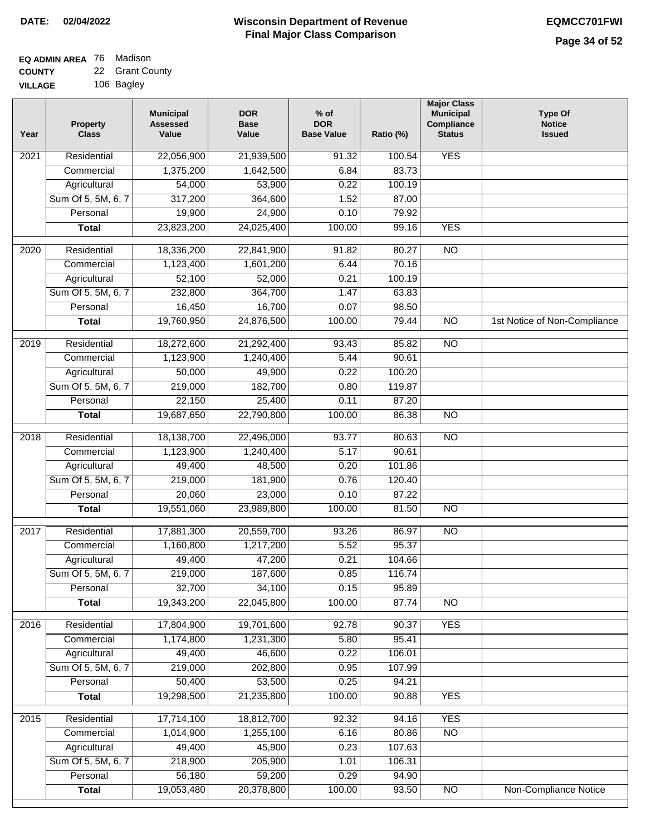#### **EQ ADMIN AREA** 76 Madison **COUNTY** 22 Grant County

**VILLAGE** 106 Bagley

| Year              | <b>Property</b><br><b>Class</b> | <b>Municipal</b><br><b>Assessed</b><br>Value | <b>DOR</b><br>Base<br>Value | $%$ of<br><b>DOR</b><br><b>Base Value</b> | Ratio (%) | <b>Major Class</b><br><b>Municipal</b><br>Compliance<br><b>Status</b> | <b>Type Of</b><br><b>Notice</b><br><b>Issued</b> |
|-------------------|---------------------------------|----------------------------------------------|-----------------------------|-------------------------------------------|-----------|-----------------------------------------------------------------------|--------------------------------------------------|
| $\overline{202}1$ | Residential                     | 22,056,900                                   | 21,939,500                  | 91.32                                     | 100.54    | <b>YES</b>                                                            |                                                  |
|                   | Commercial                      | 1,375,200                                    | 1,642,500                   | 6.84                                      | 83.73     |                                                                       |                                                  |
|                   | Agricultural                    | 54,000                                       | 53,900                      | 0.22                                      | 100.19    |                                                                       |                                                  |
|                   | Sum Of 5, 5M, 6, 7              | 317,200                                      | 364,600                     | 1.52                                      | 87.00     |                                                                       |                                                  |
|                   | Personal                        | 19,900                                       | 24,900                      | 0.10                                      | 79.92     |                                                                       |                                                  |
|                   | <b>Total</b>                    | 23,823,200                                   | 24,025,400                  | 100.00                                    | 99.16     | <b>YES</b>                                                            |                                                  |
| $\overline{2020}$ | Residential                     | 18,336,200                                   | 22,841,900                  | 91.82                                     | 80.27     | $\overline{10}$                                                       |                                                  |
|                   | Commercial                      | 1,123,400                                    | 1,601,200                   | 6.44                                      | 70.16     |                                                                       |                                                  |
|                   | Agricultural                    | 52,100                                       | 52,000                      | 0.21                                      | 100.19    |                                                                       |                                                  |
|                   | Sum Of 5, 5M, 6, 7              | 232,800                                      | 364,700                     | 1.47                                      | 63.83     |                                                                       |                                                  |
|                   | Personal                        | 16,450                                       | 16,700                      | 0.07                                      | 98.50     |                                                                       |                                                  |
|                   | <b>Total</b>                    | 19,760,950                                   | 24,876,500                  | 100.00                                    | 79.44     | $\overline{NO}$                                                       | 1st Notice of Non-Compliance                     |
| 2019              | Residential                     | 18,272,600                                   | 21,292,400                  | 93.43                                     | 85.82     | $\overline{10}$                                                       |                                                  |
|                   | Commercial                      | 1,123,900                                    | 1,240,400                   | 5.44                                      | 90.61     |                                                                       |                                                  |
|                   | Agricultural                    | 50,000                                       | 49,900                      | 0.22                                      | 100.20    |                                                                       |                                                  |
|                   | Sum Of 5, 5M, 6, 7              | 219,000                                      | 182,700                     | 0.80                                      | 119.87    |                                                                       |                                                  |
|                   | Personal                        | 22,150                                       | 25,400                      | 0.11                                      | 87.20     |                                                                       |                                                  |
|                   | <b>Total</b>                    | 19,687,650                                   | 22,790,800                  | 100.00                                    | 86.38     | $\overline{NO}$                                                       |                                                  |
| 2018              | Residential                     | 18,138,700                                   | 22,496,000                  | 93.77                                     | 80.63     | $\overline{10}$                                                       |                                                  |
|                   | Commercial                      | 1,123,900                                    | 1,240,400                   | 5.17                                      | 90.61     |                                                                       |                                                  |
|                   | Agricultural                    | 49,400                                       | 48,500                      | 0.20                                      | 101.86    |                                                                       |                                                  |
|                   | Sum Of 5, 5M, 6, 7              | 219,000                                      | 181,900                     | 0.76                                      | 120.40    |                                                                       |                                                  |
|                   | Personal                        | 20,060                                       | 23,000                      | 0.10                                      | 87.22     |                                                                       |                                                  |
|                   | <b>Total</b>                    | 19,551,060                                   | 23,989,800                  | 100.00                                    | 81.50     | <b>NO</b>                                                             |                                                  |
| 2017              | Residential                     | 17,881,300                                   | 20,559,700                  | 93.26                                     | 86.97     | $\overline{NO}$                                                       |                                                  |
|                   | Commercial                      | 1,160,800                                    | 1,217,200                   | 5.52                                      | 95.37     |                                                                       |                                                  |
|                   | Agricultural                    | 49,400                                       | 47,200                      | 0.21                                      | 104.66    |                                                                       |                                                  |
|                   | Sum Of 5, 5M, 6, 7              | 219,000                                      | 187,600                     | 0.85                                      | 116.74    |                                                                       |                                                  |
|                   | Personal                        | 32,700                                       | 34,100                      | 0.15                                      | 95.89     |                                                                       |                                                  |
|                   | <b>Total</b>                    | 19,343,200                                   | 22,045,800                  | 100.00                                    | 87.74     | <b>NO</b>                                                             |                                                  |
| 2016              | Residential                     | 17,804,900                                   | 19,701,600                  | 92.78                                     | 90.37     | <b>YES</b>                                                            |                                                  |
|                   | Commercial                      | 1,174,800                                    | 1,231,300                   | 5.80                                      | 95.41     |                                                                       |                                                  |
|                   | Agricultural                    | 49,400                                       | 46,600                      | 0.22                                      | 106.01    |                                                                       |                                                  |
|                   | Sum Of 5, 5M, 6, 7              | 219,000                                      | 202,800                     | 0.95                                      | 107.99    |                                                                       |                                                  |
|                   | Personal                        | 50,400                                       | 53,500                      | 0.25                                      | 94.21     |                                                                       |                                                  |
|                   | <b>Total</b>                    | 19,298,500                                   | 21,235,800                  | 100.00                                    | 90.88     | <b>YES</b>                                                            |                                                  |
| 2015              | Residential                     | 17,714,100                                   | 18,812,700                  | 92.32                                     | 94.16     | <b>YES</b>                                                            |                                                  |
|                   | Commercial                      | 1,014,900                                    | 1,255,100                   | 6.16                                      | 80.86     | N <sub>O</sub>                                                        |                                                  |
|                   | Agricultural                    | 49,400                                       | 45,900                      | 0.23                                      | 107.63    |                                                                       |                                                  |
|                   | Sum Of 5, 5M, 6, 7              | 218,900                                      | 205,900                     | 1.01                                      | 106.31    |                                                                       |                                                  |
|                   | Personal                        | 56,180                                       | 59,200                      | 0.29                                      | 94.90     |                                                                       |                                                  |
|                   | <b>Total</b>                    | 19,053,480                                   | 20,378,800                  | 100.00                                    | 93.50     | NO                                                                    | <b>Non-Compliance Notice</b>                     |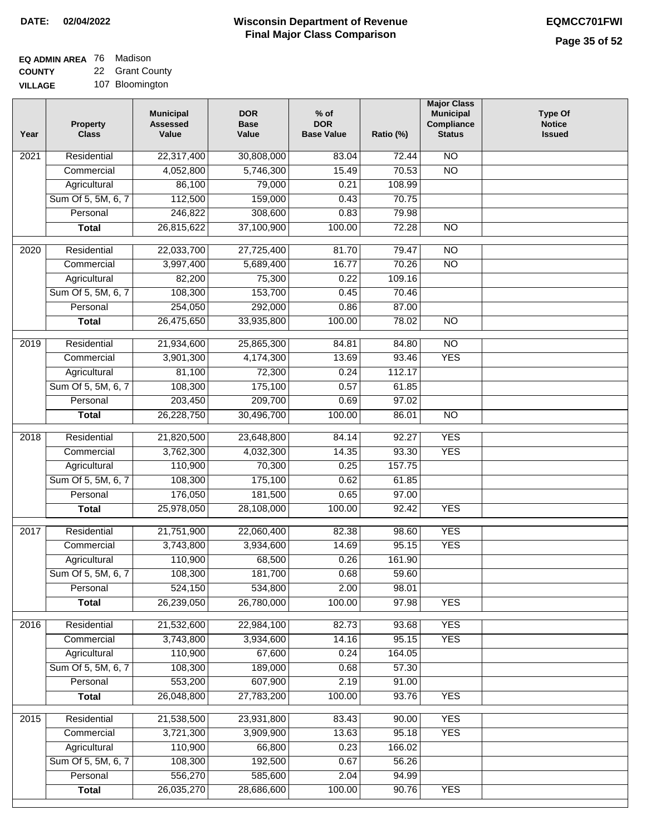| EQ ADMIN AREA 76 Madison |                 |
|--------------------------|-----------------|
| <b>COUNTY</b>            | 22 Grant County |

**VILLAGE** 107 Bloomington

| Year              | <b>Property</b><br><b>Class</b> | <b>Municipal</b><br><b>Assessed</b><br>Value | <b>DOR</b><br><b>Base</b><br>Value | $%$ of<br><b>DOR</b><br><b>Base Value</b> | Ratio (%)      | <b>Major Class</b><br><b>Municipal</b><br>Compliance<br><b>Status</b> | <b>Type Of</b><br><b>Notice</b><br><b>Issued</b> |
|-------------------|---------------------------------|----------------------------------------------|------------------------------------|-------------------------------------------|----------------|-----------------------------------------------------------------------|--------------------------------------------------|
| $\overline{202}1$ | Residential                     | 22,317,400                                   | 30,808,000                         | 83.04                                     | 72.44          | $\overline{NO}$                                                       |                                                  |
|                   | Commercial                      | 4,052,800                                    | 5,746,300                          | 15.49                                     | 70.53          | $\overline{NO}$                                                       |                                                  |
|                   | Agricultural                    | 86,100                                       | 79,000                             | 0.21                                      | 108.99         |                                                                       |                                                  |
|                   | Sum Of 5, 5M, 6, 7              | 112,500                                      | 159,000                            | 0.43                                      | 70.75          |                                                                       |                                                  |
|                   | Personal                        | 246,822                                      | 308,600                            | 0.83                                      | 79.98          |                                                                       |                                                  |
|                   | <b>Total</b>                    | 26,815,622                                   | 37,100,900                         | 100.00                                    | 72.28          | $\overline{NO}$                                                       |                                                  |
| $\overline{2020}$ | Residential                     | 22,033,700                                   | 27,725,400                         | 81.70                                     | 79.47          | $\overline{NO}$                                                       |                                                  |
|                   | Commercial                      | 3,997,400                                    | 5,689,400                          | 16.77                                     | 70.26          | $\overline{NO}$                                                       |                                                  |
|                   | Agricultural                    | 82,200                                       | 75,300                             | 0.22                                      | 109.16         |                                                                       |                                                  |
|                   | Sum Of 5, 5M, 6, 7              | 108,300                                      | 153,700                            | 0.45                                      | 70.46          |                                                                       |                                                  |
|                   | Personal                        | 254,050                                      | 292,000                            | 0.86                                      | 87.00          |                                                                       |                                                  |
|                   | <b>Total</b>                    | 26,475,650                                   | 33,935,800                         | 100.00                                    | 78.02          | $\overline{NO}$                                                       |                                                  |
|                   |                                 |                                              |                                    |                                           |                |                                                                       |                                                  |
| 2019              | Residential                     | 21,934,600                                   | 25,865,300                         | 84.81                                     | 84.80          | $\overline{10}$                                                       |                                                  |
|                   | Commercial                      | 3,901,300                                    | 4,174,300                          | 13.69                                     | 93.46          | <b>YES</b>                                                            |                                                  |
|                   | Agricultural                    | 81,100                                       | 72,300                             | 0.24                                      | 112.17         |                                                                       |                                                  |
|                   | Sum Of 5, 5M, 6, 7<br>Personal  | 108,300                                      | 175,100<br>209,700                 | 0.57<br>0.69                              | 61.85<br>97.02 |                                                                       |                                                  |
|                   | <b>Total</b>                    | 203,450<br>26,228,750                        | 30,496,700                         | 100.00                                    | 86.01          | $\overline{NO}$                                                       |                                                  |
|                   |                                 |                                              |                                    |                                           |                |                                                                       |                                                  |
| 2018              | Residential                     | 21,820,500                                   | 23,648,800                         | 84.14                                     | 92.27          | <b>YES</b>                                                            |                                                  |
|                   | Commercial                      | 3,762,300                                    | 4,032,300                          | 14.35                                     | 93.30          | <b>YES</b>                                                            |                                                  |
|                   | Agricultural                    | 110,900                                      | 70,300                             | 0.25                                      | 157.75         |                                                                       |                                                  |
|                   | Sum Of 5, 5M, 6, 7              | 108,300                                      | 175,100                            | 0.62                                      | 61.85          |                                                                       |                                                  |
|                   | Personal                        | 176,050                                      | 181,500                            | 0.65                                      | 97.00          |                                                                       |                                                  |
|                   | <b>Total</b>                    | 25,978,050                                   | 28,108,000                         | 100.00                                    | 92.42          | <b>YES</b>                                                            |                                                  |
| 2017              | Residential                     | 21,751,900                                   | 22,060,400                         | 82.38                                     | 98.60          | <b>YES</b>                                                            |                                                  |
|                   | Commercial                      | 3,743,800                                    | 3,934,600                          | 14.69                                     | 95.15          | <b>YES</b>                                                            |                                                  |
|                   | Agricultural                    | 110,900                                      | 68,500                             | 0.26                                      | 161.90         |                                                                       |                                                  |
|                   | Sum Of 5, 5M, 6, 7              | 108,300                                      | 181,700                            | 0.68                                      | 59.60          |                                                                       |                                                  |
|                   | Personal                        | 524,150                                      | 534,800                            | 2.00                                      | 98.01          |                                                                       |                                                  |
|                   | <b>Total</b>                    | 26,239,050                                   | 26,780,000                         | 100.00                                    | 97.98          | <b>YES</b>                                                            |                                                  |
| 2016              | Residential                     | 21,532,600                                   | 22,984,100                         | 82.73                                     | 93.68          | <b>YES</b>                                                            |                                                  |
|                   | Commercial                      | 3,743,800                                    | 3,934,600                          | 14.16                                     | 95.15          | <b>YES</b>                                                            |                                                  |
|                   | Agricultural                    | 110,900                                      | 67,600                             | 0.24                                      | 164.05         |                                                                       |                                                  |
|                   | Sum Of 5, 5M, 6, 7              | 108,300                                      | 189,000                            | 0.68                                      | 57.30          |                                                                       |                                                  |
|                   | Personal                        | 553,200                                      | 607,900                            | 2.19                                      | 91.00          |                                                                       |                                                  |
|                   | <b>Total</b>                    | 26,048,800                                   | 27,783,200                         | 100.00                                    | 93.76          | <b>YES</b>                                                            |                                                  |
|                   |                                 |                                              |                                    |                                           | 90.00          | <b>YES</b>                                                            |                                                  |
| 2015              | Residential<br>Commercial       | 21,538,500<br>3,721,300                      | 23,931,800<br>3,909,900            | 83.43<br>13.63                            | 95.18          | <b>YES</b>                                                            |                                                  |
|                   | Agricultural                    | 110,900                                      | 66,800                             | 0.23                                      | 166.02         |                                                                       |                                                  |
|                   | Sum Of 5, 5M, 6, 7              | 108,300                                      | 192,500                            | 0.67                                      | 56.26          |                                                                       |                                                  |
|                   | Personal                        | 556,270                                      | 585,600                            | 2.04                                      | 94.99          |                                                                       |                                                  |
|                   | <b>Total</b>                    | 26,035,270                                   | 28,686,600                         | 100.00                                    | 90.76          | <b>YES</b>                                                            |                                                  |
|                   |                                 |                                              |                                    |                                           |                |                                                                       |                                                  |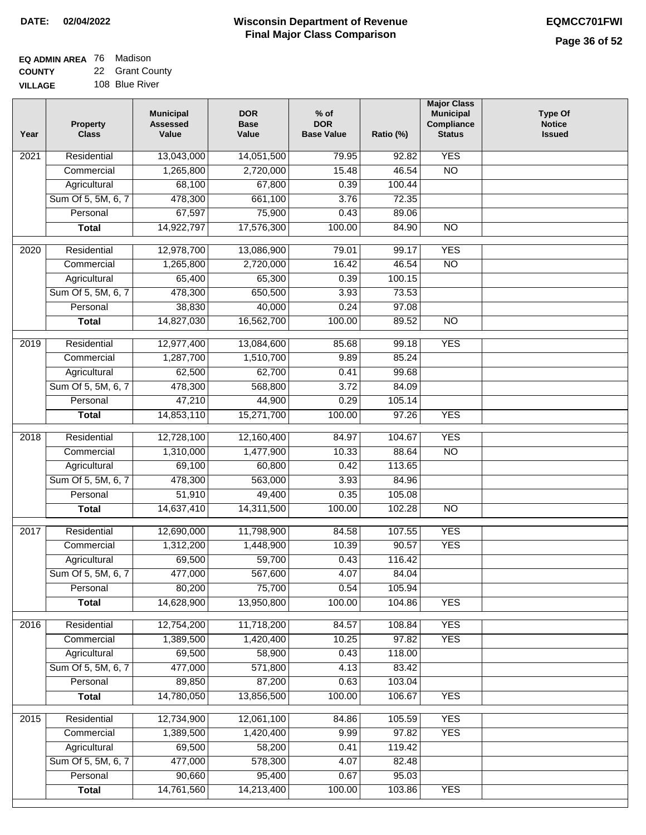#### **Wisconsin Department of Revenue Final Major Class Comparison DATE: 02/04/2022 EQMCC701FWI**

#### **EQ ADMIN AREA** 76 Madison **COUNTY** 22 Grant County

**VILLAGE** 108 Blue River

| Year             | <b>Property</b><br><b>Class</b> | <b>Municipal</b><br><b>Assessed</b><br>Value | <b>DOR</b><br><b>Base</b><br>Value | $%$ of<br><b>DOR</b><br><b>Base Value</b> | Ratio (%) | <b>Major Class</b><br><b>Municipal</b><br>Compliance<br><b>Status</b> | <b>Type Of</b><br><b>Notice</b><br><b>Issued</b> |
|------------------|---------------------------------|----------------------------------------------|------------------------------------|-------------------------------------------|-----------|-----------------------------------------------------------------------|--------------------------------------------------|
| 2021             | Residential                     | 13,043,000                                   | 14,051,500                         | 79.95                                     | 92.82     | <b>YES</b>                                                            |                                                  |
|                  | Commercial                      | 1,265,800                                    | 2,720,000                          | 15.48                                     | 46.54     | $\overline{NO}$                                                       |                                                  |
|                  | Agricultural                    | 68,100                                       | 67,800                             | 0.39                                      | 100.44    |                                                                       |                                                  |
|                  | Sum Of 5, 5M, 6, 7              | 478,300                                      | 661,100                            | 3.76                                      | 72.35     |                                                                       |                                                  |
|                  | Personal                        | 67,597                                       | 75,900                             | 0.43                                      | 89.06     |                                                                       |                                                  |
|                  | <b>Total</b>                    | 14,922,797                                   | 17,576,300                         | 100.00                                    | 84.90     | $\overline{NO}$                                                       |                                                  |
| $\frac{1}{2020}$ | Residential                     | 12,978,700                                   | 13,086,900                         | 79.01                                     | 99.17     | <b>YES</b>                                                            |                                                  |
|                  | Commercial                      | 1,265,800                                    | 2,720,000                          | 16.42                                     | 46.54     | $\overline{NO}$                                                       |                                                  |
|                  | Agricultural                    | 65,400                                       | 65,300                             | 0.39                                      | 100.15    |                                                                       |                                                  |
|                  | Sum Of 5, 5M, 6, 7              | 478,300                                      | 650,500                            | 3.93                                      | 73.53     |                                                                       |                                                  |
|                  | Personal                        | 38,830                                       | 40,000                             | 0.24                                      | 97.08     |                                                                       |                                                  |
|                  | <b>Total</b>                    | 14,827,030                                   | 16,562,700                         | 100.00                                    | 89.52     | $\overline{NO}$                                                       |                                                  |
|                  |                                 |                                              |                                    |                                           |           |                                                                       |                                                  |
| 2019             | Residential                     | 12,977,400                                   | 13,084,600                         | 85.68                                     | 99.18     | <b>YES</b>                                                            |                                                  |
|                  | Commercial                      | 1,287,700                                    | 1,510,700                          | 9.89                                      | 85.24     |                                                                       |                                                  |
|                  | Agricultural                    | 62,500                                       | 62,700                             | 0.41                                      | 99.68     |                                                                       |                                                  |
|                  | Sum Of 5, 5M, 6, 7              | 478,300                                      | 568,800                            | 3.72                                      | 84.09     |                                                                       |                                                  |
|                  | Personal                        | 47,210                                       | 44,900                             | 0.29                                      | 105.14    |                                                                       |                                                  |
|                  | <b>Total</b>                    | 14,853,110                                   | 15,271,700                         | 100.00                                    | 97.26     | <b>YES</b>                                                            |                                                  |
| 2018             | Residential                     | 12,728,100                                   | 12,160,400                         | 84.97                                     | 104.67    | <b>YES</b>                                                            |                                                  |
|                  | Commercial                      | 1,310,000                                    | 1,477,900                          | 10.33                                     | 88.64     | <b>NO</b>                                                             |                                                  |
|                  | Agricultural                    | 69,100                                       | 60,800                             | 0.42                                      | 113.65    |                                                                       |                                                  |
|                  | Sum Of 5, 5M, 6, 7              | 478,300                                      | 563,000                            | 3.93                                      | 84.96     |                                                                       |                                                  |
|                  | Personal                        | 51,910                                       | 49,400                             | 0.35                                      | 105.08    |                                                                       |                                                  |
|                  | <b>Total</b>                    | 14,637,410                                   | 14,311,500                         | 100.00                                    | 102.28    | $\overline{10}$                                                       |                                                  |
| 2017             | Residential                     | 12,690,000                                   | 11,798,900                         | 84.58                                     | 107.55    | <b>YES</b>                                                            |                                                  |
|                  | Commercial                      | 1,312,200                                    | 1,448,900                          | 10.39                                     | 90.57     | <b>YES</b>                                                            |                                                  |
|                  | Agricultural                    | 69,500                                       | 59,700                             | 0.43                                      | 116.42    |                                                                       |                                                  |
|                  | Sum Of 5, 5M, 6, 7              | 477,000                                      | 567,600                            | 4.07                                      | 84.04     |                                                                       |                                                  |
|                  | Personal                        | 80,200                                       | 75,700                             | 0.54                                      | 105.94    |                                                                       |                                                  |
|                  | <b>Total</b>                    | 14,628,900                                   | 13,950,800                         | 100.00                                    | 104.86    | <b>YES</b>                                                            |                                                  |
| 2016             | Residential                     | 12,754,200                                   | 11,718,200                         | 84.57                                     | 108.84    | <b>YES</b>                                                            |                                                  |
|                  | Commercial                      | 1,389,500                                    | 1,420,400                          | 10.25                                     | 97.82     | <b>YES</b>                                                            |                                                  |
|                  | Agricultural                    | 69,500                                       | 58,900                             | 0.43                                      | 118.00    |                                                                       |                                                  |
|                  | Sum Of 5, 5M, 6, 7              | 477,000                                      | 571,800                            | 4.13                                      | 83.42     |                                                                       |                                                  |
|                  | Personal                        | 89,850                                       | 87,200                             | 0.63                                      | 103.04    |                                                                       |                                                  |
|                  | <b>Total</b>                    | 14,780,050                                   | 13,856,500                         | 100.00                                    | 106.67    | <b>YES</b>                                                            |                                                  |
| 2015             | Residential                     | 12,734,900                                   | 12,061,100                         | 84.86                                     | 105.59    | <b>YES</b>                                                            |                                                  |
|                  | Commercial                      | 1,389,500                                    | 1,420,400                          | 9.99                                      | 97.82     | <b>YES</b>                                                            |                                                  |
|                  | Agricultural                    | 69,500                                       | 58,200                             | 0.41                                      | 119.42    |                                                                       |                                                  |
|                  | Sum Of 5, 5M, 6, 7              | 477,000                                      | 578,300                            | 4.07                                      | 82.48     |                                                                       |                                                  |
|                  | Personal                        | 90,660                                       | 95,400                             | 0.67                                      | 95.03     |                                                                       |                                                  |
|                  | <b>Total</b>                    | 14,761,560                                   | 14,213,400                         | 100.00                                    | 103.86    | <b>YES</b>                                                            |                                                  |
|                  |                                 |                                              |                                    |                                           |           |                                                                       |                                                  |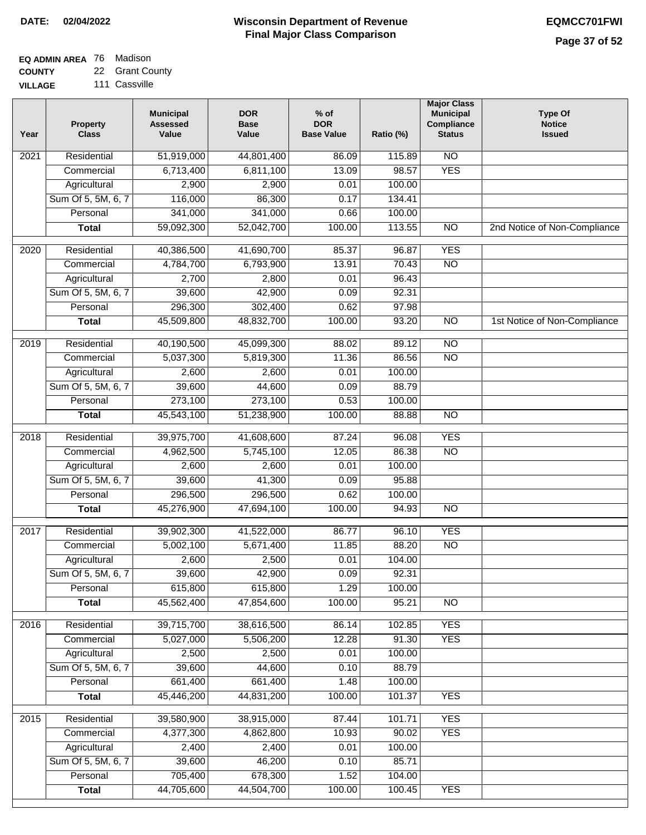#### **EQ ADMIN AREA** Madison

**COUNTY VILLAGE** 22 111 Cassville Grant County

**Total**

45,446,200

44,831,200

100.00

101.37

YES

YES YES

YES

 101.71 90.02 100.00 85.71 104.00 100.45

 87.44 10.93 0.01 0.10 1.52 100.00

 38,915,000 4,862,800 2,400 46,200 678,300 44,504,700

 39,580,900 4,377,300 2,400 39,600 705,400 44,705,600

**Residential Commercial Agricultural** Sum Of 5, 5M, 6, 7 **Personal Total**

2015

| Year              | <b>Property</b><br><b>Class</b> | <b>Municipal</b><br><b>Assessed</b><br>Value | <b>DOR</b><br><b>Base</b><br>Value | $%$ of<br><b>DOR</b><br><b>Base Value</b> | Ratio (%) | <b>Major Class</b><br><b>Municipal</b><br>Compliance<br>Status | <b>Type Of</b><br><b>Notice</b><br><b>Issued</b> |
|-------------------|---------------------------------|----------------------------------------------|------------------------------------|-------------------------------------------|-----------|----------------------------------------------------------------|--------------------------------------------------|
| $\overline{202}1$ | Residential                     | 51,919,000                                   | 44,801,400                         | 86.09                                     | 115.89    | $\overline{NO}$                                                |                                                  |
|                   | Commercial                      | 6,713,400                                    | 6,811,100                          | 13.09                                     | 98.57     | <b>YES</b>                                                     |                                                  |
|                   | Agricultural                    | 2,900                                        | 2,900                              | 0.01                                      | 100.00    |                                                                |                                                  |
|                   | Sum Of 5, 5M, 6, 7              | 116,000                                      | 86,300                             | 0.17                                      | 134.41    |                                                                |                                                  |
|                   | Personal                        | 341,000                                      | 341,000                            | 0.66                                      | 100.00    |                                                                |                                                  |
|                   | <b>Total</b>                    | 59,092,300                                   | 52,042,700                         | 100.00                                    | 113.55    | $\overline{NO}$                                                | 2nd Notice of Non-Compliance                     |
| 2020              | Residential                     | 40,386,500                                   | 41,690,700                         | 85.37                                     | 96.87     | <b>YES</b>                                                     |                                                  |
|                   | Commercial                      | 4,784,700                                    | 6,793,900                          | 13.91                                     | 70.43     | $\overline{NO}$                                                |                                                  |
|                   | Agricultural                    | 2,700                                        | 2,800                              | 0.01                                      | 96.43     |                                                                |                                                  |
|                   | Sum Of 5, 5M, 6, 7              | 39,600                                       | 42,900                             | 0.09                                      | 92.31     |                                                                |                                                  |
|                   | Personal                        | 296,300                                      | 302,400                            | 0.62                                      | 97.98     |                                                                |                                                  |
|                   | <b>Total</b>                    | 45,509,800                                   | 48,832,700                         | 100.00                                    | 93.20     | $\overline{NO}$                                                | 1st Notice of Non-Compliance                     |
| 2019              | Residential                     | 40,190,500                                   | 45,099,300                         | 88.02                                     | 89.12     | $\overline{NO}$                                                |                                                  |
|                   | Commercial                      | 5,037,300                                    | 5,819,300                          | 11.36                                     | 86.56     | $\overline{NO}$                                                |                                                  |
|                   | Agricultural                    | 2,600                                        | 2,600                              | 0.01                                      | 100.00    |                                                                |                                                  |
|                   | Sum Of 5, 5M, 6, 7              | 39,600                                       | 44,600                             | 0.09                                      | 88.79     |                                                                |                                                  |
|                   | Personal                        | 273,100                                      | 273,100                            | 0.53                                      | 100.00    |                                                                |                                                  |
|                   | <b>Total</b>                    | 45,543,100                                   | 51,238,900                         | 100.00                                    | 88.88     | $\overline{NO}$                                                |                                                  |
| 2018              | Residential                     | 39,975,700                                   | 41,608,600                         | 87.24                                     | 96.08     | <b>YES</b>                                                     |                                                  |
|                   | Commercial                      | 4,962,500                                    | 5,745,100                          | 12.05                                     | 86.38     | <b>NO</b>                                                      |                                                  |
|                   | Agricultural                    | 2,600                                        | 2,600                              | 0.01                                      | 100.00    |                                                                |                                                  |
|                   | Sum Of 5, 5M, 6, 7              | 39,600                                       | 41,300                             | 0.09                                      | 95.88     |                                                                |                                                  |
|                   | Personal                        | 296,500                                      | 296,500                            | 0.62                                      | 100.00    |                                                                |                                                  |
|                   | <b>Total</b>                    | 45,276,900                                   | 47,694,100                         | 100.00                                    | 94.93     | $\overline{NO}$                                                |                                                  |
| 2017              | Residential                     | 39,902,300                                   | 41,522,000                         | 86.77                                     | 96.10     | <b>YES</b>                                                     |                                                  |
|                   | Commercial                      | 5,002,100                                    | 5,671,400                          | 11.85                                     | 88.20     | $\overline{N}$                                                 |                                                  |
|                   | Agricultural                    | 2,600                                        | 2,500                              | 0.01                                      | 104.00    |                                                                |                                                  |
|                   | Sum Of 5, 5M, 6, 7              | 39,600                                       | 42,900                             | 0.09                                      | 92.31     |                                                                |                                                  |
|                   | Personal                        | 615,800                                      | 615,800                            | 1.29                                      | 100.00    |                                                                |                                                  |
|                   | <b>Total</b>                    | 45,562,400                                   | 47,854,600                         | 100.00                                    | 95.21     | $\overline{NO}$                                                |                                                  |
| 2016              | Residential                     | 39,715,700                                   | 38,616,500                         | 86.14                                     | 102.85    | <b>YES</b>                                                     |                                                  |
|                   | Commercial                      | 5,027,000                                    | 5,506,200                          | 12.28                                     | 91.30     | <b>YES</b>                                                     |                                                  |
|                   | Agricultural                    | 2,500                                        | 2,500                              | 0.01                                      | 100.00    |                                                                |                                                  |
|                   | Sum Of 5, 5M, 6, 7              | 39,600                                       | 44,600                             | 0.10                                      | 88.79     |                                                                |                                                  |
|                   | Personal                        | 661,400                                      | 661,400                            | 1.48                                      | 100.00    |                                                                |                                                  |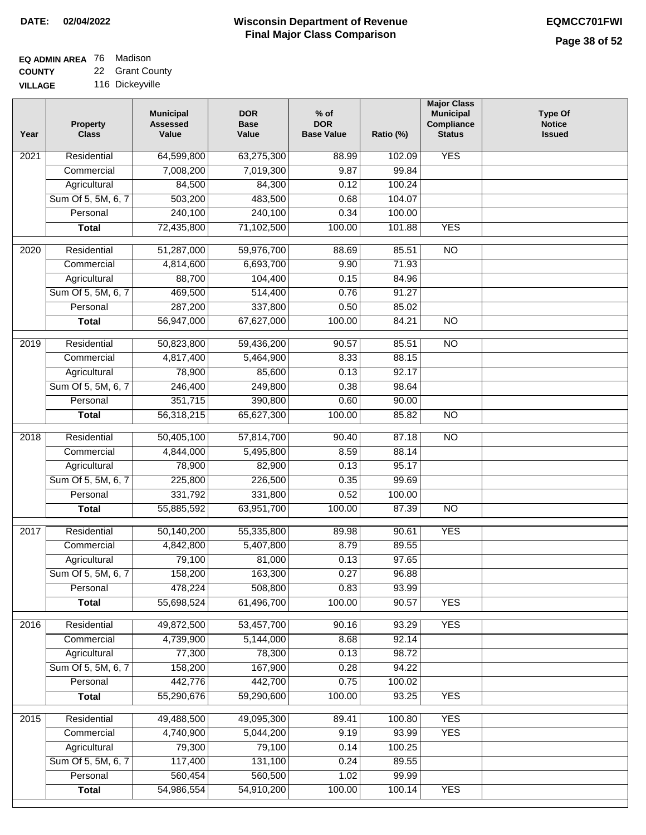#### **EQ ADMIN AREA** 76 Madison **COUNTY** 22 Grant County

**VILLAGE** 116 Dickeyville

| Year             | <b>Property</b><br><b>Class</b> | <b>Municipal</b><br><b>Assessed</b><br>Value | <b>DOR</b><br><b>Base</b><br>Value | $%$ of<br><b>DOR</b><br><b>Base Value</b> | Ratio (%) | <b>Major Class</b><br><b>Municipal</b><br>Compliance<br><b>Status</b> | <b>Type Of</b><br><b>Notice</b><br><b>Issued</b> |
|------------------|---------------------------------|----------------------------------------------|------------------------------------|-------------------------------------------|-----------|-----------------------------------------------------------------------|--------------------------------------------------|
| 2021             | Residential                     | 64,599,800                                   | 63,275,300                         | 88.99                                     | 102.09    | <b>YES</b>                                                            |                                                  |
|                  | Commercial                      | 7,008,200                                    | 7,019,300                          | 9.87                                      | 99.84     |                                                                       |                                                  |
|                  | Agricultural                    | 84,500                                       | 84,300                             | 0.12                                      | 100.24    |                                                                       |                                                  |
|                  | Sum Of 5, 5M, 6, 7              | 503,200                                      | 483,500                            | 0.68                                      | 104.07    |                                                                       |                                                  |
|                  | Personal                        | 240,100                                      | 240,100                            | 0.34                                      | 100.00    |                                                                       |                                                  |
|                  | <b>Total</b>                    | 72,435,800                                   | 71,102,500                         | 100.00                                    | 101.88    | <b>YES</b>                                                            |                                                  |
| $\frac{1}{2020}$ | Residential                     | 51,287,000                                   | 59,976,700                         | 88.69                                     | 85.51     | $\overline{NO}$                                                       |                                                  |
|                  | Commercial                      | 4,814,600                                    | 6,693,700                          | 9.90                                      | 71.93     |                                                                       |                                                  |
|                  | Agricultural                    | 88,700                                       | 104,400                            | 0.15                                      | 84.96     |                                                                       |                                                  |
|                  | Sum Of 5, 5M, 6, 7              | 469,500                                      | 514,400                            | 0.76                                      | 91.27     |                                                                       |                                                  |
|                  | Personal                        | 287,200                                      | 337,800                            | 0.50                                      | 85.02     |                                                                       |                                                  |
|                  | <b>Total</b>                    | 56,947,000                                   | 67,627,000                         | 100.00                                    | 84.21     | $\overline{NO}$                                                       |                                                  |
|                  |                                 |                                              |                                    |                                           |           |                                                                       |                                                  |
| $\frac{1}{2019}$ | Residential                     | 50,823,800                                   | 59,436,200                         | 90.57                                     | 85.51     | $\overline{NO}$                                                       |                                                  |
|                  | Commercial                      | 4,817,400                                    | 5,464,900                          | 8.33                                      | 88.15     |                                                                       |                                                  |
|                  | Agricultural                    | 78,900                                       | 85,600                             | 0.13                                      | 92.17     |                                                                       |                                                  |
|                  | Sum Of 5, 5M, 6, 7              | 246,400                                      | 249,800                            | 0.38                                      | 98.64     |                                                                       |                                                  |
|                  | Personal                        | 351,715                                      | 390,800                            | 0.60                                      | 90.00     |                                                                       |                                                  |
|                  | <b>Total</b>                    | 56,318,215                                   | 65,627,300                         | 100.00                                    | 85.82     | $\overline{NO}$                                                       |                                                  |
| 2018             | Residential                     | 50,405,100                                   | 57,814,700                         | 90.40                                     | 87.18     | $\overline{NO}$                                                       |                                                  |
|                  | Commercial                      | 4,844,000                                    | 5,495,800                          | 8.59                                      | 88.14     |                                                                       |                                                  |
|                  | Agricultural                    | 78,900                                       | 82,900                             | 0.13                                      | 95.17     |                                                                       |                                                  |
|                  | Sum Of 5, 5M, 6, 7              | 225,800                                      | 226,500                            | 0.35                                      | 99.69     |                                                                       |                                                  |
|                  | Personal                        | 331,792                                      | 331,800                            | 0.52                                      | 100.00    |                                                                       |                                                  |
|                  | <b>Total</b>                    | 55,885,592                                   | 63,951,700                         | 100.00                                    | 87.39     | $\overline{NO}$                                                       |                                                  |
| 2017             | Residential                     | 50,140,200                                   | 55,335,800                         | 89.98                                     | 90.61     | <b>YES</b>                                                            |                                                  |
|                  | Commercial                      | 4,842,800                                    | 5,407,800                          | 8.79                                      | 89.55     |                                                                       |                                                  |
|                  | Agricultural                    | 79,100                                       | 81,000                             | 0.13                                      | 97.65     |                                                                       |                                                  |
|                  | Sum Of 5, 5M, 6, 7              | 158,200                                      | 163,300                            | 0.27                                      | 96.88     |                                                                       |                                                  |
|                  | Personal                        | 478,224                                      | 508,800                            | 0.83                                      | 93.99     |                                                                       |                                                  |
|                  | <b>Total</b>                    | 55,698,524                                   | 61,496,700                         | 100.00                                    | 90.57     | <b>YES</b>                                                            |                                                  |
| 2016             | Residential                     | 49,872,500                                   | 53,457,700                         | 90.16                                     | 93.29     | <b>YES</b>                                                            |                                                  |
|                  | Commercial                      | 4,739,900                                    | 5,144,000                          | 8.68                                      | 92.14     |                                                                       |                                                  |
|                  | Agricultural                    | 77,300                                       | 78,300                             | 0.13                                      | 98.72     |                                                                       |                                                  |
|                  | Sum Of 5, 5M, 6, 7              | 158,200                                      | 167,900                            | 0.28                                      | 94.22     |                                                                       |                                                  |
|                  | Personal                        | 442,776                                      | 442,700                            | 0.75                                      | 100.02    |                                                                       |                                                  |
|                  | <b>Total</b>                    | 55,290,676                                   | 59,290,600                         | 100.00                                    | 93.25     | <b>YES</b>                                                            |                                                  |
| 2015             | Residential                     | 49,488,500                                   | 49,095,300                         | 89.41                                     | 100.80    | <b>YES</b>                                                            |                                                  |
|                  | Commercial                      | 4,740,900                                    | 5,044,200                          | 9.19                                      | 93.99     | <b>YES</b>                                                            |                                                  |
|                  | Agricultural                    | 79,300                                       | 79,100                             | 0.14                                      | 100.25    |                                                                       |                                                  |
|                  | Sum Of 5, 5M, 6, 7              | 117,400                                      | 131,100                            | 0.24                                      | 89.55     |                                                                       |                                                  |
|                  | Personal                        | 560,454                                      | 560,500                            | 1.02                                      | 99.99     |                                                                       |                                                  |
|                  | <b>Total</b>                    | 54,986,554                                   | 54,910,200                         | 100.00                                    | 100.14    | <b>YES</b>                                                            |                                                  |
|                  |                                 |                                              |                                    |                                           |           |                                                                       |                                                  |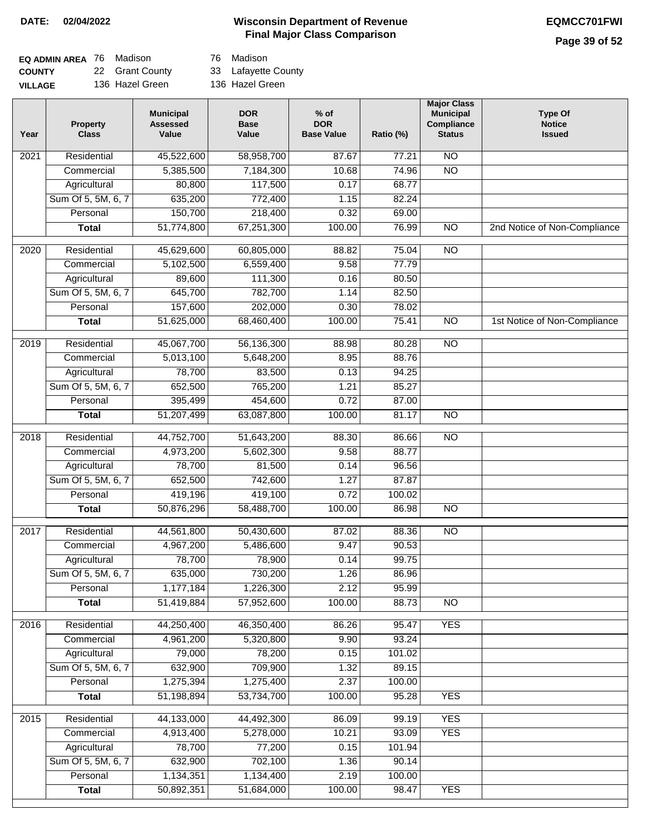# **Page 39 of 52**

| <b>EQ ADMIN AREA</b> 76 Madison |                 | 76 Madison          |
|---------------------------------|-----------------|---------------------|
| <b>COUNTY</b>                   | 22 Grant County | 33 Lafayette County |
| VILLAGE                         | 136 Hazel Green | 136 Hazel Green     |

76 Madison

| Year              | <b>Property</b><br><b>Class</b> | <b>Municipal</b><br><b>Assessed</b><br>Value | <b>DOR</b><br><b>Base</b><br>Value | $%$ of<br><b>DOR</b><br><b>Base Value</b> | Ratio (%) | <b>Major Class</b><br><b>Municipal</b><br>Compliance<br><b>Status</b> | <b>Type Of</b><br><b>Notice</b><br><b>Issued</b> |
|-------------------|---------------------------------|----------------------------------------------|------------------------------------|-------------------------------------------|-----------|-----------------------------------------------------------------------|--------------------------------------------------|
| $\overline{202}1$ | Residential                     | 45,522,600                                   | 58,958,700                         | 87.67                                     | 77.21     | $\overline{NO}$                                                       |                                                  |
|                   | Commercial                      | 5,385,500                                    | 7,184,300                          | 10.68                                     | 74.96     | $\overline{NO}$                                                       |                                                  |
|                   | Agricultural                    | 80,800                                       | 117,500                            | 0.17                                      | 68.77     |                                                                       |                                                  |
|                   | Sum Of 5, 5M, 6, 7              | 635,200                                      | 772,400                            | 1.15                                      | 82.24     |                                                                       |                                                  |
|                   | Personal                        | 150,700                                      | 218,400                            | 0.32                                      | 69.00     |                                                                       |                                                  |
|                   | <b>Total</b>                    | 51,774,800                                   | 67,251,300                         | 100.00                                    | 76.99     | $\overline{NO}$                                                       | 2nd Notice of Non-Compliance                     |
| $\frac{1}{2020}$  | Residential                     | 45,629,600                                   | 60,805,000                         | 88.82                                     | 75.04     | $\overline{NO}$                                                       |                                                  |
|                   | Commercial                      | 5,102,500                                    | 6,559,400                          | 9.58                                      | 77.79     |                                                                       |                                                  |
|                   | Agricultural                    | 89,600                                       | 111,300                            | 0.16                                      | 80.50     |                                                                       |                                                  |
|                   | Sum Of 5, 5M, 6, 7              | 645,700                                      | 782,700                            | 1.14                                      | 82.50     |                                                                       |                                                  |
|                   | Personal                        | 157,600                                      | 202,000                            | 0.30                                      | 78.02     |                                                                       |                                                  |
|                   | <b>Total</b>                    | 51,625,000                                   | 68,460,400                         | 100.00                                    | 75.41     | $\overline{NO}$                                                       | 1st Notice of Non-Compliance                     |
| 2019              | Residential                     | 45,067,700                                   | 56,136,300                         | 88.98                                     | 80.28     | $\overline{10}$                                                       |                                                  |
|                   | Commercial                      | 5,013,100                                    | 5,648,200                          | 8.95                                      | 88.76     |                                                                       |                                                  |
|                   | Agricultural                    | 78,700                                       | 83,500                             | 0.13                                      | 94.25     |                                                                       |                                                  |
|                   | Sum Of 5, 5M, 6, 7              | 652,500                                      | 765,200                            | 1.21                                      | 85.27     |                                                                       |                                                  |
|                   | Personal                        | 395,499                                      | 454,600                            | 0.72                                      | 87.00     |                                                                       |                                                  |
|                   | <b>Total</b>                    | 51,207,499                                   | 63,087,800                         | 100.00                                    | 81.17     | $\overline{NO}$                                                       |                                                  |
| 2018              | Residential                     | 44,752,700                                   | 51,643,200                         | 88.30                                     | 86.66     | $\overline{10}$                                                       |                                                  |
|                   | Commercial                      | 4,973,200                                    | 5,602,300                          | 9.58                                      | 88.77     |                                                                       |                                                  |
|                   | Agricultural                    | 78,700                                       | 81,500                             | 0.14                                      | 96.56     |                                                                       |                                                  |
|                   | Sum Of 5, 5M, 6, 7              | 652,500                                      | 742,600                            | 1.27                                      | 87.87     |                                                                       |                                                  |
|                   | Personal                        | 419,196                                      | 419,100                            | 0.72                                      | 100.02    |                                                                       |                                                  |
|                   | <b>Total</b>                    | 50,876,296                                   | 58,488,700                         | 100.00                                    | 86.98     | <b>NO</b>                                                             |                                                  |
| 2017              | Residential                     | 44,561,800                                   | 50,430,600                         | 87.02                                     | 88.36     | $\overline{NO}$                                                       |                                                  |
|                   | Commercial                      | 4,967,200                                    | 5,486,600                          | 9.47                                      | 90.53     |                                                                       |                                                  |
|                   | Agricultural                    | 78,700                                       | 78,900                             | 0.14                                      | 99.75     |                                                                       |                                                  |
|                   | Sum Of 5, 5M, 6, 7              | 635,000                                      | 730,200                            | 1.26                                      | 86.96     |                                                                       |                                                  |
|                   | Personal                        | 1,177,184                                    | 1,226,300                          | 2.12                                      | 95.99     |                                                                       |                                                  |
|                   | <b>Total</b>                    | 51,419,884                                   | 57,952,600                         | 100.00                                    | 88.73     | <b>NO</b>                                                             |                                                  |
| 2016              | Residential                     | 44,250,400                                   | 46,350,400                         | 86.26                                     | 95.47     | <b>YES</b>                                                            |                                                  |
|                   | Commercial                      | 4,961,200                                    | 5,320,800                          | 9.90                                      | 93.24     |                                                                       |                                                  |
|                   | Agricultural                    | 79,000                                       | 78,200                             | 0.15                                      | 101.02    |                                                                       |                                                  |
|                   | Sum Of 5, 5M, 6, 7              | 632,900                                      | 709,900                            | 1.32                                      | 89.15     |                                                                       |                                                  |
|                   | Personal                        | 1,275,394                                    | 1,275,400                          | 2.37                                      | 100.00    |                                                                       |                                                  |
|                   | <b>Total</b>                    | 51,198,894                                   | 53,734,700                         | 100.00                                    | 95.28     | <b>YES</b>                                                            |                                                  |
| 2015              | Residential                     | 44,133,000                                   | 44,492,300                         | 86.09                                     | 99.19     | <b>YES</b>                                                            |                                                  |
|                   | Commercial                      | 4,913,400                                    | 5,278,000                          | 10.21                                     | 93.09     | <b>YES</b>                                                            |                                                  |
|                   | Agricultural                    | 78,700                                       | 77,200                             | 0.15                                      | 101.94    |                                                                       |                                                  |
|                   | Sum Of 5, 5M, 6, 7              | 632,900                                      | 702,100                            | 1.36                                      | 90.14     |                                                                       |                                                  |
|                   | Personal                        | 1,134,351                                    | 1,134,400                          | 2.19                                      | 100.00    |                                                                       |                                                  |
|                   | <b>Total</b>                    | 50,892,351                                   | 51,684,000                         | 100.00                                    | 98.47     | <b>YES</b>                                                            |                                                  |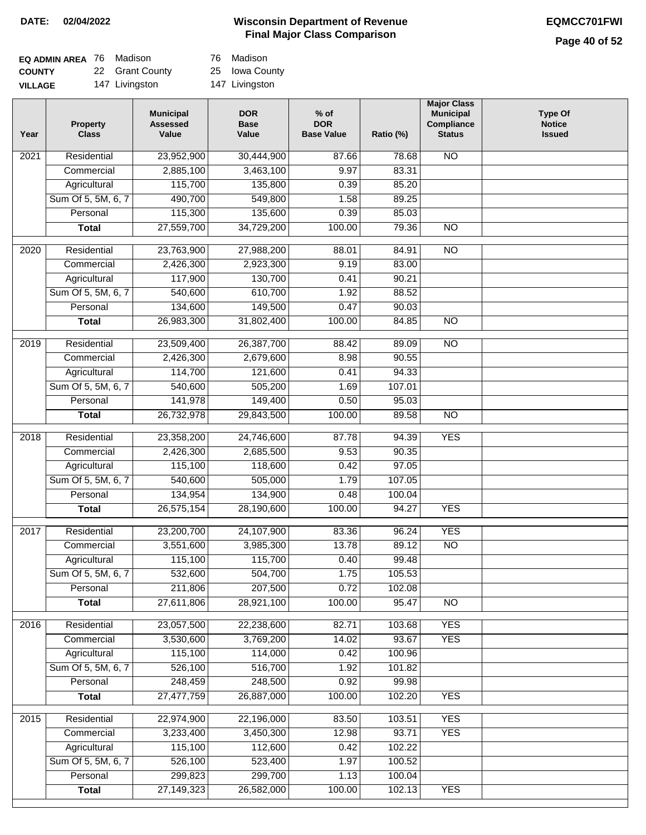# **Page 40 of 52**

| <b>EQ ADMIN AREA</b> 76 Madison |                 | 76 Madison    |
|---------------------------------|-----------------|---------------|
| <b>COUNTY</b>                   | 22 Grant County | 25 Iowa Co    |
| <b>VILLAGE</b>                  | 147 Livingston  | 147 Livingsto |

| Madison |  |  |
|---------|--|--|

owa County

Livingston

| Year | <b>Property</b><br><b>Class</b> | <b>Municipal</b><br><b>Assessed</b><br>Value | <b>DOR</b><br><b>Base</b><br>Value | $%$ of<br><b>DOR</b><br><b>Base Value</b> | Ratio (%) | <b>Major Class</b><br><b>Municipal</b><br>Compliance<br><b>Status</b> | <b>Type Of</b><br><b>Notice</b><br><b>Issued</b> |
|------|---------------------------------|----------------------------------------------|------------------------------------|-------------------------------------------|-----------|-----------------------------------------------------------------------|--------------------------------------------------|
| 2021 | Residential                     | 23,952,900                                   | 30,444,900                         | 87.66                                     | 78.68     | N <sub>O</sub>                                                        |                                                  |
|      | Commercial                      | 2,885,100                                    | 3,463,100                          | 9.97                                      | 83.31     |                                                                       |                                                  |
|      | Agricultural                    | 115,700                                      | 135,800                            | 0.39                                      | 85.20     |                                                                       |                                                  |
|      | Sum Of 5, 5M, 6, 7              | 490,700                                      | 549,800                            | 1.58                                      | 89.25     |                                                                       |                                                  |
|      | Personal                        | 115,300                                      | 135,600                            | 0.39                                      | 85.03     |                                                                       |                                                  |
|      | <b>Total</b>                    | 27,559,700                                   | 34,729,200                         | 100.00                                    | 79.36     | $\overline{NO}$                                                       |                                                  |
| 2020 | Residential                     | 23,763,900                                   | 27,988,200                         | 88.01                                     | 84.91     | $\overline{10}$                                                       |                                                  |
|      | Commercial                      | 2,426,300                                    | 2,923,300                          | 9.19                                      | 83.00     |                                                                       |                                                  |
|      | Agricultural                    | 117,900                                      | 130,700                            | 0.41                                      | 90.21     |                                                                       |                                                  |
|      | Sum Of 5, 5M, 6, 7              | 540,600                                      | 610,700                            | 1.92                                      | 88.52     |                                                                       |                                                  |
|      | Personal                        | 134,600                                      | 149,500                            | 0.47                                      | 90.03     |                                                                       |                                                  |
|      | <b>Total</b>                    | 26,983,300                                   | 31,802,400                         | 100.00                                    | 84.85     | $\overline{NO}$                                                       |                                                  |
|      |                                 |                                              |                                    |                                           |           |                                                                       |                                                  |
| 2019 | Residential                     | 23,509,400                                   | 26,387,700                         | 88.42                                     | 89.09     | $\overline{NO}$                                                       |                                                  |
|      | Commercial                      | 2,426,300                                    | 2,679,600                          | 8.98                                      | 90.55     |                                                                       |                                                  |
|      | Agricultural                    | 114,700                                      | 121,600                            | 0.41                                      | 94.33     |                                                                       |                                                  |
|      | Sum Of 5, 5M, 6, 7              | 540,600                                      | 505,200                            | 1.69                                      | 107.01    |                                                                       |                                                  |
|      | Personal                        | 141,978                                      | 149,400                            | 0.50                                      | 95.03     |                                                                       |                                                  |
|      | <b>Total</b>                    | 26,732,978                                   | 29,843,500                         | 100.00                                    | 89.58     | N <sub>O</sub>                                                        |                                                  |
| 2018 | Residential                     | 23,358,200                                   | 24,746,600                         | 87.78                                     | 94.39     | <b>YES</b>                                                            |                                                  |
|      | Commercial                      | 2,426,300                                    | 2,685,500                          | 9.53                                      | 90.35     |                                                                       |                                                  |
|      | Agricultural                    | 115,100                                      | 118,600                            | 0.42                                      | 97.05     |                                                                       |                                                  |
|      | Sum Of 5, 5M, 6, 7              | 540,600                                      | 505,000                            | 1.79                                      | 107.05    |                                                                       |                                                  |
|      | Personal                        | 134,954                                      | 134,900                            | 0.48                                      | 100.04    |                                                                       |                                                  |
|      | <b>Total</b>                    | 26,575,154                                   | 28,190,600                         | 100.00                                    | 94.27     | <b>YES</b>                                                            |                                                  |
| 2017 | Residential                     | 23,200,700                                   | 24,107,900                         | 83.36                                     | 96.24     | <b>YES</b>                                                            |                                                  |
|      | Commercial                      | 3,551,600                                    | 3,985,300                          | 13.78                                     | 89.12     | <b>NO</b>                                                             |                                                  |
|      | Agricultural                    | 115,100                                      | 115,700                            | 0.40                                      | 99.48     |                                                                       |                                                  |
|      | Sum Of 5, 5M, 6, 7              | 532,600                                      | 504,700                            | 1.75                                      | 105.53    |                                                                       |                                                  |
|      | Personal                        | 211,806                                      | 207,500                            | 0.72                                      | 102.08    |                                                                       |                                                  |
|      | <b>Total</b>                    | 27,611,806                                   | 28,921,100                         | 100.00                                    | 95.47     | $\overline{NO}$                                                       |                                                  |
| 2016 | Residential                     | 23,057,500                                   | 22,238,600                         | 82.71                                     | 103.68    | <b>YES</b>                                                            |                                                  |
|      | Commercial                      | 3,530,600                                    | 3,769,200                          | 14.02                                     | 93.67     | <b>YES</b>                                                            |                                                  |
|      | Agricultural                    | 115,100                                      | 114,000                            | 0.42                                      | 100.96    |                                                                       |                                                  |
|      | Sum Of 5, 5M, 6, 7              | 526,100                                      | 516,700                            | 1.92                                      | 101.82    |                                                                       |                                                  |
|      | Personal                        | 248,459                                      | 248,500                            | 0.92                                      | 99.98     |                                                                       |                                                  |
|      | <b>Total</b>                    | 27,477,759                                   | 26,887,000                         | 100.00                                    | 102.20    | <b>YES</b>                                                            |                                                  |
|      |                                 |                                              |                                    |                                           |           |                                                                       |                                                  |
| 2015 | Residential                     | 22,974,900                                   | 22,196,000                         | 83.50                                     | 103.51    | <b>YES</b>                                                            |                                                  |
|      | Commercial                      | 3,233,400                                    | 3,450,300                          | 12.98                                     | 93.71     | <b>YES</b>                                                            |                                                  |
|      | Agricultural                    | 115,100                                      | 112,600                            | 0.42                                      | 102.22    |                                                                       |                                                  |
|      | Sum Of 5, 5M, 6, 7              | 526,100                                      | 523,400                            | 1.97                                      | 100.52    |                                                                       |                                                  |
|      | Personal                        | 299,823                                      | 299,700                            | 1.13                                      | 100.04    | <b>YES</b>                                                            |                                                  |
|      | <b>Total</b>                    | 27,149,323                                   | 26,582,000                         | 100.00                                    | 102.13    |                                                                       |                                                  |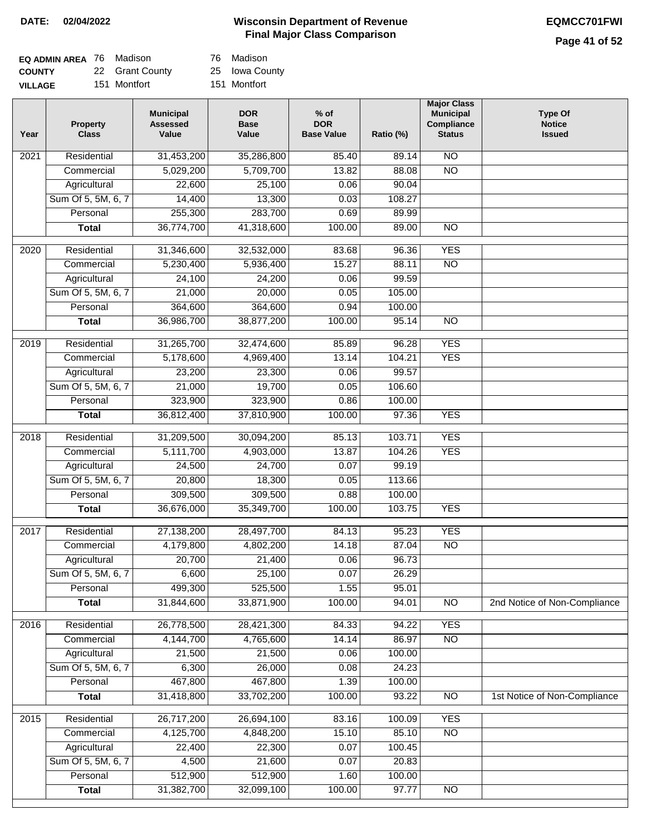Iowa County Montfort

Madison

# **Page 41 of 52**

| <b>EQ ADMIN AREA</b> 76 Madison |                 | 76  |
|---------------------------------|-----------------|-----|
| <b>COUNTY</b>                   | 22 Grant County | 25  |
| <b>VILLAGE</b>                  | 151 Montfort    | 151 |

| Year              | <b>Property</b><br><b>Class</b> | <b>Municipal</b><br><b>Assessed</b><br>Value | <b>DOR</b><br><b>Base</b><br>Value | $%$ of<br><b>DOR</b><br><b>Base Value</b> | Ratio (%) | <b>Major Class</b><br><b>Municipal</b><br>Compliance<br><b>Status</b> | <b>Type Of</b><br><b>Notice</b><br><b>Issued</b> |
|-------------------|---------------------------------|----------------------------------------------|------------------------------------|-------------------------------------------|-----------|-----------------------------------------------------------------------|--------------------------------------------------|
| 2021              | Residential                     | 31,453,200                                   | 35,286,800                         | 85.40                                     | 89.14     | $\overline{NO}$                                                       |                                                  |
|                   | Commercial                      | 5,029,200                                    | 5,709,700                          | 13.82                                     | 88.08     | $\overline{NO}$                                                       |                                                  |
|                   | Agricultural                    | 22,600                                       | 25,100                             | 0.06                                      | 90.04     |                                                                       |                                                  |
|                   | Sum Of 5, 5M, 6, 7              | 14,400                                       | 13,300                             | 0.03                                      | 108.27    |                                                                       |                                                  |
|                   | Personal                        | 255,300                                      | 283,700                            | 0.69                                      | 89.99     |                                                                       |                                                  |
|                   | <b>Total</b>                    | 36,774,700                                   | 41,318,600                         | 100.00                                    | 89.00     | $\overline{NO}$                                                       |                                                  |
| $\overline{2020}$ | Residential                     | 31,346,600                                   | 32,532,000                         | 83.68                                     | 96.36     | <b>YES</b>                                                            |                                                  |
|                   | Commercial                      | 5,230,400                                    | 5,936,400                          | 15.27                                     | 88.11     | $\overline{NO}$                                                       |                                                  |
|                   | Agricultural                    | 24,100                                       | 24,200                             | 0.06                                      | 99.59     |                                                                       |                                                  |
|                   | Sum Of 5, 5M, 6, 7              | 21,000                                       | 20,000                             | 0.05                                      | 105.00    |                                                                       |                                                  |
|                   | Personal                        | 364,600                                      | 364,600                            | 0.94                                      | 100.00    |                                                                       |                                                  |
|                   | <b>Total</b>                    | 36,986,700                                   | 38,877,200                         | 100.00                                    | 95.14     | $\overline{NO}$                                                       |                                                  |
| 2019              | Residential                     | 31,265,700                                   | 32,474,600                         | 85.89                                     | 96.28     | <b>YES</b>                                                            |                                                  |
|                   | Commercial                      | 5,178,600                                    | 4,969,400                          | 13.14                                     | 104.21    | <b>YES</b>                                                            |                                                  |
|                   | Agricultural                    | 23,200                                       | 23,300                             | 0.06                                      | 99.57     |                                                                       |                                                  |
|                   | Sum Of 5, 5M, 6, 7              | 21,000                                       | 19,700                             | 0.05                                      | 106.60    |                                                                       |                                                  |
|                   | Personal                        | 323,900                                      | 323,900                            | 0.86                                      | 100.00    |                                                                       |                                                  |
|                   | <b>Total</b>                    | 36,812,400                                   | 37,810,900                         | 100.00                                    | 97.36     | <b>YES</b>                                                            |                                                  |
| 2018              | Residential                     | 31,209,500                                   | 30,094,200                         | 85.13                                     | 103.71    | <b>YES</b>                                                            |                                                  |
|                   | Commercial                      | 5,111,700                                    | 4,903,000                          | 13.87                                     | 104.26    | <b>YES</b>                                                            |                                                  |
|                   | Agricultural                    | 24,500                                       | 24,700                             | 0.07                                      | 99.19     |                                                                       |                                                  |
|                   | Sum Of 5, 5M, 6, 7              | 20,800                                       | 18,300                             | 0.05                                      | 113.66    |                                                                       |                                                  |
|                   | Personal                        | 309,500                                      | 309,500                            | 0.88                                      | 100.00    |                                                                       |                                                  |
|                   | <b>Total</b>                    | 36,676,000                                   | 35,349,700                         | 100.00                                    | 103.75    | <b>YES</b>                                                            |                                                  |
| 2017              | Residential                     | 27,138,200                                   | 28,497,700                         | 84.13                                     | 95.23     | <b>YES</b>                                                            |                                                  |
|                   | Commercial                      | 4,179,800                                    | 4,802,200                          | 14.18                                     | 87.04     | <b>NO</b>                                                             |                                                  |
|                   | Agricultural                    | 20,700                                       | 21,400                             | 0.06                                      | 96.73     |                                                                       |                                                  |
|                   | Sum Of 5, 5M, 6, 7              | 6,600                                        | 25,100                             | 0.07                                      | 26.29     |                                                                       |                                                  |
|                   | Personal                        | 499,300                                      | 525,500                            | 1.55                                      | 95.01     |                                                                       |                                                  |
|                   | <b>Total</b>                    | 31,844,600                                   | 33,871,900                         | 100.00                                    | 94.01     | $\overline{NO}$                                                       | 2nd Notice of Non-Compliance                     |
| 2016              | Residential                     | 26,778,500                                   | 28,421,300                         | 84.33                                     | 94.22     | <b>YES</b>                                                            |                                                  |
|                   | Commercial                      | 4,144,700                                    | 4,765,600                          | 14.14                                     | 86.97     | $\overline{NO}$                                                       |                                                  |
|                   | Agricultural                    | 21,500                                       | 21,500                             | 0.06                                      | 100.00    |                                                                       |                                                  |
|                   | Sum Of 5, 5M, 6, 7              | 6,300                                        | 26,000                             | 0.08                                      | 24.23     |                                                                       |                                                  |
|                   | Personal                        | 467,800                                      | 467,800                            | 1.39                                      | 100.00    |                                                                       |                                                  |
|                   | <b>Total</b>                    | 31,418,800                                   | 33,702,200                         | 100.00                                    | 93.22     | N <sub>O</sub>                                                        | 1st Notice of Non-Compliance                     |
| 2015              | Residential                     | 26,717,200                                   | 26,694,100                         | 83.16                                     | 100.09    | <b>YES</b>                                                            |                                                  |
|                   | Commercial                      | 4,125,700                                    | 4,848,200                          | 15.10                                     | 85.10     | $\overline{NO}$                                                       |                                                  |
|                   | Agricultural                    | 22,400                                       | 22,300                             | 0.07                                      | 100.45    |                                                                       |                                                  |
|                   | Sum Of 5, 5M, 6, 7              | 4,500                                        | 21,600                             | 0.07                                      | 20.83     |                                                                       |                                                  |
|                   | Personal                        | 512,900                                      | 512,900                            | 1.60                                      | 100.00    |                                                                       |                                                  |
|                   | <b>Total</b>                    | 31,382,700                                   | 32,099,100                         | 100.00                                    | 97.77     | $\overline{NO}$                                                       |                                                  |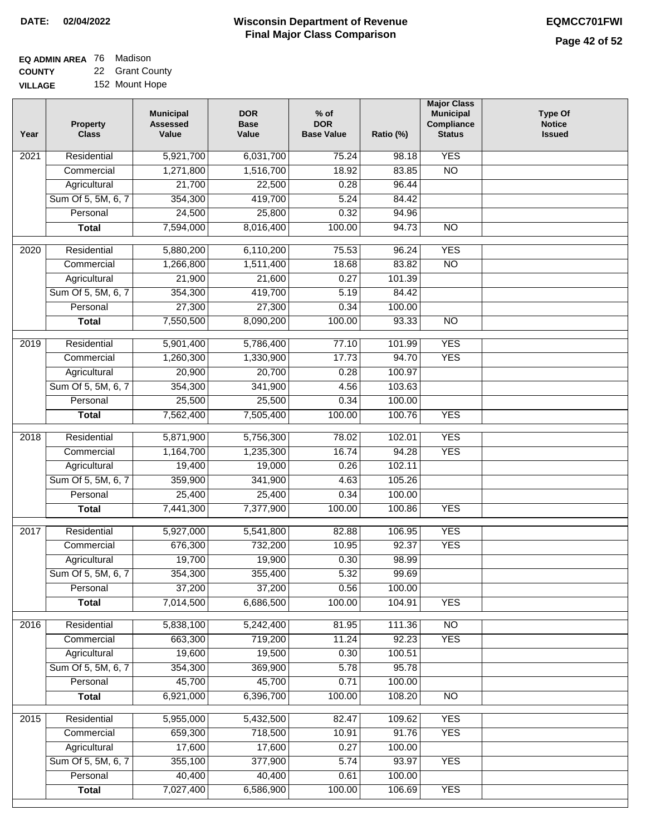| <b>EQ ADMIN AREA</b> 76 Madison |                 |
|---------------------------------|-----------------|
| <b>COUNTY</b>                   | 22 Grant County |

**VILLAGE** 152 Mount Hope

| Year              | <b>Property</b><br><b>Class</b> | <b>Municipal</b><br><b>Assessed</b><br>Value | <b>DOR</b><br><b>Base</b><br>Value | $%$ of<br><b>DOR</b><br><b>Base Value</b> | Ratio (%) | <b>Major Class</b><br><b>Municipal</b><br>Compliance<br><b>Status</b> | <b>Type Of</b><br><b>Notice</b><br><b>Issued</b> |
|-------------------|---------------------------------|----------------------------------------------|------------------------------------|-------------------------------------------|-----------|-----------------------------------------------------------------------|--------------------------------------------------|
| $\overline{202}1$ | Residential                     | 5,921,700                                    | 6,031,700                          | 75.24                                     | 98.18     | <b>YES</b>                                                            |                                                  |
|                   | Commercial                      | 1,271,800                                    | 1,516,700                          | 18.92                                     | 83.85     | $\overline{NO}$                                                       |                                                  |
|                   | Agricultural                    | 21,700                                       | 22,500                             | 0.28                                      | 96.44     |                                                                       |                                                  |
|                   | Sum Of 5, 5M, 6, 7              | 354,300                                      | 419,700                            | 5.24                                      | 84.42     |                                                                       |                                                  |
|                   | Personal                        | 24,500                                       | 25,800                             | 0.32                                      | 94.96     |                                                                       |                                                  |
|                   | <b>Total</b>                    | 7,594,000                                    | 8,016,400                          | 100.00                                    | 94.73     | $\overline{NO}$                                                       |                                                  |
| $\overline{2020}$ | Residential                     | 5,880,200                                    | 6,110,200                          | 75.53                                     | 96.24     | <b>YES</b>                                                            |                                                  |
|                   | Commercial                      | 1,266,800                                    | 1,511,400                          | 18.68                                     | 83.82     | $\overline{NO}$                                                       |                                                  |
|                   | Agricultural                    | 21,900                                       | 21,600                             | 0.27                                      | 101.39    |                                                                       |                                                  |
|                   | Sum Of 5, 5M, 6, 7              | 354,300                                      | 419,700                            | 5.19                                      | 84.42     |                                                                       |                                                  |
|                   | Personal                        | 27,300                                       | 27,300                             | 0.34                                      | 100.00    |                                                                       |                                                  |
|                   | <b>Total</b>                    | 7,550,500                                    | 8,090,200                          | 100.00                                    | 93.33     | $\overline{NO}$                                                       |                                                  |
| 2019              | Residential                     | 5,901,400                                    | 5,786,400                          | 77.10                                     | 101.99    | <b>YES</b>                                                            |                                                  |
|                   | Commercial                      | 1,260,300                                    | 1,330,900                          | 17.73                                     | 94.70     | <b>YES</b>                                                            |                                                  |
|                   | Agricultural                    | 20,900                                       | 20,700                             | 0.28                                      | 100.97    |                                                                       |                                                  |
|                   | Sum Of 5, 5M, 6, 7              | 354,300                                      | 341,900                            | 4.56                                      | 103.63    |                                                                       |                                                  |
|                   | Personal                        | 25,500                                       | 25,500                             | 0.34                                      | 100.00    |                                                                       |                                                  |
|                   | <b>Total</b>                    | 7,562,400                                    | 7,505,400                          | 100.00                                    | 100.76    | <b>YES</b>                                                            |                                                  |
|                   |                                 |                                              |                                    |                                           |           |                                                                       |                                                  |
| 2018              | Residential                     | 5,871,900                                    | 5,756,300                          | 78.02                                     | 102.01    | <b>YES</b>                                                            |                                                  |
|                   | Commercial                      | 1,164,700                                    | 1,235,300                          | 16.74                                     | 94.28     | <b>YES</b>                                                            |                                                  |
|                   | Agricultural                    | 19,400                                       | 19,000                             | 0.26                                      | 102.11    |                                                                       |                                                  |
|                   | Sum Of 5, 5M, 6, 7              | 359,900                                      | 341,900                            | 4.63                                      | 105.26    |                                                                       |                                                  |
|                   | Personal                        | 25,400                                       | 25,400                             | 0.34                                      | 100.00    |                                                                       |                                                  |
|                   | <b>Total</b>                    | 7,441,300                                    | 7,377,900                          | 100.00                                    | 100.86    | <b>YES</b>                                                            |                                                  |
| 2017              | Residential                     | 5,927,000                                    | 5,541,800                          | 82.88                                     | 106.95    | <b>YES</b>                                                            |                                                  |
|                   | Commercial                      | 676,300                                      | 732,200                            | 10.95                                     | 92.37     | <b>YES</b>                                                            |                                                  |
|                   | Agricultural                    | 19,700                                       | 19,900                             | 0.30                                      | 98.99     |                                                                       |                                                  |
|                   | Sum Of 5, 5M, 6, 7              | 354,300                                      | 355,400                            | 5.32                                      | 99.69     |                                                                       |                                                  |
|                   | Personal                        | 37,200                                       | 37,200                             | 0.56                                      | 100.00    |                                                                       |                                                  |
|                   | <b>Total</b>                    | 7,014,500                                    | 6,686,500                          | 100.00                                    | 104.91    | <b>YES</b>                                                            |                                                  |
| 2016              | Residential                     | 5,838,100                                    | 5,242,400                          | 81.95                                     | 111.36    | N <sub>O</sub>                                                        |                                                  |
|                   | Commercial                      | 663,300                                      | 719,200                            | 11.24                                     | 92.23     | <b>YES</b>                                                            |                                                  |
|                   | Agricultural                    | 19,600                                       | 19,500                             | 0.30                                      | 100.51    |                                                                       |                                                  |
|                   | Sum Of 5, 5M, 6, 7              | 354,300                                      | 369,900                            | 5.78                                      | 95.78     |                                                                       |                                                  |
|                   | Personal                        | 45,700                                       | 45,700                             | 0.71                                      | 100.00    |                                                                       |                                                  |
|                   | <b>Total</b>                    | 6,921,000                                    | 6,396,700                          | 100.00                                    | 108.20    | N <sub>O</sub>                                                        |                                                  |
| 2015              | Residential                     | 5,955,000                                    | 5,432,500                          | 82.47                                     | 109.62    | <b>YES</b>                                                            |                                                  |
|                   | Commercial                      | 659,300                                      | 718,500                            | 10.91                                     | 91.76     | <b>YES</b>                                                            |                                                  |
|                   | Agricultural                    | 17,600                                       | 17,600                             | 0.27                                      | 100.00    |                                                                       |                                                  |
|                   | Sum Of 5, 5M, 6, 7              | 355,100                                      | 377,900                            | 5.74                                      | 93.97     | <b>YES</b>                                                            |                                                  |
|                   | Personal                        | 40,400                                       | 40,400                             | 0.61                                      | 100.00    |                                                                       |                                                  |
|                   | <b>Total</b>                    | 7,027,400                                    | 6,586,900                          | 100.00                                    | 106.69    | <b>YES</b>                                                            |                                                  |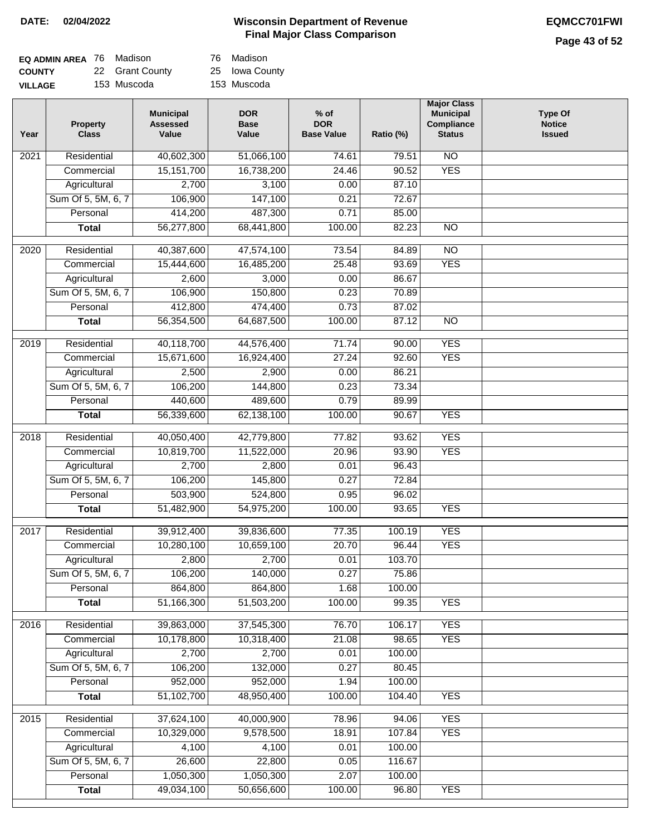# **Page 43 of 52**

| <b>EQ ADMIN AREA</b> 76 Madison |                 | 76 Madison     |
|---------------------------------|-----------------|----------------|
| <b>COUNTY</b>                   | 22 Grant County | 25 Iowa County |
| <b>VILLAGE</b>                  | 153 Muscoda     | 153 Muscoda    |

| Year              | <b>Property</b><br><b>Class</b> | <b>Municipal</b><br><b>Assessed</b><br>Value | <b>DOR</b><br><b>Base</b><br>Value | $%$ of<br><b>DOR</b><br><b>Base Value</b> | Ratio (%) | <b>Major Class</b><br><b>Municipal</b><br><b>Compliance</b><br><b>Status</b> | <b>Type Of</b><br><b>Notice</b><br><b>Issued</b> |
|-------------------|---------------------------------|----------------------------------------------|------------------------------------|-------------------------------------------|-----------|------------------------------------------------------------------------------|--------------------------------------------------|
| 2021              | Residential                     | 40,602,300                                   | 51,066,100                         | 74.61                                     | 79.51     | <b>NO</b>                                                                    |                                                  |
|                   | Commercial                      | 15, 151, 700                                 | 16,738,200                         | 24.46                                     | 90.52     | <b>YES</b>                                                                   |                                                  |
|                   | Agricultural                    | 2,700                                        | 3,100                              | 0.00                                      | 87.10     |                                                                              |                                                  |
|                   | Sum Of 5, 5M, 6, 7              | 106,900                                      | 147,100                            | 0.21                                      | 72.67     |                                                                              |                                                  |
|                   | Personal                        | 414,200                                      | 487,300                            | 0.71                                      | 85.00     |                                                                              |                                                  |
|                   | <b>Total</b>                    | 56,277,800                                   | 68,441,800                         | 100.00                                    | 82.23     | $\overline{NO}$                                                              |                                                  |
| $\overline{2020}$ | Residential                     | 40,387,600                                   | 47,574,100                         | 73.54                                     | 84.89     | $\overline{NO}$                                                              |                                                  |
|                   | Commercial                      | 15,444,600                                   | 16,485,200                         | 25.48                                     | 93.69     | <b>YES</b>                                                                   |                                                  |
|                   | Agricultural                    | 2,600                                        | 3,000                              | 0.00                                      | 86.67     |                                                                              |                                                  |
|                   | Sum Of 5, 5M, 6, 7              | 106,900                                      | 150,800                            | 0.23                                      | 70.89     |                                                                              |                                                  |
|                   | Personal                        | 412,800                                      | 474,400                            | 0.73                                      | 87.02     |                                                                              |                                                  |
|                   | <b>Total</b>                    | 56,354,500                                   | 64,687,500                         | 100.00                                    | 87.12     | <b>NO</b>                                                                    |                                                  |
|                   |                                 |                                              |                                    |                                           |           |                                                                              |                                                  |
| $\frac{1}{2019}$  | Residential                     | 40,118,700                                   | 44,576,400                         | 71.74                                     | 90.00     | <b>YES</b>                                                                   |                                                  |
|                   | Commercial                      | 15,671,600                                   | 16,924,400                         | 27.24                                     | 92.60     | <b>YES</b>                                                                   |                                                  |
|                   | Agricultural                    | 2,500                                        | 2,900                              | 0.00                                      | 86.21     |                                                                              |                                                  |
|                   | Sum Of 5, 5M, 6, 7              | 106,200                                      | 144,800                            | 0.23                                      | 73.34     |                                                                              |                                                  |
|                   | Personal                        | 440,600                                      | 489,600                            | 0.79                                      | 89.99     |                                                                              |                                                  |
|                   | <b>Total</b>                    | 56,339,600                                   | 62,138,100                         | 100.00                                    | 90.67     | <b>YES</b>                                                                   |                                                  |
| 2018              | Residential                     | 40,050,400                                   | 42,779,800                         | 77.82                                     | 93.62     | <b>YES</b>                                                                   |                                                  |
|                   | Commercial                      | 10,819,700                                   | 11,522,000                         | 20.96                                     | 93.90     | <b>YES</b>                                                                   |                                                  |
|                   | Agricultural                    | 2,700                                        | 2,800                              | 0.01                                      | 96.43     |                                                                              |                                                  |
|                   | Sum Of 5, 5M, 6, 7              | 106,200                                      | 145,800                            | 0.27                                      | 72.84     |                                                                              |                                                  |
|                   | Personal                        | 503,900                                      | 524,800                            | 0.95                                      | 96.02     |                                                                              |                                                  |
|                   | <b>Total</b>                    | 51,482,900                                   | 54,975,200                         | 100.00                                    | 93.65     | <b>YES</b>                                                                   |                                                  |
| 2017              | Residential                     | 39,912,400                                   | 39,836,600                         | 77.35                                     | 100.19    | <b>YES</b>                                                                   |                                                  |
|                   | Commercial                      | 10,280,100                                   | 10,659,100                         | 20.70                                     | 96.44     | <b>YES</b>                                                                   |                                                  |
|                   | Agricultural                    | 2,800                                        | 2,700                              | 0.01                                      | 103.70    |                                                                              |                                                  |
|                   | Sum Of 5, 5M, 6, 7              | 106,200                                      | 140,000                            | 0.27                                      | 75.86     |                                                                              |                                                  |
|                   | Personal                        | 864,800                                      | 864,800                            | 1.68                                      | 100.00    |                                                                              |                                                  |
|                   | <b>Total</b>                    | 51,166,300                                   | 51,503,200                         | 100.00                                    | 99.35     | <b>YES</b>                                                                   |                                                  |
| 2016              | Residential                     | 39,863,000                                   | 37,545,300                         | 76.70                                     | 106.17    | <b>YES</b>                                                                   |                                                  |
|                   | Commercial                      | 10,178,800                                   | 10,318,400                         | 21.08                                     | 98.65     | <b>YES</b>                                                                   |                                                  |
|                   | Agricultural                    | 2,700                                        | 2,700                              | 0.01                                      | 100.00    |                                                                              |                                                  |
|                   | Sum Of 5, 5M, 6, 7              | 106,200                                      | 132,000                            | 0.27                                      | 80.45     |                                                                              |                                                  |
|                   | Personal                        | 952,000                                      | 952,000                            | 1.94                                      | 100.00    |                                                                              |                                                  |
|                   | <b>Total</b>                    | 51,102,700                                   | 48,950,400                         | 100.00                                    | 104.40    | <b>YES</b>                                                                   |                                                  |
| 2015              | Residential                     | 37,624,100                                   | 40,000,900                         | 78.96                                     | 94.06     | <b>YES</b>                                                                   |                                                  |
|                   | Commercial                      | 10,329,000                                   | 9,578,500                          | 18.91                                     | 107.84    | <b>YES</b>                                                                   |                                                  |
|                   | Agricultural                    | 4,100                                        | 4,100                              | 0.01                                      | 100.00    |                                                                              |                                                  |
|                   | Sum Of 5, 5M, 6, 7              | 26,600                                       | 22,800                             | 0.05                                      | 116.67    |                                                                              |                                                  |
|                   | Personal                        | 1,050,300                                    | 1,050,300                          | 2.07                                      | 100.00    |                                                                              |                                                  |
|                   | <b>Total</b>                    | 49,034,100                                   | 50,656,600                         | 100.00                                    | 96.80     | <b>YES</b>                                                                   |                                                  |
|                   |                                 |                                              |                                    |                                           |           |                                                                              |                                                  |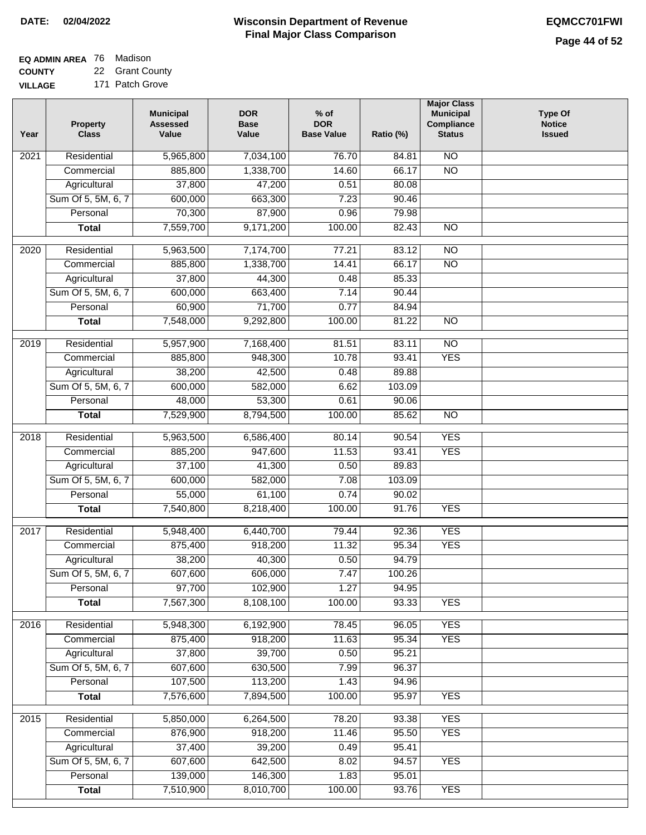| <b>EQ ADMIN AREA</b> 76 Madison |                 |
|---------------------------------|-----------------|
| <b>COUNTY</b>                   | 22 Grant County |

**VILLAGE** 171 Patch Grove

| Year | <b>Property</b><br><b>Class</b> | <b>Municipal</b><br><b>Assessed</b><br>Value | <b>DOR</b><br><b>Base</b><br>Value | $%$ of<br><b>DOR</b><br><b>Base Value</b> | Ratio (%) | <b>Major Class</b><br><b>Municipal</b><br>Compliance<br><b>Status</b> | <b>Type Of</b><br><b>Notice</b><br><b>Issued</b> |
|------|---------------------------------|----------------------------------------------|------------------------------------|-------------------------------------------|-----------|-----------------------------------------------------------------------|--------------------------------------------------|
| 2021 | Residential                     | 5,965,800                                    | 7,034,100                          | 76.70                                     | 84.81     | <b>NO</b>                                                             |                                                  |
|      | Commercial                      | 885,800                                      | 1,338,700                          | 14.60                                     | 66.17     | $\overline{NO}$                                                       |                                                  |
|      | Agricultural                    | 37,800                                       | 47,200                             | 0.51                                      | 80.08     |                                                                       |                                                  |
|      | Sum Of 5, 5M, 6, 7              | 600,000                                      | 663,300                            | 7.23                                      | 90.46     |                                                                       |                                                  |
|      | Personal                        | 70,300                                       | 87,900                             | 0.96                                      | 79.98     |                                                                       |                                                  |
|      | <b>Total</b>                    | 7,559,700                                    | 9,171,200                          | 100.00                                    | 82.43     | $\overline{NO}$                                                       |                                                  |
| 2020 | Residential                     | 5,963,500                                    | 7,174,700                          | 77.21                                     | 83.12     | $\overline{10}$                                                       |                                                  |
|      | Commercial                      | 885,800                                      | 1,338,700                          | 14.41                                     | 66.17     | $\overline{NO}$                                                       |                                                  |
|      | Agricultural                    | 37,800                                       | 44,300                             | 0.48                                      | 85.33     |                                                                       |                                                  |
|      | Sum Of 5, 5M, 6, 7              | 600,000                                      | 663,400                            | 7.14                                      | 90.44     |                                                                       |                                                  |
|      | Personal                        | 60,900                                       | 71,700                             | 0.77                                      | 84.94     |                                                                       |                                                  |
|      | <b>Total</b>                    | 7,548,000                                    | 9,292,800                          | 100.00                                    | 81.22     | <b>NO</b>                                                             |                                                  |
|      |                                 |                                              |                                    |                                           |           |                                                                       |                                                  |
| 2019 | Residential                     | 5,957,900                                    | 7,168,400                          | 81.51                                     | 83.11     | $\overline{NO}$                                                       |                                                  |
|      | Commercial                      | 885,800                                      | 948,300                            | 10.78                                     | 93.41     | <b>YES</b>                                                            |                                                  |
|      | Agricultural                    | 38,200                                       | 42,500                             | 0.48                                      | 89.88     |                                                                       |                                                  |
|      | Sum Of 5, 5M, 6, 7              | 600,000                                      | 582,000                            | 6.62                                      | 103.09    |                                                                       |                                                  |
|      | Personal                        | 48,000                                       | 53,300                             | 0.61                                      | 90.06     |                                                                       |                                                  |
|      | <b>Total</b>                    | 7,529,900                                    | 8,794,500                          | 100.00                                    | 85.62     | $\overline{NO}$                                                       |                                                  |
| 2018 | Residential                     | 5,963,500                                    | 6,586,400                          | 80.14                                     | 90.54     | <b>YES</b>                                                            |                                                  |
|      | Commercial                      | 885,200                                      | 947,600                            | 11.53                                     | 93.41     | <b>YES</b>                                                            |                                                  |
|      | Agricultural                    | 37,100                                       | 41,300                             | 0.50                                      | 89.83     |                                                                       |                                                  |
|      | Sum Of 5, 5M, 6, 7              | 600,000                                      | 582,000                            | 7.08                                      | 103.09    |                                                                       |                                                  |
|      | Personal                        | 55,000                                       | 61,100                             | 0.74                                      | 90.02     |                                                                       |                                                  |
|      | <b>Total</b>                    | 7,540,800                                    | 8,218,400                          | 100.00                                    | 91.76     | <b>YES</b>                                                            |                                                  |
| 2017 | Residential                     | 5,948,400                                    | 6,440,700                          | 79.44                                     | 92.36     | <b>YES</b>                                                            |                                                  |
|      | Commercial                      | 875,400                                      | 918,200                            | 11.32                                     | 95.34     | <b>YES</b>                                                            |                                                  |
|      | Agricultural                    | 38,200                                       | 40,300                             | 0.50                                      | 94.79     |                                                                       |                                                  |
|      | Sum Of 5, 5M, 6, 7              | 607,600                                      | 606,000                            | 7.47                                      | 100.26    |                                                                       |                                                  |
|      | Personal                        | 97,700                                       | 102,900                            | 1.27                                      | 94.95     |                                                                       |                                                  |
|      | <b>Total</b>                    | 7,567,300                                    | 8,108,100                          | 100.00                                    | 93.33     | <b>YES</b>                                                            |                                                  |
| 2016 | Residential                     | 5,948,300                                    | 6,192,900                          | 78.45                                     | 96.05     | <b>YES</b>                                                            |                                                  |
|      | Commercial                      | 875,400                                      | 918,200                            | 11.63                                     | 95.34     | <b>YES</b>                                                            |                                                  |
|      | Agricultural                    | 37,800                                       | 39,700                             | 0.50                                      | 95.21     |                                                                       |                                                  |
|      | Sum Of 5, 5M, 6, 7              | 607,600                                      | 630,500                            | 7.99                                      | 96.37     |                                                                       |                                                  |
|      | Personal                        | 107,500                                      | 113,200                            | 1.43                                      | 94.96     |                                                                       |                                                  |
|      | <b>Total</b>                    | 7,576,600                                    | 7,894,500                          | 100.00                                    | 95.97     | <b>YES</b>                                                            |                                                  |
| 2015 | Residential                     | 5,850,000                                    | 6,264,500                          | 78.20                                     | 93.38     | <b>YES</b>                                                            |                                                  |
|      | Commercial                      | 876,900                                      | 918,200                            | 11.46                                     | 95.50     | <b>YES</b>                                                            |                                                  |
|      | Agricultural                    | 37,400                                       | 39,200                             | 0.49                                      | 95.41     |                                                                       |                                                  |
|      | Sum Of 5, 5M, 6, 7              | 607,600                                      | 642,500                            | 8.02                                      | 94.57     | <b>YES</b>                                                            |                                                  |
|      | Personal                        | 139,000                                      | 146,300                            | 1.83                                      | 95.01     |                                                                       |                                                  |
|      | <b>Total</b>                    | 7,510,900                                    | 8,010,700                          | 100.00                                    | 93.76     | <b>YES</b>                                                            |                                                  |
|      |                                 |                                              |                                    |                                           |           |                                                                       |                                                  |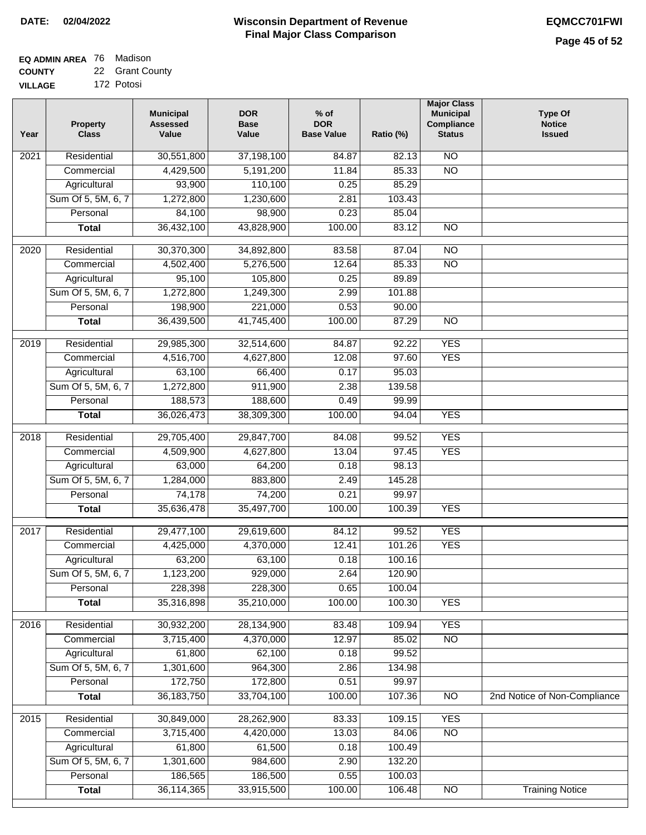### **EQ ADMIN AREA** 76 Madison **COUNTY**

**VILLAGE** 22 Grant County 172 Potosi

| Year              | <b>Property</b><br><b>Class</b> | <b>Municipal</b><br><b>Assessed</b><br>Value | <b>DOR</b><br><b>Base</b><br>Value | % of<br><b>DOR</b><br><b>Base Value</b> | Ratio (%) | <b>Major Class</b><br><b>Municipal</b><br>Compliance<br><b>Status</b> | <b>Type Of</b><br><b>Notice</b><br><b>Issued</b> |
|-------------------|---------------------------------|----------------------------------------------|------------------------------------|-----------------------------------------|-----------|-----------------------------------------------------------------------|--------------------------------------------------|
| $\overline{202}1$ | Residential                     | 30,551,800                                   | 37,198,100                         | 84.87                                   | 82.13     | $\overline{NO}$                                                       |                                                  |
|                   | Commercial                      | 4,429,500                                    | 5,191,200                          | 11.84                                   | 85.33     | $\overline{NO}$                                                       |                                                  |
|                   | Agricultural                    | 93,900                                       | 110,100                            | 0.25                                    | 85.29     |                                                                       |                                                  |
|                   | Sum Of 5, 5M, 6, 7              | 1,272,800                                    | 1,230,600                          | 2.81                                    | 103.43    |                                                                       |                                                  |
|                   | Personal                        | 84,100                                       | 98,900                             | 0.23                                    | 85.04     |                                                                       |                                                  |
|                   | <b>Total</b>                    | 36,432,100                                   | 43,828,900                         | 100.00                                  | 83.12     | $\overline{NO}$                                                       |                                                  |
| $\overline{2020}$ | Residential                     | 30,370,300                                   | 34,892,800                         | 83.58                                   | 87.04     | $\overline{NO}$                                                       |                                                  |
|                   | Commercial                      | 4,502,400                                    | 5,276,500                          | 12.64                                   | 85.33     | $\overline{NO}$                                                       |                                                  |
|                   | Agricultural                    | 95,100                                       | 105,800                            | 0.25                                    | 89.89     |                                                                       |                                                  |
|                   | Sum Of 5, 5M, 6, 7              | 1,272,800                                    | 1,249,300                          | 2.99                                    | 101.88    |                                                                       |                                                  |
|                   | Personal                        | 198,900                                      | 221,000                            | 0.53                                    | 90.00     |                                                                       |                                                  |
|                   | <b>Total</b>                    | 36,439,500                                   | 41,745,400                         | 100.00                                  | 87.29     | $\overline{NO}$                                                       |                                                  |
| 2019              | Residential                     | 29,985,300                                   | 32,514,600                         | 84.87                                   | 92.22     | <b>YES</b>                                                            |                                                  |
|                   | Commercial                      | 4,516,700                                    | 4,627,800                          | 12.08                                   | 97.60     | <b>YES</b>                                                            |                                                  |
|                   | Agricultural                    | 63,100                                       | 66,400                             | 0.17                                    | 95.03     |                                                                       |                                                  |
|                   | Sum Of 5, 5M, 6, 7              | 1,272,800                                    | 911,900                            | 2.38                                    | 139.58    |                                                                       |                                                  |
|                   | Personal                        | 188,573                                      | 188,600                            | 0.49                                    | 99.99     |                                                                       |                                                  |
|                   | <b>Total</b>                    | 36,026,473                                   | 38,309,300                         | 100.00                                  | 94.04     | <b>YES</b>                                                            |                                                  |
|                   |                                 |                                              |                                    |                                         |           |                                                                       |                                                  |
| 2018              | Residential                     | 29,705,400                                   | 29,847,700                         | 84.08                                   | 99.52     | <b>YES</b>                                                            |                                                  |
|                   | Commercial                      | 4,509,900                                    | 4,627,800                          | 13.04                                   | 97.45     | <b>YES</b>                                                            |                                                  |
|                   | Agricultural                    | 63,000                                       | 64,200                             | 0.18                                    | 98.13     |                                                                       |                                                  |
|                   | Sum Of 5, 5M, 6, 7              | 1,284,000                                    | 883,800                            | 2.49                                    | 145.28    |                                                                       |                                                  |
|                   | Personal                        | 74,178                                       | 74,200                             | 0.21                                    | 99.97     |                                                                       |                                                  |
|                   | <b>Total</b>                    | 35,636,478                                   | 35,497,700                         | 100.00                                  | 100.39    | <b>YES</b>                                                            |                                                  |
| 2017              | Residential                     | 29,477,100                                   | 29,619,600                         | 84.12                                   | 99.52     | <b>YES</b>                                                            |                                                  |
|                   | Commercial                      | 4,425,000                                    | 4,370,000                          | 12.41                                   | 101.26    | <b>YES</b>                                                            |                                                  |
|                   | Agricultural                    | 63,200                                       | 63,100                             | 0.18                                    | 100.16    |                                                                       |                                                  |
|                   | Sum Of 5, 5M, 6, 7              | 1,123,200                                    | 929,000                            | 2.64                                    | 120.90    |                                                                       |                                                  |
|                   | Personal                        | 228,398                                      | 228,300                            | 0.65                                    | 100.04    |                                                                       |                                                  |
|                   | <b>Total</b>                    | 35,316,898                                   | 35,210,000                         | 100.00                                  | 100.30    | <b>YES</b>                                                            |                                                  |
| 2016              | Residential                     | 30,932,200                                   | 28,134,900                         | 83.48                                   | 109.94    | <b>YES</b>                                                            |                                                  |
|                   | Commercial                      | 3,715,400                                    | 4,370,000                          | 12.97                                   | 85.02     | $\overline{NO}$                                                       |                                                  |
|                   | Agricultural                    | 61,800                                       | 62,100                             | 0.18                                    | 99.52     |                                                                       |                                                  |
|                   | Sum Of 5, 5M, 6, 7              | 1,301,600                                    | 964,300                            | 2.86                                    | 134.98    |                                                                       |                                                  |
|                   | Personal                        | 172,750                                      | 172,800                            | 0.51                                    | 99.97     |                                                                       |                                                  |
|                   | <b>Total</b>                    | 36, 183, 750                                 | 33,704,100                         | 100.00                                  | 107.36    | $\overline{NO}$                                                       | 2nd Notice of Non-Compliance                     |
| 2015              | Residential                     | 30,849,000                                   | 28,262,900                         | 83.33                                   | 109.15    | <b>YES</b>                                                            |                                                  |
|                   | Commercial                      | 3,715,400                                    | 4,420,000                          | 13.03                                   | 84.06     | $\overline{NO}$                                                       |                                                  |
|                   | Agricultural                    | 61,800                                       | 61,500                             | 0.18                                    | 100.49    |                                                                       |                                                  |
|                   | Sum Of 5, 5M, 6, 7              | 1,301,600                                    | 984,600                            | 2.90                                    | 132.20    |                                                                       |                                                  |
|                   | Personal                        | 186,565                                      | 186,500                            | 0.55                                    | 100.03    |                                                                       |                                                  |
|                   | <b>Total</b>                    | 36,114,365                                   | 33,915,500                         | 100.00                                  | 106.48    | N <sub>O</sub>                                                        | <b>Training Notice</b>                           |
|                   |                                 |                                              |                                    |                                         |           |                                                                       |                                                  |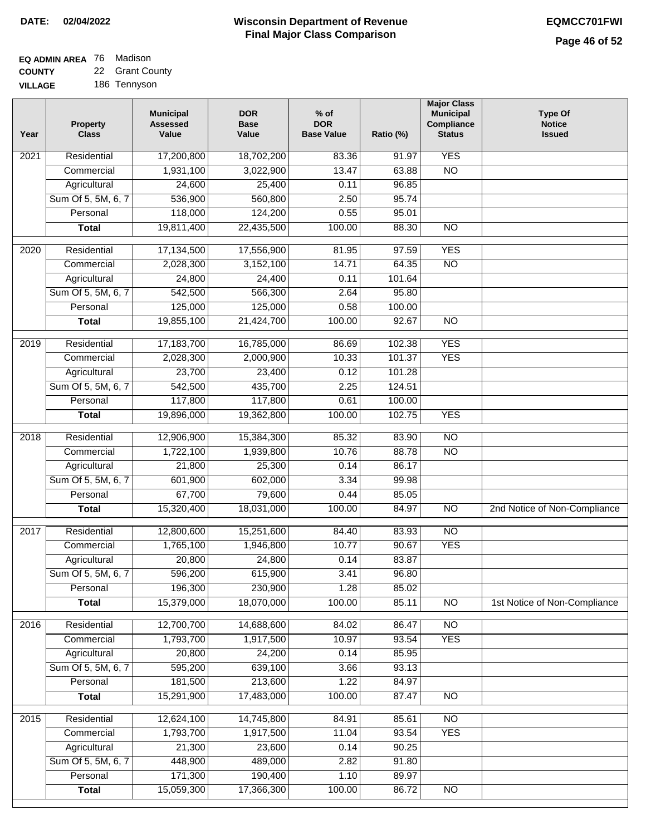#### **EQ ADMIN AREA** 76 Madison **COUNTY** 22 Grant County

**VILLAGE** 186 Tennyson

| Year              | <b>Property</b><br><b>Class</b> | <b>Municipal</b><br><b>Assessed</b><br>Value | <b>DOR</b><br><b>Base</b><br>Value | % of<br><b>DOR</b><br><b>Base Value</b> | Ratio (%)      | <b>Major Class</b><br><b>Municipal</b><br>Compliance<br><b>Status</b> | <b>Type Of</b><br><b>Notice</b><br><b>Issued</b> |
|-------------------|---------------------------------|----------------------------------------------|------------------------------------|-----------------------------------------|----------------|-----------------------------------------------------------------------|--------------------------------------------------|
| $\overline{202}1$ | Residential                     | 17,200,800                                   | 18,702,200                         | 83.36                                   | 91.97          | <b>YES</b>                                                            |                                                  |
|                   | Commercial                      | 1,931,100                                    | 3,022,900                          | 13.47                                   | 63.88          | $\overline{NO}$                                                       |                                                  |
|                   | Agricultural                    | 24,600                                       | 25,400                             | 0.11                                    | 96.85          |                                                                       |                                                  |
|                   | Sum Of 5, 5M, 6, 7              | 536,900                                      | 560,800                            | 2.50                                    | 95.74          |                                                                       |                                                  |
|                   | Personal                        | 118,000                                      | 124,200                            | 0.55                                    | 95.01          |                                                                       |                                                  |
|                   | <b>Total</b>                    | 19,811,400                                   | 22,435,500                         | 100.00                                  | 88.30          | $\overline{NO}$                                                       |                                                  |
| $\overline{2020}$ | Residential                     | 17,134,500                                   | 17,556,900                         | 81.95                                   | 97.59          | <b>YES</b>                                                            |                                                  |
|                   | Commercial                      | 2,028,300                                    | 3,152,100                          | 14.71                                   | 64.35          | $\overline{NO}$                                                       |                                                  |
|                   | Agricultural                    | 24,800                                       | 24,400                             | 0.11                                    | 101.64         |                                                                       |                                                  |
|                   | Sum Of 5, 5M, 6, 7              | 542,500                                      | 566,300                            | 2.64                                    | 95.80          |                                                                       |                                                  |
|                   | Personal                        | 125,000                                      | 125,000                            | 0.58                                    | 100.00         |                                                                       |                                                  |
|                   | <b>Total</b>                    | 19,855,100                                   | 21,424,700                         | 100.00                                  | 92.67          | $\overline{NO}$                                                       |                                                  |
| 2019              | Residential                     | 17,183,700                                   | 16,785,000                         | 86.69                                   | 102.38         | <b>YES</b>                                                            |                                                  |
|                   | Commercial                      | 2,028,300                                    | 2,000,900                          | 10.33                                   | 101.37         | <b>YES</b>                                                            |                                                  |
|                   | Agricultural                    | 23,700                                       | 23,400                             | 0.12                                    | 101.28         |                                                                       |                                                  |
|                   | Sum Of 5, 5M, 6, 7              | 542,500                                      | 435,700                            | 2.25                                    | 124.51         |                                                                       |                                                  |
|                   | Personal                        | 117,800                                      | 117,800                            | 0.61                                    | 100.00         |                                                                       |                                                  |
|                   | <b>Total</b>                    | 19,896,000                                   | 19,362,800                         | 100.00                                  | 102.75         | <b>YES</b>                                                            |                                                  |
|                   | Residential                     |                                              |                                    | 85.32                                   |                | N <sub>O</sub>                                                        |                                                  |
| 2018              | Commercial                      | 12,906,900<br>1,722,100                      | 15,384,300<br>1,939,800            | 10.76                                   | 83.90<br>88.78 | <b>NO</b>                                                             |                                                  |
|                   | Agricultural                    | 21,800                                       | 25,300                             | 0.14                                    | 86.17          |                                                                       |                                                  |
|                   | Sum Of 5, 5M, 6, 7              | 601,900                                      | 602,000                            | 3.34                                    | 99.98          |                                                                       |                                                  |
|                   | Personal                        | 67,700                                       | 79,600                             | 0.44                                    | 85.05          |                                                                       |                                                  |
|                   | <b>Total</b>                    | 15,320,400                                   | 18,031,000                         | 100.00                                  | 84.97          | $\overline{NO}$                                                       | 2nd Notice of Non-Compliance                     |
|                   |                                 |                                              |                                    |                                         |                |                                                                       |                                                  |
| 2017              | Residential                     | 12,800,600                                   | 15,251,600                         | 84.40                                   | 83.93          | N <sub>O</sub>                                                        |                                                  |
|                   | Commercial                      | 1,765,100                                    | 1,946,800                          | 10.77                                   | 90.67          | <b>YES</b>                                                            |                                                  |
|                   | Agricultural                    | 20,800                                       | 24,800                             | 0.14                                    | 83.87          |                                                                       |                                                  |
|                   | Sum Of 5, 5M, 6, 7              | 596,200                                      | 615,900                            | 3.41                                    | 96.80          |                                                                       |                                                  |
|                   | Personal                        | 196,300                                      | 230,900                            | 1.28                                    | 85.02          |                                                                       |                                                  |
|                   | <b>Total</b>                    | 15,379,000                                   | 18,070,000                         | 100.00                                  | 85.11          | <b>NO</b>                                                             | 1st Notice of Non-Compliance                     |
| 2016              | Residential                     | 12,700,700                                   | 14,688,600                         | 84.02                                   | 86.47          | $\overline{NO}$                                                       |                                                  |
|                   | Commercial                      | 1,793,700                                    | 1,917,500                          | 10.97                                   | 93.54          | <b>YES</b>                                                            |                                                  |
|                   | Agricultural                    | 20,800                                       | 24,200                             | 0.14                                    | 85.95          |                                                                       |                                                  |
|                   | Sum Of 5, 5M, 6, 7              | 595,200                                      | 639,100                            | 3.66                                    | 93.13          |                                                                       |                                                  |
|                   | Personal                        | 181,500                                      | 213,600                            | 1.22                                    | 84.97          |                                                                       |                                                  |
|                   | <b>Total</b>                    | 15,291,900                                   | 17,483,000                         | 100.00                                  | 87.47          | $\overline{NO}$                                                       |                                                  |
| 2015              | Residential                     | 12,624,100                                   | 14,745,800                         | 84.91                                   | 85.61          | $\overline{NO}$                                                       |                                                  |
|                   | Commercial                      | 1,793,700                                    | 1,917,500                          | 11.04                                   | 93.54          | <b>YES</b>                                                            |                                                  |
|                   | Agricultural                    | 21,300                                       | 23,600                             | 0.14                                    | 90.25          |                                                                       |                                                  |
|                   | Sum Of 5, 5M, 6, 7              | 448,900                                      | 489,000                            | 2.82                                    | 91.80          |                                                                       |                                                  |
|                   | Personal                        | 171,300                                      | 190,400                            | 1.10                                    | 89.97          |                                                                       |                                                  |
|                   | <b>Total</b>                    | 15,059,300                                   | 17,366,300                         | 100.00                                  | 86.72          | NO                                                                    |                                                  |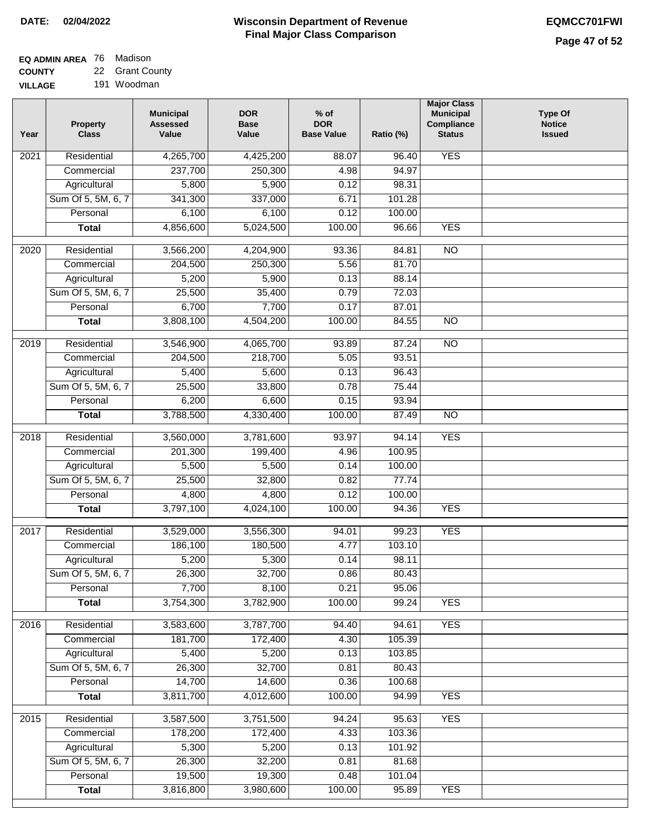| <b>EQ ADMIN AREA</b> 76 Madison |                 |
|---------------------------------|-----------------|
| <b>COUNTY</b>                   | 22 Grant County |

**VILLAGE** 191 Woodman

| 237,700<br>250,300<br>4.98<br>94.97<br>Commercial<br>Agricultural<br>5,800<br>5,900<br>0.12<br>98.31<br>Sum Of 5, 5M, 6, 7<br>341,300<br>337,000<br>6.71<br>101.28<br>Personal<br>6,100<br>6,100<br>0.12<br>100.00<br>4,856,600<br>5,024,500<br><b>YES</b><br>100.00<br>96.66<br><b>Total</b><br>Residential<br>3,566,200<br>4,204,900<br>93.36<br>84.81<br>$\overline{NO}$<br>2020<br>204,500<br>250,300<br>5.56<br>81.70<br>Commercial<br>5,200<br>5,900<br>0.13<br>88.14<br>Agricultural<br>Sum Of 5, 5M, 6, 7<br>25,500<br>35,400<br>0.79<br>72.03<br>6,700<br>7,700<br>Personal<br>0.17<br>87.01<br>3,808,100<br>4,504,200<br>100.00<br>$\overline{NO}$<br>84.55<br><b>Total</b><br>Residential<br>3,546,900<br>4,065,700<br>93.89<br>87.24<br><b>NO</b><br>2019<br>218,700<br>Commercial<br>204,500<br>5.05<br>93.51<br>5,600<br>96.43<br>Agricultural<br>5,400<br>0.13<br>25,500<br>33,800<br>Sum Of 5, 5M, 6, 7<br>0.78<br>75.44<br>Personal<br>6,200<br>6,600<br>0.15<br>93.94<br>3,788,500<br>4,330,400<br>100.00<br>87.49<br>$\overline{NO}$<br><b>Total</b><br>$\overline{2018}$<br>Residential<br>3,560,000<br>3,781,600<br>93.97<br>94.14<br><b>YES</b><br>Commercial<br>201,300<br>199,400<br>4.96<br>100.95<br>Agricultural<br>5,500<br>5,500<br>0.14<br>100.00<br>Sum Of 5, 5M, 6, 7<br>25,500<br>32,800<br>0.82<br>77.74<br>4,800<br>Personal<br>4,800<br>0.12<br>100.00<br><b>YES</b><br>3,797,100<br>4,024,100<br>100.00<br>94.36<br><b>Total</b><br><b>YES</b><br>2017<br>Residential<br>3,529,000<br>3,556,300<br>99.23<br>94.01<br>4.77<br>186,100<br>180,500<br>103.10<br>Commercial<br>5,200<br>Agricultural<br>5,300<br>0.14<br>98.11<br>Sum Of 5, 5M, 6, 7<br>26,300<br>0.86<br>32,700<br>80.43<br>7,700<br>0.21<br>8,100<br>95.06<br>Personal<br>100.00<br><b>YES</b><br>3,754,300<br>3,782,900<br>99.24<br><b>Total</b><br><b>YES</b><br>Residential<br>3,583,600<br>3,787,700<br>94.40<br>94.61<br>2016<br>181,700<br>172,400<br>4.30<br>105.39<br>Commercial<br>5,400<br>5,200<br>Agricultural<br>0.13<br>103.85<br>Sum Of 5, 5M, 6, 7<br>26,300<br>32,700<br>0.81<br>80.43<br>14,700<br>14,600<br>Personal<br>0.36<br>100.68<br>3,811,700<br>100.00<br>4,012,600<br><b>YES</b><br><b>Total</b><br>94.99<br>3,587,500<br>3,751,500<br><b>YES</b><br>2015<br>Residential<br>94.24<br>95.63<br>172,400<br>Commercial<br>178,200<br>4.33<br>103.36<br>5,300<br>5,200<br>Agricultural<br>0.13<br>101.92<br>Sum Of 5, 5M, 6, 7<br>26,300<br>32,200<br>0.81<br>81.68<br>Personal<br>19,300<br>19,500<br>0.48<br>101.04<br>3,816,800<br>3,980,600<br><b>YES</b><br>100.00<br>95.89<br><b>Total</b> | Year | <b>Property</b><br><b>Class</b> | <b>Municipal</b><br><b>Assessed</b><br>Value | <b>DOR</b><br><b>Base</b><br>Value | $%$ of<br><b>DOR</b><br><b>Base Value</b> | Ratio (%) | <b>Major Class</b><br><b>Municipal</b><br>Compliance<br><b>Status</b> | <b>Type Of</b><br><b>Notice</b><br><b>Issued</b> |
|----------------------------------------------------------------------------------------------------------------------------------------------------------------------------------------------------------------------------------------------------------------------------------------------------------------------------------------------------------------------------------------------------------------------------------------------------------------------------------------------------------------------------------------------------------------------------------------------------------------------------------------------------------------------------------------------------------------------------------------------------------------------------------------------------------------------------------------------------------------------------------------------------------------------------------------------------------------------------------------------------------------------------------------------------------------------------------------------------------------------------------------------------------------------------------------------------------------------------------------------------------------------------------------------------------------------------------------------------------------------------------------------------------------------------------------------------------------------------------------------------------------------------------------------------------------------------------------------------------------------------------------------------------------------------------------------------------------------------------------------------------------------------------------------------------------------------------------------------------------------------------------------------------------------------------------------------------------------------------------------------------------------------------------------------------------------------------------------------------------------------------------------------------------------------------------------------------------------------------------------------------------------------------------------------------------------------------------------------------------------------------------------------------------------------------------------------------------------------------------------------------------------------------------------------------------------------------------------------------------------------|------|---------------------------------|----------------------------------------------|------------------------------------|-------------------------------------------|-----------|-----------------------------------------------------------------------|--------------------------------------------------|
|                                                                                                                                                                                                                                                                                                                                                                                                                                                                                                                                                                                                                                                                                                                                                                                                                                                                                                                                                                                                                                                                                                                                                                                                                                                                                                                                                                                                                                                                                                                                                                                                                                                                                                                                                                                                                                                                                                                                                                                                                                                                                                                                                                                                                                                                                                                                                                                                                                                                                                                                                                                                                            | 2021 | Residential                     | 4,265,700                                    | 4,425,200                          | 88.07                                     | 96.40     | <b>YES</b>                                                            |                                                  |
|                                                                                                                                                                                                                                                                                                                                                                                                                                                                                                                                                                                                                                                                                                                                                                                                                                                                                                                                                                                                                                                                                                                                                                                                                                                                                                                                                                                                                                                                                                                                                                                                                                                                                                                                                                                                                                                                                                                                                                                                                                                                                                                                                                                                                                                                                                                                                                                                                                                                                                                                                                                                                            |      |                                 |                                              |                                    |                                           |           |                                                                       |                                                  |
|                                                                                                                                                                                                                                                                                                                                                                                                                                                                                                                                                                                                                                                                                                                                                                                                                                                                                                                                                                                                                                                                                                                                                                                                                                                                                                                                                                                                                                                                                                                                                                                                                                                                                                                                                                                                                                                                                                                                                                                                                                                                                                                                                                                                                                                                                                                                                                                                                                                                                                                                                                                                                            |      |                                 |                                              |                                    |                                           |           |                                                                       |                                                  |
|                                                                                                                                                                                                                                                                                                                                                                                                                                                                                                                                                                                                                                                                                                                                                                                                                                                                                                                                                                                                                                                                                                                                                                                                                                                                                                                                                                                                                                                                                                                                                                                                                                                                                                                                                                                                                                                                                                                                                                                                                                                                                                                                                                                                                                                                                                                                                                                                                                                                                                                                                                                                                            |      |                                 |                                              |                                    |                                           |           |                                                                       |                                                  |
|                                                                                                                                                                                                                                                                                                                                                                                                                                                                                                                                                                                                                                                                                                                                                                                                                                                                                                                                                                                                                                                                                                                                                                                                                                                                                                                                                                                                                                                                                                                                                                                                                                                                                                                                                                                                                                                                                                                                                                                                                                                                                                                                                                                                                                                                                                                                                                                                                                                                                                                                                                                                                            |      |                                 |                                              |                                    |                                           |           |                                                                       |                                                  |
|                                                                                                                                                                                                                                                                                                                                                                                                                                                                                                                                                                                                                                                                                                                                                                                                                                                                                                                                                                                                                                                                                                                                                                                                                                                                                                                                                                                                                                                                                                                                                                                                                                                                                                                                                                                                                                                                                                                                                                                                                                                                                                                                                                                                                                                                                                                                                                                                                                                                                                                                                                                                                            |      |                                 |                                              |                                    |                                           |           |                                                                       |                                                  |
|                                                                                                                                                                                                                                                                                                                                                                                                                                                                                                                                                                                                                                                                                                                                                                                                                                                                                                                                                                                                                                                                                                                                                                                                                                                                                                                                                                                                                                                                                                                                                                                                                                                                                                                                                                                                                                                                                                                                                                                                                                                                                                                                                                                                                                                                                                                                                                                                                                                                                                                                                                                                                            |      |                                 |                                              |                                    |                                           |           |                                                                       |                                                  |
|                                                                                                                                                                                                                                                                                                                                                                                                                                                                                                                                                                                                                                                                                                                                                                                                                                                                                                                                                                                                                                                                                                                                                                                                                                                                                                                                                                                                                                                                                                                                                                                                                                                                                                                                                                                                                                                                                                                                                                                                                                                                                                                                                                                                                                                                                                                                                                                                                                                                                                                                                                                                                            |      |                                 |                                              |                                    |                                           |           |                                                                       |                                                  |
|                                                                                                                                                                                                                                                                                                                                                                                                                                                                                                                                                                                                                                                                                                                                                                                                                                                                                                                                                                                                                                                                                                                                                                                                                                                                                                                                                                                                                                                                                                                                                                                                                                                                                                                                                                                                                                                                                                                                                                                                                                                                                                                                                                                                                                                                                                                                                                                                                                                                                                                                                                                                                            |      |                                 |                                              |                                    |                                           |           |                                                                       |                                                  |
|                                                                                                                                                                                                                                                                                                                                                                                                                                                                                                                                                                                                                                                                                                                                                                                                                                                                                                                                                                                                                                                                                                                                                                                                                                                                                                                                                                                                                                                                                                                                                                                                                                                                                                                                                                                                                                                                                                                                                                                                                                                                                                                                                                                                                                                                                                                                                                                                                                                                                                                                                                                                                            |      |                                 |                                              |                                    |                                           |           |                                                                       |                                                  |
|                                                                                                                                                                                                                                                                                                                                                                                                                                                                                                                                                                                                                                                                                                                                                                                                                                                                                                                                                                                                                                                                                                                                                                                                                                                                                                                                                                                                                                                                                                                                                                                                                                                                                                                                                                                                                                                                                                                                                                                                                                                                                                                                                                                                                                                                                                                                                                                                                                                                                                                                                                                                                            |      |                                 |                                              |                                    |                                           |           |                                                                       |                                                  |
|                                                                                                                                                                                                                                                                                                                                                                                                                                                                                                                                                                                                                                                                                                                                                                                                                                                                                                                                                                                                                                                                                                                                                                                                                                                                                                                                                                                                                                                                                                                                                                                                                                                                                                                                                                                                                                                                                                                                                                                                                                                                                                                                                                                                                                                                                                                                                                                                                                                                                                                                                                                                                            |      |                                 |                                              |                                    |                                           |           |                                                                       |                                                  |
|                                                                                                                                                                                                                                                                                                                                                                                                                                                                                                                                                                                                                                                                                                                                                                                                                                                                                                                                                                                                                                                                                                                                                                                                                                                                                                                                                                                                                                                                                                                                                                                                                                                                                                                                                                                                                                                                                                                                                                                                                                                                                                                                                                                                                                                                                                                                                                                                                                                                                                                                                                                                                            |      |                                 |                                              |                                    |                                           |           |                                                                       |                                                  |
|                                                                                                                                                                                                                                                                                                                                                                                                                                                                                                                                                                                                                                                                                                                                                                                                                                                                                                                                                                                                                                                                                                                                                                                                                                                                                                                                                                                                                                                                                                                                                                                                                                                                                                                                                                                                                                                                                                                                                                                                                                                                                                                                                                                                                                                                                                                                                                                                                                                                                                                                                                                                                            |      |                                 |                                              |                                    |                                           |           |                                                                       |                                                  |
|                                                                                                                                                                                                                                                                                                                                                                                                                                                                                                                                                                                                                                                                                                                                                                                                                                                                                                                                                                                                                                                                                                                                                                                                                                                                                                                                                                                                                                                                                                                                                                                                                                                                                                                                                                                                                                                                                                                                                                                                                                                                                                                                                                                                                                                                                                                                                                                                                                                                                                                                                                                                                            |      |                                 |                                              |                                    |                                           |           |                                                                       |                                                  |
|                                                                                                                                                                                                                                                                                                                                                                                                                                                                                                                                                                                                                                                                                                                                                                                                                                                                                                                                                                                                                                                                                                                                                                                                                                                                                                                                                                                                                                                                                                                                                                                                                                                                                                                                                                                                                                                                                                                                                                                                                                                                                                                                                                                                                                                                                                                                                                                                                                                                                                                                                                                                                            |      |                                 |                                              |                                    |                                           |           |                                                                       |                                                  |
|                                                                                                                                                                                                                                                                                                                                                                                                                                                                                                                                                                                                                                                                                                                                                                                                                                                                                                                                                                                                                                                                                                                                                                                                                                                                                                                                                                                                                                                                                                                                                                                                                                                                                                                                                                                                                                                                                                                                                                                                                                                                                                                                                                                                                                                                                                                                                                                                                                                                                                                                                                                                                            |      |                                 |                                              |                                    |                                           |           |                                                                       |                                                  |
|                                                                                                                                                                                                                                                                                                                                                                                                                                                                                                                                                                                                                                                                                                                                                                                                                                                                                                                                                                                                                                                                                                                                                                                                                                                                                                                                                                                                                                                                                                                                                                                                                                                                                                                                                                                                                                                                                                                                                                                                                                                                                                                                                                                                                                                                                                                                                                                                                                                                                                                                                                                                                            |      |                                 |                                              |                                    |                                           |           |                                                                       |                                                  |
|                                                                                                                                                                                                                                                                                                                                                                                                                                                                                                                                                                                                                                                                                                                                                                                                                                                                                                                                                                                                                                                                                                                                                                                                                                                                                                                                                                                                                                                                                                                                                                                                                                                                                                                                                                                                                                                                                                                                                                                                                                                                                                                                                                                                                                                                                                                                                                                                                                                                                                                                                                                                                            |      |                                 |                                              |                                    |                                           |           |                                                                       |                                                  |
|                                                                                                                                                                                                                                                                                                                                                                                                                                                                                                                                                                                                                                                                                                                                                                                                                                                                                                                                                                                                                                                                                                                                                                                                                                                                                                                                                                                                                                                                                                                                                                                                                                                                                                                                                                                                                                                                                                                                                                                                                                                                                                                                                                                                                                                                                                                                                                                                                                                                                                                                                                                                                            |      |                                 |                                              |                                    |                                           |           |                                                                       |                                                  |
|                                                                                                                                                                                                                                                                                                                                                                                                                                                                                                                                                                                                                                                                                                                                                                                                                                                                                                                                                                                                                                                                                                                                                                                                                                                                                                                                                                                                                                                                                                                                                                                                                                                                                                                                                                                                                                                                                                                                                                                                                                                                                                                                                                                                                                                                                                                                                                                                                                                                                                                                                                                                                            |      |                                 |                                              |                                    |                                           |           |                                                                       |                                                  |
|                                                                                                                                                                                                                                                                                                                                                                                                                                                                                                                                                                                                                                                                                                                                                                                                                                                                                                                                                                                                                                                                                                                                                                                                                                                                                                                                                                                                                                                                                                                                                                                                                                                                                                                                                                                                                                                                                                                                                                                                                                                                                                                                                                                                                                                                                                                                                                                                                                                                                                                                                                                                                            |      |                                 |                                              |                                    |                                           |           |                                                                       |                                                  |
|                                                                                                                                                                                                                                                                                                                                                                                                                                                                                                                                                                                                                                                                                                                                                                                                                                                                                                                                                                                                                                                                                                                                                                                                                                                                                                                                                                                                                                                                                                                                                                                                                                                                                                                                                                                                                                                                                                                                                                                                                                                                                                                                                                                                                                                                                                                                                                                                                                                                                                                                                                                                                            |      |                                 |                                              |                                    |                                           |           |                                                                       |                                                  |
|                                                                                                                                                                                                                                                                                                                                                                                                                                                                                                                                                                                                                                                                                                                                                                                                                                                                                                                                                                                                                                                                                                                                                                                                                                                                                                                                                                                                                                                                                                                                                                                                                                                                                                                                                                                                                                                                                                                                                                                                                                                                                                                                                                                                                                                                                                                                                                                                                                                                                                                                                                                                                            |      |                                 |                                              |                                    |                                           |           |                                                                       |                                                  |
|                                                                                                                                                                                                                                                                                                                                                                                                                                                                                                                                                                                                                                                                                                                                                                                                                                                                                                                                                                                                                                                                                                                                                                                                                                                                                                                                                                                                                                                                                                                                                                                                                                                                                                                                                                                                                                                                                                                                                                                                                                                                                                                                                                                                                                                                                                                                                                                                                                                                                                                                                                                                                            |      |                                 |                                              |                                    |                                           |           |                                                                       |                                                  |
|                                                                                                                                                                                                                                                                                                                                                                                                                                                                                                                                                                                                                                                                                                                                                                                                                                                                                                                                                                                                                                                                                                                                                                                                                                                                                                                                                                                                                                                                                                                                                                                                                                                                                                                                                                                                                                                                                                                                                                                                                                                                                                                                                                                                                                                                                                                                                                                                                                                                                                                                                                                                                            |      |                                 |                                              |                                    |                                           |           |                                                                       |                                                  |
|                                                                                                                                                                                                                                                                                                                                                                                                                                                                                                                                                                                                                                                                                                                                                                                                                                                                                                                                                                                                                                                                                                                                                                                                                                                                                                                                                                                                                                                                                                                                                                                                                                                                                                                                                                                                                                                                                                                                                                                                                                                                                                                                                                                                                                                                                                                                                                                                                                                                                                                                                                                                                            |      |                                 |                                              |                                    |                                           |           |                                                                       |                                                  |
|                                                                                                                                                                                                                                                                                                                                                                                                                                                                                                                                                                                                                                                                                                                                                                                                                                                                                                                                                                                                                                                                                                                                                                                                                                                                                                                                                                                                                                                                                                                                                                                                                                                                                                                                                                                                                                                                                                                                                                                                                                                                                                                                                                                                                                                                                                                                                                                                                                                                                                                                                                                                                            |      |                                 |                                              |                                    |                                           |           |                                                                       |                                                  |
|                                                                                                                                                                                                                                                                                                                                                                                                                                                                                                                                                                                                                                                                                                                                                                                                                                                                                                                                                                                                                                                                                                                                                                                                                                                                                                                                                                                                                                                                                                                                                                                                                                                                                                                                                                                                                                                                                                                                                                                                                                                                                                                                                                                                                                                                                                                                                                                                                                                                                                                                                                                                                            |      |                                 |                                              |                                    |                                           |           |                                                                       |                                                  |
|                                                                                                                                                                                                                                                                                                                                                                                                                                                                                                                                                                                                                                                                                                                                                                                                                                                                                                                                                                                                                                                                                                                                                                                                                                                                                                                                                                                                                                                                                                                                                                                                                                                                                                                                                                                                                                                                                                                                                                                                                                                                                                                                                                                                                                                                                                                                                                                                                                                                                                                                                                                                                            |      |                                 |                                              |                                    |                                           |           |                                                                       |                                                  |
|                                                                                                                                                                                                                                                                                                                                                                                                                                                                                                                                                                                                                                                                                                                                                                                                                                                                                                                                                                                                                                                                                                                                                                                                                                                                                                                                                                                                                                                                                                                                                                                                                                                                                                                                                                                                                                                                                                                                                                                                                                                                                                                                                                                                                                                                                                                                                                                                                                                                                                                                                                                                                            |      |                                 |                                              |                                    |                                           |           |                                                                       |                                                  |
|                                                                                                                                                                                                                                                                                                                                                                                                                                                                                                                                                                                                                                                                                                                                                                                                                                                                                                                                                                                                                                                                                                                                                                                                                                                                                                                                                                                                                                                                                                                                                                                                                                                                                                                                                                                                                                                                                                                                                                                                                                                                                                                                                                                                                                                                                                                                                                                                                                                                                                                                                                                                                            |      |                                 |                                              |                                    |                                           |           |                                                                       |                                                  |
|                                                                                                                                                                                                                                                                                                                                                                                                                                                                                                                                                                                                                                                                                                                                                                                                                                                                                                                                                                                                                                                                                                                                                                                                                                                                                                                                                                                                                                                                                                                                                                                                                                                                                                                                                                                                                                                                                                                                                                                                                                                                                                                                                                                                                                                                                                                                                                                                                                                                                                                                                                                                                            |      |                                 |                                              |                                    |                                           |           |                                                                       |                                                  |
|                                                                                                                                                                                                                                                                                                                                                                                                                                                                                                                                                                                                                                                                                                                                                                                                                                                                                                                                                                                                                                                                                                                                                                                                                                                                                                                                                                                                                                                                                                                                                                                                                                                                                                                                                                                                                                                                                                                                                                                                                                                                                                                                                                                                                                                                                                                                                                                                                                                                                                                                                                                                                            |      |                                 |                                              |                                    |                                           |           |                                                                       |                                                  |
|                                                                                                                                                                                                                                                                                                                                                                                                                                                                                                                                                                                                                                                                                                                                                                                                                                                                                                                                                                                                                                                                                                                                                                                                                                                                                                                                                                                                                                                                                                                                                                                                                                                                                                                                                                                                                                                                                                                                                                                                                                                                                                                                                                                                                                                                                                                                                                                                                                                                                                                                                                                                                            |      |                                 |                                              |                                    |                                           |           |                                                                       |                                                  |
|                                                                                                                                                                                                                                                                                                                                                                                                                                                                                                                                                                                                                                                                                                                                                                                                                                                                                                                                                                                                                                                                                                                                                                                                                                                                                                                                                                                                                                                                                                                                                                                                                                                                                                                                                                                                                                                                                                                                                                                                                                                                                                                                                                                                                                                                                                                                                                                                                                                                                                                                                                                                                            |      |                                 |                                              |                                    |                                           |           |                                                                       |                                                  |
|                                                                                                                                                                                                                                                                                                                                                                                                                                                                                                                                                                                                                                                                                                                                                                                                                                                                                                                                                                                                                                                                                                                                                                                                                                                                                                                                                                                                                                                                                                                                                                                                                                                                                                                                                                                                                                                                                                                                                                                                                                                                                                                                                                                                                                                                                                                                                                                                                                                                                                                                                                                                                            |      |                                 |                                              |                                    |                                           |           |                                                                       |                                                  |
|                                                                                                                                                                                                                                                                                                                                                                                                                                                                                                                                                                                                                                                                                                                                                                                                                                                                                                                                                                                                                                                                                                                                                                                                                                                                                                                                                                                                                                                                                                                                                                                                                                                                                                                                                                                                                                                                                                                                                                                                                                                                                                                                                                                                                                                                                                                                                                                                                                                                                                                                                                                                                            |      |                                 |                                              |                                    |                                           |           |                                                                       |                                                  |
|                                                                                                                                                                                                                                                                                                                                                                                                                                                                                                                                                                                                                                                                                                                                                                                                                                                                                                                                                                                                                                                                                                                                                                                                                                                                                                                                                                                                                                                                                                                                                                                                                                                                                                                                                                                                                                                                                                                                                                                                                                                                                                                                                                                                                                                                                                                                                                                                                                                                                                                                                                                                                            |      |                                 |                                              |                                    |                                           |           |                                                                       |                                                  |
|                                                                                                                                                                                                                                                                                                                                                                                                                                                                                                                                                                                                                                                                                                                                                                                                                                                                                                                                                                                                                                                                                                                                                                                                                                                                                                                                                                                                                                                                                                                                                                                                                                                                                                                                                                                                                                                                                                                                                                                                                                                                                                                                                                                                                                                                                                                                                                                                                                                                                                                                                                                                                            |      |                                 |                                              |                                    |                                           |           |                                                                       |                                                  |
|                                                                                                                                                                                                                                                                                                                                                                                                                                                                                                                                                                                                                                                                                                                                                                                                                                                                                                                                                                                                                                                                                                                                                                                                                                                                                                                                                                                                                                                                                                                                                                                                                                                                                                                                                                                                                                                                                                                                                                                                                                                                                                                                                                                                                                                                                                                                                                                                                                                                                                                                                                                                                            |      |                                 |                                              |                                    |                                           |           |                                                                       |                                                  |
|                                                                                                                                                                                                                                                                                                                                                                                                                                                                                                                                                                                                                                                                                                                                                                                                                                                                                                                                                                                                                                                                                                                                                                                                                                                                                                                                                                                                                                                                                                                                                                                                                                                                                                                                                                                                                                                                                                                                                                                                                                                                                                                                                                                                                                                                                                                                                                                                                                                                                                                                                                                                                            |      |                                 |                                              |                                    |                                           |           |                                                                       |                                                  |
|                                                                                                                                                                                                                                                                                                                                                                                                                                                                                                                                                                                                                                                                                                                                                                                                                                                                                                                                                                                                                                                                                                                                                                                                                                                                                                                                                                                                                                                                                                                                                                                                                                                                                                                                                                                                                                                                                                                                                                                                                                                                                                                                                                                                                                                                                                                                                                                                                                                                                                                                                                                                                            |      |                                 |                                              |                                    |                                           |           |                                                                       |                                                  |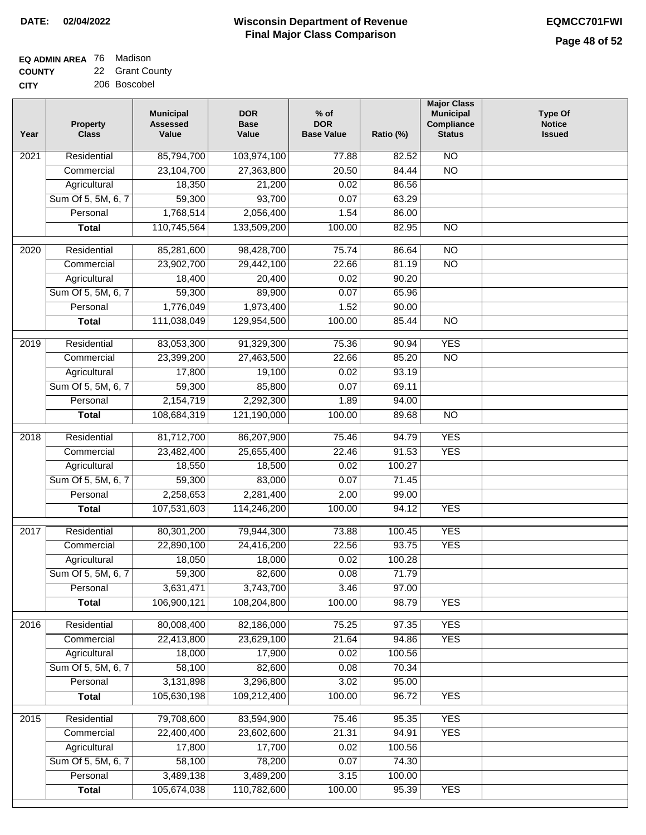### **EQ ADMIN AREA** 76 Madison **COUNTY**

**CITY** 22 Grant County 206 Boscobel

| Year | <b>Property</b><br><b>Class</b> | <b>Municipal</b><br><b>Assessed</b><br>Value | <b>DOR</b><br><b>Base</b><br>Value | $%$ of<br><b>DOR</b><br><b>Base Value</b> | Ratio (%) | <b>Major Class</b><br><b>Municipal</b><br>Compliance<br><b>Status</b> | <b>Type Of</b><br><b>Notice</b><br><b>Issued</b> |
|------|---------------------------------|----------------------------------------------|------------------------------------|-------------------------------------------|-----------|-----------------------------------------------------------------------|--------------------------------------------------|
| 2021 | Residential                     | 85,794,700                                   | 103,974,100                        | 77.88                                     | 82.52     | $\overline{NO}$                                                       |                                                  |
|      | Commercial                      | 23,104,700                                   | 27,363,800                         | 20.50                                     | 84.44     | $\overline{NO}$                                                       |                                                  |
|      | Agricultural                    | 18,350                                       | 21,200                             | 0.02                                      | 86.56     |                                                                       |                                                  |
|      | Sum Of 5, 5M, 6, 7              | 59,300                                       | 93,700                             | 0.07                                      | 63.29     |                                                                       |                                                  |
|      | Personal                        | 1,768,514                                    | 2,056,400                          | 1.54                                      | 86.00     |                                                                       |                                                  |
|      | <b>Total</b>                    | 110,745,564                                  | 133,509,200                        | 100.00                                    | 82.95     | N <sub>O</sub>                                                        |                                                  |
| 2020 | Residential                     | 85,281,600                                   | 98,428,700                         | 75.74                                     | 86.64     | $\overline{NO}$                                                       |                                                  |
|      | Commercial                      | 23,902,700                                   | 29,442,100                         | 22.66                                     | 81.19     | $\overline{NO}$                                                       |                                                  |
|      | Agricultural                    | 18,400                                       | 20,400                             | 0.02                                      | 90.20     |                                                                       |                                                  |
|      | Sum Of 5, 5M, 6, 7              | 59,300                                       | 89,900                             | 0.07                                      | 65.96     |                                                                       |                                                  |
|      | Personal                        | 1,776,049                                    | 1,973,400                          | 1.52                                      | 90.00     |                                                                       |                                                  |
|      | <b>Total</b>                    | 111,038,049                                  | 129,954,500                        | 100.00                                    | 85.44     | $\overline{NO}$                                                       |                                                  |
|      |                                 |                                              |                                    |                                           |           |                                                                       |                                                  |
| 2019 | Residential                     | 83,053,300                                   | 91,329,300                         | 75.36                                     | 90.94     | <b>YES</b>                                                            |                                                  |
|      | Commercial                      | 23,399,200                                   | 27,463,500                         | 22.66                                     | 85.20     | $\overline{NO}$                                                       |                                                  |
|      | Agricultural                    | 17,800                                       | 19,100                             | 0.02                                      | 93.19     |                                                                       |                                                  |
|      | Sum Of 5, 5M, 6, 7              | 59,300                                       | 85,800                             | 0.07                                      | 69.11     |                                                                       |                                                  |
|      | Personal                        | 2,154,719                                    | 2,292,300                          | 1.89                                      | 94.00     |                                                                       |                                                  |
|      | <b>Total</b>                    | 108,684,319                                  | 121,190,000                        | 100.00                                    | 89.68     | $\overline{NO}$                                                       |                                                  |
| 2018 | Residential                     | 81,712,700                                   | 86,207,900                         | 75.46                                     | 94.79     | <b>YES</b>                                                            |                                                  |
|      | Commercial                      | 23,482,400                                   | 25,655,400                         | 22.46                                     | 91.53     | <b>YES</b>                                                            |                                                  |
|      | Agricultural                    | 18,550                                       | 18,500                             | 0.02                                      | 100.27    |                                                                       |                                                  |
|      | Sum Of 5, 5M, 6, 7              | 59,300                                       | 83,000                             | 0.07                                      | 71.45     |                                                                       |                                                  |
|      | Personal                        | 2,258,653                                    | 2,281,400                          | 2.00                                      | 99.00     |                                                                       |                                                  |
|      | <b>Total</b>                    | 107,531,603                                  | 114,246,200                        | 100.00                                    | 94.12     | <b>YES</b>                                                            |                                                  |
| 2017 | Residential                     | 80,301,200                                   | 79,944,300                         | 73.88                                     | 100.45    | <b>YES</b>                                                            |                                                  |
|      | Commercial                      | 22,890,100                                   | 24,416,200                         | 22.56                                     | 93.75     | <b>YES</b>                                                            |                                                  |
|      | Agricultural                    | 18,050                                       | 18,000                             | 0.02                                      | 100.28    |                                                                       |                                                  |
|      | Sum Of 5, 5M, 6, 7              | 59,300                                       | 82,600                             | 0.08                                      | 71.79     |                                                                       |                                                  |
|      | Personal                        | 3,631,471                                    | 3,743,700                          | 3.46                                      | 97.00     |                                                                       |                                                  |
|      | <b>Total</b>                    | 106,900,121                                  | 108,204,800                        | 100.00                                    | 98.79     | <b>YES</b>                                                            |                                                  |
| 2016 | Residential                     | 80,008,400                                   | 82,186,000                         | 75.25                                     | 97.35     | <b>YES</b>                                                            |                                                  |
|      | Commercial                      | 22,413,800                                   | 23,629,100                         | 21.64                                     | 94.86     | <b>YES</b>                                                            |                                                  |
|      | Agricultural                    | 18,000                                       | 17,900                             | 0.02                                      | 100.56    |                                                                       |                                                  |
|      | Sum Of 5, 5M, 6, 7              | 58,100                                       | 82,600                             | 0.08                                      | 70.34     |                                                                       |                                                  |
|      | Personal                        | 3,131,898                                    | 3,296,800                          | 3.02                                      | 95.00     |                                                                       |                                                  |
|      | <b>Total</b>                    | 105,630,198                                  | 109,212,400                        | 100.00                                    | 96.72     | <b>YES</b>                                                            |                                                  |
|      |                                 |                                              |                                    |                                           |           |                                                                       |                                                  |
| 2015 | Residential                     | 79,708,600                                   | 83,594,900                         | 75.46                                     | 95.35     | <b>YES</b>                                                            |                                                  |
|      | Commercial                      | 22,400,400                                   | 23,602,600                         | 21.31                                     | 94.91     | <b>YES</b>                                                            |                                                  |
|      | Agricultural                    | 17,800                                       | 17,700                             | 0.02                                      | 100.56    |                                                                       |                                                  |
|      | Sum Of 5, 5M, 6, 7              | 58,100                                       | 78,200                             | 0.07                                      | 74.30     |                                                                       |                                                  |
|      | Personal                        | 3,489,138                                    | 3,489,200                          | 3.15                                      | 100.00    |                                                                       |                                                  |
|      | <b>Total</b>                    | 105,674,038                                  | 110,782,600                        | 100.00                                    | 95.39     | <b>YES</b>                                                            |                                                  |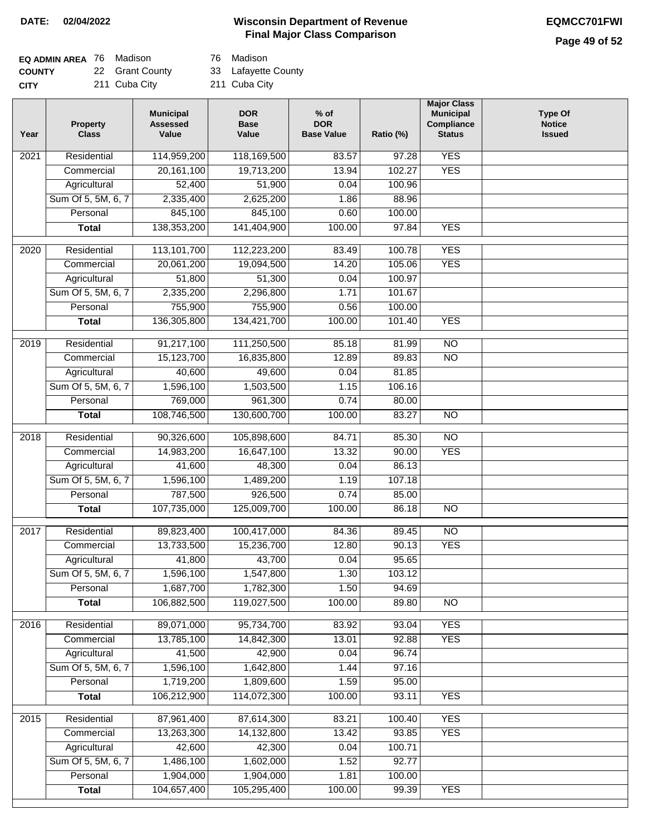| <b>EQ ADMIN AREA 76 Madison</b> |                 | 76 Madison          |
|---------------------------------|-----------------|---------------------|
| <b>COUNTY</b>                   | 22 Grant County | 33 Lafayette County |
| <b>CITY</b>                     | 211 Cuba City   | 211 Cuba City       |

76 Madison

| Year              | <b>Property</b><br><b>Class</b> | <b>Municipal</b><br><b>Assessed</b><br>Value | <b>DOR</b><br><b>Base</b><br>Value | $%$ of<br><b>DOR</b><br><b>Base Value</b> | Ratio (%) | <b>Major Class</b><br><b>Municipal</b><br>Compliance<br><b>Status</b> | <b>Type Of</b><br><b>Notice</b><br><b>Issued</b> |
|-------------------|---------------------------------|----------------------------------------------|------------------------------------|-------------------------------------------|-----------|-----------------------------------------------------------------------|--------------------------------------------------|
| $\overline{202}1$ | Residential                     | 114,959,200                                  | 118,169,500                        | 83.57                                     | 97.28     | <b>YES</b>                                                            |                                                  |
|                   | Commercial                      | 20, 161, 100                                 | 19,713,200                         | 13.94                                     | 102.27    | <b>YES</b>                                                            |                                                  |
|                   | Agricultural                    | 52,400                                       | 51,900                             | 0.04                                      | 100.96    |                                                                       |                                                  |
|                   | Sum Of 5, 5M, 6, 7              | 2,335,400                                    | 2,625,200                          | 1.86                                      | 88.96     |                                                                       |                                                  |
|                   | Personal                        | 845,100                                      | 845,100                            | 0.60                                      | 100.00    |                                                                       |                                                  |
|                   | <b>Total</b>                    | 138,353,200                                  | 141,404,900                        | 100.00                                    | 97.84     | <b>YES</b>                                                            |                                                  |
| 2020              | Residential                     | 113,101,700                                  | 112,223,200                        | 83.49                                     | 100.78    | <b>YES</b>                                                            |                                                  |
|                   | Commercial                      | 20,061,200                                   | 19,094,500                         | 14.20                                     | 105.06    | <b>YES</b>                                                            |                                                  |
|                   | Agricultural                    | 51,800                                       | 51,300                             | 0.04                                      | 100.97    |                                                                       |                                                  |
|                   | Sum Of 5, 5M, 6, 7              | 2,335,200                                    | 2,296,800                          | 1.71                                      | 101.67    |                                                                       |                                                  |
|                   | Personal                        | 755,900                                      | 755,900                            | 0.56                                      | 100.00    |                                                                       |                                                  |
|                   | <b>Total</b>                    | 136,305,800                                  | 134,421,700                        | 100.00                                    | 101.40    | <b>YES</b>                                                            |                                                  |
| 2019              | Residential                     | 91,217,100                                   | 111,250,500                        | 85.18                                     | 81.99     | $\overline{NO}$                                                       |                                                  |
|                   | Commercial                      | 15,123,700                                   | 16,835,800                         | 12.89                                     | 89.83     | $\overline{NO}$                                                       |                                                  |
|                   | Agricultural                    | 40,600                                       | 49,600                             | 0.04                                      | 81.85     |                                                                       |                                                  |
|                   | Sum Of 5, 5M, 6, 7              | 1,596,100                                    | 1,503,500                          | 1.15                                      | 106.16    |                                                                       |                                                  |
|                   | Personal                        | 769,000                                      | 961,300                            | 0.74                                      | 80.00     |                                                                       |                                                  |
|                   | <b>Total</b>                    | 108,746,500                                  | 130,600,700                        | 100.00                                    | 83.27     | $\overline{NO}$                                                       |                                                  |
|                   |                                 |                                              |                                    |                                           |           |                                                                       |                                                  |
| 2018              | Residential                     | 90,326,600                                   | 105,898,600                        | 84.71                                     | 85.30     | $\overline{10}$                                                       |                                                  |
|                   | Commercial                      | 14,983,200                                   | 16,647,100                         | 13.32                                     | 90.00     | <b>YES</b>                                                            |                                                  |
|                   | Agricultural                    | 41,600                                       | 48,300                             | 0.04                                      | 86.13     |                                                                       |                                                  |
|                   | Sum Of 5, 5M, 6, 7              | 1,596,100                                    | 1,489,200                          | 1.19                                      | 107.18    |                                                                       |                                                  |
|                   | Personal                        | 787,500                                      | 926,500                            | 0.74                                      | 85.00     |                                                                       |                                                  |
|                   | <b>Total</b>                    | 107,735,000                                  | 125,009,700                        | 100.00                                    | 86.18     | $\overline{NO}$                                                       |                                                  |
| $\overline{2017}$ | Residential                     | 89,823,400                                   | 100,417,000                        | 84.36                                     | 89.45     | $\overline{NO}$                                                       |                                                  |
|                   | Commercial                      | 13,733,500                                   | 15,236,700                         | 12.80                                     | 90.13     | <b>YES</b>                                                            |                                                  |
|                   | Agricultural                    | 41,800                                       | 43,700                             | 0.04                                      | 95.65     |                                                                       |                                                  |
|                   | Sum Of 5, 5M, 6, 7              | 1,596,100                                    | 1,547,800                          | 1.30                                      | 103.12    |                                                                       |                                                  |
|                   | Personal                        | 1,687,700                                    | 1,782,300                          | 1.50                                      | 94.69     |                                                                       |                                                  |
|                   | <b>Total</b>                    | 106,882,500                                  | 119,027,500                        | 100.00                                    | 89.80     | <b>NO</b>                                                             |                                                  |
| 2016              | Residential                     | 89,071,000                                   | 95,734,700                         | 83.92                                     | 93.04     | <b>YES</b>                                                            |                                                  |
|                   | Commercial                      | 13,785,100                                   | 14,842,300                         | 13.01                                     | 92.88     | <b>YES</b>                                                            |                                                  |
|                   | Agricultural                    | 41,500                                       | 42,900                             | 0.04                                      | 96.74     |                                                                       |                                                  |
|                   | Sum Of 5, 5M, 6, 7              | 1,596,100                                    | 1,642,800                          | 1.44                                      | 97.16     |                                                                       |                                                  |
|                   | Personal                        | 1,719,200                                    | 1,809,600                          | 1.59                                      | 95.00     |                                                                       |                                                  |
|                   | <b>Total</b>                    | 106,212,900                                  | 114,072,300                        | 100.00                                    | 93.11     | <b>YES</b>                                                            |                                                  |
| 2015              | Residential                     | 87,961,400                                   | 87,614,300                         | 83.21                                     | 100.40    | <b>YES</b>                                                            |                                                  |
|                   | Commercial                      | 13,263,300                                   | 14,132,800                         | 13.42                                     | 93.85     | <b>YES</b>                                                            |                                                  |
|                   | Agricultural                    | 42,600                                       | 42,300                             | 0.04                                      | 100.71    |                                                                       |                                                  |
|                   | Sum Of 5, 5M, 6, 7              | 1,486,100                                    | 1,602,000                          | 1.52                                      | 92.77     |                                                                       |                                                  |
|                   | Personal                        | 1,904,000                                    | 1,904,000                          | 1.81                                      | 100.00    |                                                                       |                                                  |
|                   | <b>Total</b>                    | 104,657,400                                  | 105,295,400                        | 100.00                                    | 99.39     | <b>YES</b>                                                            |                                                  |
|                   |                                 |                                              |                                    |                                           |           |                                                                       |                                                  |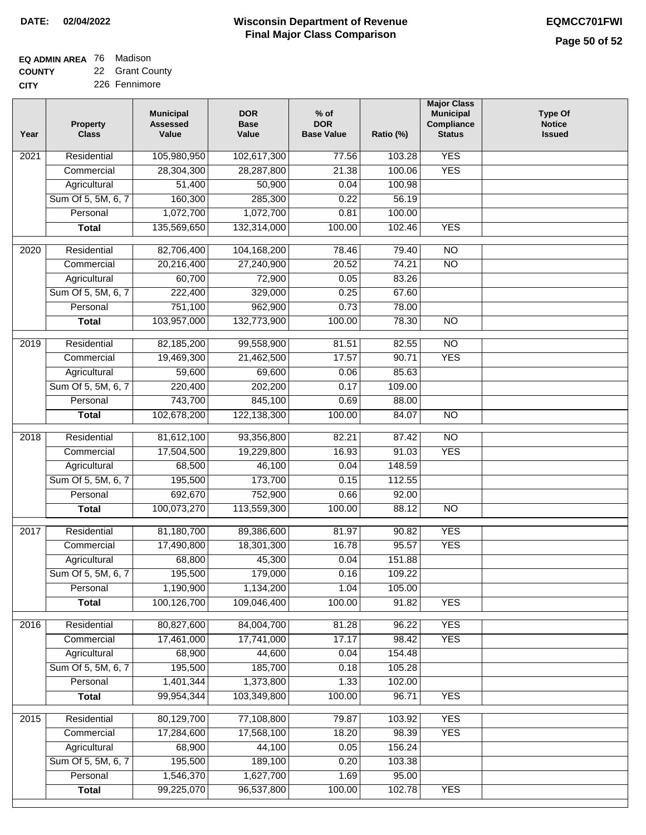# **EQ ADMIN AREA** 76 Madison

**COUNTY CITY** 22 Grant County

226 Fennimore

| Year | <b>Property</b><br><b>Class</b> | <b>Municipal</b><br><b>Assessed</b><br>Value | <b>DOR</b><br><b>Base</b><br>Value | $%$ of<br><b>DOR</b><br><b>Base Value</b> | Ratio (%) | <b>Major Class</b><br><b>Municipal</b><br>Compliance<br><b>Status</b> | <b>Type Of</b><br><b>Notice</b><br><b>Issued</b> |
|------|---------------------------------|----------------------------------------------|------------------------------------|-------------------------------------------|-----------|-----------------------------------------------------------------------|--------------------------------------------------|
| 2021 | Residential                     | 105,980,950                                  | 102,617,300                        | 77.56                                     | 103.28    | <b>YES</b>                                                            |                                                  |
|      | Commercial                      | 28,304,300                                   | 28,287,800                         | 21.38                                     | 100.06    | <b>YES</b>                                                            |                                                  |
|      | Agricultural                    | 51,400                                       | 50,900                             | 0.04                                      | 100.98    |                                                                       |                                                  |
|      | Sum Of 5, 5M, 6, 7              | 160,300                                      | 285,300                            | 0.22                                      | 56.19     |                                                                       |                                                  |
|      | Personal                        | 1,072,700                                    | 1,072,700                          | 0.81                                      | 100.00    |                                                                       |                                                  |
|      | <b>Total</b>                    | 135,569,650                                  | 132,314,000                        | 100.00                                    | 102.46    | <b>YES</b>                                                            |                                                  |
| 2020 | Residential                     | 82,706,400                                   | 104,168,200                        | 78.46                                     | 79.40     | $\overline{NO}$                                                       |                                                  |
|      | Commercial                      | 20,216,400                                   | 27,240,900                         | 20.52                                     | 74.21     | $\overline{NO}$                                                       |                                                  |
|      | Agricultural                    | 60,700                                       | 72,900                             | 0.05                                      | 83.26     |                                                                       |                                                  |
|      | Sum Of 5, 5M, 6, 7              | 222,400                                      | 329,000                            | 0.25                                      | 67.60     |                                                                       |                                                  |
|      | Personal                        | 751,100                                      | 962,900                            | 0.73                                      | 78.00     |                                                                       |                                                  |
|      | <b>Total</b>                    | 103,957,000                                  | 132,773,900                        | 100.00                                    | 78.30     | $\overline{NO}$                                                       |                                                  |
| 2019 | Residential                     | 82,185,200                                   | 99,558,900                         | 81.51                                     | 82.55     | $\overline{10}$                                                       |                                                  |
|      | Commercial                      | 19,469,300                                   | 21,462,500                         | 17.57                                     | 90.71     | <b>YES</b>                                                            |                                                  |
|      | Agricultural                    | 59,600                                       | 69,600                             | 0.06                                      | 85.63     |                                                                       |                                                  |
|      | Sum Of 5, 5M, 6, 7              | 220,400                                      | 202,200                            | 0.17                                      | 109.00    |                                                                       |                                                  |
|      | Personal                        | 743,700                                      | 845,100                            | 0.69                                      | 88.00     |                                                                       |                                                  |
|      | <b>Total</b>                    | 102,678,200                                  | 122,138,300                        | 100.00                                    | 84.07     | $\overline{NO}$                                                       |                                                  |
|      |                                 |                                              |                                    |                                           |           |                                                                       |                                                  |
| 2018 | Residential                     | 81,612,100                                   | 93,356,800                         | 82.21                                     | 87.42     | $\overline{10}$                                                       |                                                  |
|      | Commercial                      | 17,504,500                                   | 19,229,800                         | 16.93                                     | 91.03     | <b>YES</b>                                                            |                                                  |
|      | Agricultural                    | 68,500                                       | 46,100                             | 0.04                                      | 148.59    |                                                                       |                                                  |
|      | Sum Of 5, 5M, 6, 7              | 195,500                                      | 173,700                            | 0.15                                      | 112.55    |                                                                       |                                                  |
|      | Personal                        | 692,670                                      | 752,900                            | 0.66                                      | 92.00     |                                                                       |                                                  |
|      | <b>Total</b>                    | 100,073,270                                  | 113,559,300                        | 100.00                                    | 88.12     | <b>NO</b>                                                             |                                                  |
| 2017 | Residential                     | 81,180,700                                   | 89,386,600                         | 81.97                                     | 90.82     | <b>YES</b>                                                            |                                                  |
|      | Commercial                      | 17,490,800                                   | 18,301,300                         | 16.78                                     | 95.57     | <b>YES</b>                                                            |                                                  |
|      | Agricultural                    | 68,800                                       | 45,300                             | 0.04                                      | 151.88    |                                                                       |                                                  |
|      | Sum Of 5, 5M, 6, 7              | 195,500                                      | 179,000                            | 0.16                                      | 109.22    |                                                                       |                                                  |
|      | Personal                        | 1,190,900                                    | 1,134,200                          | 1.04                                      | 105.00    |                                                                       |                                                  |
|      | <b>Total</b>                    | 100,126,700                                  | 109,046,400                        | 100.00                                    | 91.82     | <b>YES</b>                                                            |                                                  |
| 2016 | Residential                     | 80,827,600                                   | 84,004,700                         | 81.28                                     | 96.22     | <b>YES</b>                                                            |                                                  |
|      | Commercial                      | 17,461,000                                   | 17,741,000                         | 17.17                                     | 98.42     | <b>YES</b>                                                            |                                                  |
|      | Agricultural                    | 68,900                                       | 44,600                             | 0.04                                      | 154.48    |                                                                       |                                                  |
|      | Sum Of 5, 5M, 6, 7              | 195,500                                      | 185,700                            | 0.18                                      | 105.28    |                                                                       |                                                  |
|      | Personal                        | 1,401,344                                    | 1,373,800                          | 1.33                                      | 102.00    |                                                                       |                                                  |
|      | <b>Total</b>                    | 99,954,344                                   | 103,349,800                        | 100.00                                    | 96.71     | <b>YES</b>                                                            |                                                  |
| 2015 | Residential                     | 80,129,700                                   | 77,108,800                         | 79.87                                     | 103.92    | <b>YES</b>                                                            |                                                  |
|      | Commercial                      | 17,284,600                                   | 17,568,100                         | 18.20                                     | 98.39     | <b>YES</b>                                                            |                                                  |
|      | Agricultural                    | 68,900                                       | 44,100                             | 0.05                                      | 156.24    |                                                                       |                                                  |
|      | Sum Of 5, 5M, 6, 7              | 195,500                                      | 189,100                            | 0.20                                      | 103.38    |                                                                       |                                                  |
|      | Personal                        | 1,546,370                                    | 1,627,700                          | 1.69                                      | 95.00     |                                                                       |                                                  |
|      | <b>Total</b>                    | 99,225,070                                   | 96,537,800                         | 100.00                                    | 102.78    | <b>YES</b>                                                            |                                                  |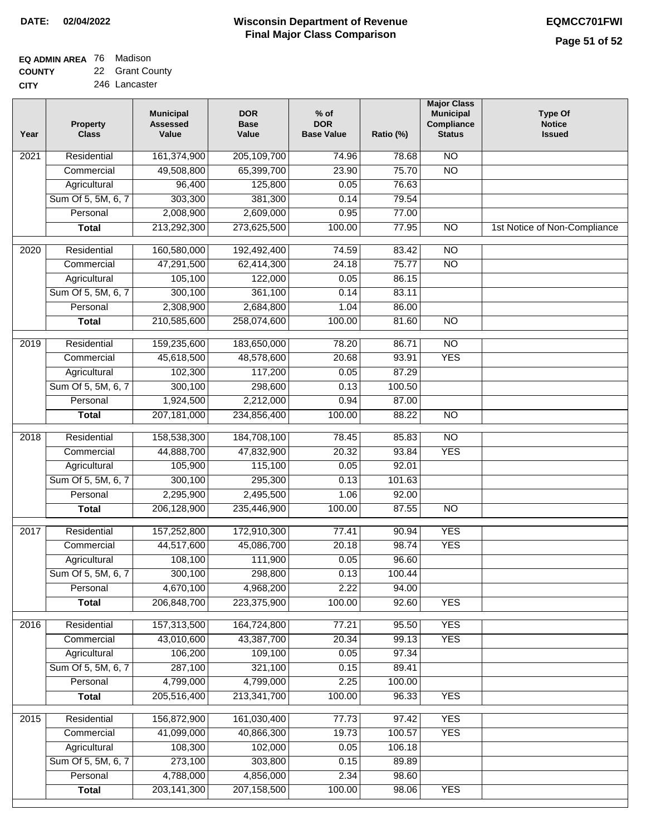# **EQ ADMIN AREA** 76 Madison

**COUNTY CITY** 22 Grant County 246 Lancaster

| Year | <b>Property</b><br><b>Class</b> | <b>Municipal</b><br><b>Assessed</b><br>Value | <b>DOR</b><br><b>Base</b><br>Value | $%$ of<br><b>DOR</b><br><b>Base Value</b> | Ratio (%) | <b>Major Class</b><br><b>Municipal</b><br>Compliance<br><b>Status</b> | <b>Type Of</b><br><b>Notice</b><br><b>Issued</b> |
|------|---------------------------------|----------------------------------------------|------------------------------------|-------------------------------------------|-----------|-----------------------------------------------------------------------|--------------------------------------------------|
| 2021 | Residential                     | 161,374,900                                  | 205,109,700                        | 74.96                                     | 78.68     | $\overline{NO}$                                                       |                                                  |
|      | Commercial                      | 49,508,800                                   | 65,399,700                         | 23.90                                     | 75.70     | $\overline{NO}$                                                       |                                                  |
|      | Agricultural                    | 96,400                                       | 125,800                            | 0.05                                      | 76.63     |                                                                       |                                                  |
|      | Sum Of 5, 5M, 6, 7              | 303,300                                      | 381,300                            | 0.14                                      | 79.54     |                                                                       |                                                  |
|      | Personal                        | 2,008,900                                    | 2,609,000                          | 0.95                                      | 77.00     |                                                                       |                                                  |
|      | <b>Total</b>                    | 213,292,300                                  | 273,625,500                        | 100.00                                    | 77.95     | $\overline{NO}$                                                       | 1st Notice of Non-Compliance                     |
| 2020 | Residential                     | 160,580,000                                  | 192,492,400                        | 74.59                                     | 83.42     | $\overline{NO}$                                                       |                                                  |
|      | Commercial                      | 47,291,500                                   | 62,414,300                         | 24.18                                     | 75.77     | $\overline{NO}$                                                       |                                                  |
|      | Agricultural                    | 105,100                                      | 122,000                            | 0.05                                      | 86.15     |                                                                       |                                                  |
|      | Sum Of 5, 5M, 6, 7              | 300,100                                      | 361,100                            | 0.14                                      | 83.11     |                                                                       |                                                  |
|      | Personal                        | 2,308,900                                    | 2,684,800                          | 1.04                                      | 86.00     |                                                                       |                                                  |
|      | <b>Total</b>                    | 210,585,600                                  | 258,074,600                        | 100.00                                    | 81.60     | $\overline{NO}$                                                       |                                                  |
| 2019 | Residential                     | 159,235,600                                  | 183,650,000                        | 78.20                                     | 86.71     | $\overline{NO}$                                                       |                                                  |
|      | Commercial                      | 45,618,500                                   | 48,578,600                         | 20.68                                     | 93.91     | <b>YES</b>                                                            |                                                  |
|      | Agricultural                    | 102,300                                      | 117,200                            | 0.05                                      | 87.29     |                                                                       |                                                  |
|      | Sum Of 5, 5M, 6, 7              | 300,100                                      | 298,600                            | 0.13                                      | 100.50    |                                                                       |                                                  |
|      | Personal                        | 1,924,500                                    | 2,212,000                          | 0.94                                      | 87.00     |                                                                       |                                                  |
|      | <b>Total</b>                    | 207,181,000                                  | 234,856,400                        | 100.00                                    | 88.22     | $\overline{NO}$                                                       |                                                  |
| 2018 | Residential                     | 158,538,300                                  | 184,708,100                        | 78.45                                     | 85.83     | $\overline{10}$                                                       |                                                  |
|      | Commercial                      | 44,888,700                                   | 47,832,900                         | 20.32                                     | 93.84     | <b>YES</b>                                                            |                                                  |
|      | Agricultural                    | 105,900                                      | 115,100                            | 0.05                                      | 92.01     |                                                                       |                                                  |
|      | Sum Of 5, 5M, 6, 7              | 300,100                                      | 295,300                            | 0.13                                      | 101.63    |                                                                       |                                                  |
|      | Personal                        | 2,295,900                                    | 2,495,500                          | 1.06                                      | 92.00     |                                                                       |                                                  |
|      | <b>Total</b>                    | 206,128,900                                  | 235,446,900                        | 100.00                                    | 87.55     | <b>NO</b>                                                             |                                                  |
| 2017 | Residential                     | 157,252,800                                  | 172,910,300                        | 77.41                                     | 90.94     | <b>YES</b>                                                            |                                                  |
|      | Commercial                      | 44,517,600                                   | 45,086,700                         | 20.18                                     | 98.74     | <b>YES</b>                                                            |                                                  |
|      | Agricultural                    | 108,100                                      | 111,900                            | 0.05                                      | 96.60     |                                                                       |                                                  |
|      | Sum Of 5, 5M, 6, 7              | 300,100                                      | 298,800                            | 0.13                                      | 100.44    |                                                                       |                                                  |
|      | Personal                        | 4,670,100                                    | 4,968,200                          | 2.22                                      | 94.00     |                                                                       |                                                  |
|      | <b>Total</b>                    | 206,848,700                                  | 223,375,900                        | 100.00                                    | 92.60     | <b>YES</b>                                                            |                                                  |
| 2016 | Residential                     | 157,313,500                                  | 164,724,800                        | 77.21                                     | 95.50     | <b>YES</b>                                                            |                                                  |
|      | Commercial                      | 43,010,600                                   | 43,387,700                         | 20.34                                     | 99.13     | <b>YES</b>                                                            |                                                  |
|      | Agricultural                    | 106,200                                      | 109,100                            | 0.05                                      | 97.34     |                                                                       |                                                  |
|      | Sum Of 5, 5M, 6, 7              | 287,100                                      | 321,100                            | 0.15                                      | 89.41     |                                                                       |                                                  |
|      | Personal                        | 4,799,000                                    | 4,799,000                          | 2.25                                      | 100.00    |                                                                       |                                                  |
|      | <b>Total</b>                    | 205,516,400                                  | 213,341,700                        | 100.00                                    | 96.33     | <b>YES</b>                                                            |                                                  |
| 2015 | Residential                     | 156,872,900                                  | 161,030,400                        | 77.73                                     | 97.42     | <b>YES</b>                                                            |                                                  |
|      | Commercial                      | 41,099,000                                   | 40,866,300                         | 19.73                                     | 100.57    | <b>YES</b>                                                            |                                                  |
|      | Agricultural                    | 108,300                                      | 102,000                            | 0.05                                      | 106.18    |                                                                       |                                                  |
|      | Sum Of 5, 5M, 6, 7              | 273,100                                      | 303,800                            | 0.15                                      | 89.89     |                                                                       |                                                  |
|      | Personal                        | 4,788,000                                    | 4,856,000                          | 2.34                                      | 98.60     |                                                                       |                                                  |
|      | <b>Total</b>                    | 203,141,300                                  | 207, 158, 500                      | 100.00                                    | 98.06     | <b>YES</b>                                                            |                                                  |
|      |                                 |                                              |                                    |                                           |           |                                                                       |                                                  |